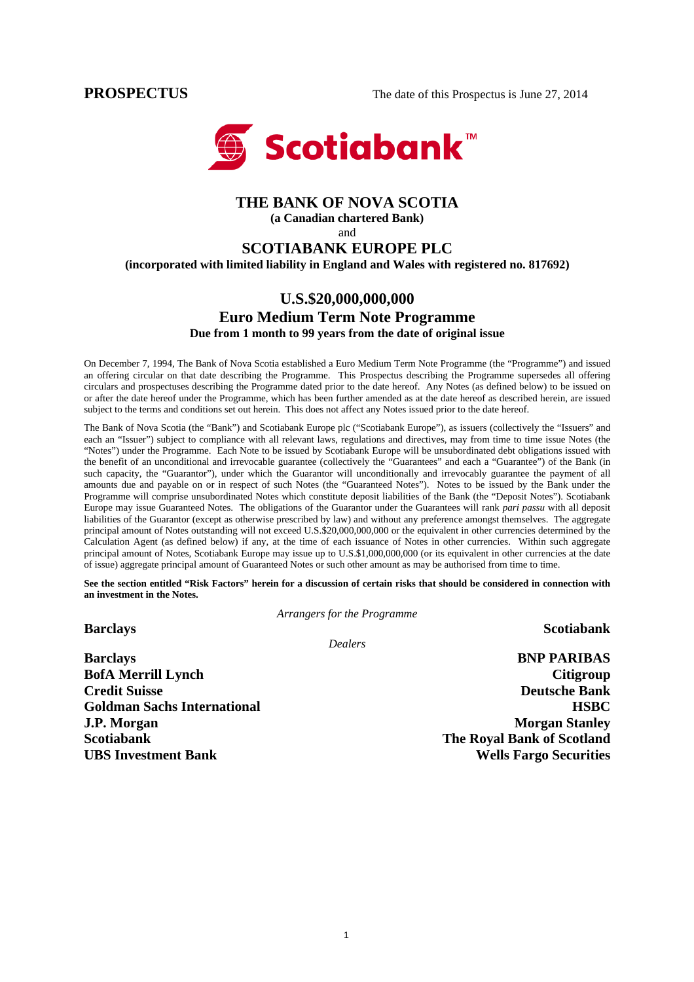

# **THE BANK OF NOVA SCOTIA**

**(a Canadian chartered Bank)** 

and

# **SCOTIABANK EUROPE PLC**

**(incorporated with limited liability in England and Wales with registered no. 817692)** 

# **U.S.\$20,000,000,000 Euro Medium Term Note Programme Due from 1 month to 99 years from the date of original issue**

On December 7, 1994, The Bank of Nova Scotia established a Euro Medium Term Note Programme (the "Programme") and issued an offering circular on that date describing the Programme. This Prospectus describing the Programme supersedes all offering circulars and prospectuses describing the Programme dated prior to the date hereof. Any Notes (as defined below) to be issued on or after the date hereof under the Programme, which has been further amended as at the date hereof as described herein, are issued subject to the terms and conditions set out herein. This does not affect any Notes issued prior to the date hereof.

The Bank of Nova Scotia (the "Bank") and Scotiabank Europe plc ("Scotiabank Europe"), as issuers (collectively the "Issuers" and each an "Issuer") subject to compliance with all relevant laws, regulations and directives, may from time to time issue Notes (the "Notes") under the Programme. Each Note to be issued by Scotiabank Europe will be unsubordinated debt obligations issued with the benefit of an unconditional and irrevocable guarantee (collectively the "Guarantees" and each a "Guarantee") of the Bank (in such capacity, the "Guarantor"), under which the Guarantor will unconditionally and irrevocably guarantee the payment of all amounts due and payable on or in respect of such Notes (the "Guaranteed Notes"). Notes to be issued by the Bank under the Programme will comprise unsubordinated Notes which constitute deposit liabilities of the Bank (the "Deposit Notes"). Scotiabank Europe may issue Guaranteed Notes. The obligations of the Guarantor under the Guarantees will rank *pari passu* with all deposit liabilities of the Guarantor (except as otherwise prescribed by law) and without any preference amongst themselves. The aggregate principal amount of Notes outstanding will not exceed U.S.\$20,000,000,000 or the equivalent in other currencies determined by the Calculation Agent (as defined below) if any, at the time of each issuance of Notes in other currencies. Within such aggregate principal amount of Notes, Scotiabank Europe may issue up to U.S.\$1,000,000,000 (or its equivalent in other currencies at the date of issue) aggregate principal amount of Guaranteed Notes or such other amount as may be authorised from time to time.

**See the section entitled "Risk Factors" herein for a discussion of certain risks that should be considered in connection with an investment in the Notes.** 

*Arrangers for the Programme*

**Barclays** Scotiabank **Scotiabank** 

*Dealers*

**Barclays BNP PARIBAS BofA Merrill Lynch** Citigroup **Credit Suisse Deutsche Bank Goldman Sachs International distribution of the Contract of the Contract of the Contract of the HSBC J.P. Morgan Morgan Stanley Scotiabank The Royal Bank of Scotland UBS Investment Bank Wells Fargo Securities**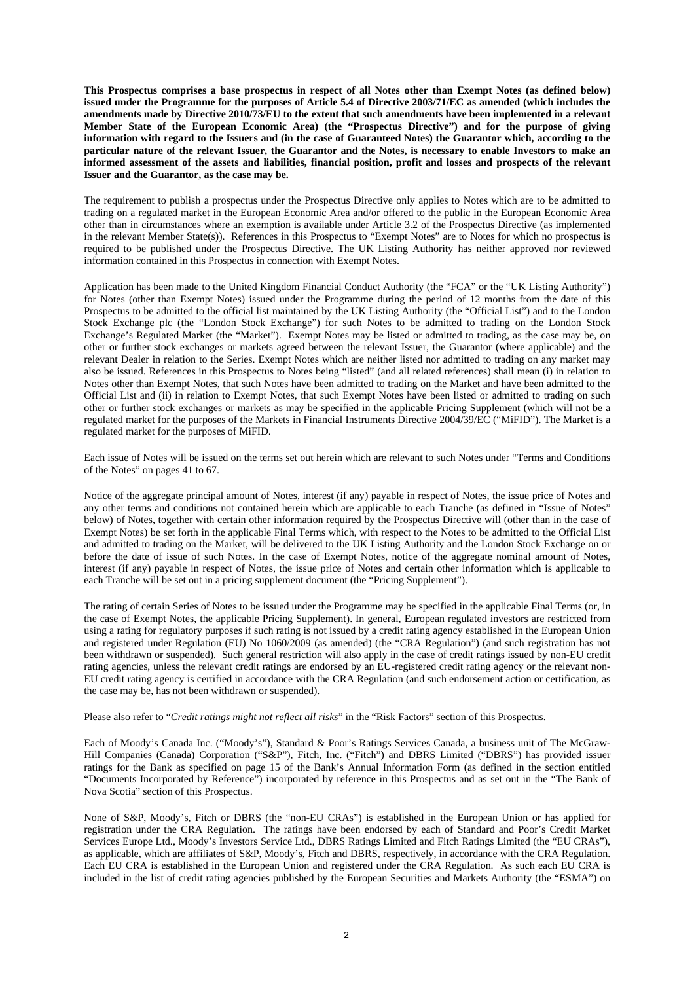**This Prospectus comprises a base prospectus in respect of all Notes other than Exempt Notes (as defined below) issued under the Programme for the purposes of Article 5.4 of Directive 2003/71/EC as amended (which includes the amendments made by Directive 2010/73/EU to the extent that such amendments have been implemented in a relevant Member State of the European Economic Area) (the "Prospectus Directive") and for the purpose of giving information with regard to the Issuers and (in the case of Guaranteed Notes) the Guarantor which, according to the particular nature of the relevant Issuer, the Guarantor and the Notes, is necessary to enable Investors to make an informed assessment of the assets and liabilities, financial position, profit and losses and prospects of the relevant Issuer and the Guarantor, as the case may be.** 

The requirement to publish a prospectus under the Prospectus Directive only applies to Notes which are to be admitted to trading on a regulated market in the European Economic Area and/or offered to the public in the European Economic Area other than in circumstances where an exemption is available under Article 3.2 of the Prospectus Directive (as implemented in the relevant Member State(s)). References in this Prospectus to "Exempt Notes" are to Notes for which no prospectus is required to be published under the Prospectus Directive. The UK Listing Authority has neither approved nor reviewed information contained in this Prospectus in connection with Exempt Notes.

Application has been made to the United Kingdom Financial Conduct Authority (the "FCA" or the "UK Listing Authority") for Notes (other than Exempt Notes) issued under the Programme during the period of 12 months from the date of this Prospectus to be admitted to the official list maintained by the UK Listing Authority (the "Official List") and to the London Stock Exchange plc (the "London Stock Exchange") for such Notes to be admitted to trading on the London Stock Exchange's Regulated Market (the "Market"). Exempt Notes may be listed or admitted to trading, as the case may be, on other or further stock exchanges or markets agreed between the relevant Issuer, the Guarantor (where applicable) and the relevant Dealer in relation to the Series. Exempt Notes which are neither listed nor admitted to trading on any market may also be issued. References in this Prospectus to Notes being "listed" (and all related references) shall mean (i) in relation to Notes other than Exempt Notes, that such Notes have been admitted to trading on the Market and have been admitted to the Official List and (ii) in relation to Exempt Notes, that such Exempt Notes have been listed or admitted to trading on such other or further stock exchanges or markets as may be specified in the applicable Pricing Supplement (which will not be a regulated market for the purposes of the Markets in Financial Instruments Directive 2004/39/EC ("MiFID"). The Market is a regulated market for the purposes of MiFID.

Each issue of Notes will be issued on the terms set out herein which are relevant to such Notes under "Terms and Conditions of the Notes" on pages 41 to 67.

Notice of the aggregate principal amount of Notes, interest (if any) payable in respect of Notes, the issue price of Notes and any other terms and conditions not contained herein which are applicable to each Tranche (as defined in "Issue of Notes" below) of Notes, together with certain other information required by the Prospectus Directive will (other than in the case of Exempt Notes) be set forth in the applicable Final Terms which, with respect to the Notes to be admitted to the Official List and admitted to trading on the Market, will be delivered to the UK Listing Authority and the London Stock Exchange on or before the date of issue of such Notes. In the case of Exempt Notes, notice of the aggregate nominal amount of Notes, interest (if any) payable in respect of Notes, the issue price of Notes and certain other information which is applicable to each Tranche will be set out in a pricing supplement document (the "Pricing Supplement").

The rating of certain Series of Notes to be issued under the Programme may be specified in the applicable Final Terms (or, in the case of Exempt Notes, the applicable Pricing Supplement). In general, European regulated investors are restricted from using a rating for regulatory purposes if such rating is not issued by a credit rating agency established in the European Union and registered under Regulation (EU) No 1060/2009 (as amended) (the "CRA Regulation") (and such registration has not been withdrawn or suspended). Such general restriction will also apply in the case of credit ratings issued by non-EU credit rating agencies, unless the relevant credit ratings are endorsed by an EU-registered credit rating agency or the relevant non-EU credit rating agency is certified in accordance with the CRA Regulation (and such endorsement action or certification, as the case may be, has not been withdrawn or suspended).

Please also refer to "*Credit ratings might not reflect all risks*" in the "Risk Factors" section of this Prospectus.

Each of Moody's Canada Inc. ("Moody's"), Standard & Poor's Ratings Services Canada, a business unit of The McGraw-Hill Companies (Canada) Corporation ("S&P"), Fitch, Inc. ("Fitch") and DBRS Limited ("DBRS") has provided issuer ratings for the Bank as specified on page 15 of the Bank's Annual Information Form (as defined in the section entitled "Documents Incorporated by Reference") incorporated by reference in this Prospectus and as set out in the "The Bank of Nova Scotia" section of this Prospectus.

None of S&P, Moody's, Fitch or DBRS (the "non-EU CRAs") is established in the European Union or has applied for registration under the CRA Regulation. The ratings have been endorsed by each of Standard and Poor's Credit Market Services Europe Ltd., Moody's Investors Service Ltd., DBRS Ratings Limited and Fitch Ratings Limited (the "EU CRAs"), as applicable, which are affiliates of S&P, Moody's, Fitch and DBRS, respectively, in accordance with the CRA Regulation. Each EU CRA is established in the European Union and registered under the CRA Regulation. As such each EU CRA is included in the list of credit rating agencies published by the European Securities and Markets Authority (the "ESMA") on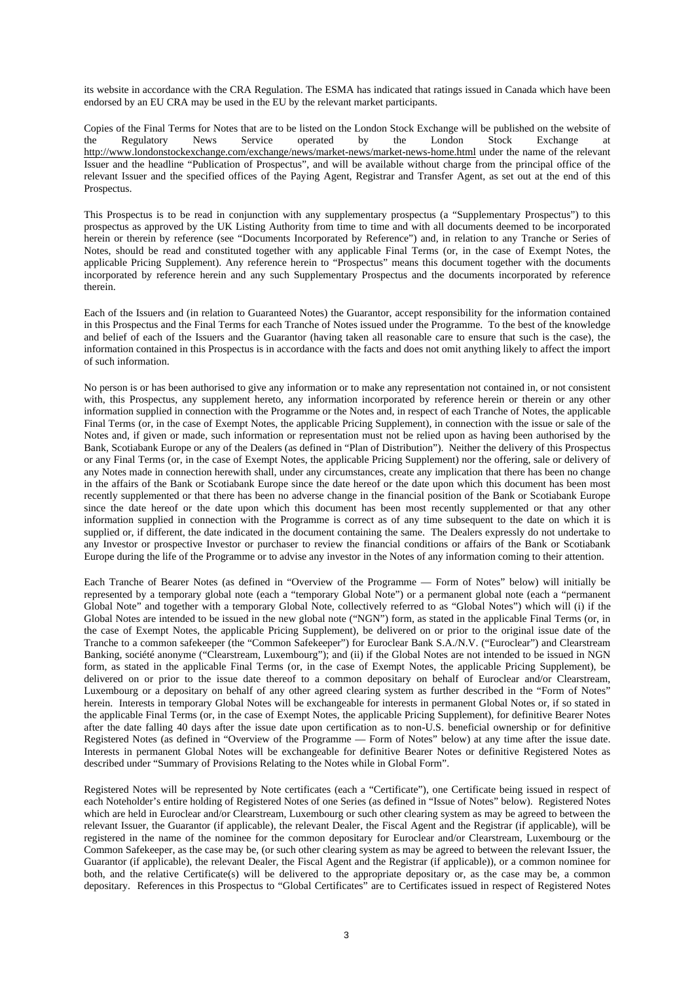its website in accordance with the CRA Regulation. The ESMA has indicated that ratings issued in Canada which have been endorsed by an EU CRA may be used in the EU by the relevant market participants.

Copies of the Final Terms for Notes that are to be listed on the London Stock Exchange will be published on the website of the Regulatory News Service operated by the London Stock Exchange at http://www.londonstockexchange.com/exchange/news/market-news/market-news-home.html under the name of the relevant Issuer and the headline "Publication of Prospectus", and will be available without charge from the principal office of the relevant Issuer and the specified offices of the Paying Agent, Registrar and Transfer Agent, as set out at the end of this Prospectus.

This Prospectus is to be read in conjunction with any supplementary prospectus (a "Supplementary Prospectus") to this prospectus as approved by the UK Listing Authority from time to time and with all documents deemed to be incorporated herein or therein by reference (see "Documents Incorporated by Reference") and, in relation to any Tranche or Series of Notes, should be read and constituted together with any applicable Final Terms (or, in the case of Exempt Notes, the applicable Pricing Supplement). Any reference herein to "Prospectus" means this document together with the documents incorporated by reference herein and any such Supplementary Prospectus and the documents incorporated by reference therein.

Each of the Issuers and (in relation to Guaranteed Notes) the Guarantor, accept responsibility for the information contained in this Prospectus and the Final Terms for each Tranche of Notes issued under the Programme. To the best of the knowledge and belief of each of the Issuers and the Guarantor (having taken all reasonable care to ensure that such is the case), the information contained in this Prospectus is in accordance with the facts and does not omit anything likely to affect the import of such information.

No person is or has been authorised to give any information or to make any representation not contained in, or not consistent with, this Prospectus, any supplement hereto, any information incorporated by reference herein or therein or any other information supplied in connection with the Programme or the Notes and, in respect of each Tranche of Notes, the applicable Final Terms (or, in the case of Exempt Notes, the applicable Pricing Supplement), in connection with the issue or sale of the Notes and, if given or made, such information or representation must not be relied upon as having been authorised by the Bank, Scotiabank Europe or any of the Dealers (as defined in "Plan of Distribution"). Neither the delivery of this Prospectus or any Final Terms (or, in the case of Exempt Notes, the applicable Pricing Supplement) nor the offering, sale or delivery of any Notes made in connection herewith shall, under any circumstances, create any implication that there has been no change in the affairs of the Bank or Scotiabank Europe since the date hereof or the date upon which this document has been most recently supplemented or that there has been no adverse change in the financial position of the Bank or Scotiabank Europe since the date hereof or the date upon which this document has been most recently supplemented or that any other information supplied in connection with the Programme is correct as of any time subsequent to the date on which it is supplied or, if different, the date indicated in the document containing the same. The Dealers expressly do not undertake to any Investor or prospective Investor or purchaser to review the financial conditions or affairs of the Bank or Scotiabank Europe during the life of the Programme or to advise any investor in the Notes of any information coming to their attention.

Each Tranche of Bearer Notes (as defined in "Overview of the Programme — Form of Notes" below) will initially be represented by a temporary global note (each a "temporary Global Note") or a permanent global note (each a "permanent Global Note" and together with a temporary Global Note, collectively referred to as "Global Notes") which will (i) if the Global Notes are intended to be issued in the new global note ("NGN") form, as stated in the applicable Final Terms (or, in the case of Exempt Notes, the applicable Pricing Supplement), be delivered on or prior to the original issue date of the Tranche to a common safekeeper (the "Common Safekeeper") for Euroclear Bank S.A./N.V. ("Euroclear") and Clearstream Banking, société anonyme ("Clearstream, Luxembourg"); and (ii) if the Global Notes are not intended to be issued in NGN form, as stated in the applicable Final Terms (or, in the case of Exempt Notes, the applicable Pricing Supplement), be delivered on or prior to the issue date thereof to a common depositary on behalf of Euroclear and/or Clearstream, Luxembourg or a depositary on behalf of any other agreed clearing system as further described in the "Form of Notes" herein. Interests in temporary Global Notes will be exchangeable for interests in permanent Global Notes or, if so stated in the applicable Final Terms (or, in the case of Exempt Notes, the applicable Pricing Supplement), for definitive Bearer Notes after the date falling 40 days after the issue date upon certification as to non-U.S. beneficial ownership or for definitive Registered Notes (as defined in "Overview of the Programme — Form of Notes" below) at any time after the issue date. Interests in permanent Global Notes will be exchangeable for definitive Bearer Notes or definitive Registered Notes as described under "Summary of Provisions Relating to the Notes while in Global Form".

Registered Notes will be represented by Note certificates (each a "Certificate"), one Certificate being issued in respect of each Noteholder's entire holding of Registered Notes of one Series (as defined in "Issue of Notes" below). Registered Notes which are held in Euroclear and/or Clearstream, Luxembourg or such other clearing system as may be agreed to between the relevant Issuer, the Guarantor (if applicable), the relevant Dealer, the Fiscal Agent and the Registrar (if applicable), will be registered in the name of the nominee for the common depositary for Euroclear and/or Clearstream, Luxembourg or the Common Safekeeper, as the case may be, (or such other clearing system as may be agreed to between the relevant Issuer, the Guarantor (if applicable), the relevant Dealer, the Fiscal Agent and the Registrar (if applicable)), or a common nominee for both, and the relative Certificate(s) will be delivered to the appropriate depositary or, as the case may be, a common depositary. References in this Prospectus to "Global Certificates" are to Certificates issued in respect of Registered Notes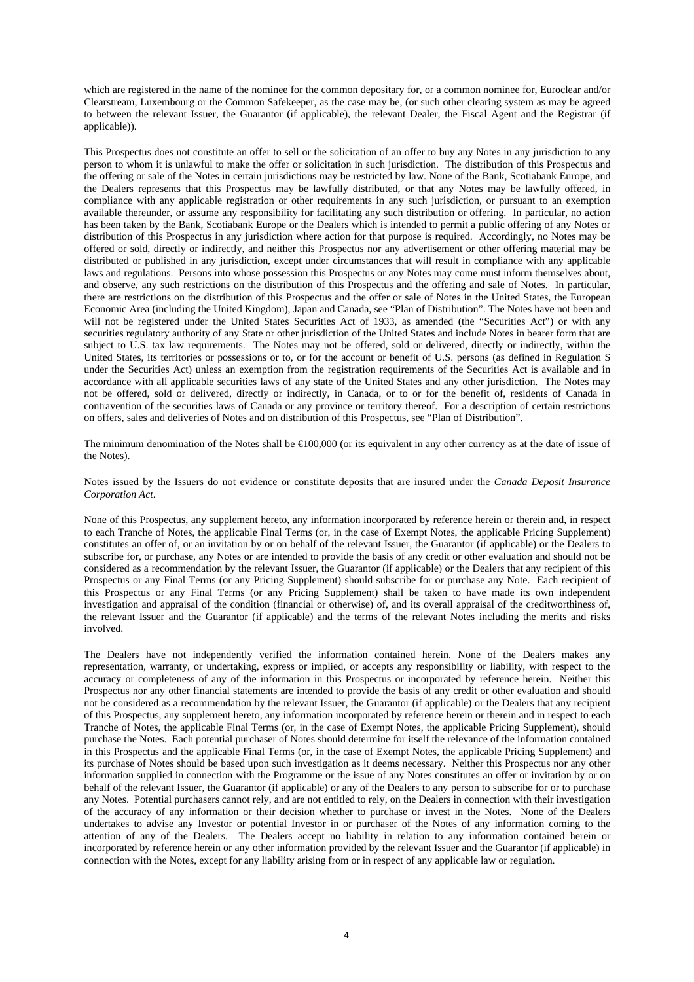which are registered in the name of the nominee for the common depositary for, or a common nominee for, Euroclear and/or Clearstream, Luxembourg or the Common Safekeeper, as the case may be, (or such other clearing system as may be agreed to between the relevant Issuer, the Guarantor (if applicable), the relevant Dealer, the Fiscal Agent and the Registrar (if applicable)).

This Prospectus does not constitute an offer to sell or the solicitation of an offer to buy any Notes in any jurisdiction to any person to whom it is unlawful to make the offer or solicitation in such jurisdiction. The distribution of this Prospectus and the offering or sale of the Notes in certain jurisdictions may be restricted by law. None of the Bank, Scotiabank Europe, and the Dealers represents that this Prospectus may be lawfully distributed, or that any Notes may be lawfully offered, in compliance with any applicable registration or other requirements in any such jurisdiction, or pursuant to an exemption available thereunder, or assume any responsibility for facilitating any such distribution or offering. In particular, no action has been taken by the Bank, Scotiabank Europe or the Dealers which is intended to permit a public offering of any Notes or distribution of this Prospectus in any jurisdiction where action for that purpose is required. Accordingly, no Notes may be offered or sold, directly or indirectly, and neither this Prospectus nor any advertisement or other offering material may be distributed or published in any jurisdiction, except under circumstances that will result in compliance with any applicable laws and regulations. Persons into whose possession this Prospectus or any Notes may come must inform themselves about, and observe, any such restrictions on the distribution of this Prospectus and the offering and sale of Notes. In particular, there are restrictions on the distribution of this Prospectus and the offer or sale of Notes in the United States, the European Economic Area (including the United Kingdom), Japan and Canada, see "Plan of Distribution". The Notes have not been and will not be registered under the United States Securities Act of 1933, as amended (the "Securities Act") or with any securities regulatory authority of any State or other jurisdiction of the United States and include Notes in bearer form that are subject to U.S. tax law requirements. The Notes may not be offered, sold or delivered, directly or indirectly, within the United States, its territories or possessions or to, or for the account or benefit of U.S. persons (as defined in Regulation S under the Securities Act) unless an exemption from the registration requirements of the Securities Act is available and in accordance with all applicable securities laws of any state of the United States and any other jurisdiction. The Notes may not be offered, sold or delivered, directly or indirectly, in Canada, or to or for the benefit of, residents of Canada in contravention of the securities laws of Canada or any province or territory thereof. For a description of certain restrictions on offers, sales and deliveries of Notes and on distribution of this Prospectus, see "Plan of Distribution".

The minimum denomination of the Notes shall be  $E(00,000)$  (or its equivalent in any other currency as at the date of issue of the Notes).

Notes issued by the Issuers do not evidence or constitute deposits that are insured under the *Canada Deposit Insurance Corporation Act*.

None of this Prospectus, any supplement hereto, any information incorporated by reference herein or therein and, in respect to each Tranche of Notes, the applicable Final Terms (or, in the case of Exempt Notes, the applicable Pricing Supplement) constitutes an offer of, or an invitation by or on behalf of the relevant Issuer, the Guarantor (if applicable) or the Dealers to subscribe for, or purchase, any Notes or are intended to provide the basis of any credit or other evaluation and should not be considered as a recommendation by the relevant Issuer, the Guarantor (if applicable) or the Dealers that any recipient of this Prospectus or any Final Terms (or any Pricing Supplement) should subscribe for or purchase any Note. Each recipient of this Prospectus or any Final Terms (or any Pricing Supplement) shall be taken to have made its own independent investigation and appraisal of the condition (financial or otherwise) of, and its overall appraisal of the creditworthiness of, the relevant Issuer and the Guarantor (if applicable) and the terms of the relevant Notes including the merits and risks involved.

The Dealers have not independently verified the information contained herein. None of the Dealers makes any representation, warranty, or undertaking, express or implied, or accepts any responsibility or liability, with respect to the accuracy or completeness of any of the information in this Prospectus or incorporated by reference herein. Neither this Prospectus nor any other financial statements are intended to provide the basis of any credit or other evaluation and should not be considered as a recommendation by the relevant Issuer, the Guarantor (if applicable) or the Dealers that any recipient of this Prospectus, any supplement hereto, any information incorporated by reference herein or therein and in respect to each Tranche of Notes, the applicable Final Terms (or, in the case of Exempt Notes, the applicable Pricing Supplement), should purchase the Notes. Each potential purchaser of Notes should determine for itself the relevance of the information contained in this Prospectus and the applicable Final Terms (or, in the case of Exempt Notes, the applicable Pricing Supplement) and its purchase of Notes should be based upon such investigation as it deems necessary. Neither this Prospectus nor any other information supplied in connection with the Programme or the issue of any Notes constitutes an offer or invitation by or on behalf of the relevant Issuer, the Guarantor (if applicable) or any of the Dealers to any person to subscribe for or to purchase any Notes. Potential purchasers cannot rely, and are not entitled to rely, on the Dealers in connection with their investigation of the accuracy of any information or their decision whether to purchase or invest in the Notes. None of the Dealers undertakes to advise any Investor or potential Investor in or purchaser of the Notes of any information coming to the attention of any of the Dealers. The Dealers accept no liability in relation to any information contained herein or incorporated by reference herein or any other information provided by the relevant Issuer and the Guarantor (if applicable) in connection with the Notes, except for any liability arising from or in respect of any applicable law or regulation.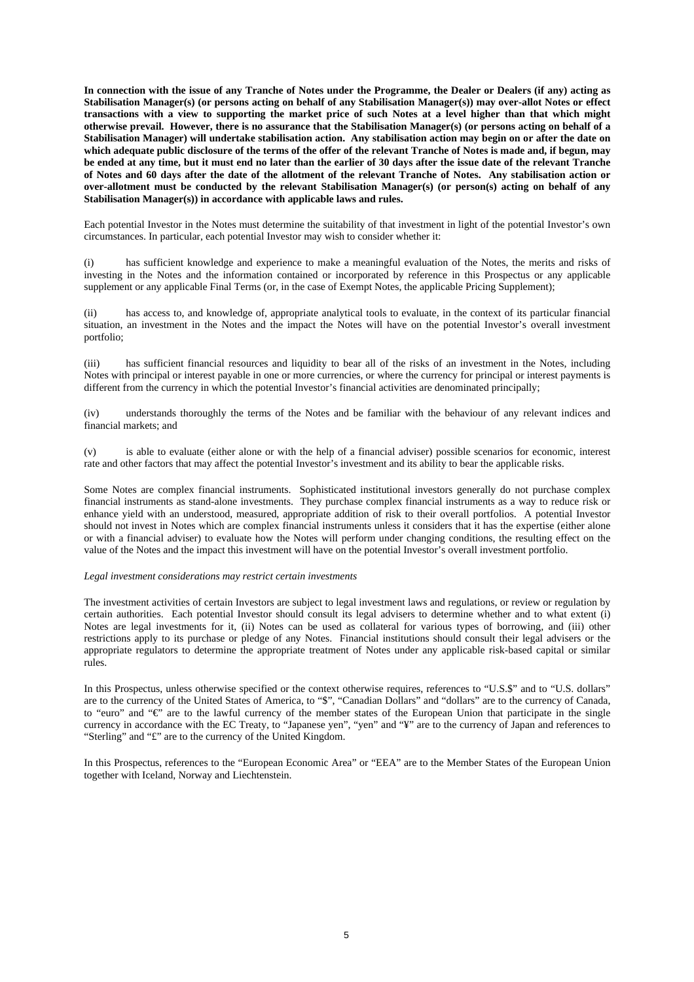**In connection with the issue of any Tranche of Notes under the Programme, the Dealer or Dealers (if any) acting as Stabilisation Manager(s) (or persons acting on behalf of any Stabilisation Manager(s)) may over-allot Notes or effect transactions with a view to supporting the market price of such Notes at a level higher than that which might otherwise prevail. However, there is no assurance that the Stabilisation Manager(s) (or persons acting on behalf of a Stabilisation Manager) will undertake stabilisation action. Any stabilisation action may begin on or after the date on which adequate public disclosure of the terms of the offer of the relevant Tranche of Notes is made and, if begun, may be ended at any time, but it must end no later than the earlier of 30 days after the issue date of the relevant Tranche of Notes and 60 days after the date of the allotment of the relevant Tranche of Notes. Any stabilisation action or over-allotment must be conducted by the relevant Stabilisation Manager(s) (or person(s) acting on behalf of any Stabilisation Manager(s)) in accordance with applicable laws and rules.** 

Each potential Investor in the Notes must determine the suitability of that investment in light of the potential Investor's own circumstances. In particular, each potential Investor may wish to consider whether it:

(i) has sufficient knowledge and experience to make a meaningful evaluation of the Notes, the merits and risks of investing in the Notes and the information contained or incorporated by reference in this Prospectus or any applicable supplement or any applicable Final Terms (or, in the case of Exempt Notes, the applicable Pricing Supplement);

(ii) has access to, and knowledge of, appropriate analytical tools to evaluate, in the context of its particular financial situation, an investment in the Notes and the impact the Notes will have on the potential Investor's overall investment portfolio;

(iii) has sufficient financial resources and liquidity to bear all of the risks of an investment in the Notes, including Notes with principal or interest payable in one or more currencies, or where the currency for principal or interest payments is different from the currency in which the potential Investor's financial activities are denominated principally;

(iv) understands thoroughly the terms of the Notes and be familiar with the behaviour of any relevant indices and financial markets; and

(v) is able to evaluate (either alone or with the help of a financial adviser) possible scenarios for economic, interest rate and other factors that may affect the potential Investor's investment and its ability to bear the applicable risks.

Some Notes are complex financial instruments. Sophisticated institutional investors generally do not purchase complex financial instruments as stand-alone investments. They purchase complex financial instruments as a way to reduce risk or enhance yield with an understood, measured, appropriate addition of risk to their overall portfolios. A potential Investor should not invest in Notes which are complex financial instruments unless it considers that it has the expertise (either alone or with a financial adviser) to evaluate how the Notes will perform under changing conditions, the resulting effect on the value of the Notes and the impact this investment will have on the potential Investor's overall investment portfolio.

#### *Legal investment considerations may restrict certain investments*

The investment activities of certain Investors are subject to legal investment laws and regulations, or review or regulation by certain authorities. Each potential Investor should consult its legal advisers to determine whether and to what extent (i) Notes are legal investments for it, (ii) Notes can be used as collateral for various types of borrowing, and (iii) other restrictions apply to its purchase or pledge of any Notes. Financial institutions should consult their legal advisers or the appropriate regulators to determine the appropriate treatment of Notes under any applicable risk-based capital or similar rules.

In this Prospectus, unless otherwise specified or the context otherwise requires, references to "U.S.\$" and to "U.S. dollars" are to the currency of the United States of America, to "\$", "Canadian Dollars" and "dollars" are to the currency of Canada, to "euro" and " $\vec{e}$ " are to the lawful currency of the member states of the European Union that participate in the single currency in accordance with the EC Treaty, to "Japanese yen", "yen" and "¥" are to the currency of Japan and references to "Sterling" and "£" are to the currency of the United Kingdom.

In this Prospectus, references to the "European Economic Area" or "EEA" are to the Member States of the European Union together with Iceland, Norway and Liechtenstein.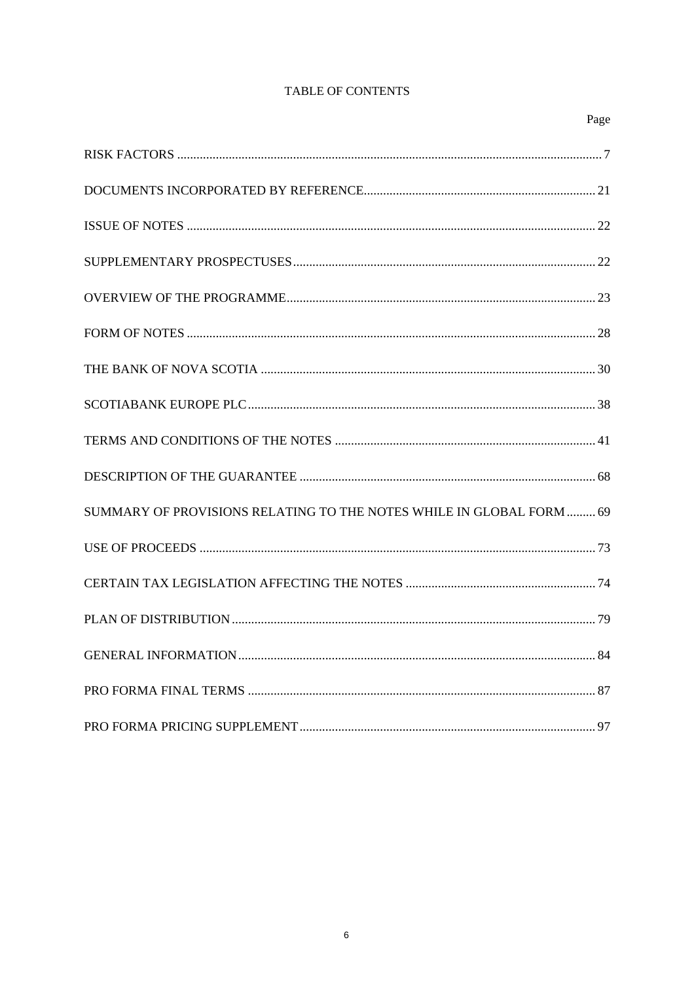| Page                                                                 |
|----------------------------------------------------------------------|
|                                                                      |
|                                                                      |
|                                                                      |
|                                                                      |
|                                                                      |
|                                                                      |
|                                                                      |
|                                                                      |
|                                                                      |
|                                                                      |
| SUMMARY OF PROVISIONS RELATING TO THE NOTES WHILE IN GLOBAL FORM  69 |
|                                                                      |
|                                                                      |
|                                                                      |
|                                                                      |
|                                                                      |
|                                                                      |

# TABLE OF CONTENTS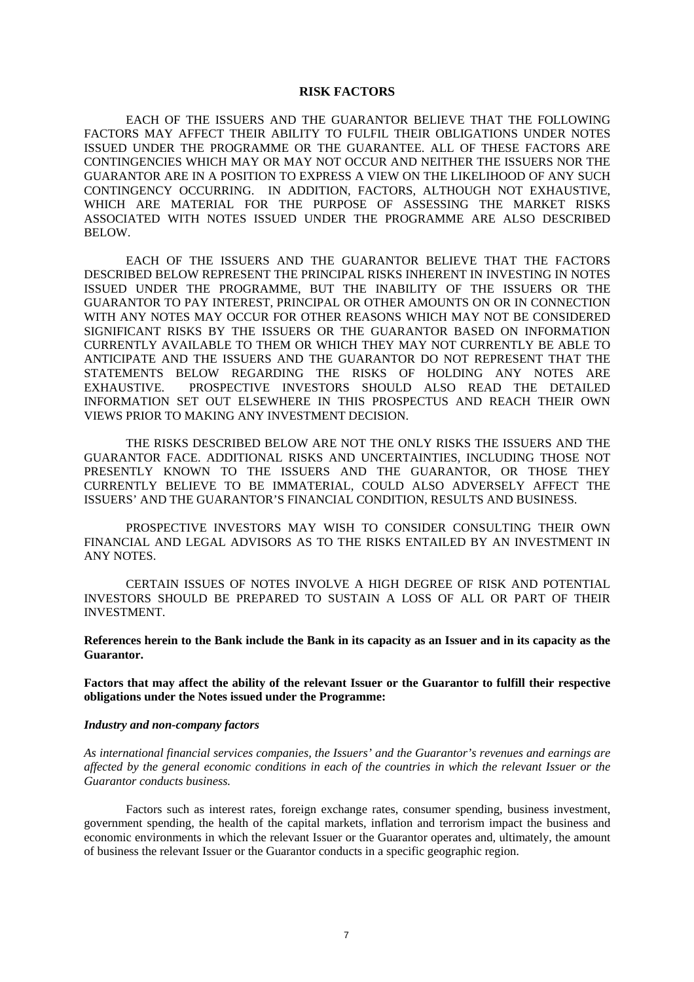#### **RISK FACTORS**

EACH OF THE ISSUERS AND THE GUARANTOR BELIEVE THAT THE FOLLOWING FACTORS MAY AFFECT THEIR ABILITY TO FULFIL THEIR OBLIGATIONS UNDER NOTES ISSUED UNDER THE PROGRAMME OR THE GUARANTEE. ALL OF THESE FACTORS ARE CONTINGENCIES WHICH MAY OR MAY NOT OCCUR AND NEITHER THE ISSUERS NOR THE GUARANTOR ARE IN A POSITION TO EXPRESS A VIEW ON THE LIKELIHOOD OF ANY SUCH CONTINGENCY OCCURRING. IN ADDITION, FACTORS, ALTHOUGH NOT EXHAUSTIVE, WHICH ARE MATERIAL FOR THE PURPOSE OF ASSESSING THE MARKET RISKS ASSOCIATED WITH NOTES ISSUED UNDER THE PROGRAMME ARE ALSO DESCRIBED BELOW.

EACH OF THE ISSUERS AND THE GUARANTOR BELIEVE THAT THE FACTORS DESCRIBED BELOW REPRESENT THE PRINCIPAL RISKS INHERENT IN INVESTING IN NOTES ISSUED UNDER THE PROGRAMME, BUT THE INABILITY OF THE ISSUERS OR THE GUARANTOR TO PAY INTEREST, PRINCIPAL OR OTHER AMOUNTS ON OR IN CONNECTION WITH ANY NOTES MAY OCCUR FOR OTHER REASONS WHICH MAY NOT BE CONSIDERED SIGNIFICANT RISKS BY THE ISSUERS OR THE GUARANTOR BASED ON INFORMATION CURRENTLY AVAILABLE TO THEM OR WHICH THEY MAY NOT CURRENTLY BE ABLE TO ANTICIPATE AND THE ISSUERS AND THE GUARANTOR DO NOT REPRESENT THAT THE STATEMENTS BELOW REGARDING THE RISKS OF HOLDING ANY NOTES ARE EXHAUSTIVE. PROSPECTIVE INVESTORS SHOULD ALSO READ THE DETAILED INFORMATION SET OUT ELSEWHERE IN THIS PROSPECTUS AND REACH THEIR OWN VIEWS PRIOR TO MAKING ANY INVESTMENT DECISION.

THE RISKS DESCRIBED BELOW ARE NOT THE ONLY RISKS THE ISSUERS AND THE GUARANTOR FACE. ADDITIONAL RISKS AND UNCERTAINTIES, INCLUDING THOSE NOT PRESENTLY KNOWN TO THE ISSUERS AND THE GUARANTOR, OR THOSE THEY CURRENTLY BELIEVE TO BE IMMATERIAL, COULD ALSO ADVERSELY AFFECT THE ISSUERS' AND THE GUARANTOR'S FINANCIAL CONDITION, RESULTS AND BUSINESS.

PROSPECTIVE INVESTORS MAY WISH TO CONSIDER CONSULTING THEIR OWN FINANCIAL AND LEGAL ADVISORS AS TO THE RISKS ENTAILED BY AN INVESTMENT IN ANY NOTES.

CERTAIN ISSUES OF NOTES INVOLVE A HIGH DEGREE OF RISK AND POTENTIAL INVESTORS SHOULD BE PREPARED TO SUSTAIN A LOSS OF ALL OR PART OF THEIR INVESTMENT.

**References herein to the Bank include the Bank in its capacity as an Issuer and in its capacity as the Guarantor.** 

**Factors that may affect the ability of the relevant Issuer or the Guarantor to fulfill their respective obligations under the Notes issued under the Programme:** 

#### *Industry and non-company factors*

*As international financial services companies, the Issuers' and the Guarantor's revenues and earnings are affected by the general economic conditions in each of the countries in which the relevant Issuer or the Guarantor conducts business.* 

Factors such as interest rates, foreign exchange rates, consumer spending, business investment, government spending, the health of the capital markets, inflation and terrorism impact the business and economic environments in which the relevant Issuer or the Guarantor operates and, ultimately, the amount of business the relevant Issuer or the Guarantor conducts in a specific geographic region.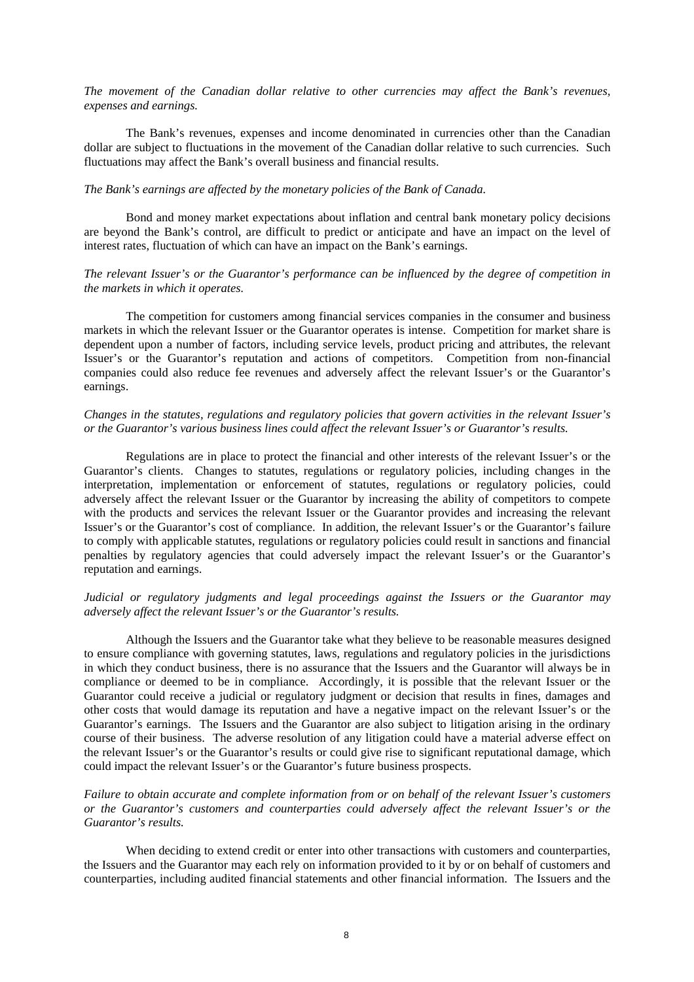*The movement of the Canadian dollar relative to other currencies may affect the Bank's revenues, expenses and earnings.* 

The Bank's revenues, expenses and income denominated in currencies other than the Canadian dollar are subject to fluctuations in the movement of the Canadian dollar relative to such currencies. Such fluctuations may affect the Bank's overall business and financial results.

# *The Bank's earnings are affected by the monetary policies of the Bank of Canada.*

Bond and money market expectations about inflation and central bank monetary policy decisions are beyond the Bank's control, are difficult to predict or anticipate and have an impact on the level of interest rates, fluctuation of which can have an impact on the Bank's earnings.

# *The relevant Issuer's or the Guarantor's performance can be influenced by the degree of competition in the markets in which it operates.*

The competition for customers among financial services companies in the consumer and business markets in which the relevant Issuer or the Guarantor operates is intense. Competition for market share is dependent upon a number of factors, including service levels, product pricing and attributes, the relevant Issuer's or the Guarantor's reputation and actions of competitors. Competition from non-financial companies could also reduce fee revenues and adversely affect the relevant Issuer's or the Guarantor's earnings.

# *Changes in the statutes, regulations and regulatory policies that govern activities in the relevant Issuer's or the Guarantor's various business lines could affect the relevant Issuer's or Guarantor's results.*

Regulations are in place to protect the financial and other interests of the relevant Issuer's or the Guarantor's clients. Changes to statutes, regulations or regulatory policies, including changes in the interpretation, implementation or enforcement of statutes, regulations or regulatory policies, could adversely affect the relevant Issuer or the Guarantor by increasing the ability of competitors to compete with the products and services the relevant Issuer or the Guarantor provides and increasing the relevant Issuer's or the Guarantor's cost of compliance. In addition, the relevant Issuer's or the Guarantor's failure to comply with applicable statutes, regulations or regulatory policies could result in sanctions and financial penalties by regulatory agencies that could adversely impact the relevant Issuer's or the Guarantor's reputation and earnings.

# *Judicial or regulatory judgments and legal proceedings against the Issuers or the Guarantor may adversely affect the relevant Issuer's or the Guarantor's results.*

Although the Issuers and the Guarantor take what they believe to be reasonable measures designed to ensure compliance with governing statutes, laws, regulations and regulatory policies in the jurisdictions in which they conduct business, there is no assurance that the Issuers and the Guarantor will always be in compliance or deemed to be in compliance. Accordingly, it is possible that the relevant Issuer or the Guarantor could receive a judicial or regulatory judgment or decision that results in fines, damages and other costs that would damage its reputation and have a negative impact on the relevant Issuer's or the Guarantor's earnings. The Issuers and the Guarantor are also subject to litigation arising in the ordinary course of their business. The adverse resolution of any litigation could have a material adverse effect on the relevant Issuer's or the Guarantor's results or could give rise to significant reputational damage, which could impact the relevant Issuer's or the Guarantor's future business prospects.

*Failure to obtain accurate and complete information from or on behalf of the relevant Issuer's customers or the Guarantor's customers and counterparties could adversely affect the relevant Issuer's or the Guarantor's results.* 

When deciding to extend credit or enter into other transactions with customers and counterparties, the Issuers and the Guarantor may each rely on information provided to it by or on behalf of customers and counterparties, including audited financial statements and other financial information. The Issuers and the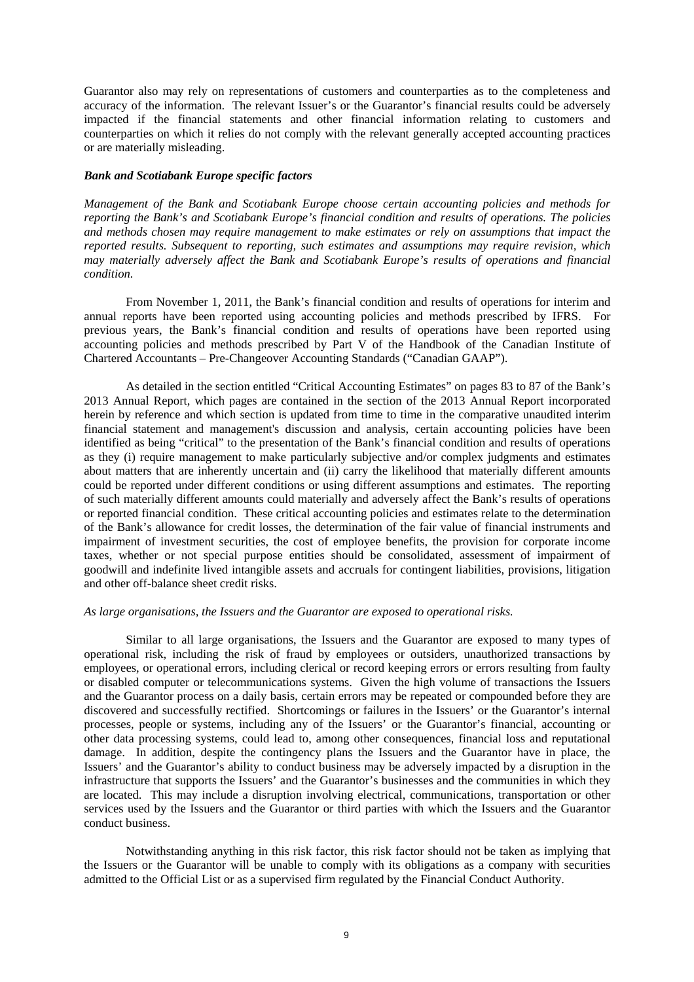Guarantor also may rely on representations of customers and counterparties as to the completeness and accuracy of the information. The relevant Issuer's or the Guarantor's financial results could be adversely impacted if the financial statements and other financial information relating to customers and counterparties on which it relies do not comply with the relevant generally accepted accounting practices or are materially misleading.

# *Bank and Scotiabank Europe specific factors*

*Management of the Bank and Scotiabank Europe choose certain accounting policies and methods for reporting the Bank's and Scotiabank Europe's financial condition and results of operations. The policies and methods chosen may require management to make estimates or rely on assumptions that impact the reported results. Subsequent to reporting, such estimates and assumptions may require revision, which may materially adversely affect the Bank and Scotiabank Europe's results of operations and financial condition.* 

From November 1, 2011, the Bank's financial condition and results of operations for interim and annual reports have been reported using accounting policies and methods prescribed by IFRS. For previous years, the Bank's financial condition and results of operations have been reported using accounting policies and methods prescribed by Part V of the Handbook of the Canadian Institute of Chartered Accountants – Pre-Changeover Accounting Standards ("Canadian GAAP").

As detailed in the section entitled "Critical Accounting Estimates" on pages 83 to 87 of the Bank's 2013 Annual Report, which pages are contained in the section of the 2013 Annual Report incorporated herein by reference and which section is updated from time to time in the comparative unaudited interim financial statement and management's discussion and analysis, certain accounting policies have been identified as being "critical" to the presentation of the Bank's financial condition and results of operations as they (i) require management to make particularly subjective and/or complex judgments and estimates about matters that are inherently uncertain and (ii) carry the likelihood that materially different amounts could be reported under different conditions or using different assumptions and estimates. The reporting of such materially different amounts could materially and adversely affect the Bank's results of operations or reported financial condition. These critical accounting policies and estimates relate to the determination of the Bank's allowance for credit losses, the determination of the fair value of financial instruments and impairment of investment securities, the cost of employee benefits, the provision for corporate income taxes, whether or not special purpose entities should be consolidated, assessment of impairment of goodwill and indefinite lived intangible assets and accruals for contingent liabilities, provisions, litigation and other off-balance sheet credit risks.

### *As large organisations, the Issuers and the Guarantor are exposed to operational risks.*

Similar to all large organisations, the Issuers and the Guarantor are exposed to many types of operational risk, including the risk of fraud by employees or outsiders, unauthorized transactions by employees, or operational errors, including clerical or record keeping errors or errors resulting from faulty or disabled computer or telecommunications systems. Given the high volume of transactions the Issuers and the Guarantor process on a daily basis, certain errors may be repeated or compounded before they are discovered and successfully rectified. Shortcomings or failures in the Issuers' or the Guarantor's internal processes, people or systems, including any of the Issuers' or the Guarantor's financial, accounting or other data processing systems, could lead to, among other consequences, financial loss and reputational damage. In addition, despite the contingency plans the Issuers and the Guarantor have in place, the Issuers' and the Guarantor's ability to conduct business may be adversely impacted by a disruption in the infrastructure that supports the Issuers' and the Guarantor's businesses and the communities in which they are located. This may include a disruption involving electrical, communications, transportation or other services used by the Issuers and the Guarantor or third parties with which the Issuers and the Guarantor conduct business.

Notwithstanding anything in this risk factor, this risk factor should not be taken as implying that the Issuers or the Guarantor will be unable to comply with its obligations as a company with securities admitted to the Official List or as a supervised firm regulated by the Financial Conduct Authority.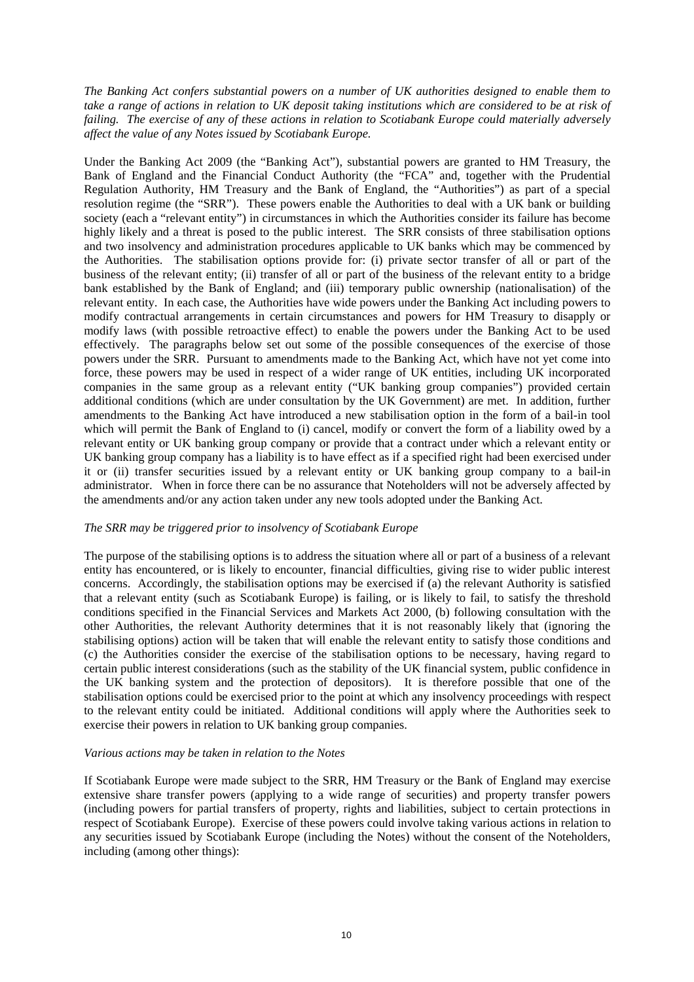*The Banking Act confers substantial powers on a number of UK authorities designed to enable them to take a range of actions in relation to UK deposit taking institutions which are considered to be at risk of failing. The exercise of any of these actions in relation to Scotiabank Europe could materially adversely affect the value of any Notes issued by Scotiabank Europe.* 

Under the Banking Act 2009 (the "Banking Act"), substantial powers are granted to HM Treasury, the Bank of England and the Financial Conduct Authority (the "FCA" and, together with the Prudential Regulation Authority, HM Treasury and the Bank of England, the "Authorities") as part of a special resolution regime (the "SRR"). These powers enable the Authorities to deal with a UK bank or building society (each a "relevant entity") in circumstances in which the Authorities consider its failure has become highly likely and a threat is posed to the public interest. The SRR consists of three stabilisation options and two insolvency and administration procedures applicable to UK banks which may be commenced by the Authorities. The stabilisation options provide for: (i) private sector transfer of all or part of the business of the relevant entity; (ii) transfer of all or part of the business of the relevant entity to a bridge bank established by the Bank of England; and (iii) temporary public ownership (nationalisation) of the relevant entity. In each case, the Authorities have wide powers under the Banking Act including powers to modify contractual arrangements in certain circumstances and powers for HM Treasury to disapply or modify laws (with possible retroactive effect) to enable the powers under the Banking Act to be used effectively. The paragraphs below set out some of the possible consequences of the exercise of those powers under the SRR. Pursuant to amendments made to the Banking Act, which have not yet come into force, these powers may be used in respect of a wider range of UK entities, including UK incorporated companies in the same group as a relevant entity ("UK banking group companies") provided certain additional conditions (which are under consultation by the UK Government) are met. In addition, further amendments to the Banking Act have introduced a new stabilisation option in the form of a bail-in tool which will permit the Bank of England to (i) cancel, modify or convert the form of a liability owed by a relevant entity or UK banking group company or provide that a contract under which a relevant entity or UK banking group company has a liability is to have effect as if a specified right had been exercised under it or (ii) transfer securities issued by a relevant entity or UK banking group company to a bail-in administrator. When in force there can be no assurance that Noteholders will not be adversely affected by the amendments and/or any action taken under any new tools adopted under the Banking Act.

# *The SRR may be triggered prior to insolvency of Scotiabank Europe*

The purpose of the stabilising options is to address the situation where all or part of a business of a relevant entity has encountered, or is likely to encounter, financial difficulties, giving rise to wider public interest concerns. Accordingly, the stabilisation options may be exercised if (a) the relevant Authority is satisfied that a relevant entity (such as Scotiabank Europe) is failing, or is likely to fail, to satisfy the threshold conditions specified in the Financial Services and Markets Act 2000, (b) following consultation with the other Authorities, the relevant Authority determines that it is not reasonably likely that (ignoring the stabilising options) action will be taken that will enable the relevant entity to satisfy those conditions and (c) the Authorities consider the exercise of the stabilisation options to be necessary, having regard to certain public interest considerations (such as the stability of the UK financial system, public confidence in the UK banking system and the protection of depositors). It is therefore possible that one of the stabilisation options could be exercised prior to the point at which any insolvency proceedings with respect to the relevant entity could be initiated. Additional conditions will apply where the Authorities seek to exercise their powers in relation to UK banking group companies.

### *Various actions may be taken in relation to the Notes*

If Scotiabank Europe were made subject to the SRR, HM Treasury or the Bank of England may exercise extensive share transfer powers (applying to a wide range of securities) and property transfer powers (including powers for partial transfers of property, rights and liabilities, subject to certain protections in respect of Scotiabank Europe). Exercise of these powers could involve taking various actions in relation to any securities issued by Scotiabank Europe (including the Notes) without the consent of the Noteholders, including (among other things):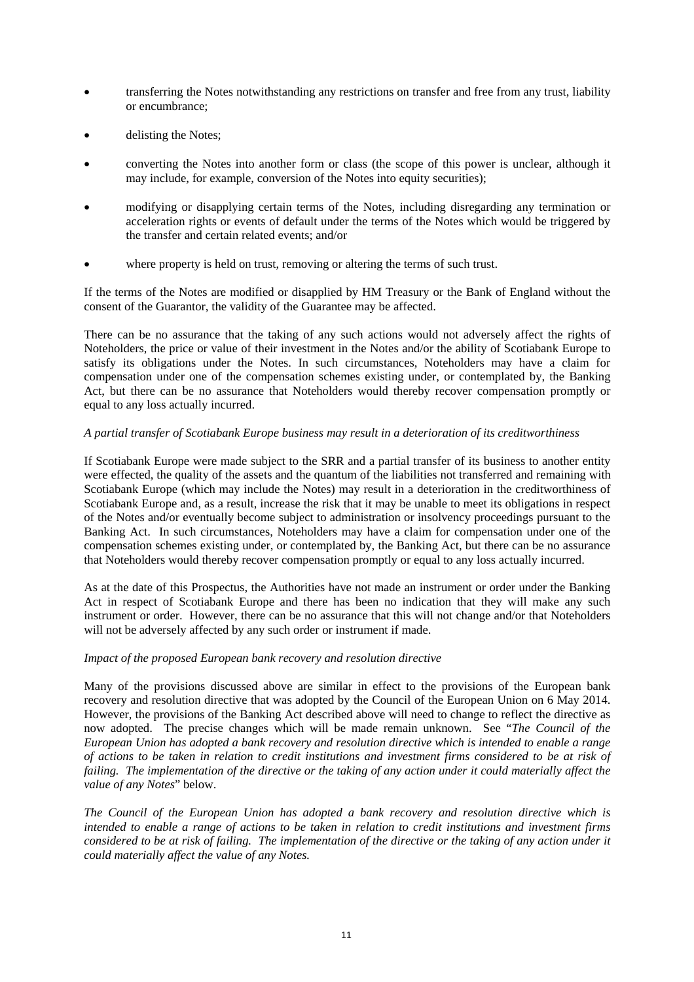- transferring the Notes notwithstanding any restrictions on transfer and free from any trust, liability or encumbrance;
- delisting the Notes;
- converting the Notes into another form or class (the scope of this power is unclear, although it may include, for example, conversion of the Notes into equity securities);
- modifying or disapplying certain terms of the Notes, including disregarding any termination or acceleration rights or events of default under the terms of the Notes which would be triggered by the transfer and certain related events; and/or
- where property is held on trust, removing or altering the terms of such trust.

If the terms of the Notes are modified or disapplied by HM Treasury or the Bank of England without the consent of the Guarantor, the validity of the Guarantee may be affected.

There can be no assurance that the taking of any such actions would not adversely affect the rights of Noteholders, the price or value of their investment in the Notes and/or the ability of Scotiabank Europe to satisfy its obligations under the Notes. In such circumstances, Noteholders may have a claim for compensation under one of the compensation schemes existing under, or contemplated by, the Banking Act, but there can be no assurance that Noteholders would thereby recover compensation promptly or equal to any loss actually incurred.

# *A partial transfer of Scotiabank Europe business may result in a deterioration of its creditworthiness*

If Scotiabank Europe were made subject to the SRR and a partial transfer of its business to another entity were effected, the quality of the assets and the quantum of the liabilities not transferred and remaining with Scotiabank Europe (which may include the Notes) may result in a deterioration in the creditworthiness of Scotiabank Europe and, as a result, increase the risk that it may be unable to meet its obligations in respect of the Notes and/or eventually become subject to administration or insolvency proceedings pursuant to the Banking Act. In such circumstances, Noteholders may have a claim for compensation under one of the compensation schemes existing under, or contemplated by, the Banking Act, but there can be no assurance that Noteholders would thereby recover compensation promptly or equal to any loss actually incurred.

As at the date of this Prospectus, the Authorities have not made an instrument or order under the Banking Act in respect of Scotiabank Europe and there has been no indication that they will make any such instrument or order. However, there can be no assurance that this will not change and/or that Noteholders will not be adversely affected by any such order or instrument if made.

# *Impact of the proposed European bank recovery and resolution directive*

Many of the provisions discussed above are similar in effect to the provisions of the European bank recovery and resolution directive that was adopted by the Council of the European Union on 6 May 2014. However, the provisions of the Banking Act described above will need to change to reflect the directive as now adopted. The precise changes which will be made remain unknown. See "*The Council of the European Union has adopted a bank recovery and resolution directive which is intended to enable a range of actions to be taken in relation to credit institutions and investment firms considered to be at risk of failing. The implementation of the directive or the taking of any action under it could materially affect the value of any Notes*" below.

*The Council of the European Union has adopted a bank recovery and resolution directive which is intended to enable a range of actions to be taken in relation to credit institutions and investment firms considered to be at risk of failing. The implementation of the directive or the taking of any action under it could materially affect the value of any Notes.*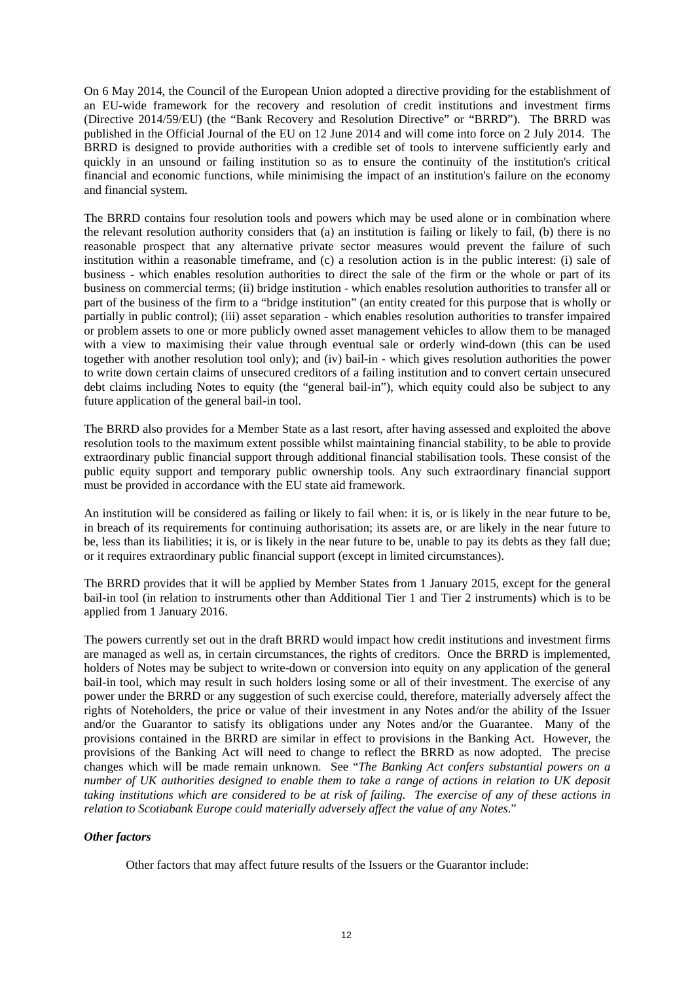On 6 May 2014, the Council of the European Union adopted a directive providing for the establishment of an EU-wide framework for the recovery and resolution of credit institutions and investment firms (Directive 2014/59/EU) (the "Bank Recovery and Resolution Directive" or "BRRD"). The BRRD was published in the Official Journal of the EU on 12 June 2014 and will come into force on 2 July 2014. The BRRD is designed to provide authorities with a credible set of tools to intervene sufficiently early and quickly in an unsound or failing institution so as to ensure the continuity of the institution's critical financial and economic functions, while minimising the impact of an institution's failure on the economy and financial system.

The BRRD contains four resolution tools and powers which may be used alone or in combination where the relevant resolution authority considers that (a) an institution is failing or likely to fail, (b) there is no reasonable prospect that any alternative private sector measures would prevent the failure of such institution within a reasonable timeframe, and (c) a resolution action is in the public interest: (i) sale of business - which enables resolution authorities to direct the sale of the firm or the whole or part of its business on commercial terms; (ii) bridge institution - which enables resolution authorities to transfer all or part of the business of the firm to a "bridge institution" (an entity created for this purpose that is wholly or partially in public control); (iii) asset separation - which enables resolution authorities to transfer impaired or problem assets to one or more publicly owned asset management vehicles to allow them to be managed with a view to maximising their value through eventual sale or orderly wind-down (this can be used together with another resolution tool only); and (iv) bail-in - which gives resolution authorities the power to write down certain claims of unsecured creditors of a failing institution and to convert certain unsecured debt claims including Notes to equity (the "general bail-in"), which equity could also be subject to any future application of the general bail-in tool.

The BRRD also provides for a Member State as a last resort, after having assessed and exploited the above resolution tools to the maximum extent possible whilst maintaining financial stability, to be able to provide extraordinary public financial support through additional financial stabilisation tools. These consist of the public equity support and temporary public ownership tools. Any such extraordinary financial support must be provided in accordance with the EU state aid framework.

An institution will be considered as failing or likely to fail when: it is, or is likely in the near future to be, in breach of its requirements for continuing authorisation; its assets are, or are likely in the near future to be, less than its liabilities; it is, or is likely in the near future to be, unable to pay its debts as they fall due; or it requires extraordinary public financial support (except in limited circumstances).

The BRRD provides that it will be applied by Member States from 1 January 2015, except for the general bail-in tool (in relation to instruments other than Additional Tier 1 and Tier 2 instruments) which is to be applied from 1 January 2016.

The powers currently set out in the draft BRRD would impact how credit institutions and investment firms are managed as well as, in certain circumstances, the rights of creditors. Once the BRRD is implemented, holders of Notes may be subject to write-down or conversion into equity on any application of the general bail-in tool, which may result in such holders losing some or all of their investment. The exercise of any power under the BRRD or any suggestion of such exercise could, therefore, materially adversely affect the rights of Noteholders, the price or value of their investment in any Notes and/or the ability of the Issuer and/or the Guarantor to satisfy its obligations under any Notes and/or the Guarantee. Many of the provisions contained in the BRRD are similar in effect to provisions in the Banking Act. However, the provisions of the Banking Act will need to change to reflect the BRRD as now adopted. The precise changes which will be made remain unknown. See "*The Banking Act confers substantial powers on a number of UK authorities designed to enable them to take a range of actions in relation to UK deposit taking institutions which are considered to be at risk of failing. The exercise of any of these actions in relation to Scotiabank Europe could materially adversely affect the value of any Notes*."

# *Other factors*

Other factors that may affect future results of the Issuers or the Guarantor include: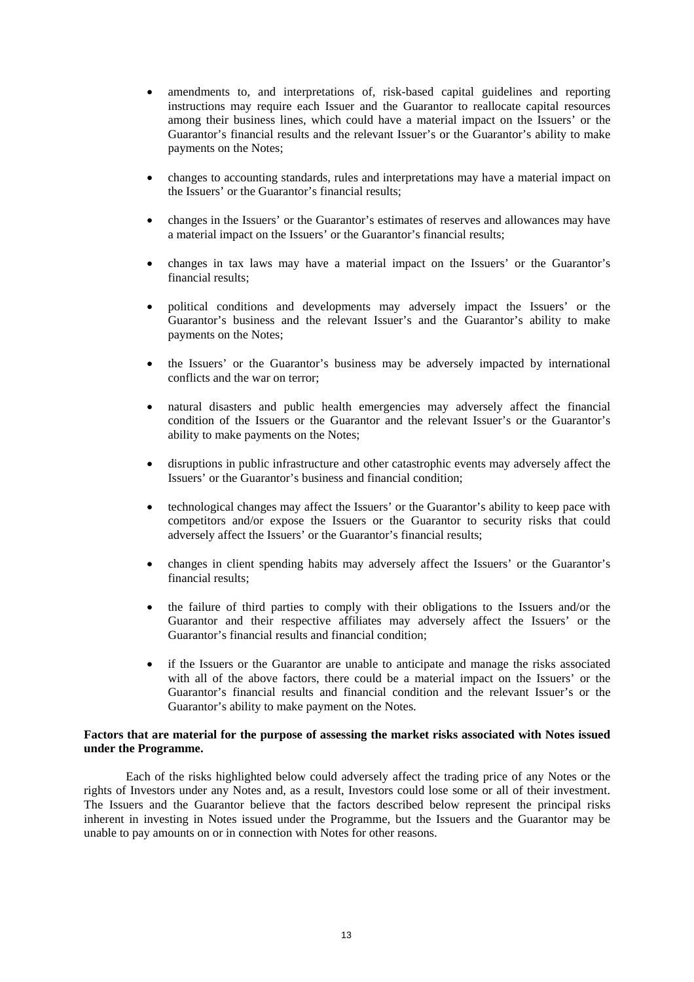- amendments to, and interpretations of, risk-based capital guidelines and reporting instructions may require each Issuer and the Guarantor to reallocate capital resources among their business lines, which could have a material impact on the Issuers' or the Guarantor's financial results and the relevant Issuer's or the Guarantor's ability to make payments on the Notes;
- changes to accounting standards, rules and interpretations may have a material impact on the Issuers' or the Guarantor's financial results;
- changes in the Issuers' or the Guarantor's estimates of reserves and allowances may have a material impact on the Issuers' or the Guarantor's financial results;
- changes in tax laws may have a material impact on the Issuers' or the Guarantor's financial results;
- political conditions and developments may adversely impact the Issuers' or the Guarantor's business and the relevant Issuer's and the Guarantor's ability to make payments on the Notes;
- the Issuers' or the Guarantor's business may be adversely impacted by international conflicts and the war on terror;
- natural disasters and public health emergencies may adversely affect the financial condition of the Issuers or the Guarantor and the relevant Issuer's or the Guarantor's ability to make payments on the Notes;
- disruptions in public infrastructure and other catastrophic events may adversely affect the Issuers' or the Guarantor's business and financial condition;
- technological changes may affect the Issuers' or the Guarantor's ability to keep pace with competitors and/or expose the Issuers or the Guarantor to security risks that could adversely affect the Issuers' or the Guarantor's financial results;
- changes in client spending habits may adversely affect the Issuers' or the Guarantor's financial results;
- the failure of third parties to comply with their obligations to the Issuers and/or the Guarantor and their respective affiliates may adversely affect the Issuers' or the Guarantor's financial results and financial condition;
- if the Issuers or the Guarantor are unable to anticipate and manage the risks associated with all of the above factors, there could be a material impact on the Issuers' or the Guarantor's financial results and financial condition and the relevant Issuer's or the Guarantor's ability to make payment on the Notes.

# **Factors that are material for the purpose of assessing the market risks associated with Notes issued under the Programme.**

Each of the risks highlighted below could adversely affect the trading price of any Notes or the rights of Investors under any Notes and, as a result, Investors could lose some or all of their investment. The Issuers and the Guarantor believe that the factors described below represent the principal risks inherent in investing in Notes issued under the Programme, but the Issuers and the Guarantor may be unable to pay amounts on or in connection with Notes for other reasons.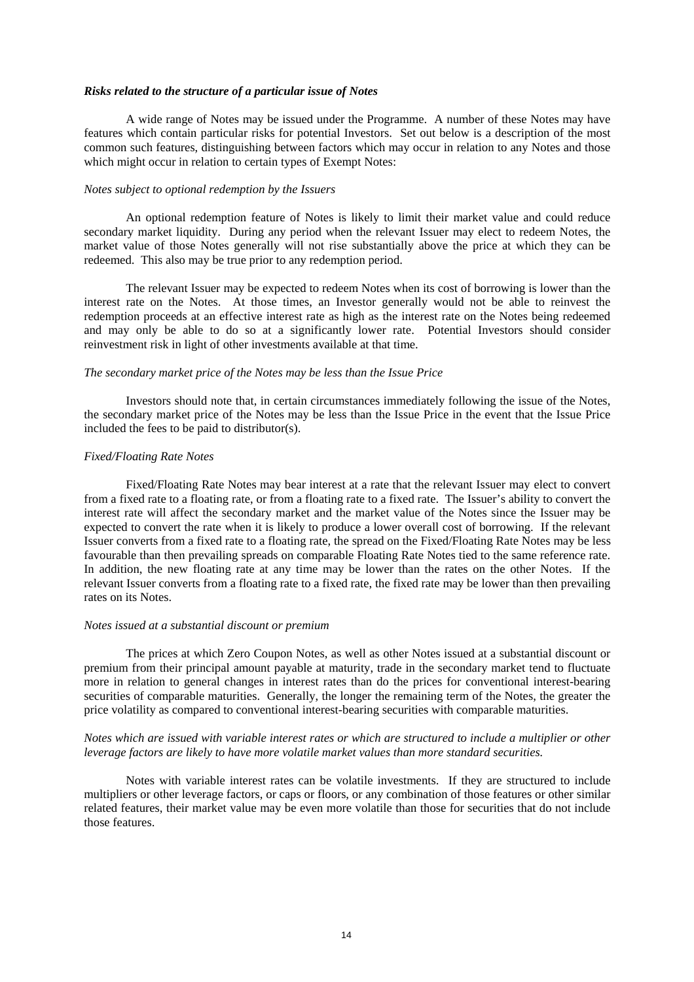#### *Risks related to the structure of a particular issue of Notes*

A wide range of Notes may be issued under the Programme. A number of these Notes may have features which contain particular risks for potential Investors. Set out below is a description of the most common such features, distinguishing between factors which may occur in relation to any Notes and those which might occur in relation to certain types of Exempt Notes:

## *Notes subject to optional redemption by the Issuers*

An optional redemption feature of Notes is likely to limit their market value and could reduce secondary market liquidity. During any period when the relevant Issuer may elect to redeem Notes, the market value of those Notes generally will not rise substantially above the price at which they can be redeemed. This also may be true prior to any redemption period.

The relevant Issuer may be expected to redeem Notes when its cost of borrowing is lower than the interest rate on the Notes. At those times, an Investor generally would not be able to reinvest the redemption proceeds at an effective interest rate as high as the interest rate on the Notes being redeemed and may only be able to do so at a significantly lower rate. Potential Investors should consider reinvestment risk in light of other investments available at that time.

#### *The secondary market price of the Notes may be less than the Issue Price*

Investors should note that, in certain circumstances immediately following the issue of the Notes, the secondary market price of the Notes may be less than the Issue Price in the event that the Issue Price included the fees to be paid to distributor(s).

# *Fixed/Floating Rate Notes*

Fixed/Floating Rate Notes may bear interest at a rate that the relevant Issuer may elect to convert from a fixed rate to a floating rate, or from a floating rate to a fixed rate. The Issuer's ability to convert the interest rate will affect the secondary market and the market value of the Notes since the Issuer may be expected to convert the rate when it is likely to produce a lower overall cost of borrowing. If the relevant Issuer converts from a fixed rate to a floating rate, the spread on the Fixed/Floating Rate Notes may be less favourable than then prevailing spreads on comparable Floating Rate Notes tied to the same reference rate. In addition, the new floating rate at any time may be lower than the rates on the other Notes. If the relevant Issuer converts from a floating rate to a fixed rate, the fixed rate may be lower than then prevailing rates on its Notes.

#### *Notes issued at a substantial discount or premium*

The prices at which Zero Coupon Notes, as well as other Notes issued at a substantial discount or premium from their principal amount payable at maturity, trade in the secondary market tend to fluctuate more in relation to general changes in interest rates than do the prices for conventional interest-bearing securities of comparable maturities. Generally, the longer the remaining term of the Notes, the greater the price volatility as compared to conventional interest-bearing securities with comparable maturities.

# *Notes which are issued with variable interest rates or which are structured to include a multiplier or other leverage factors are likely to have more volatile market values than more standard securities.*

Notes with variable interest rates can be volatile investments. If they are structured to include multipliers or other leverage factors, or caps or floors, or any combination of those features or other similar related features, their market value may be even more volatile than those for securities that do not include those features.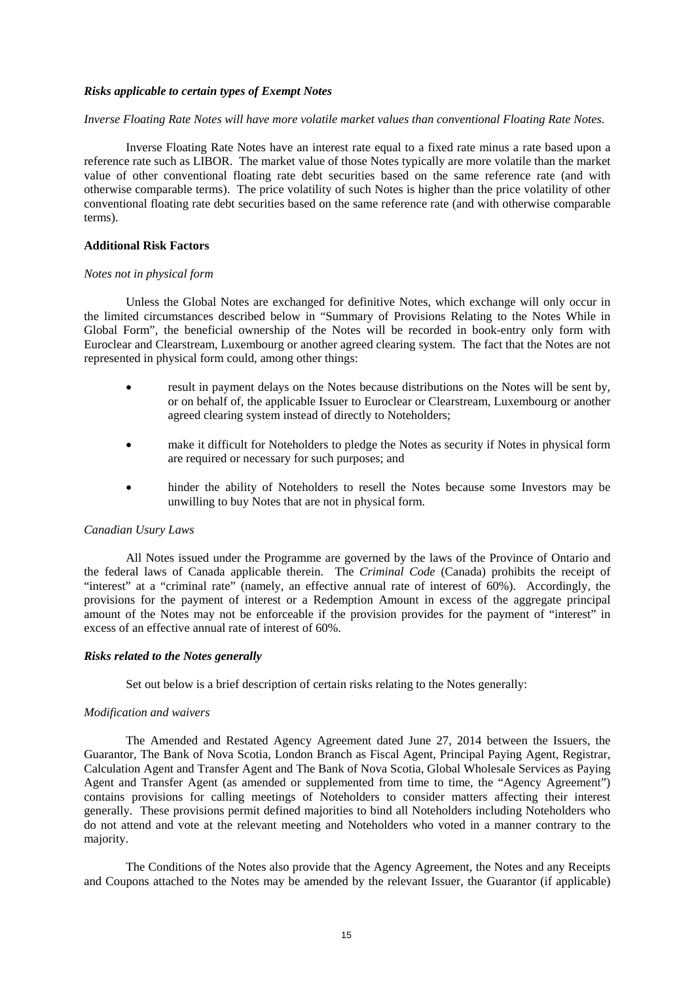## *Risks applicable to certain types of Exempt Notes*

# *Inverse Floating Rate Notes will have more volatile market values than conventional Floating Rate Notes.*

Inverse Floating Rate Notes have an interest rate equal to a fixed rate minus a rate based upon a reference rate such as LIBOR. The market value of those Notes typically are more volatile than the market value of other conventional floating rate debt securities based on the same reference rate (and with otherwise comparable terms). The price volatility of such Notes is higher than the price volatility of other conventional floating rate debt securities based on the same reference rate (and with otherwise comparable terms).

# **Additional Risk Factors**

#### *Notes not in physical form*

Unless the Global Notes are exchanged for definitive Notes, which exchange will only occur in the limited circumstances described below in "Summary of Provisions Relating to the Notes While in Global Form", the beneficial ownership of the Notes will be recorded in book-entry only form with Euroclear and Clearstream, Luxembourg or another agreed clearing system. The fact that the Notes are not represented in physical form could, among other things:

- result in payment delays on the Notes because distributions on the Notes will be sent by, or on behalf of, the applicable Issuer to Euroclear or Clearstream, Luxembourg or another agreed clearing system instead of directly to Noteholders;
- make it difficult for Noteholders to pledge the Notes as security if Notes in physical form are required or necessary for such purposes; and
- hinder the ability of Noteholders to resell the Notes because some Investors may be unwilling to buy Notes that are not in physical form.

### *Canadian Usury Laws*

All Notes issued under the Programme are governed by the laws of the Province of Ontario and the federal laws of Canada applicable therein. The *Criminal Code* (Canada) prohibits the receipt of "interest" at a "criminal rate" (namely, an effective annual rate of interest of 60%). Accordingly, the provisions for the payment of interest or a Redemption Amount in excess of the aggregate principal amount of the Notes may not be enforceable if the provision provides for the payment of "interest" in excess of an effective annual rate of interest of 60%.

# *Risks related to the Notes generally*

Set out below is a brief description of certain risks relating to the Notes generally:

### *Modification and waivers*

The Amended and Restated Agency Agreement dated June 27, 2014 between the Issuers, the Guarantor, The Bank of Nova Scotia, London Branch as Fiscal Agent, Principal Paying Agent, Registrar, Calculation Agent and Transfer Agent and The Bank of Nova Scotia, Global Wholesale Services as Paying Agent and Transfer Agent (as amended or supplemented from time to time, the "Agency Agreement") contains provisions for calling meetings of Noteholders to consider matters affecting their interest generally. These provisions permit defined majorities to bind all Noteholders including Noteholders who do not attend and vote at the relevant meeting and Noteholders who voted in a manner contrary to the majority.

The Conditions of the Notes also provide that the Agency Agreement, the Notes and any Receipts and Coupons attached to the Notes may be amended by the relevant Issuer, the Guarantor (if applicable)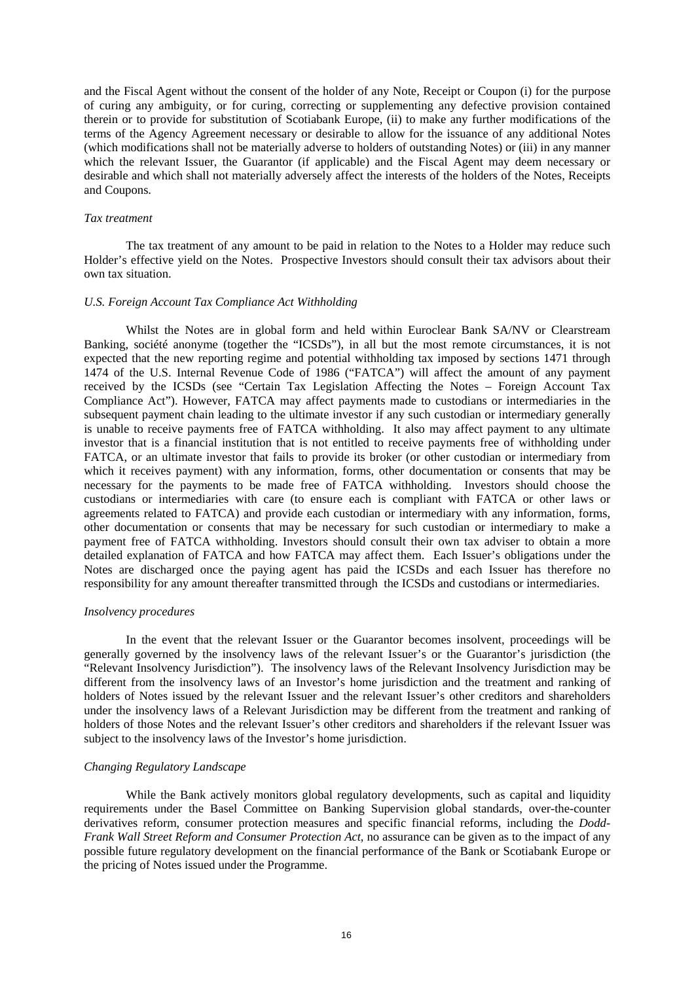and the Fiscal Agent without the consent of the holder of any Note, Receipt or Coupon (i) for the purpose of curing any ambiguity, or for curing, correcting or supplementing any defective provision contained therein or to provide for substitution of Scotiabank Europe, (ii) to make any further modifications of the terms of the Agency Agreement necessary or desirable to allow for the issuance of any additional Notes (which modifications shall not be materially adverse to holders of outstanding Notes) or (iii) in any manner which the relevant Issuer, the Guarantor (if applicable) and the Fiscal Agent may deem necessary or desirable and which shall not materially adversely affect the interests of the holders of the Notes, Receipts and Coupons.

#### *Tax treatment*

The tax treatment of any amount to be paid in relation to the Notes to a Holder may reduce such Holder's effective yield on the Notes. Prospective Investors should consult their tax advisors about their own tax situation.

## *U.S. Foreign Account Tax Compliance Act Withholding*

Whilst the Notes are in global form and held within Euroclear Bank SA/NV or Clearstream Banking, société anonyme (together the "ICSDs"), in all but the most remote circumstances, it is not expected that the new reporting regime and potential withholding tax imposed by sections 1471 through 1474 of the U.S. Internal Revenue Code of 1986 ("FATCA") will affect the amount of any payment received by the ICSDs (see "Certain Tax Legislation Affecting the Notes – Foreign Account Tax Compliance Act"). However, FATCA may affect payments made to custodians or intermediaries in the subsequent payment chain leading to the ultimate investor if any such custodian or intermediary generally is unable to receive payments free of FATCA withholding. It also may affect payment to any ultimate investor that is a financial institution that is not entitled to receive payments free of withholding under FATCA, or an ultimate investor that fails to provide its broker (or other custodian or intermediary from which it receives payment) with any information, forms, other documentation or consents that may be necessary for the payments to be made free of FATCA withholding. Investors should choose the custodians or intermediaries with care (to ensure each is compliant with FATCA or other laws or agreements related to FATCA) and provide each custodian or intermediary with any information, forms, other documentation or consents that may be necessary for such custodian or intermediary to make a payment free of FATCA withholding. Investors should consult their own tax adviser to obtain a more detailed explanation of FATCA and how FATCA may affect them. Each Issuer's obligations under the Notes are discharged once the paying agent has paid the ICSDs and each Issuer has therefore no responsibility for any amount thereafter transmitted through the ICSDs and custodians or intermediaries.

# *Insolvency procedures*

In the event that the relevant Issuer or the Guarantor becomes insolvent, proceedings will be generally governed by the insolvency laws of the relevant Issuer's or the Guarantor's jurisdiction (the "Relevant Insolvency Jurisdiction"). The insolvency laws of the Relevant Insolvency Jurisdiction may be different from the insolvency laws of an Investor's home jurisdiction and the treatment and ranking of holders of Notes issued by the relevant Issuer and the relevant Issuer's other creditors and shareholders under the insolvency laws of a Relevant Jurisdiction may be different from the treatment and ranking of holders of those Notes and the relevant Issuer's other creditors and shareholders if the relevant Issuer was subject to the insolvency laws of the Investor's home jurisdiction.

### *Changing Regulatory Landscape*

While the Bank actively monitors global regulatory developments, such as capital and liquidity requirements under the Basel Committee on Banking Supervision global standards, over-the-counter derivatives reform, consumer protection measures and specific financial reforms, including the *Dodd-Frank Wall Street Reform and Consumer Protection Act*, no assurance can be given as to the impact of any possible future regulatory development on the financial performance of the Bank or Scotiabank Europe or the pricing of Notes issued under the Programme.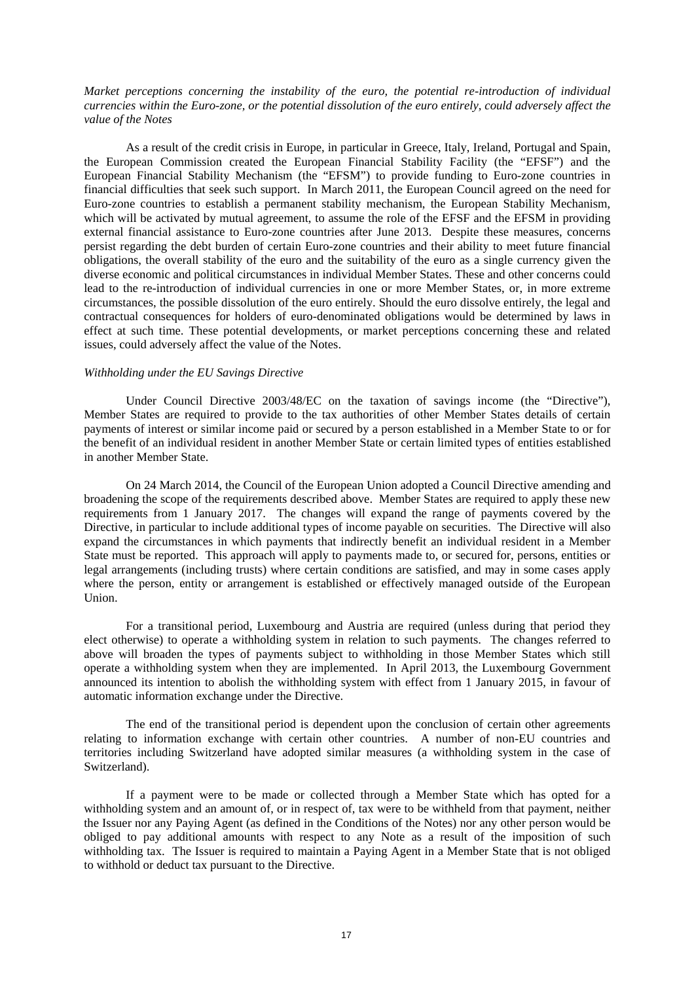*Market perceptions concerning the instability of the euro, the potential re-introduction of individual currencies within the Euro-zone, or the potential dissolution of the euro entirely, could adversely affect the value of the Notes*

As a result of the credit crisis in Europe, in particular in Greece, Italy, Ireland, Portugal and Spain, the European Commission created the European Financial Stability Facility (the "EFSF") and the European Financial Stability Mechanism (the "EFSM") to provide funding to Euro-zone countries in financial difficulties that seek such support. In March 2011, the European Council agreed on the need for Euro-zone countries to establish a permanent stability mechanism, the European Stability Mechanism, which will be activated by mutual agreement, to assume the role of the EFSF and the EFSM in providing external financial assistance to Euro-zone countries after June 2013. Despite these measures, concerns persist regarding the debt burden of certain Euro-zone countries and their ability to meet future financial obligations, the overall stability of the euro and the suitability of the euro as a single currency given the diverse economic and political circumstances in individual Member States. These and other concerns could lead to the re-introduction of individual currencies in one or more Member States, or, in more extreme circumstances, the possible dissolution of the euro entirely. Should the euro dissolve entirely, the legal and contractual consequences for holders of euro-denominated obligations would be determined by laws in effect at such time. These potential developments, or market perceptions concerning these and related issues, could adversely affect the value of the Notes.

#### *Withholding under the EU Savings Directive*

Under Council Directive 2003/48/EC on the taxation of savings income (the "Directive"), Member States are required to provide to the tax authorities of other Member States details of certain payments of interest or similar income paid or secured by a person established in a Member State to or for the benefit of an individual resident in another Member State or certain limited types of entities established in another Member State.

On 24 March 2014, the Council of the European Union adopted a Council Directive amending and broadening the scope of the requirements described above. Member States are required to apply these new requirements from 1 January 2017. The changes will expand the range of payments covered by the Directive, in particular to include additional types of income payable on securities. The Directive will also expand the circumstances in which payments that indirectly benefit an individual resident in a Member State must be reported. This approach will apply to payments made to, or secured for, persons, entities or legal arrangements (including trusts) where certain conditions are satisfied, and may in some cases apply where the person, entity or arrangement is established or effectively managed outside of the European Union.

For a transitional period, Luxembourg and Austria are required (unless during that period they elect otherwise) to operate a withholding system in relation to such payments. The changes referred to above will broaden the types of payments subject to withholding in those Member States which still operate a withholding system when they are implemented. In April 2013, the Luxembourg Government announced its intention to abolish the withholding system with effect from 1 January 2015, in favour of automatic information exchange under the Directive.

The end of the transitional period is dependent upon the conclusion of certain other agreements relating to information exchange with certain other countries. A number of non-EU countries and territories including Switzerland have adopted similar measures (a withholding system in the case of Switzerland).

If a payment were to be made or collected through a Member State which has opted for a withholding system and an amount of, or in respect of, tax were to be withheld from that payment, neither the Issuer nor any Paying Agent (as defined in the Conditions of the Notes) nor any other person would be obliged to pay additional amounts with respect to any Note as a result of the imposition of such withholding tax. The Issuer is required to maintain a Paying Agent in a Member State that is not obliged to withhold or deduct tax pursuant to the Directive.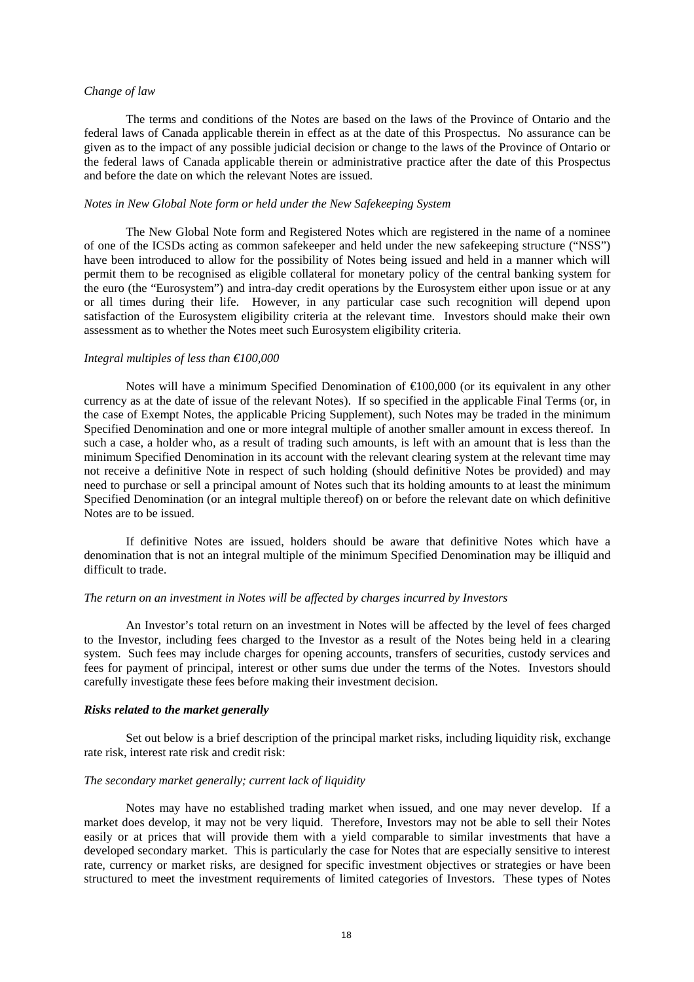# *Change of law*

The terms and conditions of the Notes are based on the laws of the Province of Ontario and the federal laws of Canada applicable therein in effect as at the date of this Prospectus. No assurance can be given as to the impact of any possible judicial decision or change to the laws of the Province of Ontario or the federal laws of Canada applicable therein or administrative practice after the date of this Prospectus and before the date on which the relevant Notes are issued.

### *Notes in New Global Note form or held under the New Safekeeping System*

The New Global Note form and Registered Notes which are registered in the name of a nominee of one of the ICSDs acting as common safekeeper and held under the new safekeeping structure ("NSS") have been introduced to allow for the possibility of Notes being issued and held in a manner which will permit them to be recognised as eligible collateral for monetary policy of the central banking system for the euro (the "Eurosystem") and intra-day credit operations by the Eurosystem either upon issue or at any or all times during their life. However, in any particular case such recognition will depend upon satisfaction of the Eurosystem eligibility criteria at the relevant time. Investors should make their own assessment as to whether the Notes meet such Eurosystem eligibility criteria.

#### *Integral multiples of less than €100,000*

Notes will have a minimum Specified Denomination of  $\bigoplus$  00,000 (or its equivalent in any other currency as at the date of issue of the relevant Notes). If so specified in the applicable Final Terms (or, in the case of Exempt Notes, the applicable Pricing Supplement), such Notes may be traded in the minimum Specified Denomination and one or more integral multiple of another smaller amount in excess thereof. In such a case, a holder who, as a result of trading such amounts, is left with an amount that is less than the minimum Specified Denomination in its account with the relevant clearing system at the relevant time may not receive a definitive Note in respect of such holding (should definitive Notes be provided) and may need to purchase or sell a principal amount of Notes such that its holding amounts to at least the minimum Specified Denomination (or an integral multiple thereof) on or before the relevant date on which definitive Notes are to be issued.

If definitive Notes are issued, holders should be aware that definitive Notes which have a denomination that is not an integral multiple of the minimum Specified Denomination may be illiquid and difficult to trade.

### *The return on an investment in Notes will be affected by charges incurred by Investors*

An Investor's total return on an investment in Notes will be affected by the level of fees charged to the Investor, including fees charged to the Investor as a result of the Notes being held in a clearing system. Such fees may include charges for opening accounts, transfers of securities, custody services and fees for payment of principal, interest or other sums due under the terms of the Notes. Investors should carefully investigate these fees before making their investment decision.

### *Risks related to the market generally*

Set out below is a brief description of the principal market risks, including liquidity risk, exchange rate risk, interest rate risk and credit risk:

# *The secondary market generally; current lack of liquidity*

Notes may have no established trading market when issued, and one may never develop. If a market does develop, it may not be very liquid. Therefore, Investors may not be able to sell their Notes easily or at prices that will provide them with a yield comparable to similar investments that have a developed secondary market. This is particularly the case for Notes that are especially sensitive to interest rate, currency or market risks, are designed for specific investment objectives or strategies or have been structured to meet the investment requirements of limited categories of Investors. These types of Notes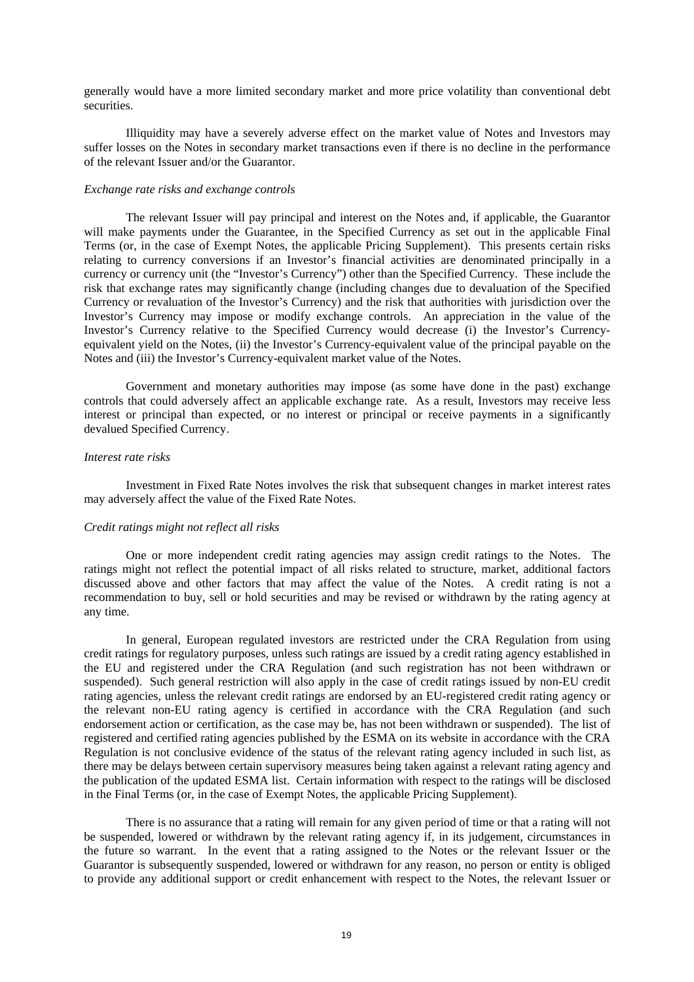generally would have a more limited secondary market and more price volatility than conventional debt securities.

Illiquidity may have a severely adverse effect on the market value of Notes and Investors may suffer losses on the Notes in secondary market transactions even if there is no decline in the performance of the relevant Issuer and/or the Guarantor.

### *Exchange rate risks and exchange controls*

The relevant Issuer will pay principal and interest on the Notes and, if applicable, the Guarantor will make payments under the Guarantee, in the Specified Currency as set out in the applicable Final Terms (or, in the case of Exempt Notes, the applicable Pricing Supplement). This presents certain risks relating to currency conversions if an Investor's financial activities are denominated principally in a currency or currency unit (the "Investor's Currency") other than the Specified Currency. These include the risk that exchange rates may significantly change (including changes due to devaluation of the Specified Currency or revaluation of the Investor's Currency) and the risk that authorities with jurisdiction over the Investor's Currency may impose or modify exchange controls. An appreciation in the value of the Investor's Currency relative to the Specified Currency would decrease (i) the Investor's Currencyequivalent yield on the Notes, (ii) the Investor's Currency-equivalent value of the principal payable on the Notes and (iii) the Investor's Currency-equivalent market value of the Notes.

Government and monetary authorities may impose (as some have done in the past) exchange controls that could adversely affect an applicable exchange rate. As a result, Investors may receive less interest or principal than expected, or no interest or principal or receive payments in a significantly devalued Specified Currency.

# *Interest rate risks*

Investment in Fixed Rate Notes involves the risk that subsequent changes in market interest rates may adversely affect the value of the Fixed Rate Notes.

### *Credit ratings might not reflect all risks*

One or more independent credit rating agencies may assign credit ratings to the Notes. The ratings might not reflect the potential impact of all risks related to structure, market, additional factors discussed above and other factors that may affect the value of the Notes. A credit rating is not a recommendation to buy, sell or hold securities and may be revised or withdrawn by the rating agency at any time.

In general, European regulated investors are restricted under the CRA Regulation from using credit ratings for regulatory purposes, unless such ratings are issued by a credit rating agency established in the EU and registered under the CRA Regulation (and such registration has not been withdrawn or suspended). Such general restriction will also apply in the case of credit ratings issued by non-EU credit rating agencies, unless the relevant credit ratings are endorsed by an EU-registered credit rating agency or the relevant non-EU rating agency is certified in accordance with the CRA Regulation (and such endorsement action or certification, as the case may be, has not been withdrawn or suspended). The list of registered and certified rating agencies published by the ESMA on its website in accordance with the CRA Regulation is not conclusive evidence of the status of the relevant rating agency included in such list, as there may be delays between certain supervisory measures being taken against a relevant rating agency and the publication of the updated ESMA list. Certain information with respect to the ratings will be disclosed in the Final Terms (or, in the case of Exempt Notes, the applicable Pricing Supplement).

There is no assurance that a rating will remain for any given period of time or that a rating will not be suspended, lowered or withdrawn by the relevant rating agency if, in its judgement, circumstances in the future so warrant. In the event that a rating assigned to the Notes or the relevant Issuer or the Guarantor is subsequently suspended, lowered or withdrawn for any reason, no person or entity is obliged to provide any additional support or credit enhancement with respect to the Notes, the relevant Issuer or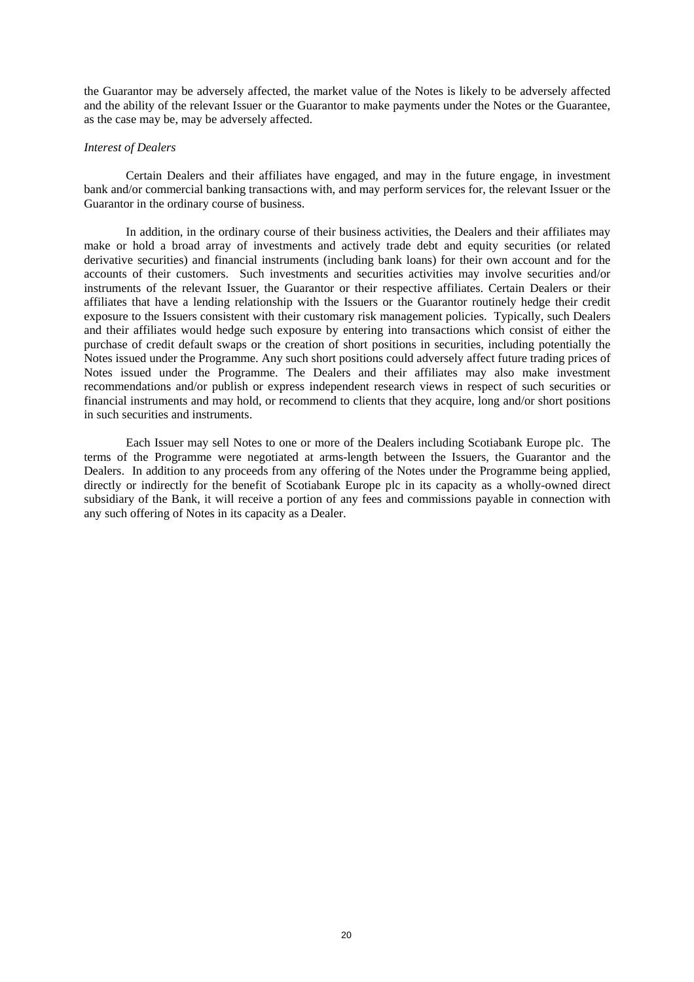the Guarantor may be adversely affected, the market value of the Notes is likely to be adversely affected and the ability of the relevant Issuer or the Guarantor to make payments under the Notes or the Guarantee, as the case may be, may be adversely affected.

## *Interest of Dealers*

Certain Dealers and their affiliates have engaged, and may in the future engage, in investment bank and/or commercial banking transactions with, and may perform services for, the relevant Issuer or the Guarantor in the ordinary course of business.

In addition, in the ordinary course of their business activities, the Dealers and their affiliates may make or hold a broad array of investments and actively trade debt and equity securities (or related derivative securities) and financial instruments (including bank loans) for their own account and for the accounts of their customers. Such investments and securities activities may involve securities and/or instruments of the relevant Issuer, the Guarantor or their respective affiliates. Certain Dealers or their affiliates that have a lending relationship with the Issuers or the Guarantor routinely hedge their credit exposure to the Issuers consistent with their customary risk management policies. Typically, such Dealers and their affiliates would hedge such exposure by entering into transactions which consist of either the purchase of credit default swaps or the creation of short positions in securities, including potentially the Notes issued under the Programme. Any such short positions could adversely affect future trading prices of Notes issued under the Programme. The Dealers and their affiliates may also make investment recommendations and/or publish or express independent research views in respect of such securities or financial instruments and may hold, or recommend to clients that they acquire, long and/or short positions in such securities and instruments.

Each Issuer may sell Notes to one or more of the Dealers including Scotiabank Europe plc. The terms of the Programme were negotiated at arms-length between the Issuers, the Guarantor and the Dealers. In addition to any proceeds from any offering of the Notes under the Programme being applied, directly or indirectly for the benefit of Scotiabank Europe plc in its capacity as a wholly-owned direct subsidiary of the Bank, it will receive a portion of any fees and commissions payable in connection with any such offering of Notes in its capacity as a Dealer.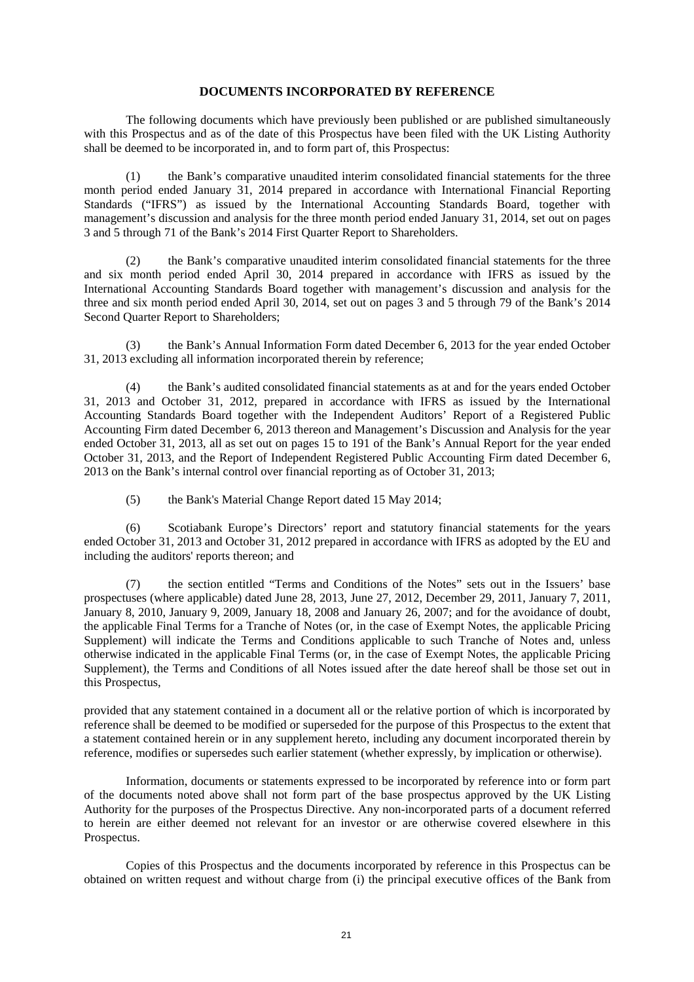### **DOCUMENTS INCORPORATED BY REFERENCE**

The following documents which have previously been published or are published simultaneously with this Prospectus and as of the date of this Prospectus have been filed with the UK Listing Authority shall be deemed to be incorporated in, and to form part of, this Prospectus:

(1) the Bank's comparative unaudited interim consolidated financial statements for the three month period ended January 31, 2014 prepared in accordance with International Financial Reporting Standards ("IFRS") as issued by the International Accounting Standards Board, together with management's discussion and analysis for the three month period ended January 31, 2014, set out on pages 3 and 5 through 71 of the Bank's 2014 First Quarter Report to Shareholders.

(2) the Bank's comparative unaudited interim consolidated financial statements for the three and six month period ended April 30, 2014 prepared in accordance with IFRS as issued by the International Accounting Standards Board together with management's discussion and analysis for the three and six month period ended April 30, 2014, set out on pages 3 and 5 through 79 of the Bank's 2014 Second Quarter Report to Shareholders;

(3) the Bank's Annual Information Form dated December 6, 2013 for the year ended October 31, 2013 excluding all information incorporated therein by reference;

(4) the Bank's audited consolidated financial statements as at and for the years ended October 31, 2013 and October 31, 2012, prepared in accordance with IFRS as issued by the International Accounting Standards Board together with the Independent Auditors' Report of a Registered Public Accounting Firm dated December 6, 2013 thereon and Management's Discussion and Analysis for the year ended October 31, 2013, all as set out on pages 15 to 191 of the Bank's Annual Report for the year ended October 31, 2013, and the Report of Independent Registered Public Accounting Firm dated December 6, 2013 on the Bank's internal control over financial reporting as of October 31, 2013;

(5) the Bank's Material Change Report dated 15 May 2014;

(6) Scotiabank Europe's Directors' report and statutory financial statements for the years ended October 31, 2013 and October 31, 2012 prepared in accordance with IFRS as adopted by the EU and including the auditors' reports thereon; and

(7) the section entitled "Terms and Conditions of the Notes" sets out in the Issuers' base prospectuses (where applicable) dated June 28, 2013, June 27, 2012, December 29, 2011, January 7, 2011, January 8, 2010, January 9, 2009, January 18, 2008 and January 26, 2007; and for the avoidance of doubt, the applicable Final Terms for a Tranche of Notes (or, in the case of Exempt Notes, the applicable Pricing Supplement) will indicate the Terms and Conditions applicable to such Tranche of Notes and, unless otherwise indicated in the applicable Final Terms (or, in the case of Exempt Notes, the applicable Pricing Supplement), the Terms and Conditions of all Notes issued after the date hereof shall be those set out in this Prospectus,

provided that any statement contained in a document all or the relative portion of which is incorporated by reference shall be deemed to be modified or superseded for the purpose of this Prospectus to the extent that a statement contained herein or in any supplement hereto, including any document incorporated therein by reference, modifies or supersedes such earlier statement (whether expressly, by implication or otherwise).

Information, documents or statements expressed to be incorporated by reference into or form part of the documents noted above shall not form part of the base prospectus approved by the UK Listing Authority for the purposes of the Prospectus Directive. Any non-incorporated parts of a document referred to herein are either deemed not relevant for an investor or are otherwise covered elsewhere in this Prospectus.

Copies of this Prospectus and the documents incorporated by reference in this Prospectus can be obtained on written request and without charge from (i) the principal executive offices of the Bank from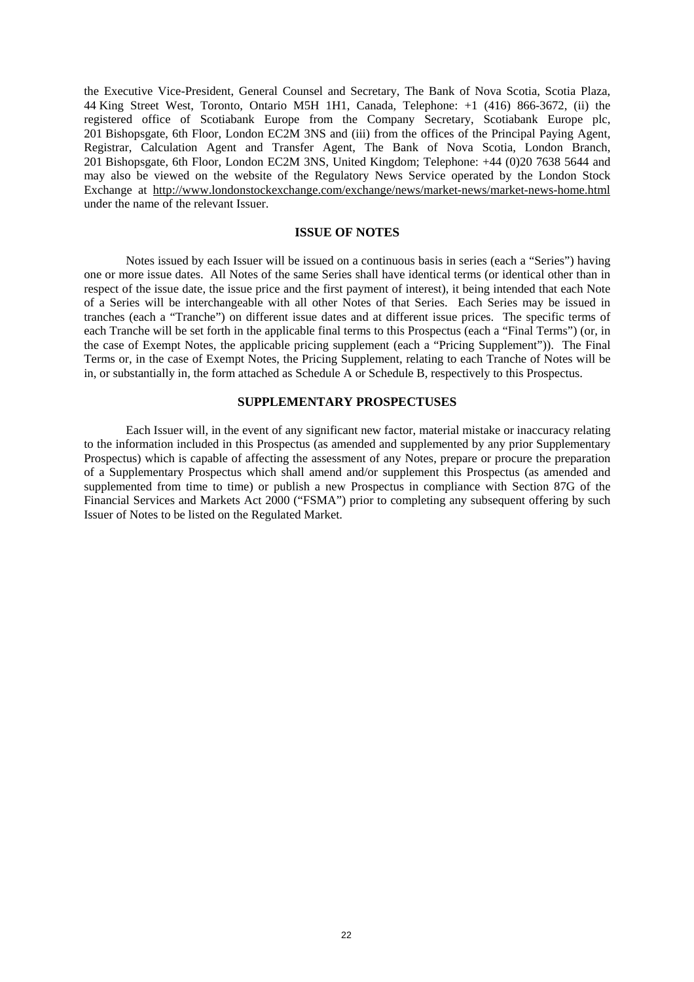the Executive Vice-President, General Counsel and Secretary, The Bank of Nova Scotia, Scotia Plaza, 44 King Street West, Toronto, Ontario M5H 1H1, Canada, Telephone: +1 (416) 866-3672, (ii) the registered office of Scotiabank Europe from the Company Secretary, Scotiabank Europe plc, 201 Bishopsgate, 6th Floor, London EC2M 3NS and (iii) from the offices of the Principal Paying Agent, Registrar, Calculation Agent and Transfer Agent, The Bank of Nova Scotia, London Branch, 201 Bishopsgate, 6th Floor, London EC2M 3NS, United Kingdom; Telephone: +44 (0)20 7638 5644 and may also be viewed on the website of the Regulatory News Service operated by the London Stock Exchange at http://www.londonstockexchange.com/exchange/news/market-news/market-news-home.html under the name of the relevant Issuer.

### **ISSUE OF NOTES**

Notes issued by each Issuer will be issued on a continuous basis in series (each a "Series") having one or more issue dates. All Notes of the same Series shall have identical terms (or identical other than in respect of the issue date, the issue price and the first payment of interest), it being intended that each Note of a Series will be interchangeable with all other Notes of that Series. Each Series may be issued in tranches (each a "Tranche") on different issue dates and at different issue prices. The specific terms of each Tranche will be set forth in the applicable final terms to this Prospectus (each a "Final Terms") (or, in the case of Exempt Notes, the applicable pricing supplement (each a "Pricing Supplement")). The Final Terms or, in the case of Exempt Notes, the Pricing Supplement, relating to each Tranche of Notes will be in, or substantially in, the form attached as Schedule A or Schedule B, respectively to this Prospectus.

# **SUPPLEMENTARY PROSPECTUSES**

Each Issuer will, in the event of any significant new factor, material mistake or inaccuracy relating to the information included in this Prospectus (as amended and supplemented by any prior Supplementary Prospectus) which is capable of affecting the assessment of any Notes, prepare or procure the preparation of a Supplementary Prospectus which shall amend and/or supplement this Prospectus (as amended and supplemented from time to time) or publish a new Prospectus in compliance with Section 87G of the Financial Services and Markets Act 2000 ("FSMA") prior to completing any subsequent offering by such Issuer of Notes to be listed on the Regulated Market.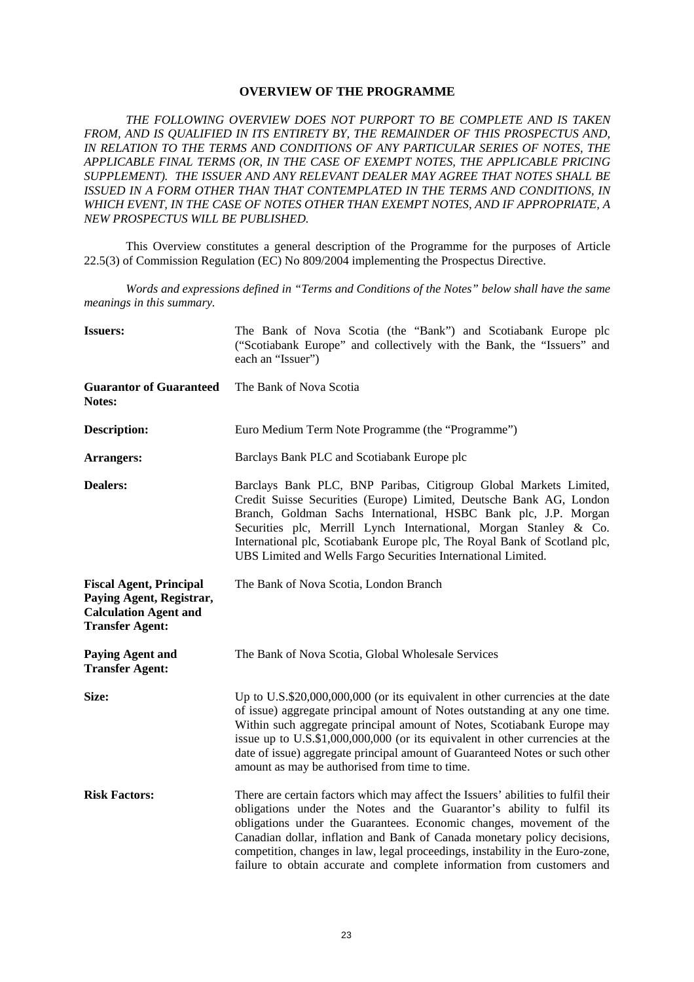# **OVERVIEW OF THE PROGRAMME**

*THE FOLLOWING OVERVIEW DOES NOT PURPORT TO BE COMPLETE AND IS TAKEN FROM, AND IS QUALIFIED IN ITS ENTIRETY BY, THE REMAINDER OF THIS PROSPECTUS AND, IN RELATION TO THE TERMS AND CONDITIONS OF ANY PARTICULAR SERIES OF NOTES, THE APPLICABLE FINAL TERMS (OR, IN THE CASE OF EXEMPT NOTES, THE APPLICABLE PRICING SUPPLEMENT). THE ISSUER AND ANY RELEVANT DEALER MAY AGREE THAT NOTES SHALL BE ISSUED IN A FORM OTHER THAN THAT CONTEMPLATED IN THE TERMS AND CONDITIONS, IN WHICH EVENT, IN THE CASE OF NOTES OTHER THAN EXEMPT NOTES, AND IF APPROPRIATE, A NEW PROSPECTUS WILL BE PUBLISHED.*

This Overview constitutes a general description of the Programme for the purposes of Article 22.5(3) of Commission Regulation (EC) No 809/2004 implementing the Prospectus Directive.

*Words and expressions defined in "Terms and Conditions of the Notes" below shall have the same meanings in this summary.* 

| <b>Issuers:</b>                                                                                                      | The Bank of Nova Scotia (the "Bank") and Scotiabank Europe plc<br>("Scotiabank Europe" and collectively with the Bank, the "Issuers" and<br>each an "Issuer")                                                                                                                                                                                                                                                                                                            |
|----------------------------------------------------------------------------------------------------------------------|--------------------------------------------------------------------------------------------------------------------------------------------------------------------------------------------------------------------------------------------------------------------------------------------------------------------------------------------------------------------------------------------------------------------------------------------------------------------------|
| <b>Guarantor of Guaranteed</b><br>Notes:                                                                             | The Bank of Nova Scotia                                                                                                                                                                                                                                                                                                                                                                                                                                                  |
| <b>Description:</b>                                                                                                  | Euro Medium Term Note Programme (the "Programme")                                                                                                                                                                                                                                                                                                                                                                                                                        |
| <b>Arrangers:</b>                                                                                                    | Barclays Bank PLC and Scotiabank Europe plc                                                                                                                                                                                                                                                                                                                                                                                                                              |
| <b>Dealers:</b>                                                                                                      | Barclays Bank PLC, BNP Paribas, Citigroup Global Markets Limited,<br>Credit Suisse Securities (Europe) Limited, Deutsche Bank AG, London<br>Branch, Goldman Sachs International, HSBC Bank plc, J.P. Morgan<br>Securities plc, Merrill Lynch International, Morgan Stanley & Co.<br>International plc, Scotiabank Europe plc, The Royal Bank of Scotland plc,<br>UBS Limited and Wells Fargo Securities International Limited.                                           |
| <b>Fiscal Agent, Principal</b><br>Paying Agent, Registrar,<br><b>Calculation Agent and</b><br><b>Transfer Agent:</b> | The Bank of Nova Scotia, London Branch                                                                                                                                                                                                                                                                                                                                                                                                                                   |
| <b>Paying Agent and</b><br><b>Transfer Agent:</b>                                                                    | The Bank of Nova Scotia, Global Wholesale Services                                                                                                                                                                                                                                                                                                                                                                                                                       |
| Size:                                                                                                                | Up to U.S.\$20,000,000,000 (or its equivalent in other currencies at the date<br>of issue) aggregate principal amount of Notes outstanding at any one time.<br>Within such aggregate principal amount of Notes, Scotiabank Europe may<br>issue up to U.S.\$1,000,000,000 (or its equivalent in other currencies at the<br>date of issue) aggregate principal amount of Guaranteed Notes or such other<br>amount as may be authorised from time to time.                  |
| <b>Risk Factors:</b>                                                                                                 | There are certain factors which may affect the Issuers' abilities to fulfil their<br>obligations under the Notes and the Guarantor's ability to fulfil its<br>obligations under the Guarantees. Economic changes, movement of the<br>Canadian dollar, inflation and Bank of Canada monetary policy decisions,<br>competition, changes in law, legal proceedings, instability in the Euro-zone,<br>failure to obtain accurate and complete information from customers and |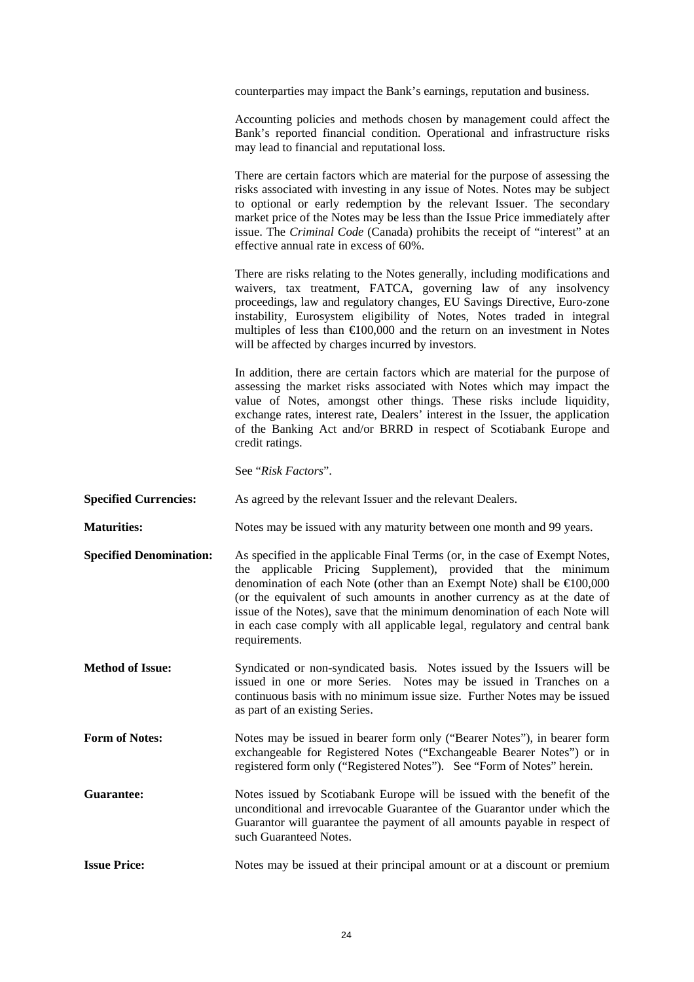counterparties may impact the Bank's earnings, reputation and business.

 Accounting policies and methods chosen by management could affect the Bank's reported financial condition. Operational and infrastructure risks may lead to financial and reputational loss.

 There are certain factors which are material for the purpose of assessing the risks associated with investing in any issue of Notes. Notes may be subject to optional or early redemption by the relevant Issuer. The secondary market price of the Notes may be less than the Issue Price immediately after issue. The *Criminal Code* (Canada) prohibits the receipt of "interest" at an effective annual rate in excess of 60%.

 There are risks relating to the Notes generally, including modifications and waivers, tax treatment, FATCA, governing law of any insolvency proceedings, law and regulatory changes, EU Savings Directive, Euro-zone instability, Eurosystem eligibility of Notes, Notes traded in integral multiples of less than  $\epsilon 100,000$  and the return on an investment in Notes will be affected by charges incurred by investors.

 In addition, there are certain factors which are material for the purpose of assessing the market risks associated with Notes which may impact the value of Notes, amongst other things. These risks include liquidity, exchange rates, interest rate, Dealers' interest in the Issuer, the application of the Banking Act and/or BRRD in respect of Scotiabank Europe and credit ratings.

See "*Risk Factors*".

**Specified Currencies:** As agreed by the relevant Issuer and the relevant Dealers.

**Maturities:** Notes may be issued with any maturity between one month and 99 years.

- **Specified Denomination:** As specified in the applicable Final Terms (or, in the case of Exempt Notes, the applicable Pricing Supplement), provided that the minimum denomination of each Note (other than an Exempt Note) shall be €100,000 (or the equivalent of such amounts in another currency as at the date of issue of the Notes), save that the minimum denomination of each Note will in each case comply with all applicable legal, regulatory and central bank requirements.
- **Method of Issue:** Syndicated or non-syndicated basis. Notes issued by the Issuers will be issued in one or more Series. Notes may be issued in Tranches on a continuous basis with no minimum issue size. Further Notes may be issued as part of an existing Series.
- Form of Notes: Notes may be issued in bearer form only ("Bearer Notes"), in bearer form exchangeable for Registered Notes ("Exchangeable Bearer Notes") or in registered form only ("Registered Notes"). See "Form of Notes" herein.
- **Guarantee:** Notes issued by Scotiabank Europe will be issued with the benefit of the unconditional and irrevocable Guarantee of the Guarantor under which the Guarantor will guarantee the payment of all amounts payable in respect of such Guaranteed Notes.

**Issue Price:** Notes may be issued at their principal amount or at a discount or premium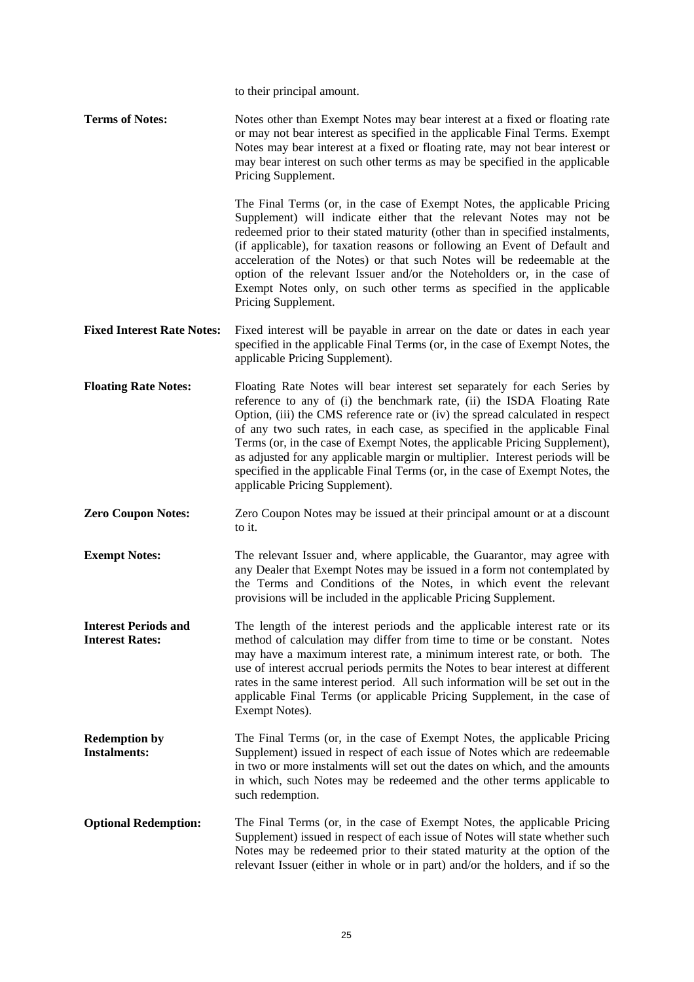to their principal amount.

**Terms of Notes:** Notes other than Exempt Notes may bear interest at a fixed or floating rate or may not bear interest as specified in the applicable Final Terms. Exempt Notes may bear interest at a fixed or floating rate, may not bear interest or may bear interest on such other terms as may be specified in the applicable Pricing Supplement.

> The Final Terms (or, in the case of Exempt Notes, the applicable Pricing Supplement) will indicate either that the relevant Notes may not be redeemed prior to their stated maturity (other than in specified instalments, (if applicable), for taxation reasons or following an Event of Default and acceleration of the Notes) or that such Notes will be redeemable at the option of the relevant Issuer and/or the Noteholders or, in the case of Exempt Notes only, on such other terms as specified in the applicable Pricing Supplement.

- **Fixed Interest Rate Notes:** Fixed interest will be payable in arrear on the date or dates in each year specified in the applicable Final Terms (or, in the case of Exempt Notes, the applicable Pricing Supplement).
- **Floating Rate Notes:** Floating Rate Notes will bear interest set separately for each Series by reference to any of (i) the benchmark rate, (ii) the ISDA Floating Rate Option, (iii) the CMS reference rate or (iv) the spread calculated in respect of any two such rates, in each case, as specified in the applicable Final Terms (or, in the case of Exempt Notes, the applicable Pricing Supplement), as adjusted for any applicable margin or multiplier. Interest periods will be specified in the applicable Final Terms (or, in the case of Exempt Notes, the applicable Pricing Supplement).
- **Zero Coupon Notes:** Zero Coupon Notes may be issued at their principal amount or at a discount to it.
- **Exempt Notes:** The relevant Issuer and, where applicable, the Guarantor, may agree with any Dealer that Exempt Notes may be issued in a form not contemplated by the Terms and Conditions of the Notes, in which event the relevant provisions will be included in the applicable Pricing Supplement.
- **Interest Periods and Interest Rates:**  The length of the interest periods and the applicable interest rate or its method of calculation may differ from time to time or be constant. Notes may have a maximum interest rate, a minimum interest rate, or both. The use of interest accrual periods permits the Notes to bear interest at different rates in the same interest period. All such information will be set out in the applicable Final Terms (or applicable Pricing Supplement, in the case of Exempt Notes).
- **Redemption by Instalments:**  The Final Terms (or, in the case of Exempt Notes, the applicable Pricing Supplement) issued in respect of each issue of Notes which are redeemable in two or more instalments will set out the dates on which, and the amounts in which, such Notes may be redeemed and the other terms applicable to such redemption.
- **Optional Redemption:** The Final Terms (or, in the case of Exempt Notes, the applicable Pricing Supplement) issued in respect of each issue of Notes will state whether such Notes may be redeemed prior to their stated maturity at the option of the relevant Issuer (either in whole or in part) and/or the holders, and if so the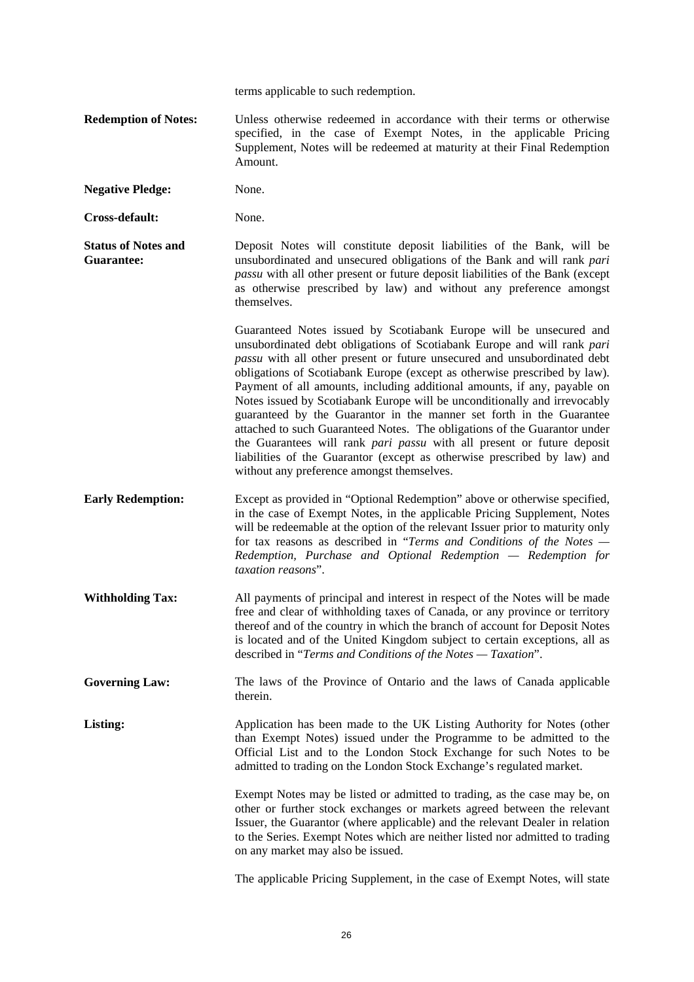terms applicable to such redemption.

- **Redemption of Notes:** Unless otherwise redeemed in accordance with their terms or otherwise specified, in the case of Exempt Notes, in the applicable Pricing Supplement, Notes will be redeemed at maturity at their Final Redemption Amount.
- **Negative Pledge:** None.

**Cross-default:** None.

**Status of Notes and Guarantee:**  Deposit Notes will constitute deposit liabilities of the Bank, will be unsubordinated and unsecured obligations of the Bank and will rank *pari passu* with all other present or future deposit liabilities of the Bank (except as otherwise prescribed by law) and without any preference amongst themselves.

> Guaranteed Notes issued by Scotiabank Europe will be unsecured and unsubordinated debt obligations of Scotiabank Europe and will rank *pari passu* with all other present or future unsecured and unsubordinated debt obligations of Scotiabank Europe (except as otherwise prescribed by law). Payment of all amounts, including additional amounts, if any, payable on Notes issued by Scotiabank Europe will be unconditionally and irrevocably guaranteed by the Guarantor in the manner set forth in the Guarantee attached to such Guaranteed Notes. The obligations of the Guarantor under the Guarantees will rank *pari passu* with all present or future deposit liabilities of the Guarantor (except as otherwise prescribed by law) and without any preference amongst themselves.

- **Early Redemption:** Except as provided in "Optional Redemption" above or otherwise specified, in the case of Exempt Notes, in the applicable Pricing Supplement, Notes will be redeemable at the option of the relevant Issuer prior to maturity only for tax reasons as described in "*Terms and Conditions of the Notes — Redemption, Purchase and Optional Redemption — Redemption for taxation reasons*".
- **Withholding Tax:** All payments of principal and interest in respect of the Notes will be made free and clear of withholding taxes of Canada, or any province or territory thereof and of the country in which the branch of account for Deposit Notes is located and of the United Kingdom subject to certain exceptions, all as described in "*Terms and Conditions of the Notes — Taxation*".
- Governing Law: The laws of the Province of Ontario and the laws of Canada applicable therein.

**Listing:** Application has been made to the UK Listing Authority for Notes (other than Exempt Notes) issued under the Programme to be admitted to the Official List and to the London Stock Exchange for such Notes to be admitted to trading on the London Stock Exchange's regulated market.

> Exempt Notes may be listed or admitted to trading, as the case may be, on other or further stock exchanges or markets agreed between the relevant Issuer, the Guarantor (where applicable) and the relevant Dealer in relation to the Series. Exempt Notes which are neither listed nor admitted to trading on any market may also be issued.

> The applicable Pricing Supplement, in the case of Exempt Notes, will state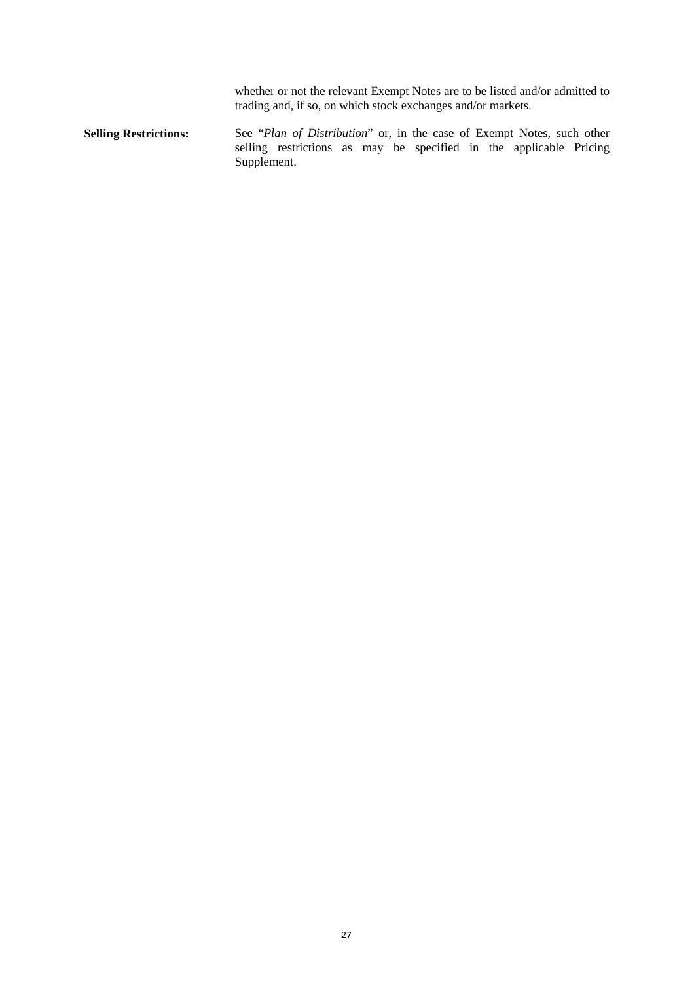whether or not the relevant Exempt Notes are to be listed and/or admitted to trading and, if so, on which stock exchanges and/or markets.

**Selling Restrictions:** See "*Plan of Distribution*" or, in the case of Exempt Notes, such other selling restrictions as may be specified in the applicable Pricing Supplement.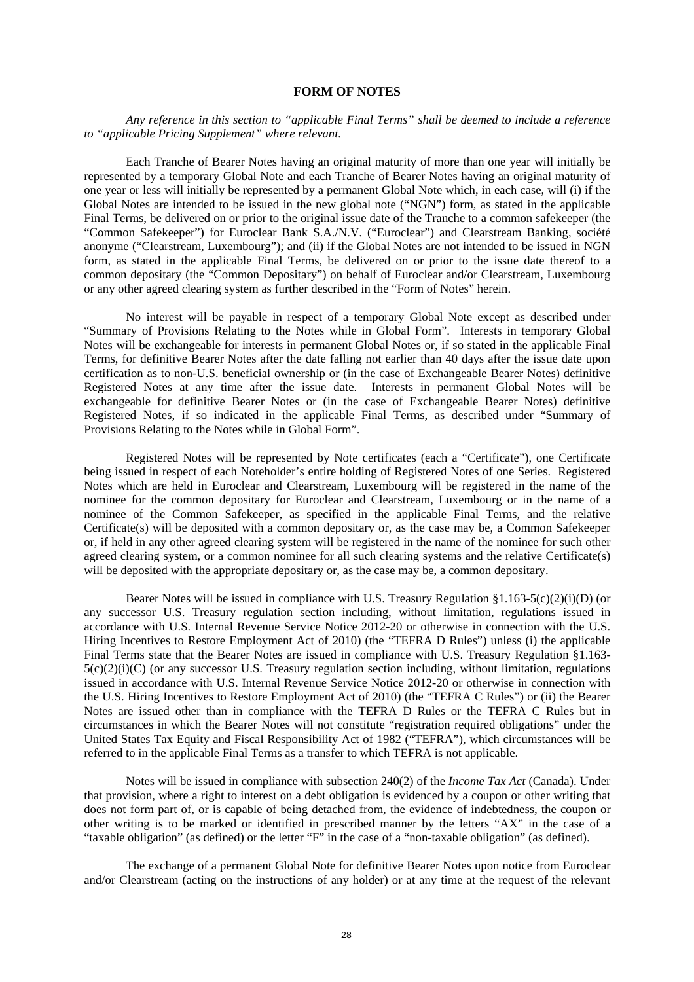# **FORM OF NOTES**

*Any reference in this section to "applicable Final Terms" shall be deemed to include a reference to "applicable Pricing Supplement" where relevant.* 

Each Tranche of Bearer Notes having an original maturity of more than one year will initially be represented by a temporary Global Note and each Tranche of Bearer Notes having an original maturity of one year or less will initially be represented by a permanent Global Note which, in each case, will (i) if the Global Notes are intended to be issued in the new global note ("NGN") form, as stated in the applicable Final Terms, be delivered on or prior to the original issue date of the Tranche to a common safekeeper (the "Common Safekeeper") for Euroclear Bank S.A./N.V. ("Euroclear") and Clearstream Banking, société anonyme ("Clearstream, Luxembourg"); and (ii) if the Global Notes are not intended to be issued in NGN form, as stated in the applicable Final Terms, be delivered on or prior to the issue date thereof to a common depositary (the "Common Depositary") on behalf of Euroclear and/or Clearstream, Luxembourg or any other agreed clearing system as further described in the "Form of Notes" herein.

No interest will be payable in respect of a temporary Global Note except as described under "Summary of Provisions Relating to the Notes while in Global Form". Interests in temporary Global Notes will be exchangeable for interests in permanent Global Notes or, if so stated in the applicable Final Terms, for definitive Bearer Notes after the date falling not earlier than 40 days after the issue date upon certification as to non-U.S. beneficial ownership or (in the case of Exchangeable Bearer Notes) definitive Registered Notes at any time after the issue date. Interests in permanent Global Notes will be exchangeable for definitive Bearer Notes or (in the case of Exchangeable Bearer Notes) definitive Registered Notes, if so indicated in the applicable Final Terms, as described under "Summary of Provisions Relating to the Notes while in Global Form".

Registered Notes will be represented by Note certificates (each a "Certificate"), one Certificate being issued in respect of each Noteholder's entire holding of Registered Notes of one Series. Registered Notes which are held in Euroclear and Clearstream, Luxembourg will be registered in the name of the nominee for the common depositary for Euroclear and Clearstream, Luxembourg or in the name of a nominee of the Common Safekeeper, as specified in the applicable Final Terms, and the relative Certificate(s) will be deposited with a common depositary or, as the case may be, a Common Safekeeper or, if held in any other agreed clearing system will be registered in the name of the nominee for such other agreed clearing system, or a common nominee for all such clearing systems and the relative Certificate(s) will be deposited with the appropriate depositary or, as the case may be, a common depositary.

Bearer Notes will be issued in compliance with U.S. Treasury Regulation  $\S1.163-5(c)(2)(i)$  (or any successor U.S. Treasury regulation section including, without limitation, regulations issued in accordance with U.S. Internal Revenue Service Notice 2012-20 or otherwise in connection with the U.S. Hiring Incentives to Restore Employment Act of 2010) (the "TEFRA D Rules") unless (i) the applicable Final Terms state that the Bearer Notes are issued in compliance with U.S. Treasury Regulation §1.163- 5(c)(2)(i)(C) (or any successor U.S. Treasury regulation section including, without limitation, regulations issued in accordance with U.S. Internal Revenue Service Notice 2012-20 or otherwise in connection with the U.S. Hiring Incentives to Restore Employment Act of 2010) (the "TEFRA C Rules") or (ii) the Bearer Notes are issued other than in compliance with the TEFRA D Rules or the TEFRA C Rules but in circumstances in which the Bearer Notes will not constitute "registration required obligations" under the United States Tax Equity and Fiscal Responsibility Act of 1982 ("TEFRA"), which circumstances will be referred to in the applicable Final Terms as a transfer to which TEFRA is not applicable.

Notes will be issued in compliance with subsection 240(2) of the *Income Tax Act* (Canada). Under that provision, where a right to interest on a debt obligation is evidenced by a coupon or other writing that does not form part of, or is capable of being detached from, the evidence of indebtedness, the coupon or other writing is to be marked or identified in prescribed manner by the letters "AX" in the case of a "taxable obligation" (as defined) or the letter "F" in the case of a "non-taxable obligation" (as defined).

The exchange of a permanent Global Note for definitive Bearer Notes upon notice from Euroclear and/or Clearstream (acting on the instructions of any holder) or at any time at the request of the relevant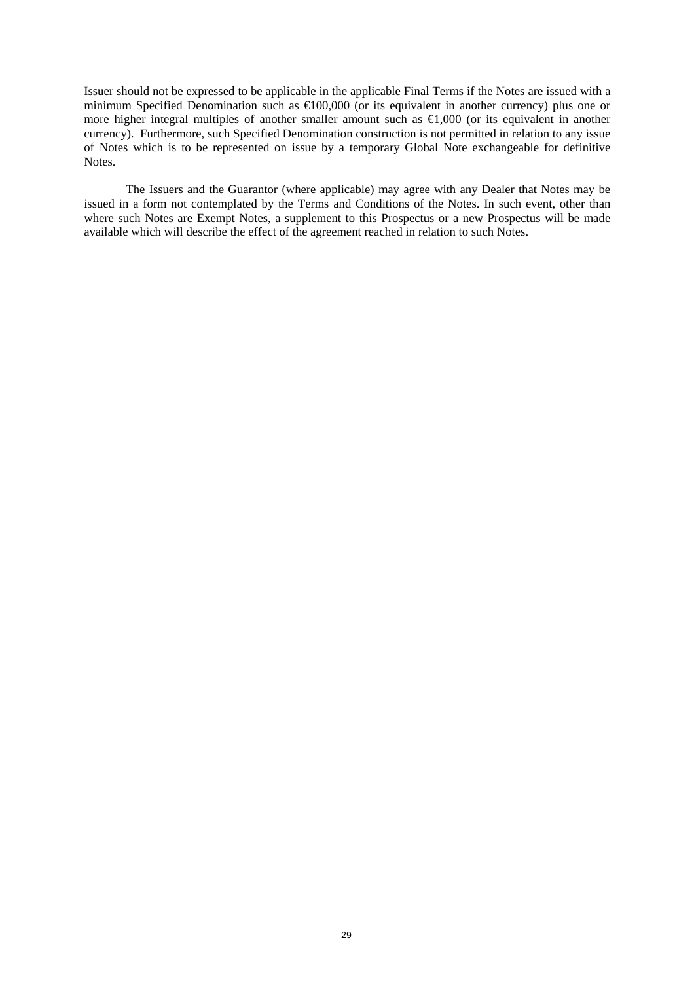Issuer should not be expressed to be applicable in the applicable Final Terms if the Notes are issued with a minimum Specified Denomination such as €100,000 (or its equivalent in another currency) plus one or more higher integral multiples of another smaller amount such as €1,000 (or its equivalent in another currency). Furthermore, such Specified Denomination construction is not permitted in relation to any issue of Notes which is to be represented on issue by a temporary Global Note exchangeable for definitive Notes.

The Issuers and the Guarantor (where applicable) may agree with any Dealer that Notes may be issued in a form not contemplated by the Terms and Conditions of the Notes. In such event, other than where such Notes are Exempt Notes, a supplement to this Prospectus or a new Prospectus will be made available which will describe the effect of the agreement reached in relation to such Notes.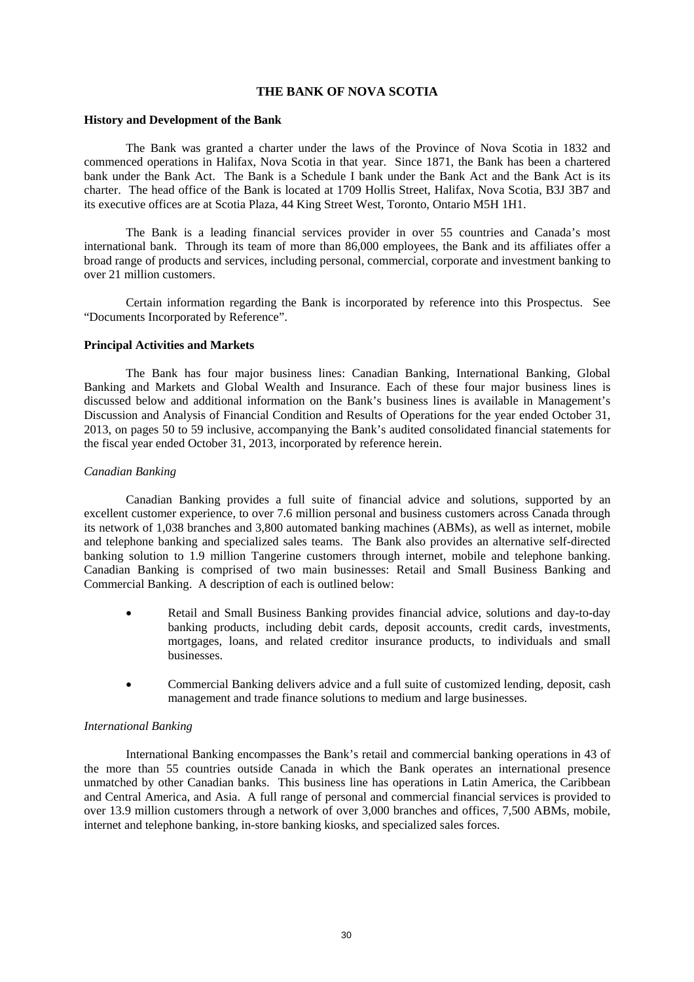### **THE BANK OF NOVA SCOTIA**

#### **History and Development of the Bank**

The Bank was granted a charter under the laws of the Province of Nova Scotia in 1832 and commenced operations in Halifax, Nova Scotia in that year. Since 1871, the Bank has been a chartered bank under the Bank Act. The Bank is a Schedule I bank under the Bank Act and the Bank Act is its charter. The head office of the Bank is located at 1709 Hollis Street, Halifax, Nova Scotia, B3J 3B7 and its executive offices are at Scotia Plaza, 44 King Street West, Toronto, Ontario M5H 1H1.

The Bank is a leading financial services provider in over 55 countries and Canada's most international bank. Through its team of more than 86,000 employees, the Bank and its affiliates offer a broad range of products and services, including personal, commercial, corporate and investment banking to over 21 million customers.

Certain information regarding the Bank is incorporated by reference into this Prospectus. See "Documents Incorporated by Reference".

# **Principal Activities and Markets**

The Bank has four major business lines: Canadian Banking, International Banking, Global Banking and Markets and Global Wealth and Insurance. Each of these four major business lines is discussed below and additional information on the Bank's business lines is available in Management's Discussion and Analysis of Financial Condition and Results of Operations for the year ended October 31, 2013, on pages 50 to 59 inclusive, accompanying the Bank's audited consolidated financial statements for the fiscal year ended October 31, 2013, incorporated by reference herein.

# *Canadian Banking*

Canadian Banking provides a full suite of financial advice and solutions, supported by an excellent customer experience, to over 7.6 million personal and business customers across Canada through its network of 1,038 branches and 3,800 automated banking machines (ABMs), as well as internet, mobile and telephone banking and specialized sales teams. The Bank also provides an alternative self-directed banking solution to 1.9 million Tangerine customers through internet, mobile and telephone banking. Canadian Banking is comprised of two main businesses: Retail and Small Business Banking and Commercial Banking. A description of each is outlined below:

- Retail and Small Business Banking provides financial advice, solutions and day-to-day banking products, including debit cards, deposit accounts, credit cards, investments, mortgages, loans, and related creditor insurance products, to individuals and small businesses.
- Commercial Banking delivers advice and a full suite of customized lending, deposit, cash management and trade finance solutions to medium and large businesses.

# *International Banking*

International Banking encompasses the Bank's retail and commercial banking operations in 43 of the more than 55 countries outside Canada in which the Bank operates an international presence unmatched by other Canadian banks. This business line has operations in Latin America, the Caribbean and Central America, and Asia. A full range of personal and commercial financial services is provided to over 13.9 million customers through a network of over 3,000 branches and offices, 7,500 ABMs, mobile, internet and telephone banking, in-store banking kiosks, and specialized sales forces.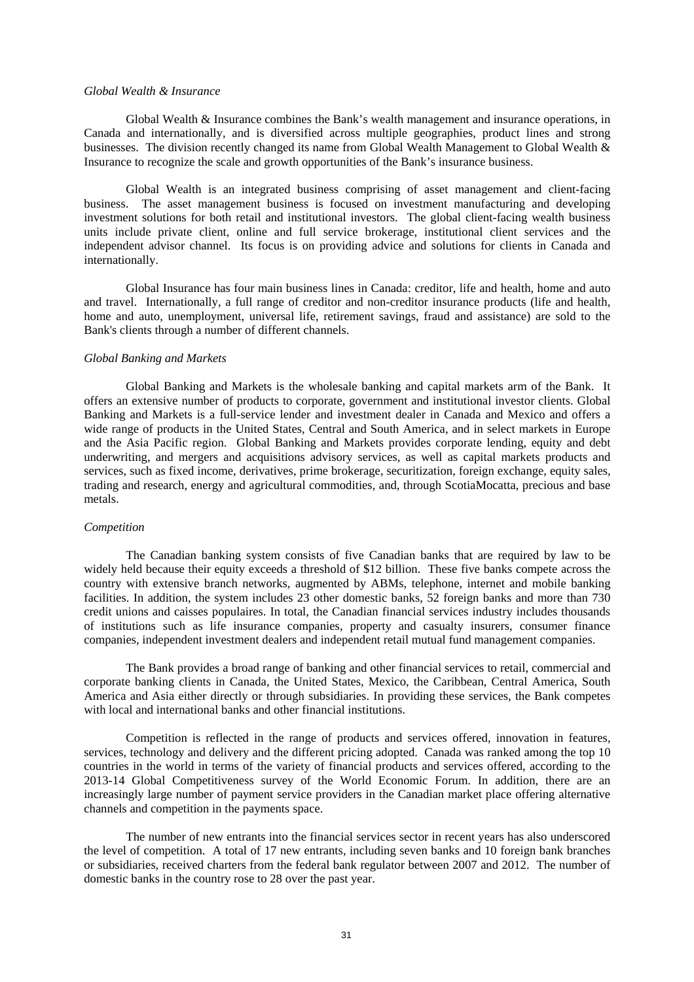#### *Global Wealth & Insurance*

Global Wealth & Insurance combines the Bank's wealth management and insurance operations, in Canada and internationally, and is diversified across multiple geographies, product lines and strong businesses. The division recently changed its name from Global Wealth Management to Global Wealth & Insurance to recognize the scale and growth opportunities of the Bank's insurance business.

Global Wealth is an integrated business comprising of asset management and client-facing business. The asset management business is focused on investment manufacturing and developing investment solutions for both retail and institutional investors. The global client-facing wealth business units include private client, online and full service brokerage, institutional client services and the independent advisor channel. Its focus is on providing advice and solutions for clients in Canada and internationally.

Global Insurance has four main business lines in Canada: creditor, life and health, home and auto and travel. Internationally, a full range of creditor and non-creditor insurance products (life and health, home and auto, unemployment, universal life, retirement savings, fraud and assistance) are sold to the Bank's clients through a number of different channels.

#### *Global Banking and Markets*

Global Banking and Markets is the wholesale banking and capital markets arm of the Bank. It offers an extensive number of products to corporate, government and institutional investor clients. Global Banking and Markets is a full-service lender and investment dealer in Canada and Mexico and offers a wide range of products in the United States, Central and South America, and in select markets in Europe and the Asia Pacific region. Global Banking and Markets provides corporate lending, equity and debt underwriting, and mergers and acquisitions advisory services, as well as capital markets products and services, such as fixed income, derivatives, prime brokerage, securitization, foreign exchange, equity sales, trading and research, energy and agricultural commodities, and, through ScotiaMocatta, precious and base metals.

### *Competition*

The Canadian banking system consists of five Canadian banks that are required by law to be widely held because their equity exceeds a threshold of \$12 billion. These five banks compete across the country with extensive branch networks, augmented by ABMs, telephone, internet and mobile banking facilities. In addition, the system includes 23 other domestic banks, 52 foreign banks and more than 730 credit unions and caisses populaires. In total, the Canadian financial services industry includes thousands of institutions such as life insurance companies, property and casualty insurers, consumer finance companies, independent investment dealers and independent retail mutual fund management companies.

The Bank provides a broad range of banking and other financial services to retail, commercial and corporate banking clients in Canada, the United States, Mexico, the Caribbean, Central America, South America and Asia either directly or through subsidiaries. In providing these services, the Bank competes with local and international banks and other financial institutions.

Competition is reflected in the range of products and services offered, innovation in features, services, technology and delivery and the different pricing adopted. Canada was ranked among the top 10 countries in the world in terms of the variety of financial products and services offered, according to the 2013-14 Global Competitiveness survey of the World Economic Forum. In addition, there are an increasingly large number of payment service providers in the Canadian market place offering alternative channels and competition in the payments space.

The number of new entrants into the financial services sector in recent years has also underscored the level of competition. A total of 17 new entrants, including seven banks and 10 foreign bank branches or subsidiaries, received charters from the federal bank regulator between 2007 and 2012. The number of domestic banks in the country rose to 28 over the past year.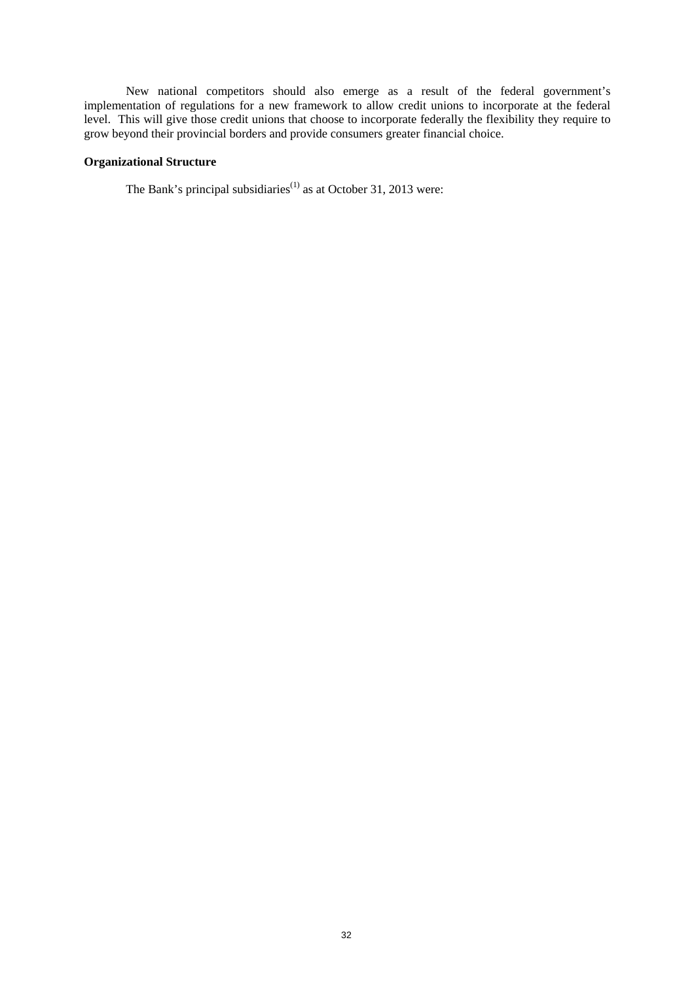New national competitors should also emerge as a result of the federal government's implementation of regulations for a new framework to allow credit unions to incorporate at the federal level. This will give those credit unions that choose to incorporate federally the flexibility they require to grow beyond their provincial borders and provide consumers greater financial choice.

# **Organizational Structure**

The Bank's principal subsidiaries<sup>(1)</sup> as at October 31, 2013 were: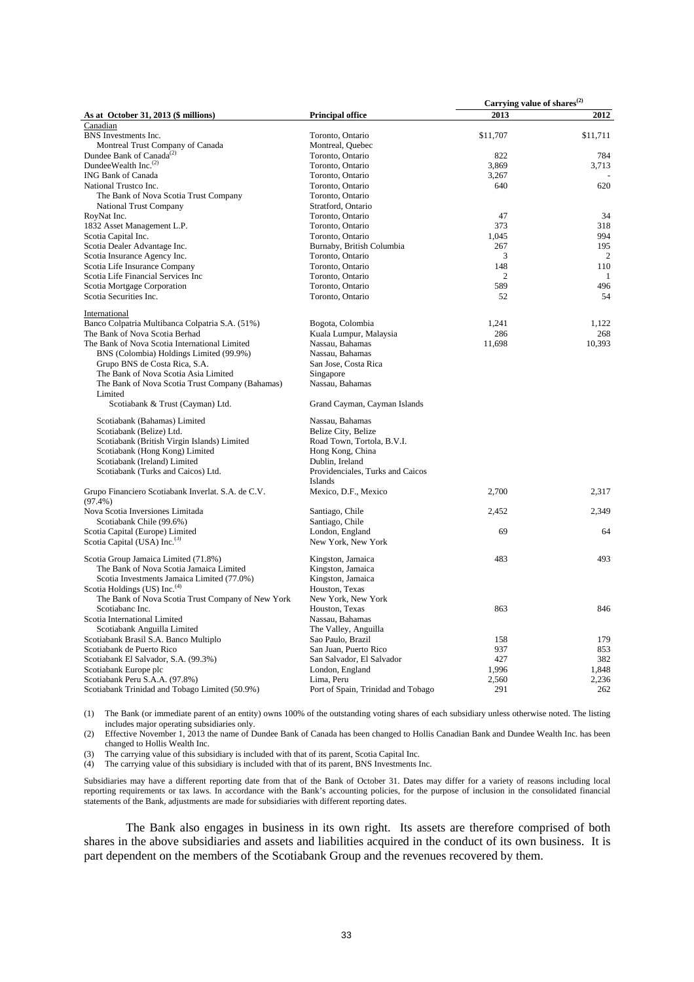|                                                    |                                    | Carrying value of shares <sup>(2)</sup> |                |
|----------------------------------------------------|------------------------------------|-----------------------------------------|----------------|
| As at October 31, 2013 (\$ millions)               | <b>Principal office</b>            | 2013                                    | 2012           |
| Canadian                                           |                                    |                                         |                |
| BNS Investments Inc.                               | Toronto, Ontario                   | \$11,707                                | \$11,711       |
| Montreal Trust Company of Canada                   | Montreal, Quebec                   |                                         |                |
| Dundee Bank of Canada <sup>(2)</sup>               | Toronto, Ontario                   | 822                                     | 784            |
| DundeeWealth Inc. $(2)$                            | Toronto, Ontario                   | 3.869                                   | 3,713          |
| <b>ING Bank of Canada</b>                          | Toronto, Ontario                   | 3,267                                   |                |
| National Trustco Inc.                              | Toronto, Ontario                   | 640                                     | 620            |
| The Bank of Nova Scotia Trust Company              | Toronto, Ontario                   |                                         |                |
| National Trust Company                             | Stratford, Ontario                 |                                         |                |
| RoyNat Inc.                                        | Toronto, Ontario                   | 47                                      | 34             |
| 1832 Asset Management L.P.                         | Toronto, Ontario                   | 373                                     | 318            |
| Scotia Capital Inc.                                | Toronto, Ontario                   | 1,045                                   | 994            |
| Scotia Dealer Advantage Inc.                       | Burnaby, British Columbia          | 267                                     | 195            |
| Scotia Insurance Agency Inc.                       | Toronto, Ontario                   | 3                                       | $\overline{2}$ |
| Scotia Life Insurance Company                      | Toronto, Ontario                   | 148                                     | 110            |
| Scotia Life Financial Services Inc                 | Toronto, Ontario                   | 2                                       | $\mathbf{1}$   |
| Scotia Mortgage Corporation                        | Toronto, Ontario                   | 589                                     | 496            |
| Scotia Securities Inc.                             | Toronto, Ontario                   | 52                                      | 54             |
|                                                    |                                    |                                         |                |
| International                                      |                                    |                                         |                |
| Banco Colpatria Multibanca Colpatria S.A. (51%)    | Bogota, Colombia                   | 1.241                                   | 1.122          |
| The Bank of Nova Scotia Berhad                     | Kuala Lumpur, Malaysia             | 286                                     | 268            |
| The Bank of Nova Scotia International Limited      | Nassau, Bahamas                    | 11,698                                  | 10.393         |
| BNS (Colombia) Holdings Limited (99.9%)            | Nassau, Bahamas                    |                                         |                |
| Grupo BNS de Costa Rica, S.A.                      | San Jose, Costa Rica               |                                         |                |
| The Bank of Nova Scotia Asia Limited               | Singapore                          |                                         |                |
| The Bank of Nova Scotia Trust Company (Bahamas)    | Nassau, Bahamas                    |                                         |                |
| Limited                                            |                                    |                                         |                |
| Scotiabank & Trust (Cayman) Ltd.                   | Grand Cayman, Cayman Islands       |                                         |                |
| Scotiabank (Bahamas) Limited                       | Nassau, Bahamas                    |                                         |                |
| Scotiabank (Belize) Ltd.                           | Belize City, Belize                |                                         |                |
| Scotiabank (British Virgin Islands) Limited        | Road Town, Tortola, B.V.I.         |                                         |                |
| Scotiabank (Hong Kong) Limited                     | Hong Kong, China                   |                                         |                |
| Scotiabank (Ireland) Limited                       | Dublin, Ireland                    |                                         |                |
| Scotiabank (Turks and Caicos) Ltd.                 | Providenciales, Turks and Caicos   |                                         |                |
|                                                    | <b>Islands</b>                     |                                         |                |
| Grupo Financiero Scotiabank Inverlat. S.A. de C.V. | Mexico, D.F., Mexico               | 2,700                                   | 2,317          |
| $(97.4\%)$                                         |                                    |                                         |                |
| Nova Scotia Inversiones Limitada                   | Santiago, Chile                    | 2,452                                   | 2,349          |
| Scotiabank Chile (99.6%)                           | Santiago, Chile                    |                                         |                |
| Scotia Capital (Europe) Limited                    | London, England                    | 69                                      | 64             |
| Scotia Capital (USA) Inc. <sup>(3)</sup>           | New York, New York                 |                                         |                |
|                                                    |                                    |                                         |                |
| Scotia Group Jamaica Limited (71.8%)               | Kingston, Jamaica                  | 483                                     | 493            |
| The Bank of Nova Scotia Jamaica Limited            | Kingston, Jamaica                  |                                         |                |
| Scotia Investments Jamaica Limited (77.0%)         | Kingston, Jamaica                  |                                         |                |
| Scotia Holdings (US) Inc. <sup>(4)</sup>           | Houston, Texas                     |                                         |                |
| The Bank of Nova Scotia Trust Company of New York  | New York, New York                 |                                         |                |
| Scotiabanc Inc.                                    | Houston, Texas                     | 863                                     | 846            |
| Scotia International Limited                       | Nassau, Bahamas                    |                                         |                |
| Scotiabank Anguilla Limited                        | The Valley, Anguilla               |                                         |                |
| Scotiabank Brasil S.A. Banco Multiplo              | Sao Paulo, Brazil                  | 158                                     | 179            |
| Scotiabank de Puerto Rico                          | San Juan, Puerto Rico              | 937                                     | 853            |
| Scotiabank El Salvador, S.A. (99.3%)               | San Salvador, El Salvador          | 427                                     | 382            |
| Scotiabank Europe plc                              | London, England                    | 1,996                                   | 1,848          |
| Scotiabank Peru S.A.A. (97.8%)                     | Lima, Peru                         | 2,560                                   | 2,236          |
| Scotiabank Trinidad and Tobago Limited (50.9%)     | Port of Spain, Trinidad and Tobago | 291                                     | 262            |
|                                                    |                                    |                                         |                |

(1) The Bank (or immediate parent of an entity) owns 100% of the outstanding voting shares of each subsidiary unless otherwise noted. The listing includes major operating subsidiaries only.

(2) Effective November 1, 2013 the name of Dundee Bank of Canada has been changed to Hollis Canadian Bank and Dundee Wealth Inc. has been changed to Hollis Wealth Inc.

(3) The carrying value of this subsidiary is included with that of its parent, Scotia Capital Inc. (4) The carrying value of this subsidiary is included with that of its parent, BNS Investments Inc.

Subsidiaries may have a different reporting date from that of the Bank of October 31. Dates may differ for a variety of reasons including local reporting requirements or tax laws. In accordance with the Bank's accounting policies, for the purpose of inclusion in the consolidated financial statements of the Bank, adjustments are made for subsidiaries with different reporting dates.

The Bank also engages in business in its own right. Its assets are therefore comprised of both shares in the above subsidiaries and assets and liabilities acquired in the conduct of its own business. It is part dependent on the members of the Scotiabank Group and the revenues recovered by them.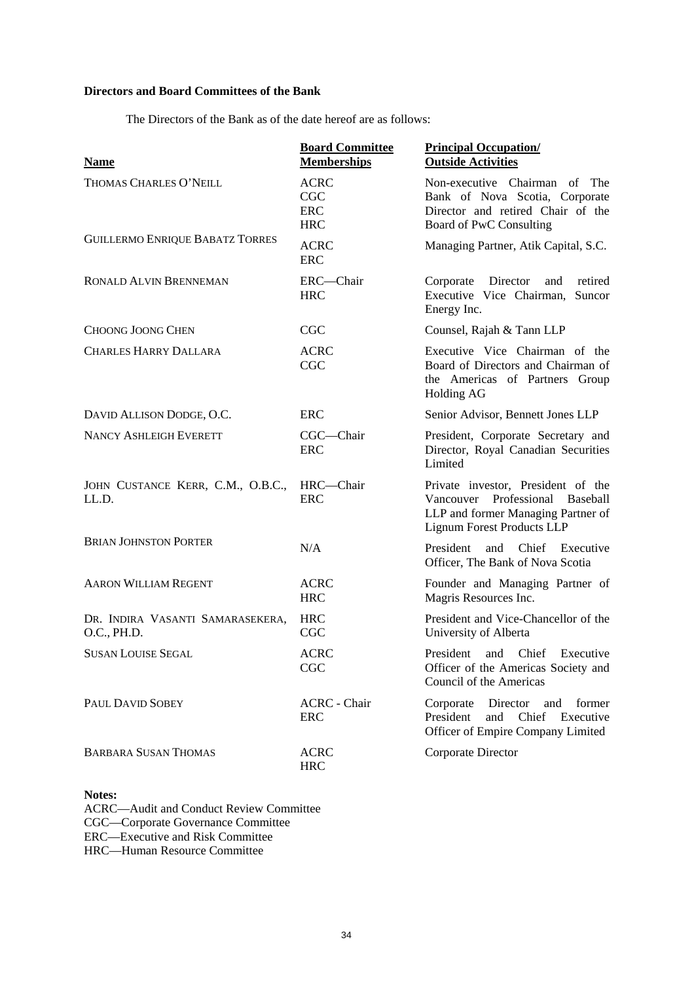# **Directors and Board Committees of the Bank**

The Directors of the Bank as of the date hereof are as follows:

| <b>Name</b>                                     | <b>Board Committee</b><br><b>Memberships</b>          | <b>Principal Occupation/</b><br><b>Outside Activities</b>                                                                                 |  |
|-------------------------------------------------|-------------------------------------------------------|-------------------------------------------------------------------------------------------------------------------------------------------|--|
| THOMAS CHARLES O'NEILL                          | <b>ACRC</b><br><b>CGC</b><br><b>ERC</b><br><b>HRC</b> | Non-executive Chairman of The<br>Bank of Nova Scotia, Corporate<br>Director and retired Chair of the<br>Board of PwC Consulting           |  |
| <b>GUILLERMO ENRIQUE BABATZ TORRES</b>          | <b>ACRC</b><br><b>ERC</b>                             | Managing Partner, Atik Capital, S.C.                                                                                                      |  |
| RONALD ALVIN BRENNEMAN                          | ERC-Chair<br><b>HRC</b>                               | Corporate<br>Director<br>retired<br>and<br>Executive Vice Chairman,<br>Suncor<br>Energy Inc.                                              |  |
| <b>CHOONG JOONG CHEN</b>                        | CGC                                                   | Counsel, Rajah & Tann LLP                                                                                                                 |  |
| <b>CHARLES HARRY DALLARA</b>                    | <b>ACRC</b><br>CGC                                    | Executive Vice Chairman of the<br>Board of Directors and Chairman of<br>the Americas of Partners Group<br><b>Holding AG</b>               |  |
| DAVID ALLISON DODGE, O.C.                       | ERC                                                   | Senior Advisor, Bennett Jones LLP                                                                                                         |  |
| <b>NANCY ASHLEIGH EVERETT</b>                   | CGC-Chair<br><b>ERC</b>                               | President, Corporate Secretary and<br>Director, Royal Canadian Securities<br>Limited                                                      |  |
| JOHN CUSTANCE KERR, C.M., O.B.C.,<br>LL.D.      | HRC-Chair<br><b>ERC</b>                               | Private investor, President of the<br>Vancouver Professional Baseball<br>LLP and former Managing Partner of<br>Lignum Forest Products LLP |  |
| <b>BRIAN JOHNSTON PORTER</b>                    | N/A                                                   | President<br>Chief Executive<br>and<br>Officer, The Bank of Nova Scotia                                                                   |  |
| <b>AARON WILLIAM REGENT</b>                     | <b>ACRC</b><br><b>HRC</b>                             | Founder and Managing Partner of<br>Magris Resources Inc.                                                                                  |  |
| DR. INDIRA VASANTI SAMARASEKERA,<br>O.C., PH.D. | <b>HRC</b><br><b>CGC</b>                              | President and Vice-Chancellor of the<br>University of Alberta                                                                             |  |
| <b>SUSAN LOUISE SEGAL</b>                       | <b>ACRC</b><br>CGC                                    | President<br>Chief<br>Executive<br>and<br>Officer of the Americas Society and<br>Council of the Americas                                  |  |
| PAUL DAVID SOBEY                                | <b>ACRC</b> - Chair<br><b>ERC</b>                     | Director<br>Corporate<br>and<br>former<br>President<br>Chief Executive<br>and<br>Officer of Empire Company Limited                        |  |
| <b>BARBARA SUSAN THOMAS</b>                     | <b>ACRC</b><br><b>HRC</b>                             | Corporate Director                                                                                                                        |  |

# **Notes:**

ACRC—Audit and Conduct Review Committee CGC—Corporate Governance Committee ERC—Executive and Risk Committee HRC—Human Resource Committee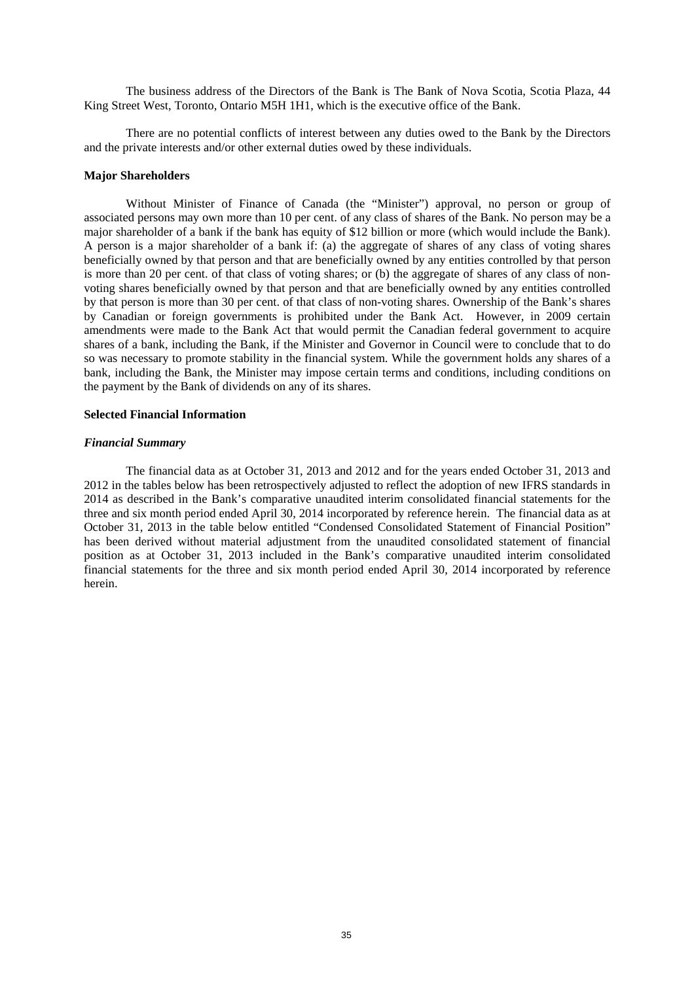The business address of the Directors of the Bank is The Bank of Nova Scotia, Scotia Plaza, 44 King Street West, Toronto, Ontario M5H 1H1, which is the executive office of the Bank.

There are no potential conflicts of interest between any duties owed to the Bank by the Directors and the private interests and/or other external duties owed by these individuals.

### **Major Shareholders**

Without Minister of Finance of Canada (the "Minister") approval, no person or group of associated persons may own more than 10 per cent. of any class of shares of the Bank. No person may be a major shareholder of a bank if the bank has equity of \$12 billion or more (which would include the Bank). A person is a major shareholder of a bank if: (a) the aggregate of shares of any class of voting shares beneficially owned by that person and that are beneficially owned by any entities controlled by that person is more than 20 per cent. of that class of voting shares; or (b) the aggregate of shares of any class of nonvoting shares beneficially owned by that person and that are beneficially owned by any entities controlled by that person is more than 30 per cent. of that class of non-voting shares. Ownership of the Bank's shares by Canadian or foreign governments is prohibited under the Bank Act. However, in 2009 certain amendments were made to the Bank Act that would permit the Canadian federal government to acquire shares of a bank, including the Bank, if the Minister and Governor in Council were to conclude that to do so was necessary to promote stability in the financial system. While the government holds any shares of a bank, including the Bank, the Minister may impose certain terms and conditions, including conditions on the payment by the Bank of dividends on any of its shares.

# **Selected Financial Information**

### *Financial Summary*

The financial data as at October 31, 2013 and 2012 and for the years ended October 31, 2013 and 2012 in the tables below has been retrospectively adjusted to reflect the adoption of new IFRS standards in 2014 as described in the Bank's comparative unaudited interim consolidated financial statements for the three and six month period ended April 30, 2014 incorporated by reference herein. The financial data as at October 31, 2013 in the table below entitled "Condensed Consolidated Statement of Financial Position" has been derived without material adjustment from the unaudited consolidated statement of financial position as at October 31, 2013 included in the Bank's comparative unaudited interim consolidated financial statements for the three and six month period ended April 30, 2014 incorporated by reference herein.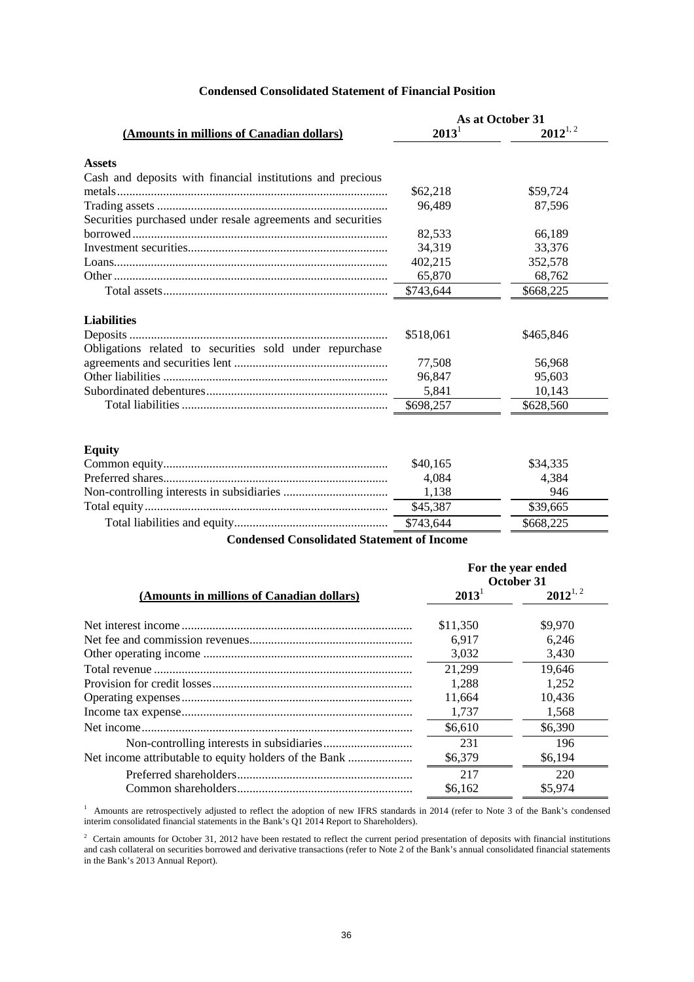# **Condensed Consolidated Statement of Financial Position**

|                                                             | As at October 31 |              |
|-------------------------------------------------------------|------------------|--------------|
| (Amounts in millions of Canadian dollars)                   | $2013^1$         | $2012^{1,2}$ |
| <b>Assets</b>                                               |                  |              |
| Cash and deposits with financial institutions and precious  |                  |              |
|                                                             | \$62,218         | \$59,724     |
| Securities purchased under resale agreements and securities | 96,489           | 87,596       |
|                                                             | 82,533           | 66,189       |
|                                                             | 34,319           | 33,376       |
|                                                             | 402,215          | 352,578      |
|                                                             | 65,870           | 68,762       |
|                                                             | \$743,644        | \$668,225    |
| <b>Liabilities</b>                                          |                  |              |
|                                                             | \$518,061        | \$465,846    |
| Obligations related to securities sold under repurchase     |                  |              |
|                                                             | 77,508           | 56,968       |
|                                                             | 96,847           | 95,603       |
|                                                             | 5,841            | 10,143       |
|                                                             | \$698,257        | \$628,560    |
| <b>Equity</b>                                               |                  |              |
|                                                             | \$40,165         | \$34,335     |
|                                                             | 4,084            | 4,384        |
|                                                             | 1,138            | 946          |
|                                                             | \$45,387         | \$39,665     |
|                                                             |                  |              |
| Condonsed Conselidated Statement of Inco                    | \$743,644        | \$668,225    |

**Condensed Consolidated Statement of Income**

|                                           | For the year ended<br>October 31 |              |
|-------------------------------------------|----------------------------------|--------------|
| (Amounts in millions of Canadian dollars) | $2013^{\circ}$                   | $2012^{1,2}$ |
|                                           | \$11,350                         | \$9,970      |
|                                           | 6.917                            | 6.246        |
|                                           | 3,032                            | 3,430        |
|                                           | 21.299                           | 19,646       |
|                                           | 1.288                            | 1.252        |
|                                           | 11,664                           | 10,436       |
|                                           | 1.737                            | 1,568        |
|                                           | \$6,610                          | \$6,390      |
|                                           | 231                              | 196          |
|                                           | \$6,379                          | \$6.194      |
|                                           | 217                              | 220          |
|                                           | \$6,162                          | \$5,974      |

<sup>1</sup> Amounts are retrospectively adjusted to reflect the adoption of new IFRS standards in 2014 (refer to Note 3 of the Bank's condensed interim consolidated financial statements in the Bank's Q1 2014 Report to Shareholders).

 $2^2$  Certain amounts for October 31, 2012 have been restated to reflect the current period presentation of deposits with financial institutions and cash collateral on securities borrowed and derivative transactions (refer to Note 2 of the Bank's annual consolidated financial statements in the Bank's 2013 Annual Report).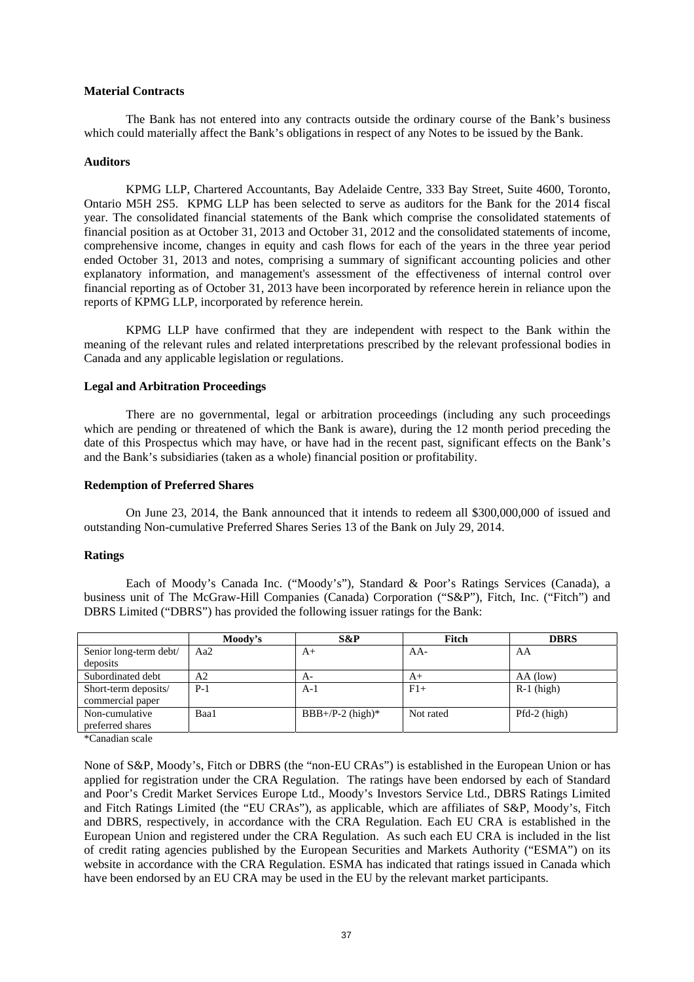### **Material Contracts**

The Bank has not entered into any contracts outside the ordinary course of the Bank's business which could materially affect the Bank's obligations in respect of any Notes to be issued by the Bank.

### **Auditors**

KPMG LLP, Chartered Accountants, Bay Adelaide Centre, 333 Bay Street, Suite 4600, Toronto, Ontario M5H 2S5. KPMG LLP has been selected to serve as auditors for the Bank for the 2014 fiscal year. The consolidated financial statements of the Bank which comprise the consolidated statements of financial position as at October 31, 2013 and October 31, 2012 and the consolidated statements of income, comprehensive income, changes in equity and cash flows for each of the years in the three year period ended October 31, 2013 and notes, comprising a summary of significant accounting policies and other explanatory information, and management's assessment of the effectiveness of internal control over financial reporting as of October 31, 2013 have been incorporated by reference herein in reliance upon the reports of KPMG LLP, incorporated by reference herein.

KPMG LLP have confirmed that they are independent with respect to the Bank within the meaning of the relevant rules and related interpretations prescribed by the relevant professional bodies in Canada and any applicable legislation or regulations.

### **Legal and Arbitration Proceedings**

There are no governmental, legal or arbitration proceedings (including any such proceedings which are pending or threatened of which the Bank is aware), during the 12 month period preceding the date of this Prospectus which may have, or have had in the recent past, significant effects on the Bank's and the Bank's subsidiaries (taken as a whole) financial position or profitability.

#### **Redemption of Preferred Shares**

On June 23, 2014, the Bank announced that it intends to redeem all \$300,000,000 of issued and outstanding Non-cumulative Preferred Shares Series 13 of the Bank on July 29, 2014.

### **Ratings**

Each of Moody's Canada Inc. ("Moody's"), Standard & Poor's Ratings Services (Canada), a business unit of The McGraw-Hill Companies (Canada) Corporation ("S&P"), Fitch, Inc. ("Fitch") and DBRS Limited ("DBRS") has provided the following issuer ratings for the Bank:

|                        | Moody's | S&P                | Fitch     | <b>DBRS</b>    |
|------------------------|---------|--------------------|-----------|----------------|
| Senior long-term debt/ | Aa2     | $A+$               | $AA-$     | AA             |
| deposits               |         |                    |           |                |
| Subordinated debt      | A2      | A-                 | $A+$      | $AA$ (low)     |
| Short-term deposits/   | $P-1$   | $A-1$              | $F1+$     | $R-1$ (high)   |
| commercial paper       |         |                    |           |                |
| Non-cumulative         | Baa1    | $BBB+/P-2$ (high)* | Not rated | $Pfd-2$ (high) |
| preferred shares       |         |                    |           |                |
|                        |         |                    |           |                |

\*Canadian scale

None of S&P, Moody's, Fitch or DBRS (the "non-EU CRAs") is established in the European Union or has applied for registration under the CRA Regulation. The ratings have been endorsed by each of Standard and Poor's Credit Market Services Europe Ltd., Moody's Investors Service Ltd., DBRS Ratings Limited and Fitch Ratings Limited (the "EU CRAs"), as applicable, which are affiliates of S&P, Moody's, Fitch and DBRS, respectively, in accordance with the CRA Regulation. Each EU CRA is established in the European Union and registered under the CRA Regulation. As such each EU CRA is included in the list of credit rating agencies published by the European Securities and Markets Authority ("ESMA") on its website in accordance with the CRA Regulation. ESMA has indicated that ratings issued in Canada which have been endorsed by an EU CRA may be used in the EU by the relevant market participants.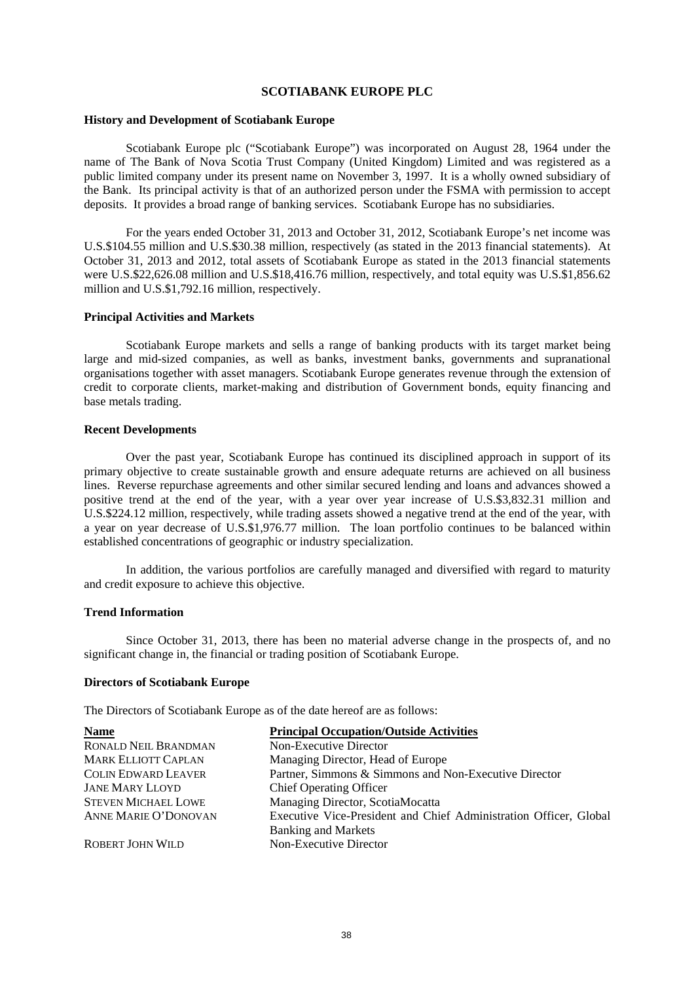### **SCOTIABANK EUROPE PLC**

#### **History and Development of Scotiabank Europe**

Scotiabank Europe plc ("Scotiabank Europe") was incorporated on August 28, 1964 under the name of The Bank of Nova Scotia Trust Company (United Kingdom) Limited and was registered as a public limited company under its present name on November 3, 1997. It is a wholly owned subsidiary of the Bank. Its principal activity is that of an authorized person under the FSMA with permission to accept deposits. It provides a broad range of banking services. Scotiabank Europe has no subsidiaries.

For the years ended October 31, 2013 and October 31, 2012, Scotiabank Europe's net income was U.S.\$104.55 million and U.S.\$30.38 million, respectively (as stated in the 2013 financial statements). At October 31, 2013 and 2012, total assets of Scotiabank Europe as stated in the 2013 financial statements were U.S.\$22,626.08 million and U.S.\$18,416.76 million, respectively, and total equity was U.S.\$1,856.62 million and U.S.\$1,792.16 million, respectively.

#### **Principal Activities and Markets**

Scotiabank Europe markets and sells a range of banking products with its target market being large and mid-sized companies, as well as banks, investment banks, governments and supranational organisations together with asset managers. Scotiabank Europe generates revenue through the extension of credit to corporate clients, market-making and distribution of Government bonds, equity financing and base metals trading.

## **Recent Developments**

Over the past year, Scotiabank Europe has continued its disciplined approach in support of its primary objective to create sustainable growth and ensure adequate returns are achieved on all business lines. Reverse repurchase agreements and other similar secured lending and loans and advances showed a positive trend at the end of the year, with a year over year increase of U.S.\$3,832.31 million and U.S.\$224.12 million, respectively, while trading assets showed a negative trend at the end of the year, with a year on year decrease of U.S.\$1,976.77 million. The loan portfolio continues to be balanced within established concentrations of geographic or industry specialization.

In addition, the various portfolios are carefully managed and diversified with regard to maturity and credit exposure to achieve this objective.

#### **Trend Information**

Since October 31, 2013, there has been no material adverse change in the prospects of, and no significant change in, the financial or trading position of Scotiabank Europe.

## **Directors of Scotiabank Europe**

The Directors of Scotiabank Europe as of the date hereof are as follows:

| <b>Name</b>                 | <b>Principal Occupation/Outside Activities</b>                    |
|-----------------------------|-------------------------------------------------------------------|
| <b>RONALD NEIL BRANDMAN</b> | Non-Executive Director                                            |
| <b>MARK ELLIOTT CAPLAN</b>  | Managing Director, Head of Europe                                 |
| <b>COLIN EDWARD LEAVER</b>  | Partner, Simmons & Simmons and Non-Executive Director             |
| <b>JANE MARY LLOYD</b>      | <b>Chief Operating Officer</b>                                    |
| <b>STEVEN MICHAEL LOWE</b>  | Managing Director, ScotiaMocatta                                  |
| ANNE MARIE O'DONOVAN        | Executive Vice-President and Chief Administration Officer, Global |
|                             | <b>Banking and Markets</b>                                        |
| <b>ROBERT JOHN WILD</b>     | Non-Executive Director                                            |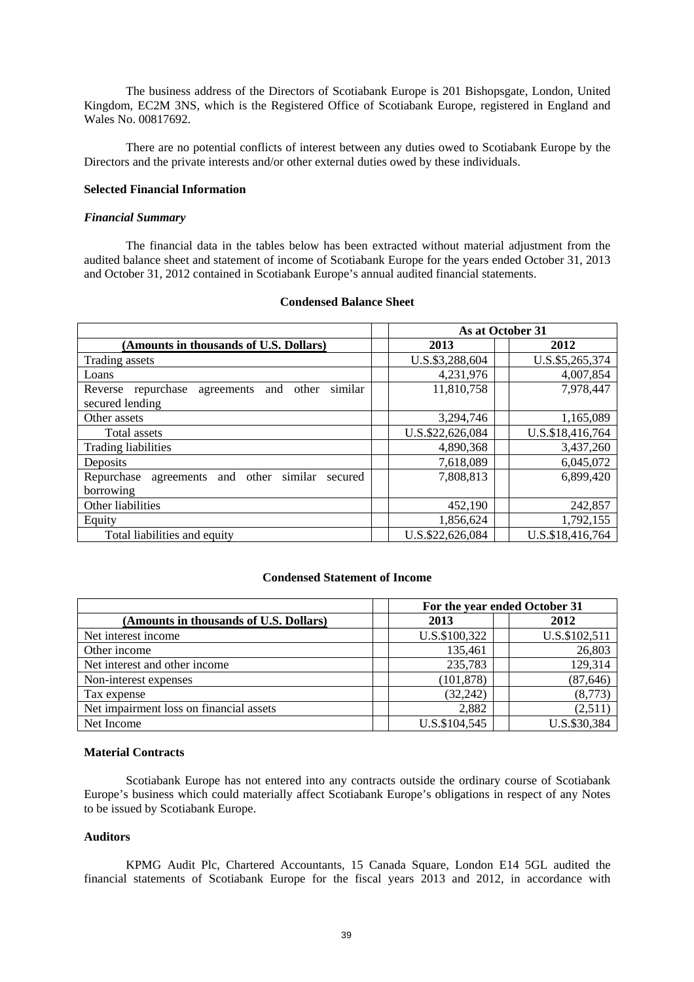The business address of the Directors of Scotiabank Europe is 201 Bishopsgate, London, United Kingdom, EC2M 3NS, which is the Registered Office of Scotiabank Europe, registered in England and Wales No. 00817692.

There are no potential conflicts of interest between any duties owed to Scotiabank Europe by the Directors and the private interests and/or other external duties owed by these individuals.

#### **Selected Financial Information**

### *Financial Summary*

The financial data in the tables below has been extracted without material adjustment from the audited balance sheet and statement of income of Scotiabank Europe for the years ended October 31, 2013 and October 31, 2012 contained in Scotiabank Europe's annual audited financial statements.

|                                                             |  | As at October 31 |  |                  |
|-------------------------------------------------------------|--|------------------|--|------------------|
| (Amounts in thousands of U.S. Dollars)                      |  | 2013             |  | 2012             |
| Trading assets                                              |  | U.S.\$3,288,604  |  | U.S.\$5,265,374  |
| Loans                                                       |  | 4,231,976        |  | 4,007,854        |
| similar<br>repurchase<br>agreements and other<br>Reverse    |  | 11,810,758       |  | 7,978,447        |
| secured lending                                             |  |                  |  |                  |
| Other assets                                                |  | 3,294,746        |  | 1,165,089        |
| Total assets                                                |  | U.S.\$22,626,084 |  | U.S.\$18,416,764 |
| <b>Trading liabilities</b>                                  |  | 4,890,368        |  | 3,437,260        |
| Deposits                                                    |  | 7,618,089        |  | 6,045,072        |
| Repurchase<br>and other<br>similar<br>agreements<br>secured |  | 7,808,813        |  | 6,899,420        |
| borrowing                                                   |  |                  |  |                  |
| Other liabilities                                           |  | 452,190          |  | 242,857          |
| Equity                                                      |  | 1,856,624        |  | 1,792,155        |
| Total liabilities and equity                                |  | U.S.\$22,626,084 |  | U.S.\$18,416,764 |

### **Condensed Balance Sheet**

# **Condensed Statement of Income**

|                                         | For the year ended October 31 |  |               |  |
|-----------------------------------------|-------------------------------|--|---------------|--|
| (Amounts in thousands of U.S. Dollars)  | 2013                          |  | 2012          |  |
| Net interest income                     | U.S.\$100,322                 |  | U.S.\$102,511 |  |
| Other income                            | 135,461                       |  | 26,803        |  |
| Net interest and other income           | 235,783                       |  | 129,314       |  |
| Non-interest expenses                   | (101, 878)                    |  | (87, 646)     |  |
| Tax expense                             | (32, 242)                     |  | (8,773)       |  |
| Net impairment loss on financial assets | 2,882                         |  | (2,511)       |  |
| Net Income                              | U.S.\$104,545                 |  | U.S.\$30,384  |  |

### **Material Contracts**

Scotiabank Europe has not entered into any contracts outside the ordinary course of Scotiabank Europe's business which could materially affect Scotiabank Europe's obligations in respect of any Notes to be issued by Scotiabank Europe.

## **Auditors**

KPMG Audit Plc, Chartered Accountants, 15 Canada Square, London E14 5GL audited the financial statements of Scotiabank Europe for the fiscal years 2013 and 2012, in accordance with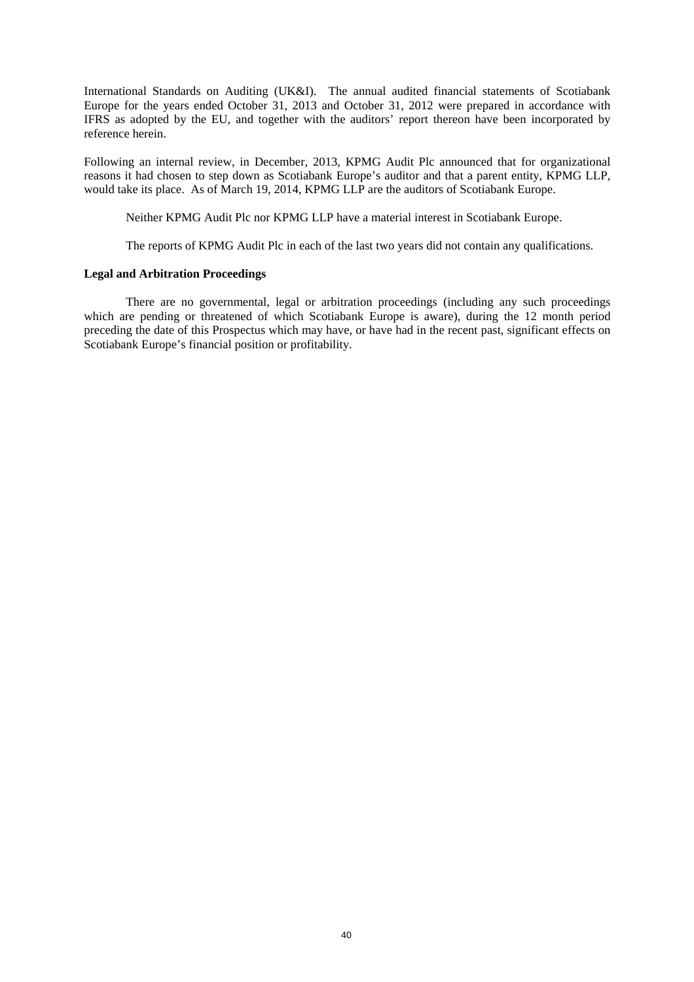International Standards on Auditing (UK&I). The annual audited financial statements of Scotiabank Europe for the years ended October 31, 2013 and October 31, 2012 were prepared in accordance with IFRS as adopted by the EU, and together with the auditors' report thereon have been incorporated by reference herein.

Following an internal review, in December, 2013, KPMG Audit Plc announced that for organizational reasons it had chosen to step down as Scotiabank Europe's auditor and that a parent entity, KPMG LLP, would take its place. As of March 19, 2014, KPMG LLP are the auditors of Scotiabank Europe.

Neither KPMG Audit Plc nor KPMG LLP have a material interest in Scotiabank Europe.

The reports of KPMG Audit Plc in each of the last two years did not contain any qualifications.

## **Legal and Arbitration Proceedings**

There are no governmental, legal or arbitration proceedings (including any such proceedings which are pending or threatened of which Scotiabank Europe is aware), during the 12 month period preceding the date of this Prospectus which may have, or have had in the recent past, significant effects on Scotiabank Europe's financial position or profitability.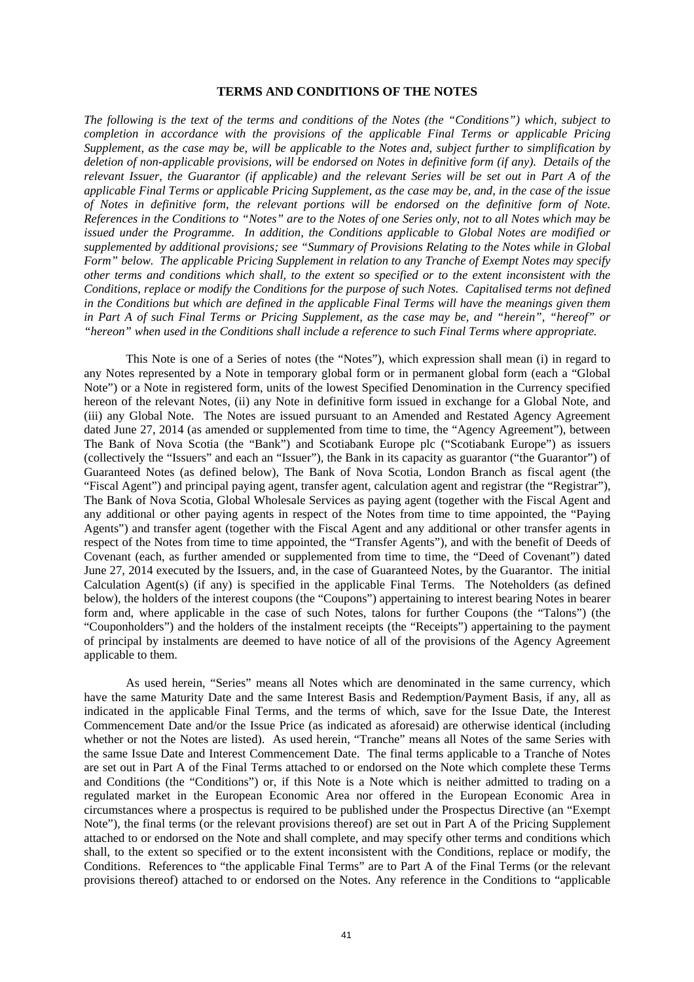### **TERMS AND CONDITIONS OF THE NOTES**

*The following is the text of the terms and conditions of the Notes (the "Conditions") which, subject to completion in accordance with the provisions of the applicable Final Terms or applicable Pricing Supplement, as the case may be, will be applicable to the Notes and, subject further to simplification by deletion of non-applicable provisions, will be endorsed on Notes in definitive form (if any). Details of the relevant Issuer, the Guarantor (if applicable) and the relevant Series will be set out in Part A of the applicable Final Terms or applicable Pricing Supplement, as the case may be, and, in the case of the issue of Notes in definitive form, the relevant portions will be endorsed on the definitive form of Note. References in the Conditions to "Notes" are to the Notes of one Series only, not to all Notes which may be issued under the Programme. In addition, the Conditions applicable to Global Notes are modified or supplemented by additional provisions; see "Summary of Provisions Relating to the Notes while in Global Form" below. The applicable Pricing Supplement in relation to any Tranche of Exempt Notes may specify other terms and conditions which shall, to the extent so specified or to the extent inconsistent with the Conditions, replace or modify the Conditions for the purpose of such Notes. Capitalised terms not defined in the Conditions but which are defined in the applicable Final Terms will have the meanings given them in Part A of such Final Terms or Pricing Supplement, as the case may be, and "herein", "hereof" or "hereon" when used in the Conditions shall include a reference to such Final Terms where appropriate.* 

This Note is one of a Series of notes (the "Notes"), which expression shall mean (i) in regard to any Notes represented by a Note in temporary global form or in permanent global form (each a "Global Note") or a Note in registered form, units of the lowest Specified Denomination in the Currency specified hereon of the relevant Notes, (ii) any Note in definitive form issued in exchange for a Global Note, and (iii) any Global Note. The Notes are issued pursuant to an Amended and Restated Agency Agreement dated June 27, 2014 (as amended or supplemented from time to time, the "Agency Agreement"), between The Bank of Nova Scotia (the "Bank") and Scotiabank Europe plc ("Scotiabank Europe") as issuers (collectively the "Issuers" and each an "Issuer"), the Bank in its capacity as guarantor ("the Guarantor") of Guaranteed Notes (as defined below), The Bank of Nova Scotia, London Branch as fiscal agent (the "Fiscal Agent") and principal paying agent, transfer agent, calculation agent and registrar (the "Registrar"), The Bank of Nova Scotia, Global Wholesale Services as paying agent (together with the Fiscal Agent and any additional or other paying agents in respect of the Notes from time to time appointed, the "Paying Agents") and transfer agent (together with the Fiscal Agent and any additional or other transfer agents in respect of the Notes from time to time appointed, the "Transfer Agents"), and with the benefit of Deeds of Covenant (each, as further amended or supplemented from time to time, the "Deed of Covenant") dated June 27, 2014 executed by the Issuers, and, in the case of Guaranteed Notes, by the Guarantor. The initial Calculation Agent(s) (if any) is specified in the applicable Final Terms. The Noteholders (as defined below), the holders of the interest coupons (the "Coupons") appertaining to interest bearing Notes in bearer form and, where applicable in the case of such Notes, talons for further Coupons (the "Talons") (the "Couponholders") and the holders of the instalment receipts (the "Receipts") appertaining to the payment of principal by instalments are deemed to have notice of all of the provisions of the Agency Agreement applicable to them.

As used herein, "Series" means all Notes which are denominated in the same currency, which have the same Maturity Date and the same Interest Basis and Redemption/Payment Basis, if any, all as indicated in the applicable Final Terms, and the terms of which, save for the Issue Date, the Interest Commencement Date and/or the Issue Price (as indicated as aforesaid) are otherwise identical (including whether or not the Notes are listed). As used herein, "Tranche" means all Notes of the same Series with the same Issue Date and Interest Commencement Date. The final terms applicable to a Tranche of Notes are set out in Part A of the Final Terms attached to or endorsed on the Note which complete these Terms and Conditions (the "Conditions") or, if this Note is a Note which is neither admitted to trading on a regulated market in the European Economic Area nor offered in the European Economic Area in circumstances where a prospectus is required to be published under the Prospectus Directive (an "Exempt Note"), the final terms (or the relevant provisions thereof) are set out in Part A of the Pricing Supplement attached to or endorsed on the Note and shall complete, and may specify other terms and conditions which shall, to the extent so specified or to the extent inconsistent with the Conditions, replace or modify, the Conditions. References to "the applicable Final Terms" are to Part A of the Final Terms (or the relevant provisions thereof) attached to or endorsed on the Notes. Any reference in the Conditions to "applicable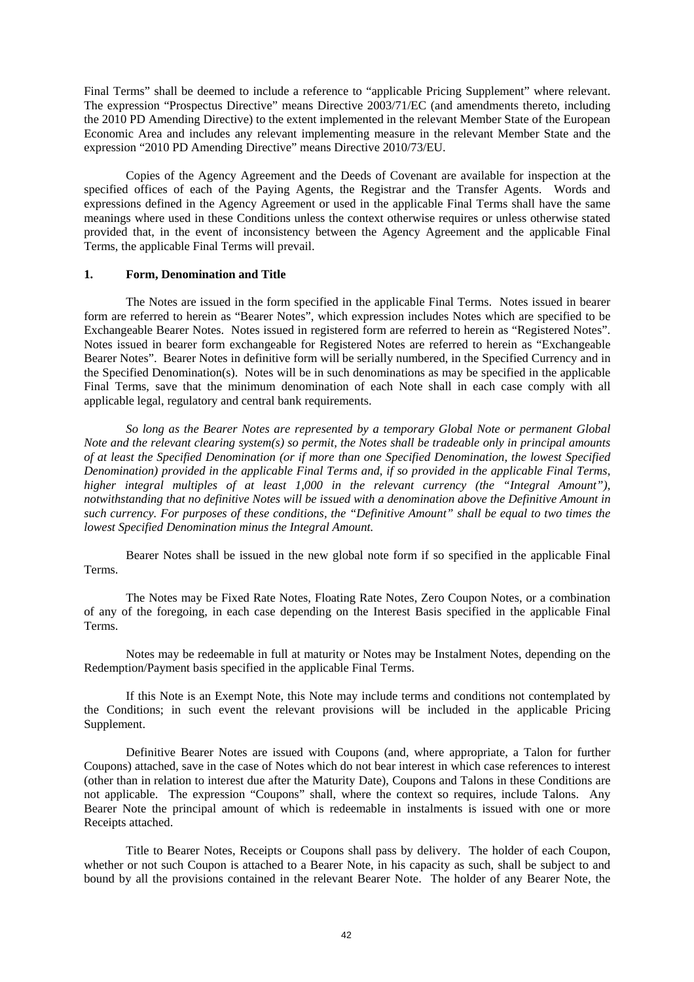Final Terms" shall be deemed to include a reference to "applicable Pricing Supplement" where relevant. The expression "Prospectus Directive" means Directive 2003/71/EC (and amendments thereto, including the 2010 PD Amending Directive) to the extent implemented in the relevant Member State of the European Economic Area and includes any relevant implementing measure in the relevant Member State and the expression "2010 PD Amending Directive" means Directive 2010/73/EU.

Copies of the Agency Agreement and the Deeds of Covenant are available for inspection at the specified offices of each of the Paying Agents, the Registrar and the Transfer Agents. Words and expressions defined in the Agency Agreement or used in the applicable Final Terms shall have the same meanings where used in these Conditions unless the context otherwise requires or unless otherwise stated provided that, in the event of inconsistency between the Agency Agreement and the applicable Final Terms, the applicable Final Terms will prevail.

# **1. Form, Denomination and Title**

The Notes are issued in the form specified in the applicable Final Terms. Notes issued in bearer form are referred to herein as "Bearer Notes", which expression includes Notes which are specified to be Exchangeable Bearer Notes. Notes issued in registered form are referred to herein as "Registered Notes". Notes issued in bearer form exchangeable for Registered Notes are referred to herein as "Exchangeable Bearer Notes". Bearer Notes in definitive form will be serially numbered, in the Specified Currency and in the Specified Denomination(s). Notes will be in such denominations as may be specified in the applicable Final Terms, save that the minimum denomination of each Note shall in each case comply with all applicable legal, regulatory and central bank requirements.

*So long as the Bearer Notes are represented by a temporary Global Note or permanent Global Note and the relevant clearing system(s) so permit, the Notes shall be tradeable only in principal amounts of at least the Specified Denomination (or if more than one Specified Denomination, the lowest Specified Denomination) provided in the applicable Final Terms and, if so provided in the applicable Final Terms, higher integral multiples of at least 1,000 in the relevant currency (the "Integral Amount"), notwithstanding that no definitive Notes will be issued with a denomination above the Definitive Amount in such currency. For purposes of these conditions, the "Definitive Amount" shall be equal to two times the lowest Specified Denomination minus the Integral Amount.* 

Bearer Notes shall be issued in the new global note form if so specified in the applicable Final Terms.

The Notes may be Fixed Rate Notes, Floating Rate Notes, Zero Coupon Notes, or a combination of any of the foregoing, in each case depending on the Interest Basis specified in the applicable Final Terms.

Notes may be redeemable in full at maturity or Notes may be Instalment Notes, depending on the Redemption/Payment basis specified in the applicable Final Terms.

If this Note is an Exempt Note, this Note may include terms and conditions not contemplated by the Conditions; in such event the relevant provisions will be included in the applicable Pricing Supplement.

Definitive Bearer Notes are issued with Coupons (and, where appropriate, a Talon for further Coupons) attached, save in the case of Notes which do not bear interest in which case references to interest (other than in relation to interest due after the Maturity Date), Coupons and Talons in these Conditions are not applicable. The expression "Coupons" shall, where the context so requires, include Talons. Any Bearer Note the principal amount of which is redeemable in instalments is issued with one or more Receipts attached.

Title to Bearer Notes, Receipts or Coupons shall pass by delivery. The holder of each Coupon, whether or not such Coupon is attached to a Bearer Note, in his capacity as such, shall be subject to and bound by all the provisions contained in the relevant Bearer Note. The holder of any Bearer Note, the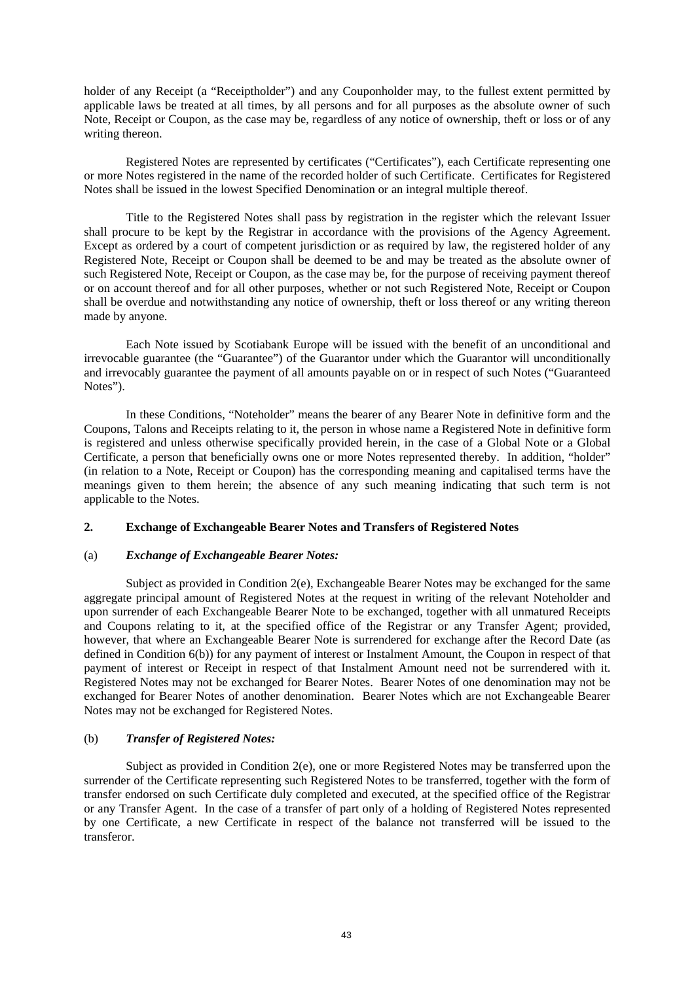holder of any Receipt (a "Receiptholder") and any Couponholder may, to the fullest extent permitted by applicable laws be treated at all times, by all persons and for all purposes as the absolute owner of such Note, Receipt or Coupon, as the case may be, regardless of any notice of ownership, theft or loss or of any writing thereon.

Registered Notes are represented by certificates ("Certificates"), each Certificate representing one or more Notes registered in the name of the recorded holder of such Certificate. Certificates for Registered Notes shall be issued in the lowest Specified Denomination or an integral multiple thereof.

Title to the Registered Notes shall pass by registration in the register which the relevant Issuer shall procure to be kept by the Registrar in accordance with the provisions of the Agency Agreement. Except as ordered by a court of competent jurisdiction or as required by law, the registered holder of any Registered Note, Receipt or Coupon shall be deemed to be and may be treated as the absolute owner of such Registered Note, Receipt or Coupon, as the case may be, for the purpose of receiving payment thereof or on account thereof and for all other purposes, whether or not such Registered Note, Receipt or Coupon shall be overdue and notwithstanding any notice of ownership, theft or loss thereof or any writing thereon made by anyone.

Each Note issued by Scotiabank Europe will be issued with the benefit of an unconditional and irrevocable guarantee (the "Guarantee") of the Guarantor under which the Guarantor will unconditionally and irrevocably guarantee the payment of all amounts payable on or in respect of such Notes ("Guaranteed Notes").

In these Conditions, "Noteholder" means the bearer of any Bearer Note in definitive form and the Coupons, Talons and Receipts relating to it, the person in whose name a Registered Note in definitive form is registered and unless otherwise specifically provided herein, in the case of a Global Note or a Global Certificate, a person that beneficially owns one or more Notes represented thereby. In addition, "holder" (in relation to a Note, Receipt or Coupon) has the corresponding meaning and capitalised terms have the meanings given to them herein; the absence of any such meaning indicating that such term is not applicable to the Notes.

## **2. Exchange of Exchangeable Bearer Notes and Transfers of Registered Notes**

## (a) *Exchange of Exchangeable Bearer Notes:*

Subject as provided in Condition 2(e), Exchangeable Bearer Notes may be exchanged for the same aggregate principal amount of Registered Notes at the request in writing of the relevant Noteholder and upon surrender of each Exchangeable Bearer Note to be exchanged, together with all unmatured Receipts and Coupons relating to it, at the specified office of the Registrar or any Transfer Agent; provided, however, that where an Exchangeable Bearer Note is surrendered for exchange after the Record Date (as defined in Condition 6(b)) for any payment of interest or Instalment Amount, the Coupon in respect of that payment of interest or Receipt in respect of that Instalment Amount need not be surrendered with it. Registered Notes may not be exchanged for Bearer Notes. Bearer Notes of one denomination may not be exchanged for Bearer Notes of another denomination. Bearer Notes which are not Exchangeable Bearer Notes may not be exchanged for Registered Notes.

# (b) *Transfer of Registered Notes:*

Subject as provided in Condition 2(e), one or more Registered Notes may be transferred upon the surrender of the Certificate representing such Registered Notes to be transferred, together with the form of transfer endorsed on such Certificate duly completed and executed, at the specified office of the Registrar or any Transfer Agent. In the case of a transfer of part only of a holding of Registered Notes represented by one Certificate, a new Certificate in respect of the balance not transferred will be issued to the transferor.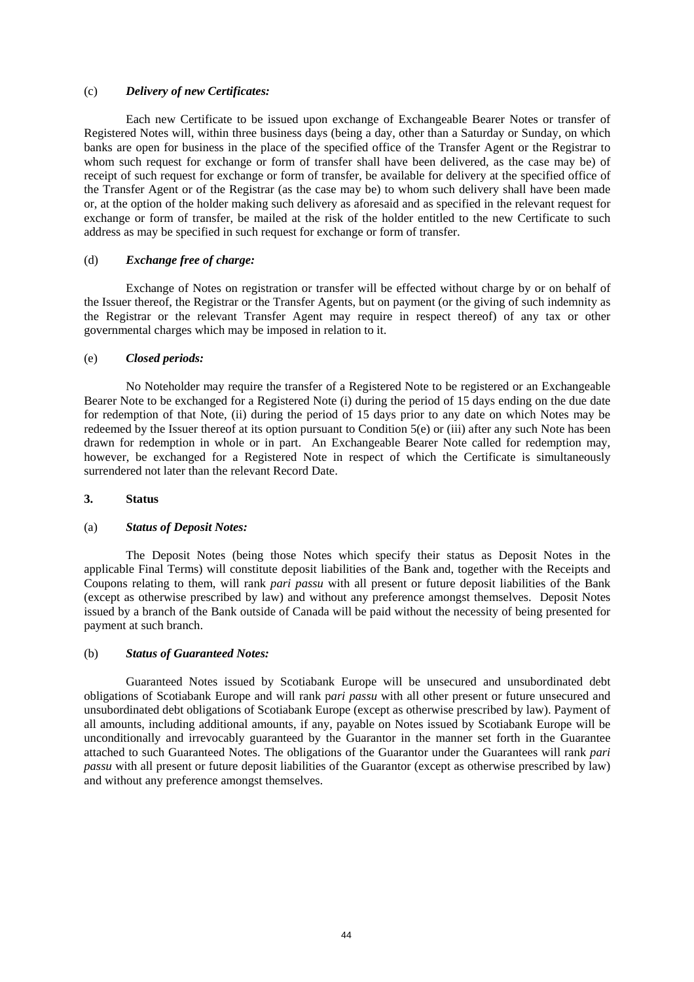## (c) *Delivery of new Certificates:*

Each new Certificate to be issued upon exchange of Exchangeable Bearer Notes or transfer of Registered Notes will, within three business days (being a day, other than a Saturday or Sunday, on which banks are open for business in the place of the specified office of the Transfer Agent or the Registrar to whom such request for exchange or form of transfer shall have been delivered, as the case may be) of receipt of such request for exchange or form of transfer, be available for delivery at the specified office of the Transfer Agent or of the Registrar (as the case may be) to whom such delivery shall have been made or, at the option of the holder making such delivery as aforesaid and as specified in the relevant request for exchange or form of transfer, be mailed at the risk of the holder entitled to the new Certificate to such address as may be specified in such request for exchange or form of transfer.

## (d) *Exchange free of charge:*

Exchange of Notes on registration or transfer will be effected without charge by or on behalf of the Issuer thereof, the Registrar or the Transfer Agents, but on payment (or the giving of such indemnity as the Registrar or the relevant Transfer Agent may require in respect thereof) of any tax or other governmental charges which may be imposed in relation to it.

### (e) *Closed periods:*

No Noteholder may require the transfer of a Registered Note to be registered or an Exchangeable Bearer Note to be exchanged for a Registered Note (i) during the period of 15 days ending on the due date for redemption of that Note, (ii) during the period of 15 days prior to any date on which Notes may be redeemed by the Issuer thereof at its option pursuant to Condition 5(e) or (iii) after any such Note has been drawn for redemption in whole or in part. An Exchangeable Bearer Note called for redemption may, however, be exchanged for a Registered Note in respect of which the Certificate is simultaneously surrendered not later than the relevant Record Date.

#### **3. Status**

#### (a) *Status of Deposit Notes:*

The Deposit Notes (being those Notes which specify their status as Deposit Notes in the applicable Final Terms) will constitute deposit liabilities of the Bank and, together with the Receipts and Coupons relating to them, will rank *pari passu* with all present or future deposit liabilities of the Bank (except as otherwise prescribed by law) and without any preference amongst themselves. Deposit Notes issued by a branch of the Bank outside of Canada will be paid without the necessity of being presented for payment at such branch.

### (b) *Status of Guaranteed Notes:*

Guaranteed Notes issued by Scotiabank Europe will be unsecured and unsubordinated debt obligations of Scotiabank Europe and will rank p*ari passu* with all other present or future unsecured and unsubordinated debt obligations of Scotiabank Europe (except as otherwise prescribed by law). Payment of all amounts, including additional amounts, if any, payable on Notes issued by Scotiabank Europe will be unconditionally and irrevocably guaranteed by the Guarantor in the manner set forth in the Guarantee attached to such Guaranteed Notes. The obligations of the Guarantor under the Guarantees will rank *pari passu* with all present or future deposit liabilities of the Guarantor (except as otherwise prescribed by law) and without any preference amongst themselves.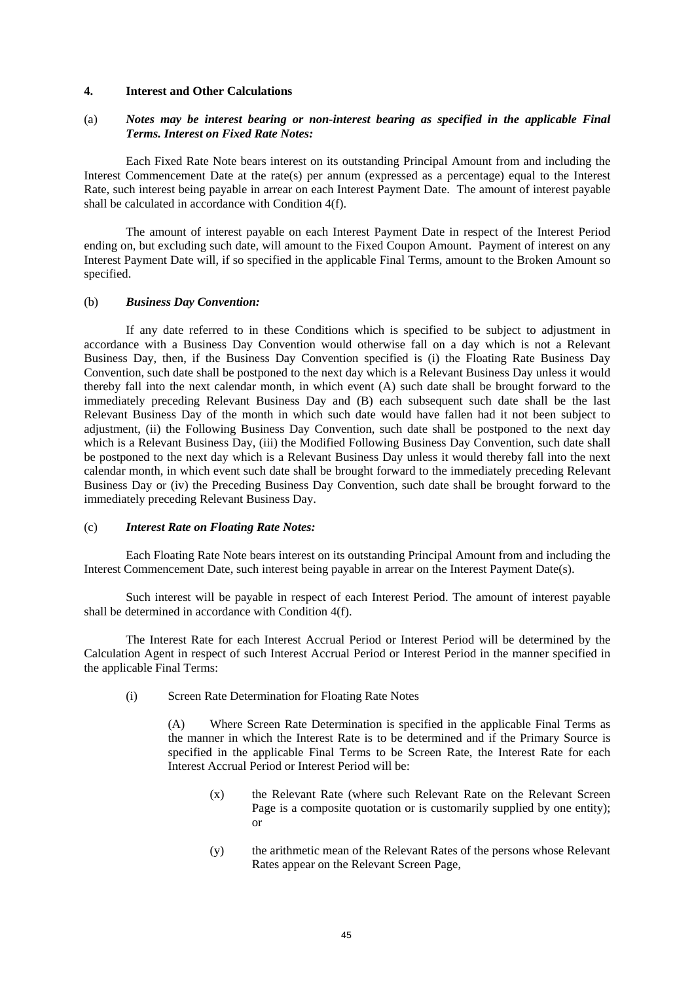### **4. Interest and Other Calculations**

# (a) *Notes may be interest bearing or non-interest bearing as specified in the applicable Final Terms. Interest on Fixed Rate Notes:*

Each Fixed Rate Note bears interest on its outstanding Principal Amount from and including the Interest Commencement Date at the rate(s) per annum (expressed as a percentage) equal to the Interest Rate, such interest being payable in arrear on each Interest Payment Date. The amount of interest payable shall be calculated in accordance with Condition 4(f).

The amount of interest payable on each Interest Payment Date in respect of the Interest Period ending on, but excluding such date, will amount to the Fixed Coupon Amount. Payment of interest on any Interest Payment Date will, if so specified in the applicable Final Terms, amount to the Broken Amount so specified.

#### (b) *Business Day Convention:*

If any date referred to in these Conditions which is specified to be subject to adjustment in accordance with a Business Day Convention would otherwise fall on a day which is not a Relevant Business Day, then, if the Business Day Convention specified is (i) the Floating Rate Business Day Convention, such date shall be postponed to the next day which is a Relevant Business Day unless it would thereby fall into the next calendar month, in which event (A) such date shall be brought forward to the immediately preceding Relevant Business Day and (B) each subsequent such date shall be the last Relevant Business Day of the month in which such date would have fallen had it not been subject to adjustment, (ii) the Following Business Day Convention, such date shall be postponed to the next day which is a Relevant Business Day, (iii) the Modified Following Business Day Convention, such date shall be postponed to the next day which is a Relevant Business Day unless it would thereby fall into the next calendar month, in which event such date shall be brought forward to the immediately preceding Relevant Business Day or (iv) the Preceding Business Day Convention, such date shall be brought forward to the immediately preceding Relevant Business Day.

### (c) *Interest Rate on Floating Rate Notes:*

Each Floating Rate Note bears interest on its outstanding Principal Amount from and including the Interest Commencement Date, such interest being payable in arrear on the Interest Payment Date(s).

Such interest will be payable in respect of each Interest Period. The amount of interest payable shall be determined in accordance with Condition 4(f).

The Interest Rate for each Interest Accrual Period or Interest Period will be determined by the Calculation Agent in respect of such Interest Accrual Period or Interest Period in the manner specified in the applicable Final Terms:

(i) Screen Rate Determination for Floating Rate Notes

(A) Where Screen Rate Determination is specified in the applicable Final Terms as the manner in which the Interest Rate is to be determined and if the Primary Source is specified in the applicable Final Terms to be Screen Rate, the Interest Rate for each Interest Accrual Period or Interest Period will be:

- (x) the Relevant Rate (where such Relevant Rate on the Relevant Screen Page is a composite quotation or is customarily supplied by one entity); or
- (y) the arithmetic mean of the Relevant Rates of the persons whose Relevant Rates appear on the Relevant Screen Page,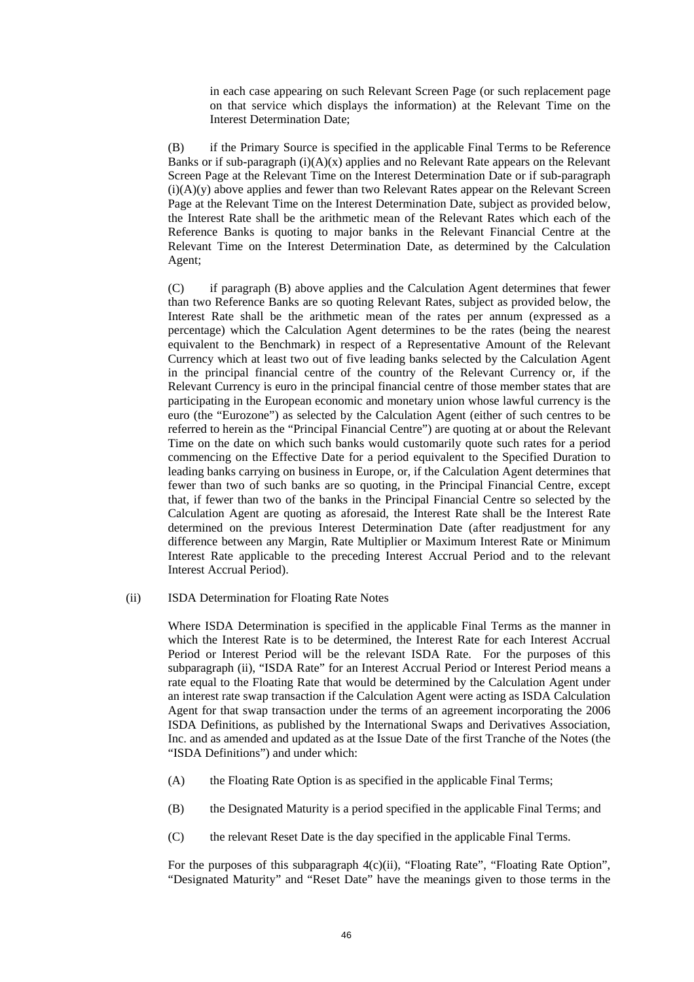in each case appearing on such Relevant Screen Page (or such replacement page on that service which displays the information) at the Relevant Time on the Interest Determination Date;

(B) if the Primary Source is specified in the applicable Final Terms to be Reference Banks or if sub-paragraph  $(i)(A)(x)$  applies and no Relevant Rate appears on the Relevant Screen Page at the Relevant Time on the Interest Determination Date or if sub-paragraph  $(i)(A)(y)$  above applies and fewer than two Relevant Rates appear on the Relevant Screen Page at the Relevant Time on the Interest Determination Date, subject as provided below, the Interest Rate shall be the arithmetic mean of the Relevant Rates which each of the Reference Banks is quoting to major banks in the Relevant Financial Centre at the Relevant Time on the Interest Determination Date, as determined by the Calculation Agent;

(C) if paragraph (B) above applies and the Calculation Agent determines that fewer than two Reference Banks are so quoting Relevant Rates, subject as provided below, the Interest Rate shall be the arithmetic mean of the rates per annum (expressed as a percentage) which the Calculation Agent determines to be the rates (being the nearest equivalent to the Benchmark) in respect of a Representative Amount of the Relevant Currency which at least two out of five leading banks selected by the Calculation Agent in the principal financial centre of the country of the Relevant Currency or, if the Relevant Currency is euro in the principal financial centre of those member states that are participating in the European economic and monetary union whose lawful currency is the euro (the "Eurozone") as selected by the Calculation Agent (either of such centres to be referred to herein as the "Principal Financial Centre") are quoting at or about the Relevant Time on the date on which such banks would customarily quote such rates for a period commencing on the Effective Date for a period equivalent to the Specified Duration to leading banks carrying on business in Europe, or, if the Calculation Agent determines that fewer than two of such banks are so quoting, in the Principal Financial Centre, except that, if fewer than two of the banks in the Principal Financial Centre so selected by the Calculation Agent are quoting as aforesaid, the Interest Rate shall be the Interest Rate determined on the previous Interest Determination Date (after readjustment for any difference between any Margin, Rate Multiplier or Maximum Interest Rate or Minimum Interest Rate applicable to the preceding Interest Accrual Period and to the relevant Interest Accrual Period).

## (ii) ISDA Determination for Floating Rate Notes

Where ISDA Determination is specified in the applicable Final Terms as the manner in which the Interest Rate is to be determined, the Interest Rate for each Interest Accrual Period or Interest Period will be the relevant ISDA Rate. For the purposes of this subparagraph (ii), "ISDA Rate" for an Interest Accrual Period or Interest Period means a rate equal to the Floating Rate that would be determined by the Calculation Agent under an interest rate swap transaction if the Calculation Agent were acting as ISDA Calculation Agent for that swap transaction under the terms of an agreement incorporating the 2006 ISDA Definitions, as published by the International Swaps and Derivatives Association, Inc. and as amended and updated as at the Issue Date of the first Tranche of the Notes (the "ISDA Definitions") and under which:

- (A) the Floating Rate Option is as specified in the applicable Final Terms;
- (B) the Designated Maturity is a period specified in the applicable Final Terms; and
- (C) the relevant Reset Date is the day specified in the applicable Final Terms.

For the purposes of this subparagraph  $4(c)(ii)$ , "Floating Rate", "Floating Rate Option", "Designated Maturity" and "Reset Date" have the meanings given to those terms in the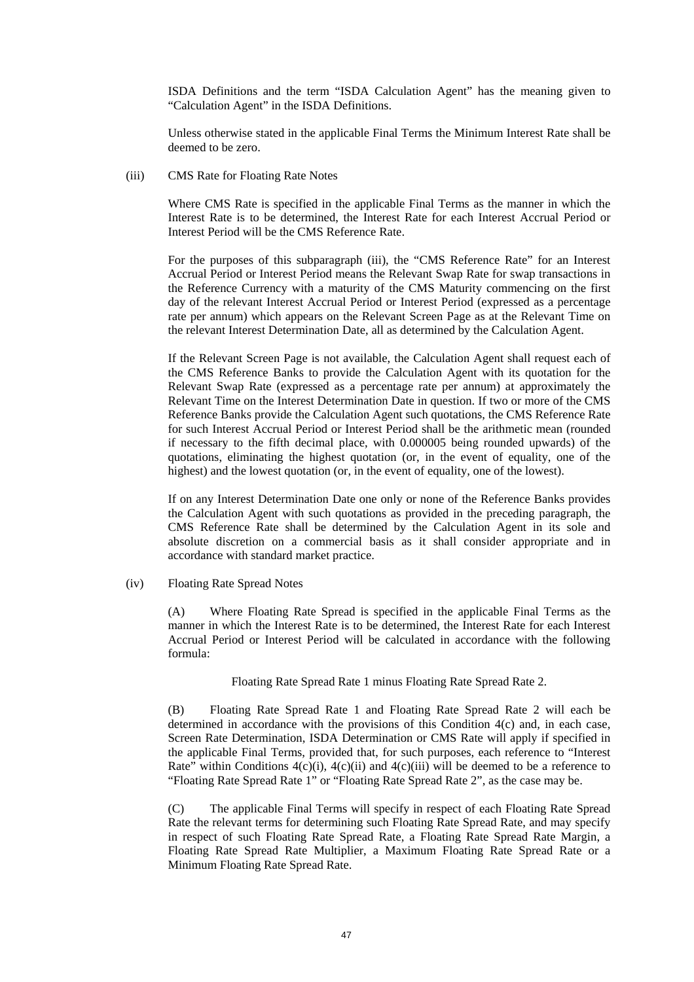ISDA Definitions and the term "ISDA Calculation Agent" has the meaning given to "Calculation Agent" in the ISDA Definitions.

Unless otherwise stated in the applicable Final Terms the Minimum Interest Rate shall be deemed to be zero.

(iii) CMS Rate for Floating Rate Notes

Where CMS Rate is specified in the applicable Final Terms as the manner in which the Interest Rate is to be determined, the Interest Rate for each Interest Accrual Period or Interest Period will be the CMS Reference Rate.

For the purposes of this subparagraph (iii), the "CMS Reference Rate" for an Interest Accrual Period or Interest Period means the Relevant Swap Rate for swap transactions in the Reference Currency with a maturity of the CMS Maturity commencing on the first day of the relevant Interest Accrual Period or Interest Period (expressed as a percentage rate per annum) which appears on the Relevant Screen Page as at the Relevant Time on the relevant Interest Determination Date, all as determined by the Calculation Agent.

If the Relevant Screen Page is not available, the Calculation Agent shall request each of the CMS Reference Banks to provide the Calculation Agent with its quotation for the Relevant Swap Rate (expressed as a percentage rate per annum) at approximately the Relevant Time on the Interest Determination Date in question. If two or more of the CMS Reference Banks provide the Calculation Agent such quotations, the CMS Reference Rate for such Interest Accrual Period or Interest Period shall be the arithmetic mean (rounded if necessary to the fifth decimal place, with 0.000005 being rounded upwards) of the quotations, eliminating the highest quotation (or, in the event of equality, one of the highest) and the lowest quotation (or, in the event of equality, one of the lowest).

If on any Interest Determination Date one only or none of the Reference Banks provides the Calculation Agent with such quotations as provided in the preceding paragraph, the CMS Reference Rate shall be determined by the Calculation Agent in its sole and absolute discretion on a commercial basis as it shall consider appropriate and in accordance with standard market practice.

(iv) Floating Rate Spread Notes

(A) Where Floating Rate Spread is specified in the applicable Final Terms as the manner in which the Interest Rate is to be determined, the Interest Rate for each Interest Accrual Period or Interest Period will be calculated in accordance with the following formula:

Floating Rate Spread Rate 1 minus Floating Rate Spread Rate 2.

(B) Floating Rate Spread Rate 1 and Floating Rate Spread Rate 2 will each be determined in accordance with the provisions of this Condition 4(c) and, in each case, Screen Rate Determination, ISDA Determination or CMS Rate will apply if specified in the applicable Final Terms, provided that, for such purposes, each reference to "Interest Rate" within Conditions  $4(c)(i)$ ,  $4(c)(ii)$  and  $4(c)(iii)$  will be deemed to be a reference to "Floating Rate Spread Rate 1" or "Floating Rate Spread Rate 2", as the case may be.

(C) The applicable Final Terms will specify in respect of each Floating Rate Spread Rate the relevant terms for determining such Floating Rate Spread Rate, and may specify in respect of such Floating Rate Spread Rate, a Floating Rate Spread Rate Margin, a Floating Rate Spread Rate Multiplier, a Maximum Floating Rate Spread Rate or a Minimum Floating Rate Spread Rate.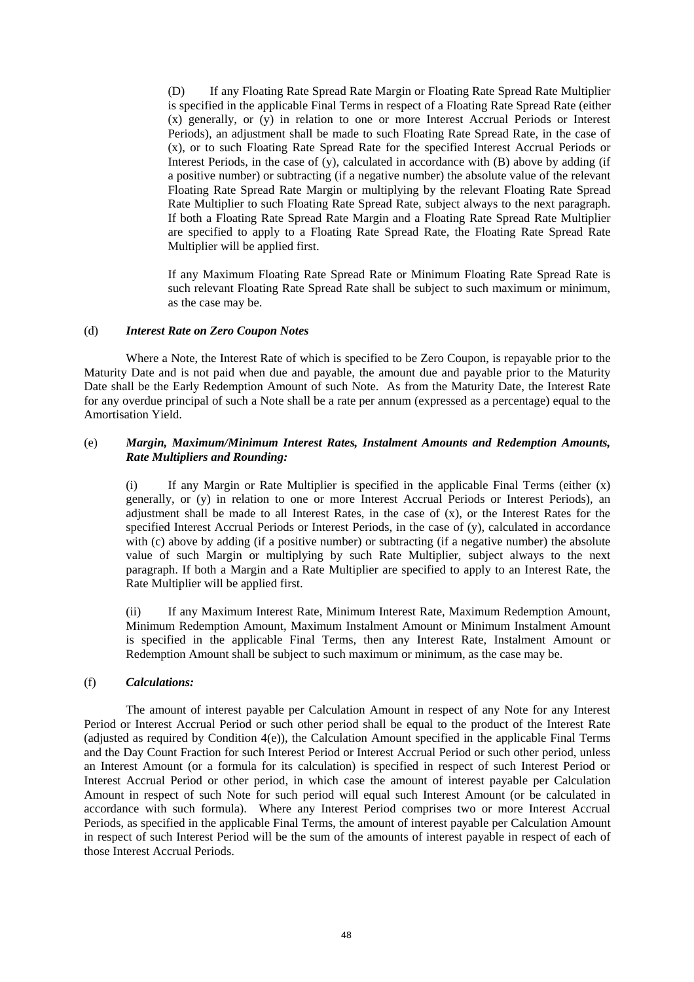(D) If any Floating Rate Spread Rate Margin or Floating Rate Spread Rate Multiplier is specified in the applicable Final Terms in respect of a Floating Rate Spread Rate (either (x) generally, or (y) in relation to one or more Interest Accrual Periods or Interest Periods), an adjustment shall be made to such Floating Rate Spread Rate, in the case of (x), or to such Floating Rate Spread Rate for the specified Interest Accrual Periods or Interest Periods, in the case of (y), calculated in accordance with (B) above by adding (if a positive number) or subtracting (if a negative number) the absolute value of the relevant Floating Rate Spread Rate Margin or multiplying by the relevant Floating Rate Spread Rate Multiplier to such Floating Rate Spread Rate, subject always to the next paragraph. If both a Floating Rate Spread Rate Margin and a Floating Rate Spread Rate Multiplier are specified to apply to a Floating Rate Spread Rate, the Floating Rate Spread Rate Multiplier will be applied first.

If any Maximum Floating Rate Spread Rate or Minimum Floating Rate Spread Rate is such relevant Floating Rate Spread Rate shall be subject to such maximum or minimum, as the case may be.

## (d) *Interest Rate on Zero Coupon Notes*

Where a Note, the Interest Rate of which is specified to be Zero Coupon, is repayable prior to the Maturity Date and is not paid when due and payable, the amount due and payable prior to the Maturity Date shall be the Early Redemption Amount of such Note. As from the Maturity Date, the Interest Rate for any overdue principal of such a Note shall be a rate per annum (expressed as a percentage) equal to the Amortisation Yield.

# (e) *Margin, Maximum/Minimum Interest Rates, Instalment Amounts and Redemption Amounts, Rate Multipliers and Rounding:*

(i) If any Margin or Rate Multiplier is specified in the applicable Final Terms (either  $(x)$ ) generally, or (y) in relation to one or more Interest Accrual Periods or Interest Periods), an adjustment shall be made to all Interest Rates, in the case of (x), or the Interest Rates for the specified Interest Accrual Periods or Interest Periods, in the case of (y), calculated in accordance with (c) above by adding (if a positive number) or subtracting (if a negative number) the absolute value of such Margin or multiplying by such Rate Multiplier, subject always to the next paragraph. If both a Margin and a Rate Multiplier are specified to apply to an Interest Rate, the Rate Multiplier will be applied first.

(ii) If any Maximum Interest Rate, Minimum Interest Rate, Maximum Redemption Amount, Minimum Redemption Amount, Maximum Instalment Amount or Minimum Instalment Amount is specified in the applicable Final Terms, then any Interest Rate, Instalment Amount or Redemption Amount shall be subject to such maximum or minimum, as the case may be.

# (f) *Calculations:*

The amount of interest payable per Calculation Amount in respect of any Note for any Interest Period or Interest Accrual Period or such other period shall be equal to the product of the Interest Rate (adjusted as required by Condition 4(e)), the Calculation Amount specified in the applicable Final Terms and the Day Count Fraction for such Interest Period or Interest Accrual Period or such other period, unless an Interest Amount (or a formula for its calculation) is specified in respect of such Interest Period or Interest Accrual Period or other period, in which case the amount of interest payable per Calculation Amount in respect of such Note for such period will equal such Interest Amount (or be calculated in accordance with such formula). Where any Interest Period comprises two or more Interest Accrual Periods, as specified in the applicable Final Terms, the amount of interest payable per Calculation Amount in respect of such Interest Period will be the sum of the amounts of interest payable in respect of each of those Interest Accrual Periods.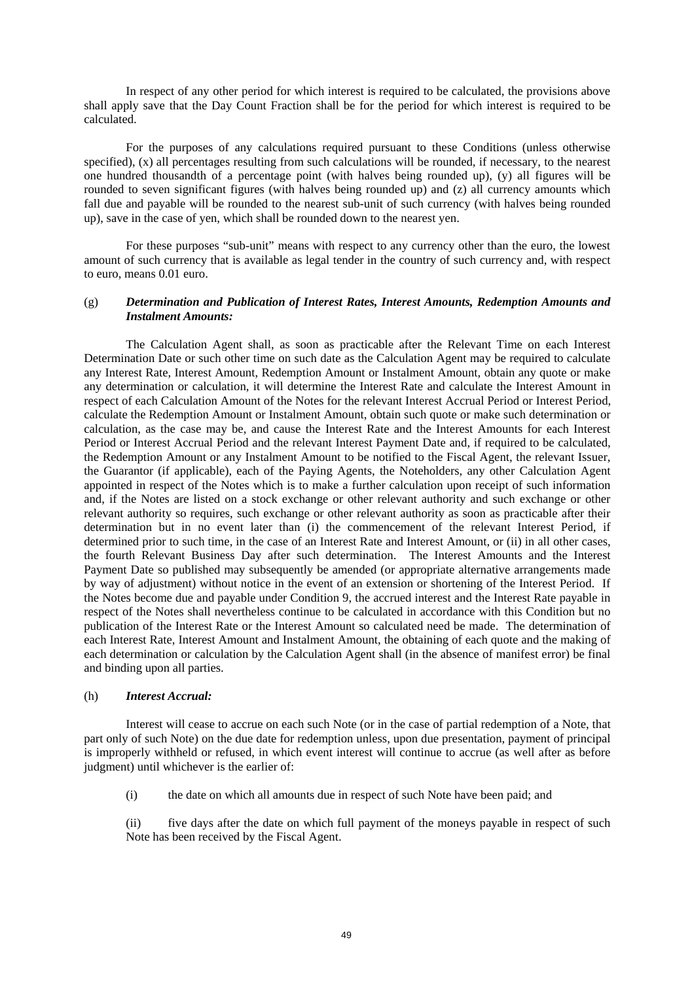In respect of any other period for which interest is required to be calculated, the provisions above shall apply save that the Day Count Fraction shall be for the period for which interest is required to be calculated.

For the purposes of any calculations required pursuant to these Conditions (unless otherwise specified), (x) all percentages resulting from such calculations will be rounded, if necessary, to the nearest one hundred thousandth of a percentage point (with halves being rounded up), (y) all figures will be rounded to seven significant figures (with halves being rounded up) and (z) all currency amounts which fall due and payable will be rounded to the nearest sub-unit of such currency (with halves being rounded up), save in the case of yen, which shall be rounded down to the nearest yen.

For these purposes "sub-unit" means with respect to any currency other than the euro, the lowest amount of such currency that is available as legal tender in the country of such currency and, with respect to euro, means 0.01 euro.

## (g) *Determination and Publication of Interest Rates, Interest Amounts, Redemption Amounts and Instalment Amounts:*

The Calculation Agent shall, as soon as practicable after the Relevant Time on each Interest Determination Date or such other time on such date as the Calculation Agent may be required to calculate any Interest Rate, Interest Amount, Redemption Amount or Instalment Amount, obtain any quote or make any determination or calculation, it will determine the Interest Rate and calculate the Interest Amount in respect of each Calculation Amount of the Notes for the relevant Interest Accrual Period or Interest Period, calculate the Redemption Amount or Instalment Amount, obtain such quote or make such determination or calculation, as the case may be, and cause the Interest Rate and the Interest Amounts for each Interest Period or Interest Accrual Period and the relevant Interest Payment Date and, if required to be calculated, the Redemption Amount or any Instalment Amount to be notified to the Fiscal Agent, the relevant Issuer, the Guarantor (if applicable), each of the Paying Agents, the Noteholders, any other Calculation Agent appointed in respect of the Notes which is to make a further calculation upon receipt of such information and, if the Notes are listed on a stock exchange or other relevant authority and such exchange or other relevant authority so requires, such exchange or other relevant authority as soon as practicable after their determination but in no event later than (i) the commencement of the relevant Interest Period, if determined prior to such time, in the case of an Interest Rate and Interest Amount, or (ii) in all other cases, the fourth Relevant Business Day after such determination. The Interest Amounts and the Interest Payment Date so published may subsequently be amended (or appropriate alternative arrangements made by way of adjustment) without notice in the event of an extension or shortening of the Interest Period. If the Notes become due and payable under Condition 9, the accrued interest and the Interest Rate payable in respect of the Notes shall nevertheless continue to be calculated in accordance with this Condition but no publication of the Interest Rate or the Interest Amount so calculated need be made. The determination of each Interest Rate, Interest Amount and Instalment Amount, the obtaining of each quote and the making of each determination or calculation by the Calculation Agent shall (in the absence of manifest error) be final and binding upon all parties.

## (h) *Interest Accrual:*

Interest will cease to accrue on each such Note (or in the case of partial redemption of a Note, that part only of such Note) on the due date for redemption unless, upon due presentation, payment of principal is improperly withheld or refused, in which event interest will continue to accrue (as well after as before judgment) until whichever is the earlier of:

(i) the date on which all amounts due in respect of such Note have been paid; and

(ii) five days after the date on which full payment of the moneys payable in respect of such Note has been received by the Fiscal Agent.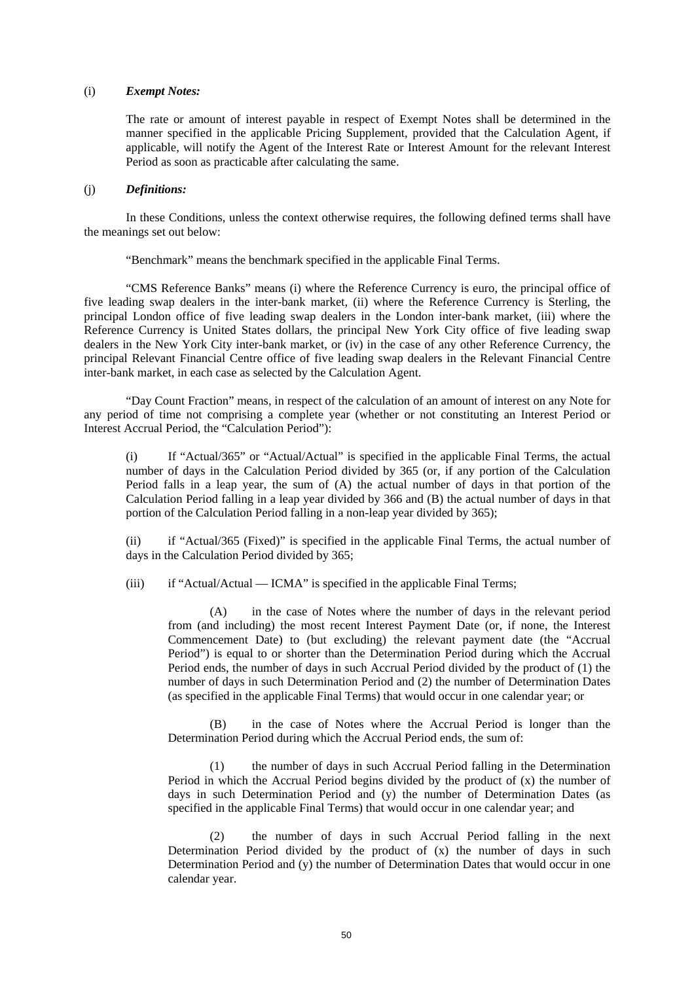### (i) *Exempt Notes:*

The rate or amount of interest payable in respect of Exempt Notes shall be determined in the manner specified in the applicable Pricing Supplement, provided that the Calculation Agent, if applicable, will notify the Agent of the Interest Rate or Interest Amount for the relevant Interest Period as soon as practicable after calculating the same.

## (j) *Definitions:*

In these Conditions, unless the context otherwise requires, the following defined terms shall have the meanings set out below:

"Benchmark" means the benchmark specified in the applicable Final Terms.

"CMS Reference Banks" means (i) where the Reference Currency is euro, the principal office of five leading swap dealers in the inter-bank market, (ii) where the Reference Currency is Sterling, the principal London office of five leading swap dealers in the London inter-bank market, (iii) where the Reference Currency is United States dollars, the principal New York City office of five leading swap dealers in the New York City inter-bank market, or (iv) in the case of any other Reference Currency, the principal Relevant Financial Centre office of five leading swap dealers in the Relevant Financial Centre inter-bank market, in each case as selected by the Calculation Agent.

"Day Count Fraction" means, in respect of the calculation of an amount of interest on any Note for any period of time not comprising a complete year (whether or not constituting an Interest Period or Interest Accrual Period, the "Calculation Period"):

(i) If "Actual/365" or "Actual/Actual" is specified in the applicable Final Terms, the actual number of days in the Calculation Period divided by 365 (or, if any portion of the Calculation Period falls in a leap year, the sum of (A) the actual number of days in that portion of the Calculation Period falling in a leap year divided by 366 and (B) the actual number of days in that portion of the Calculation Period falling in a non-leap year divided by 365);

(ii) if "Actual/365 (Fixed)" is specified in the applicable Final Terms, the actual number of days in the Calculation Period divided by 365;

(iii) if "Actual/Actual — ICMA" is specified in the applicable Final Terms;

(A) in the case of Notes where the number of days in the relevant period from (and including) the most recent Interest Payment Date (or, if none, the Interest Commencement Date) to (but excluding) the relevant payment date (the "Accrual Period") is equal to or shorter than the Determination Period during which the Accrual Period ends, the number of days in such Accrual Period divided by the product of (1) the number of days in such Determination Period and (2) the number of Determination Dates (as specified in the applicable Final Terms) that would occur in one calendar year; or

(B) in the case of Notes where the Accrual Period is longer than the Determination Period during which the Accrual Period ends, the sum of:

(1) the number of days in such Accrual Period falling in the Determination Period in which the Accrual Period begins divided by the product of (x) the number of days in such Determination Period and (y) the number of Determination Dates (as specified in the applicable Final Terms) that would occur in one calendar year; and

(2) the number of days in such Accrual Period falling in the next Determination Period divided by the product of  $(x)$  the number of days in such Determination Period and (y) the number of Determination Dates that would occur in one calendar year.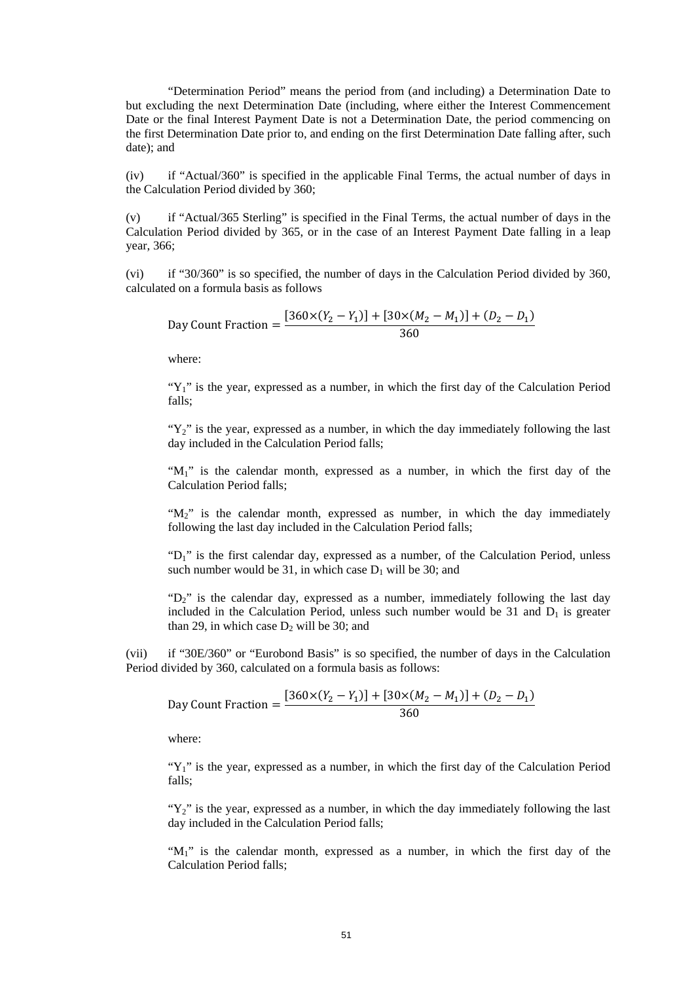"Determination Period" means the period from (and including) a Determination Date to but excluding the next Determination Date (including, where either the Interest Commencement Date or the final Interest Payment Date is not a Determination Date, the period commencing on the first Determination Date prior to, and ending on the first Determination Date falling after, such date); and

(iv) if "Actual/360" is specified in the applicable Final Terms, the actual number of days in the Calculation Period divided by 360;

(v) if "Actual/365 Sterling" is specified in the Final Terms, the actual number of days in the Calculation Period divided by 365, or in the case of an Interest Payment Date falling in a leap year, 366;

(vi) if "30/360" is so specified, the number of days in the Calculation Period divided by 360, calculated on a formula basis as follows

Day Count Fraction = 
$$
\frac{[360 \times (Y_2 - Y_1)] + [30 \times (M_2 - M_1)] + (D_2 - D_1)}{360}
$$

where:

" $Y_1$ " is the year, expressed as a number, in which the first day of the Calculation Period falls;

" $Y_2$ " is the year, expressed as a number, in which the day immediately following the last day included in the Calculation Period falls;

" $M_1$ " is the calendar month, expressed as a number, in which the first day of the Calculation Period falls;

" $M_2$ " is the calendar month, expressed as number, in which the day immediately following the last day included in the Calculation Period falls;

" $D_1$ " is the first calendar day, expressed as a number, of the Calculation Period, unless such number would be 31, in which case  $D_1$  will be 30; and

" $D_2$ " is the calendar day, expressed as a number, immediately following the last day included in the Calculation Period, unless such number would be  $31$  and  $D_1$  is greater than 29, in which case  $D_2$  will be 30; and

(vii) if "30E/360" or "Eurobond Basis" is so specified, the number of days in the Calculation Period divided by 360, calculated on a formula basis as follows:

Day Count Fraction = 
$$
\frac{[360 \times (Y_2 - Y_1)] + [30 \times (M_2 - M_1)] + (D_2 - D_1)}{360}
$$

where:

" $Y_1$ " is the year, expressed as a number, in which the first day of the Calculation Period falls;

" $Y_2$ " is the year, expressed as a number, in which the day immediately following the last day included in the Calculation Period falls;

" $M_1$ " is the calendar month, expressed as a number, in which the first day of the Calculation Period falls;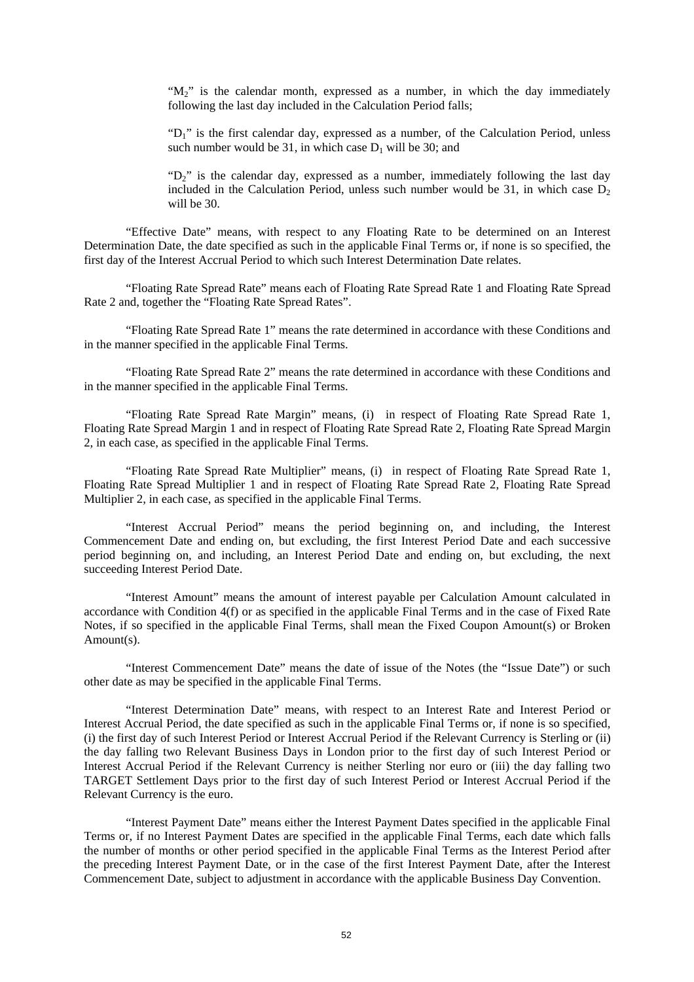" $M_2$ " is the calendar month, expressed as a number, in which the day immediately following the last day included in the Calculation Period falls;

"D<sub>1</sub>" is the first calendar day, expressed as a number, of the Calculation Period, unless such number would be 31, in which case  $D_1$  will be 30; and

" $D_2$ " is the calendar day, expressed as a number, immediately following the last day included in the Calculation Period, unless such number would be 31, in which case  $D<sub>2</sub>$ will be 30.

"Effective Date" means, with respect to any Floating Rate to be determined on an Interest Determination Date, the date specified as such in the applicable Final Terms or, if none is so specified, the first day of the Interest Accrual Period to which such Interest Determination Date relates.

"Floating Rate Spread Rate" means each of Floating Rate Spread Rate 1 and Floating Rate Spread Rate 2 and, together the "Floating Rate Spread Rates".

"Floating Rate Spread Rate 1" means the rate determined in accordance with these Conditions and in the manner specified in the applicable Final Terms.

"Floating Rate Spread Rate 2" means the rate determined in accordance with these Conditions and in the manner specified in the applicable Final Terms.

"Floating Rate Spread Rate Margin" means, (i) in respect of Floating Rate Spread Rate 1, Floating Rate Spread Margin 1 and in respect of Floating Rate Spread Rate 2, Floating Rate Spread Margin 2, in each case, as specified in the applicable Final Terms.

"Floating Rate Spread Rate Multiplier" means, (i) in respect of Floating Rate Spread Rate 1, Floating Rate Spread Multiplier 1 and in respect of Floating Rate Spread Rate 2, Floating Rate Spread Multiplier 2, in each case, as specified in the applicable Final Terms.

"Interest Accrual Period" means the period beginning on, and including, the Interest Commencement Date and ending on, but excluding, the first Interest Period Date and each successive period beginning on, and including, an Interest Period Date and ending on, but excluding, the next succeeding Interest Period Date.

"Interest Amount" means the amount of interest payable per Calculation Amount calculated in accordance with Condition 4(f) or as specified in the applicable Final Terms and in the case of Fixed Rate Notes, if so specified in the applicable Final Terms, shall mean the Fixed Coupon Amount(s) or Broken Amount(s).

"Interest Commencement Date" means the date of issue of the Notes (the "Issue Date") or such other date as may be specified in the applicable Final Terms.

"Interest Determination Date" means, with respect to an Interest Rate and Interest Period or Interest Accrual Period, the date specified as such in the applicable Final Terms or, if none is so specified, (i) the first day of such Interest Period or Interest Accrual Period if the Relevant Currency is Sterling or (ii) the day falling two Relevant Business Days in London prior to the first day of such Interest Period or Interest Accrual Period if the Relevant Currency is neither Sterling nor euro or (iii) the day falling two TARGET Settlement Days prior to the first day of such Interest Period or Interest Accrual Period if the Relevant Currency is the euro.

"Interest Payment Date" means either the Interest Payment Dates specified in the applicable Final Terms or, if no Interest Payment Dates are specified in the applicable Final Terms, each date which falls the number of months or other period specified in the applicable Final Terms as the Interest Period after the preceding Interest Payment Date, or in the case of the first Interest Payment Date, after the Interest Commencement Date, subject to adjustment in accordance with the applicable Business Day Convention.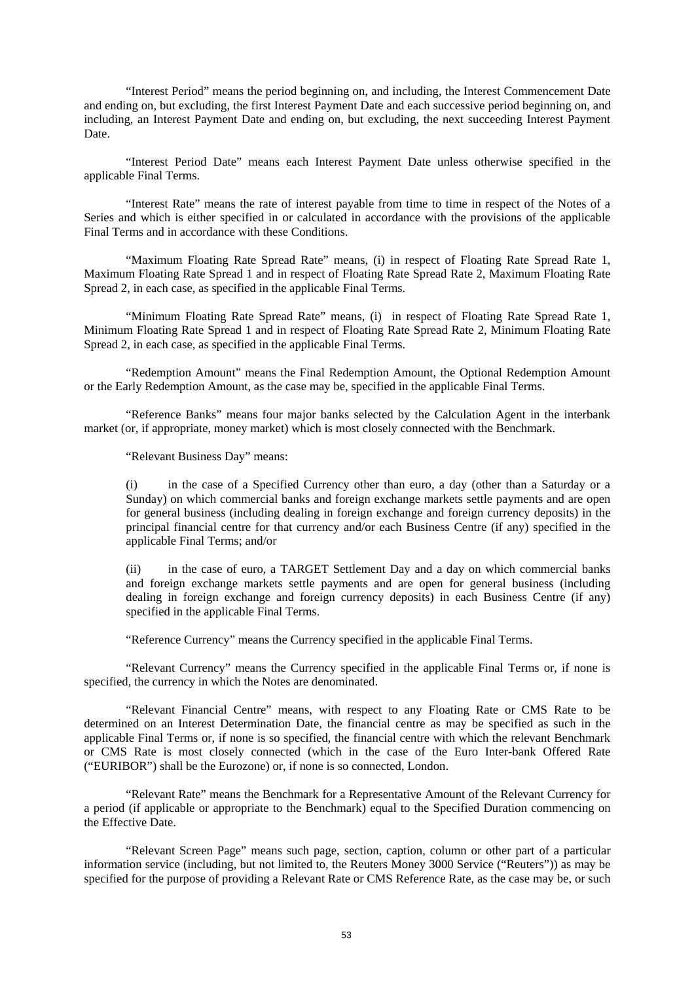"Interest Period" means the period beginning on, and including, the Interest Commencement Date and ending on, but excluding, the first Interest Payment Date and each successive period beginning on, and including, an Interest Payment Date and ending on, but excluding, the next succeeding Interest Payment Date.

"Interest Period Date" means each Interest Payment Date unless otherwise specified in the applicable Final Terms.

"Interest Rate" means the rate of interest payable from time to time in respect of the Notes of a Series and which is either specified in or calculated in accordance with the provisions of the applicable Final Terms and in accordance with these Conditions.

"Maximum Floating Rate Spread Rate" means, (i) in respect of Floating Rate Spread Rate 1, Maximum Floating Rate Spread 1 and in respect of Floating Rate Spread Rate 2, Maximum Floating Rate Spread 2, in each case, as specified in the applicable Final Terms.

"Minimum Floating Rate Spread Rate" means, (i) in respect of Floating Rate Spread Rate 1, Minimum Floating Rate Spread 1 and in respect of Floating Rate Spread Rate 2, Minimum Floating Rate Spread 2, in each case, as specified in the applicable Final Terms.

"Redemption Amount" means the Final Redemption Amount, the Optional Redemption Amount or the Early Redemption Amount, as the case may be, specified in the applicable Final Terms.

"Reference Banks" means four major banks selected by the Calculation Agent in the interbank market (or, if appropriate, money market) which is most closely connected with the Benchmark.

"Relevant Business Day" means:

(i) in the case of a Specified Currency other than euro, a day (other than a Saturday or a Sunday) on which commercial banks and foreign exchange markets settle payments and are open for general business (including dealing in foreign exchange and foreign currency deposits) in the principal financial centre for that currency and/or each Business Centre (if any) specified in the applicable Final Terms; and/or

(ii) in the case of euro, a TARGET Settlement Day and a day on which commercial banks and foreign exchange markets settle payments and are open for general business (including dealing in foreign exchange and foreign currency deposits) in each Business Centre (if any) specified in the applicable Final Terms.

"Reference Currency" means the Currency specified in the applicable Final Terms.

"Relevant Currency" means the Currency specified in the applicable Final Terms or, if none is specified, the currency in which the Notes are denominated.

"Relevant Financial Centre" means, with respect to any Floating Rate or CMS Rate to be determined on an Interest Determination Date, the financial centre as may be specified as such in the applicable Final Terms or, if none is so specified, the financial centre with which the relevant Benchmark or CMS Rate is most closely connected (which in the case of the Euro Inter-bank Offered Rate ("EURIBOR") shall be the Eurozone) or, if none is so connected, London.

"Relevant Rate" means the Benchmark for a Representative Amount of the Relevant Currency for a period (if applicable or appropriate to the Benchmark) equal to the Specified Duration commencing on the Effective Date.

"Relevant Screen Page" means such page, section, caption, column or other part of a particular information service (including, but not limited to, the Reuters Money 3000 Service ("Reuters")) as may be specified for the purpose of providing a Relevant Rate or CMS Reference Rate, as the case may be, or such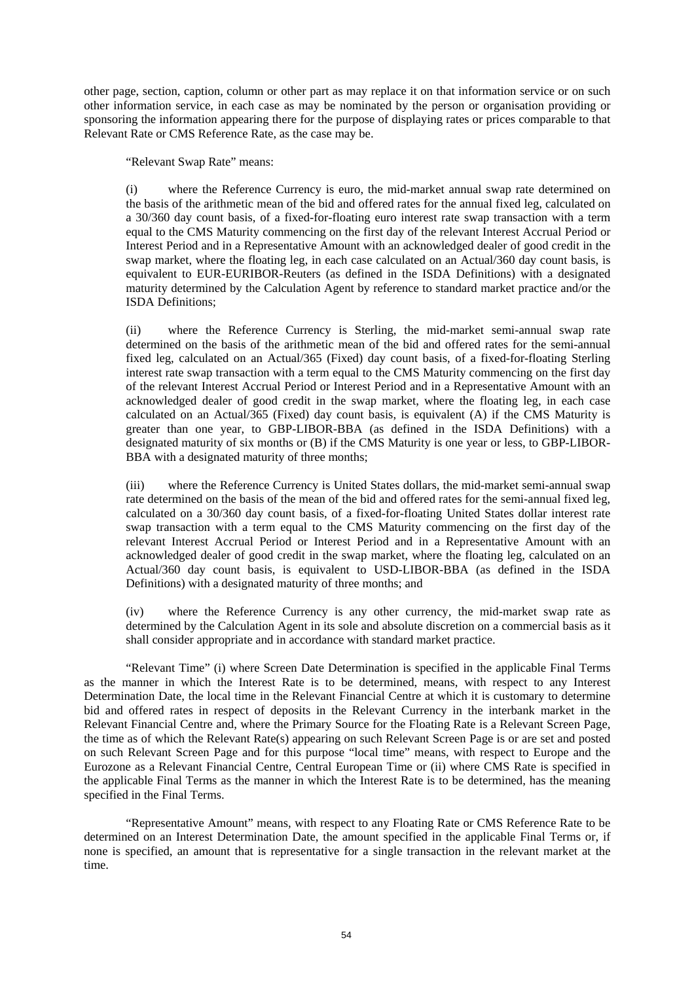other page, section, caption, column or other part as may replace it on that information service or on such other information service, in each case as may be nominated by the person or organisation providing or sponsoring the information appearing there for the purpose of displaying rates or prices comparable to that Relevant Rate or CMS Reference Rate, as the case may be.

"Relevant Swap Rate" means:

(i) where the Reference Currency is euro, the mid-market annual swap rate determined on the basis of the arithmetic mean of the bid and offered rates for the annual fixed leg, calculated on a 30/360 day count basis, of a fixed-for-floating euro interest rate swap transaction with a term equal to the CMS Maturity commencing on the first day of the relevant Interest Accrual Period or Interest Period and in a Representative Amount with an acknowledged dealer of good credit in the swap market, where the floating leg, in each case calculated on an Actual/360 day count basis, is equivalent to EUR-EURIBOR-Reuters (as defined in the ISDA Definitions) with a designated maturity determined by the Calculation Agent by reference to standard market practice and/or the ISDA Definitions;

(ii) where the Reference Currency is Sterling, the mid-market semi-annual swap rate determined on the basis of the arithmetic mean of the bid and offered rates for the semi-annual fixed leg, calculated on an Actual/365 (Fixed) day count basis, of a fixed-for-floating Sterling interest rate swap transaction with a term equal to the CMS Maturity commencing on the first day of the relevant Interest Accrual Period or Interest Period and in a Representative Amount with an acknowledged dealer of good credit in the swap market, where the floating leg, in each case calculated on an Actual/365 (Fixed) day count basis, is equivalent (A) if the CMS Maturity is greater than one year, to GBP-LIBOR-BBA (as defined in the ISDA Definitions) with a designated maturity of six months or (B) if the CMS Maturity is one year or less, to GBP-LIBOR-BBA with a designated maturity of three months;

(iii) where the Reference Currency is United States dollars, the mid-market semi-annual swap rate determined on the basis of the mean of the bid and offered rates for the semi-annual fixed leg, calculated on a 30/360 day count basis, of a fixed-for-floating United States dollar interest rate swap transaction with a term equal to the CMS Maturity commencing on the first day of the relevant Interest Accrual Period or Interest Period and in a Representative Amount with an acknowledged dealer of good credit in the swap market, where the floating leg, calculated on an Actual/360 day count basis, is equivalent to USD-LIBOR-BBA (as defined in the ISDA Definitions) with a designated maturity of three months; and

(iv) where the Reference Currency is any other currency, the mid-market swap rate as determined by the Calculation Agent in its sole and absolute discretion on a commercial basis as it shall consider appropriate and in accordance with standard market practice.

"Relevant Time" (i) where Screen Date Determination is specified in the applicable Final Terms as the manner in which the Interest Rate is to be determined, means, with respect to any Interest Determination Date, the local time in the Relevant Financial Centre at which it is customary to determine bid and offered rates in respect of deposits in the Relevant Currency in the interbank market in the Relevant Financial Centre and, where the Primary Source for the Floating Rate is a Relevant Screen Page, the time as of which the Relevant Rate(s) appearing on such Relevant Screen Page is or are set and posted on such Relevant Screen Page and for this purpose "local time" means, with respect to Europe and the Eurozone as a Relevant Financial Centre, Central European Time or (ii) where CMS Rate is specified in the applicable Final Terms as the manner in which the Interest Rate is to be determined, has the meaning specified in the Final Terms.

"Representative Amount" means, with respect to any Floating Rate or CMS Reference Rate to be determined on an Interest Determination Date, the amount specified in the applicable Final Terms or, if none is specified, an amount that is representative for a single transaction in the relevant market at the time.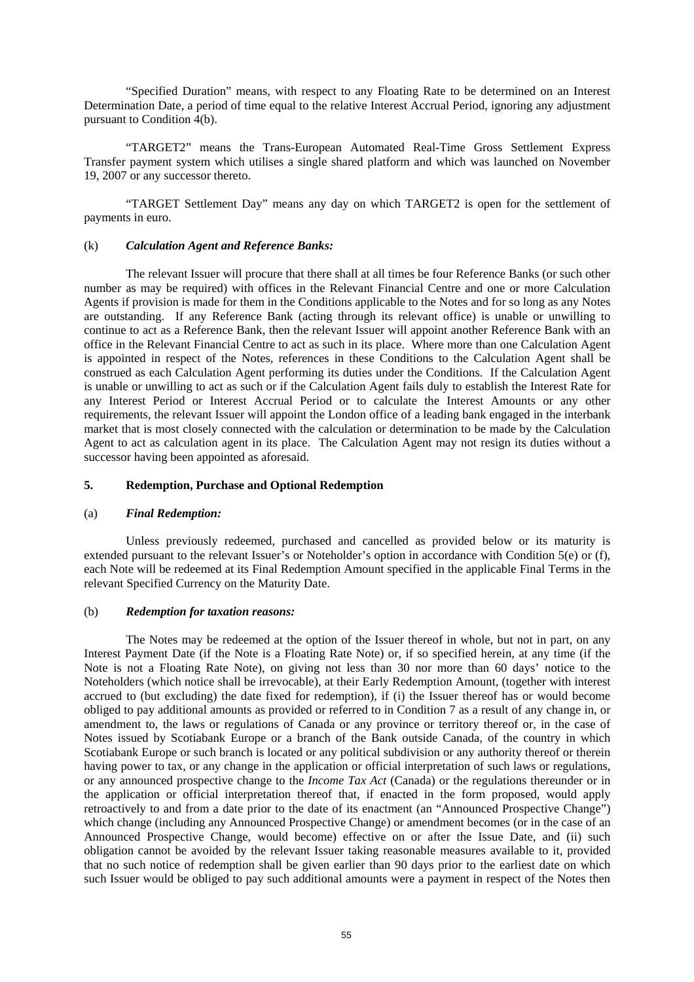"Specified Duration" means, with respect to any Floating Rate to be determined on an Interest Determination Date, a period of time equal to the relative Interest Accrual Period, ignoring any adjustment pursuant to Condition 4(b).

"TARGET2" means the Trans-European Automated Real-Time Gross Settlement Express Transfer payment system which utilises a single shared platform and which was launched on November 19, 2007 or any successor thereto.

"TARGET Settlement Day" means any day on which TARGET2 is open for the settlement of payments in euro.

### (k) *Calculation Agent and Reference Banks:*

The relevant Issuer will procure that there shall at all times be four Reference Banks (or such other number as may be required) with offices in the Relevant Financial Centre and one or more Calculation Agents if provision is made for them in the Conditions applicable to the Notes and for so long as any Notes are outstanding. If any Reference Bank (acting through its relevant office) is unable or unwilling to continue to act as a Reference Bank, then the relevant Issuer will appoint another Reference Bank with an office in the Relevant Financial Centre to act as such in its place. Where more than one Calculation Agent is appointed in respect of the Notes, references in these Conditions to the Calculation Agent shall be construed as each Calculation Agent performing its duties under the Conditions. If the Calculation Agent is unable or unwilling to act as such or if the Calculation Agent fails duly to establish the Interest Rate for any Interest Period or Interest Accrual Period or to calculate the Interest Amounts or any other requirements, the relevant Issuer will appoint the London office of a leading bank engaged in the interbank market that is most closely connected with the calculation or determination to be made by the Calculation Agent to act as calculation agent in its place. The Calculation Agent may not resign its duties without a successor having been appointed as aforesaid.

### **5. Redemption, Purchase and Optional Redemption**

#### (a) *Final Redemption:*

Unless previously redeemed, purchased and cancelled as provided below or its maturity is extended pursuant to the relevant Issuer's or Noteholder's option in accordance with Condition 5(e) or (f), each Note will be redeemed at its Final Redemption Amount specified in the applicable Final Terms in the relevant Specified Currency on the Maturity Date.

#### (b) *Redemption for taxation reasons:*

The Notes may be redeemed at the option of the Issuer thereof in whole, but not in part, on any Interest Payment Date (if the Note is a Floating Rate Note) or, if so specified herein, at any time (if the Note is not a Floating Rate Note), on giving not less than 30 nor more than 60 days' notice to the Noteholders (which notice shall be irrevocable), at their Early Redemption Amount, (together with interest accrued to (but excluding) the date fixed for redemption), if (i) the Issuer thereof has or would become obliged to pay additional amounts as provided or referred to in Condition 7 as a result of any change in, or amendment to, the laws or regulations of Canada or any province or territory thereof or, in the case of Notes issued by Scotiabank Europe or a branch of the Bank outside Canada, of the country in which Scotiabank Europe or such branch is located or any political subdivision or any authority thereof or therein having power to tax, or any change in the application or official interpretation of such laws or regulations, or any announced prospective change to the *Income Tax Act* (Canada) or the regulations thereunder or in the application or official interpretation thereof that, if enacted in the form proposed, would apply retroactively to and from a date prior to the date of its enactment (an "Announced Prospective Change") which change (including any Announced Prospective Change) or amendment becomes (or in the case of an Announced Prospective Change, would become) effective on or after the Issue Date, and (ii) such obligation cannot be avoided by the relevant Issuer taking reasonable measures available to it, provided that no such notice of redemption shall be given earlier than 90 days prior to the earliest date on which such Issuer would be obliged to pay such additional amounts were a payment in respect of the Notes then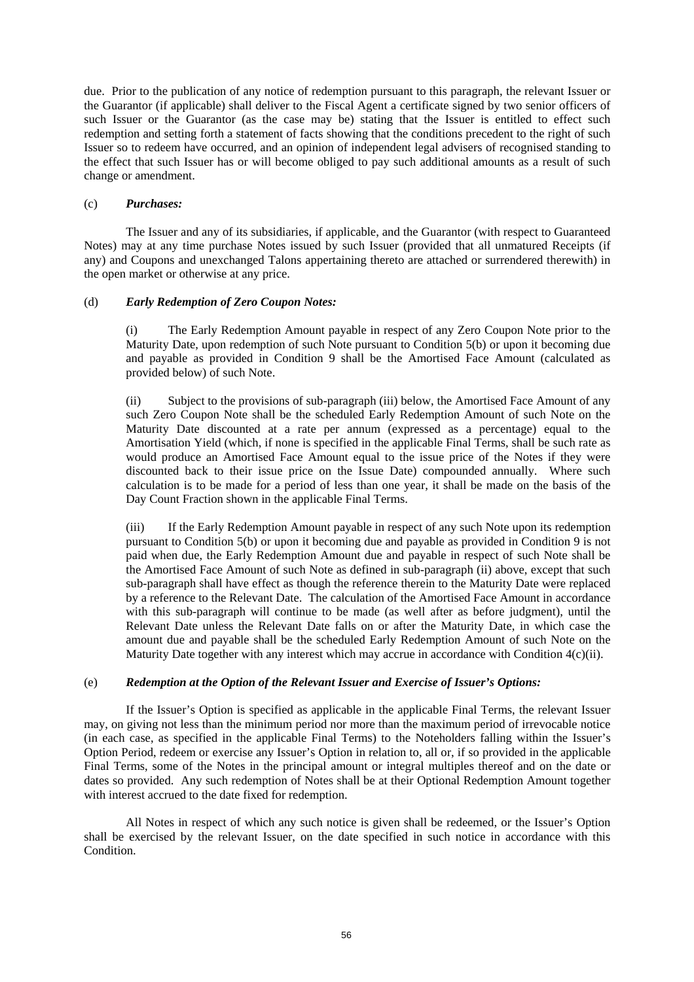due. Prior to the publication of any notice of redemption pursuant to this paragraph, the relevant Issuer or the Guarantor (if applicable) shall deliver to the Fiscal Agent a certificate signed by two senior officers of such Issuer or the Guarantor (as the case may be) stating that the Issuer is entitled to effect such redemption and setting forth a statement of facts showing that the conditions precedent to the right of such Issuer so to redeem have occurred, and an opinion of independent legal advisers of recognised standing to the effect that such Issuer has or will become obliged to pay such additional amounts as a result of such change or amendment.

# (c) *Purchases:*

The Issuer and any of its subsidiaries, if applicable, and the Guarantor (with respect to Guaranteed Notes) may at any time purchase Notes issued by such Issuer (provided that all unmatured Receipts (if any) and Coupons and unexchanged Talons appertaining thereto are attached or surrendered therewith) in the open market or otherwise at any price.

# (d) *Early Redemption of Zero Coupon Notes:*

(i) The Early Redemption Amount payable in respect of any Zero Coupon Note prior to the Maturity Date, upon redemption of such Note pursuant to Condition 5(b) or upon it becoming due and payable as provided in Condition 9 shall be the Amortised Face Amount (calculated as provided below) of such Note.

(ii) Subject to the provisions of sub-paragraph (iii) below, the Amortised Face Amount of any such Zero Coupon Note shall be the scheduled Early Redemption Amount of such Note on the Maturity Date discounted at a rate per annum (expressed as a percentage) equal to the Amortisation Yield (which, if none is specified in the applicable Final Terms, shall be such rate as would produce an Amortised Face Amount equal to the issue price of the Notes if they were discounted back to their issue price on the Issue Date) compounded annually. Where such calculation is to be made for a period of less than one year, it shall be made on the basis of the Day Count Fraction shown in the applicable Final Terms.

(iii) If the Early Redemption Amount payable in respect of any such Note upon its redemption pursuant to Condition 5(b) or upon it becoming due and payable as provided in Condition 9 is not paid when due, the Early Redemption Amount due and payable in respect of such Note shall be the Amortised Face Amount of such Note as defined in sub-paragraph (ii) above, except that such sub-paragraph shall have effect as though the reference therein to the Maturity Date were replaced by a reference to the Relevant Date. The calculation of the Amortised Face Amount in accordance with this sub-paragraph will continue to be made (as well after as before judgment), until the Relevant Date unless the Relevant Date falls on or after the Maturity Date, in which case the amount due and payable shall be the scheduled Early Redemption Amount of such Note on the Maturity Date together with any interest which may accrue in accordance with Condition  $4(c)(ii)$ .

# (e) *Redemption at the Option of the Relevant Issuer and Exercise of Issuer's Options:*

If the Issuer's Option is specified as applicable in the applicable Final Terms, the relevant Issuer may, on giving not less than the minimum period nor more than the maximum period of irrevocable notice (in each case, as specified in the applicable Final Terms) to the Noteholders falling within the Issuer's Option Period, redeem or exercise any Issuer's Option in relation to, all or, if so provided in the applicable Final Terms, some of the Notes in the principal amount or integral multiples thereof and on the date or dates so provided. Any such redemption of Notes shall be at their Optional Redemption Amount together with interest accrued to the date fixed for redemption.

All Notes in respect of which any such notice is given shall be redeemed, or the Issuer's Option shall be exercised by the relevant Issuer, on the date specified in such notice in accordance with this Condition.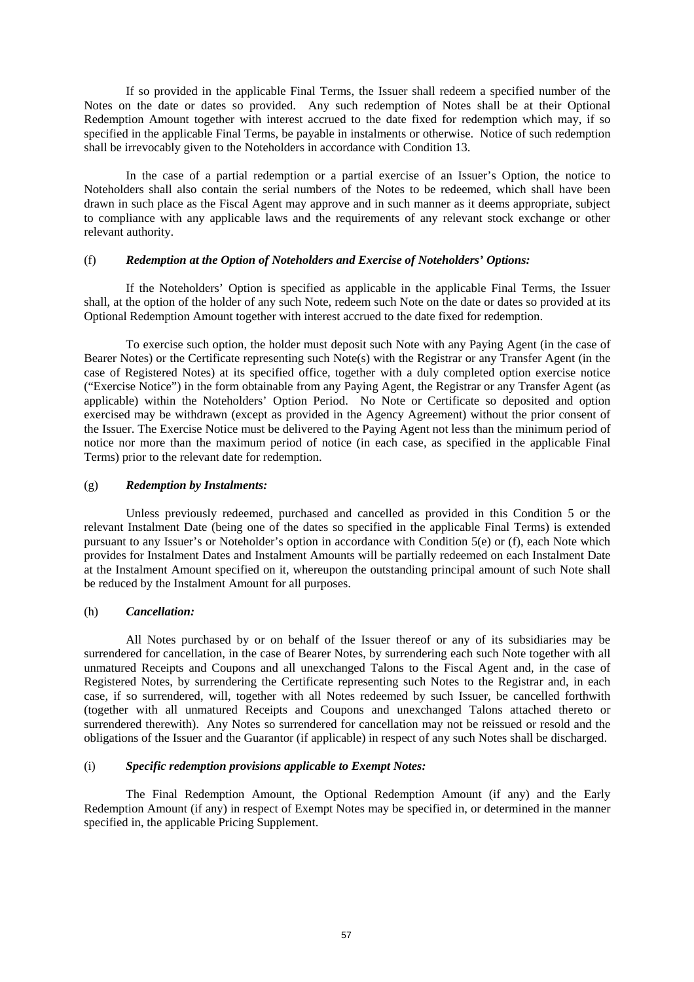If so provided in the applicable Final Terms, the Issuer shall redeem a specified number of the Notes on the date or dates so provided. Any such redemption of Notes shall be at their Optional Redemption Amount together with interest accrued to the date fixed for redemption which may, if so specified in the applicable Final Terms, be payable in instalments or otherwise. Notice of such redemption shall be irrevocably given to the Noteholders in accordance with Condition 13.

In the case of a partial redemption or a partial exercise of an Issuer's Option, the notice to Noteholders shall also contain the serial numbers of the Notes to be redeemed, which shall have been drawn in such place as the Fiscal Agent may approve and in such manner as it deems appropriate, subject to compliance with any applicable laws and the requirements of any relevant stock exchange or other relevant authority.

## (f) *Redemption at the Option of Noteholders and Exercise of Noteholders' Options:*

If the Noteholders' Option is specified as applicable in the applicable Final Terms, the Issuer shall, at the option of the holder of any such Note, redeem such Note on the date or dates so provided at its Optional Redemption Amount together with interest accrued to the date fixed for redemption.

To exercise such option, the holder must deposit such Note with any Paying Agent (in the case of Bearer Notes) or the Certificate representing such Note(s) with the Registrar or any Transfer Agent (in the case of Registered Notes) at its specified office, together with a duly completed option exercise notice ("Exercise Notice") in the form obtainable from any Paying Agent, the Registrar or any Transfer Agent (as applicable) within the Noteholders' Option Period. No Note or Certificate so deposited and option exercised may be withdrawn (except as provided in the Agency Agreement) without the prior consent of the Issuer. The Exercise Notice must be delivered to the Paying Agent not less than the minimum period of notice nor more than the maximum period of notice (in each case, as specified in the applicable Final Terms) prior to the relevant date for redemption.

# (g) *Redemption by Instalments:*

Unless previously redeemed, purchased and cancelled as provided in this Condition 5 or the relevant Instalment Date (being one of the dates so specified in the applicable Final Terms) is extended pursuant to any Issuer's or Noteholder's option in accordance with Condition 5(e) or (f), each Note which provides for Instalment Dates and Instalment Amounts will be partially redeemed on each Instalment Date at the Instalment Amount specified on it, whereupon the outstanding principal amount of such Note shall be reduced by the Instalment Amount for all purposes.

# (h) *Cancellation:*

All Notes purchased by or on behalf of the Issuer thereof or any of its subsidiaries may be surrendered for cancellation, in the case of Bearer Notes, by surrendering each such Note together with all unmatured Receipts and Coupons and all unexchanged Talons to the Fiscal Agent and, in the case of Registered Notes, by surrendering the Certificate representing such Notes to the Registrar and, in each case, if so surrendered, will, together with all Notes redeemed by such Issuer, be cancelled forthwith (together with all unmatured Receipts and Coupons and unexchanged Talons attached thereto or surrendered therewith). Any Notes so surrendered for cancellation may not be reissued or resold and the obligations of the Issuer and the Guarantor (if applicable) in respect of any such Notes shall be discharged.

## (i) *Specific redemption provisions applicable to Exempt Notes:*

The Final Redemption Amount, the Optional Redemption Amount (if any) and the Early Redemption Amount (if any) in respect of Exempt Notes may be specified in, or determined in the manner specified in, the applicable Pricing Supplement.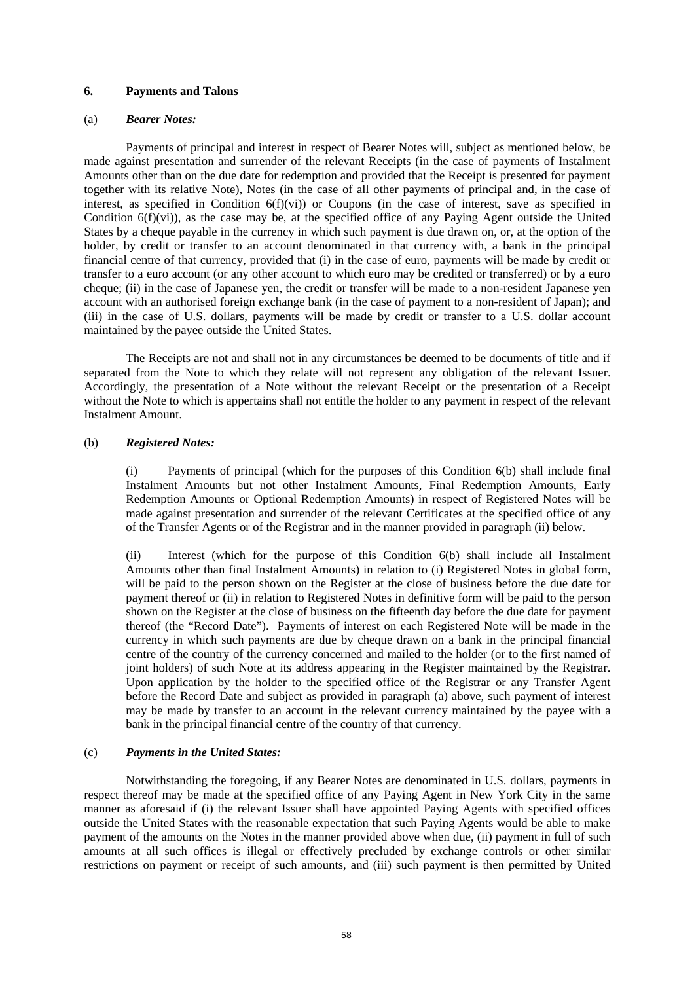# **6. Payments and Talons**

## (a) *Bearer Notes:*

Payments of principal and interest in respect of Bearer Notes will, subject as mentioned below, be made against presentation and surrender of the relevant Receipts (in the case of payments of Instalment Amounts other than on the due date for redemption and provided that the Receipt is presented for payment together with its relative Note), Notes (in the case of all other payments of principal and, in the case of interest, as specified in Condition 6(f)(vi)) or Coupons (in the case of interest, save as specified in Condition 6(f)(vi)), as the case may be, at the specified office of any Paying Agent outside the United States by a cheque payable in the currency in which such payment is due drawn on, or, at the option of the holder, by credit or transfer to an account denominated in that currency with, a bank in the principal financial centre of that currency, provided that (i) in the case of euro, payments will be made by credit or transfer to a euro account (or any other account to which euro may be credited or transferred) or by a euro cheque; (ii) in the case of Japanese yen, the credit or transfer will be made to a non-resident Japanese yen account with an authorised foreign exchange bank (in the case of payment to a non-resident of Japan); and (iii) in the case of U.S. dollars, payments will be made by credit or transfer to a U.S. dollar account maintained by the payee outside the United States.

The Receipts are not and shall not in any circumstances be deemed to be documents of title and if separated from the Note to which they relate will not represent any obligation of the relevant Issuer. Accordingly, the presentation of a Note without the relevant Receipt or the presentation of a Receipt without the Note to which is appertains shall not entitle the holder to any payment in respect of the relevant Instalment Amount.

## (b) *Registered Notes:*

(i) Payments of principal (which for the purposes of this Condition 6(b) shall include final Instalment Amounts but not other Instalment Amounts, Final Redemption Amounts, Early Redemption Amounts or Optional Redemption Amounts) in respect of Registered Notes will be made against presentation and surrender of the relevant Certificates at the specified office of any of the Transfer Agents or of the Registrar and in the manner provided in paragraph (ii) below.

(ii) Interest (which for the purpose of this Condition 6(b) shall include all Instalment Amounts other than final Instalment Amounts) in relation to (i) Registered Notes in global form, will be paid to the person shown on the Register at the close of business before the due date for payment thereof or (ii) in relation to Registered Notes in definitive form will be paid to the person shown on the Register at the close of business on the fifteenth day before the due date for payment thereof (the "Record Date"). Payments of interest on each Registered Note will be made in the currency in which such payments are due by cheque drawn on a bank in the principal financial centre of the country of the currency concerned and mailed to the holder (or to the first named of joint holders) of such Note at its address appearing in the Register maintained by the Registrar. Upon application by the holder to the specified office of the Registrar or any Transfer Agent before the Record Date and subject as provided in paragraph (a) above, such payment of interest may be made by transfer to an account in the relevant currency maintained by the payee with a bank in the principal financial centre of the country of that currency.

## (c) *Payments in the United States:*

Notwithstanding the foregoing, if any Bearer Notes are denominated in U.S. dollars, payments in respect thereof may be made at the specified office of any Paying Agent in New York City in the same manner as aforesaid if (i) the relevant Issuer shall have appointed Paying Agents with specified offices outside the United States with the reasonable expectation that such Paying Agents would be able to make payment of the amounts on the Notes in the manner provided above when due, (ii) payment in full of such amounts at all such offices is illegal or effectively precluded by exchange controls or other similar restrictions on payment or receipt of such amounts, and (iii) such payment is then permitted by United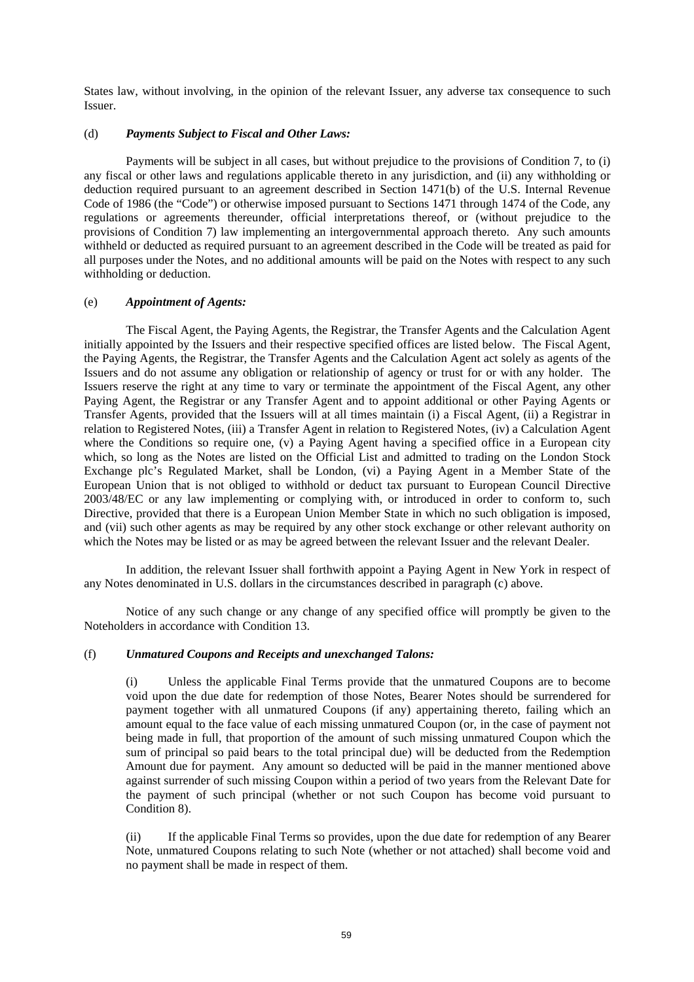States law, without involving, in the opinion of the relevant Issuer, any adverse tax consequence to such Issuer.

# (d) *Payments Subject to Fiscal and Other Laws:*

Payments will be subject in all cases, but without prejudice to the provisions of Condition 7, to (i) any fiscal or other laws and regulations applicable thereto in any jurisdiction, and (ii) any withholding or deduction required pursuant to an agreement described in Section 1471(b) of the U.S. Internal Revenue Code of 1986 (the "Code") or otherwise imposed pursuant to Sections 1471 through 1474 of the Code, any regulations or agreements thereunder, official interpretations thereof, or (without prejudice to the provisions of Condition 7) law implementing an intergovernmental approach thereto. Any such amounts withheld or deducted as required pursuant to an agreement described in the Code will be treated as paid for all purposes under the Notes, and no additional amounts will be paid on the Notes with respect to any such withholding or deduction.

# (e) *Appointment of Agents:*

The Fiscal Agent, the Paying Agents, the Registrar, the Transfer Agents and the Calculation Agent initially appointed by the Issuers and their respective specified offices are listed below. The Fiscal Agent, the Paying Agents, the Registrar, the Transfer Agents and the Calculation Agent act solely as agents of the Issuers and do not assume any obligation or relationship of agency or trust for or with any holder. The Issuers reserve the right at any time to vary or terminate the appointment of the Fiscal Agent, any other Paying Agent, the Registrar or any Transfer Agent and to appoint additional or other Paying Agents or Transfer Agents, provided that the Issuers will at all times maintain (i) a Fiscal Agent, (ii) a Registrar in relation to Registered Notes, (iii) a Transfer Agent in relation to Registered Notes, (iv) a Calculation Agent where the Conditions so require one, (v) a Paying Agent having a specified office in a European city which, so long as the Notes are listed on the Official List and admitted to trading on the London Stock Exchange plc's Regulated Market, shall be London, (vi) a Paying Agent in a Member State of the European Union that is not obliged to withhold or deduct tax pursuant to European Council Directive 2003/48/EC or any law implementing or complying with, or introduced in order to conform to, such Directive, provided that there is a European Union Member State in which no such obligation is imposed, and (vii) such other agents as may be required by any other stock exchange or other relevant authority on which the Notes may be listed or as may be agreed between the relevant Issuer and the relevant Dealer.

In addition, the relevant Issuer shall forthwith appoint a Paying Agent in New York in respect of any Notes denominated in U.S. dollars in the circumstances described in paragraph (c) above.

Notice of any such change or any change of any specified office will promptly be given to the Noteholders in accordance with Condition 13.

## (f) *Unmatured Coupons and Receipts and unexchanged Talons:*

(i) Unless the applicable Final Terms provide that the unmatured Coupons are to become void upon the due date for redemption of those Notes, Bearer Notes should be surrendered for payment together with all unmatured Coupons (if any) appertaining thereto, failing which an amount equal to the face value of each missing unmatured Coupon (or, in the case of payment not being made in full, that proportion of the amount of such missing unmatured Coupon which the sum of principal so paid bears to the total principal due) will be deducted from the Redemption Amount due for payment. Any amount so deducted will be paid in the manner mentioned above against surrender of such missing Coupon within a period of two years from the Relevant Date for the payment of such principal (whether or not such Coupon has become void pursuant to Condition 8).

(ii) If the applicable Final Terms so provides, upon the due date for redemption of any Bearer Note, unmatured Coupons relating to such Note (whether or not attached) shall become void and no payment shall be made in respect of them.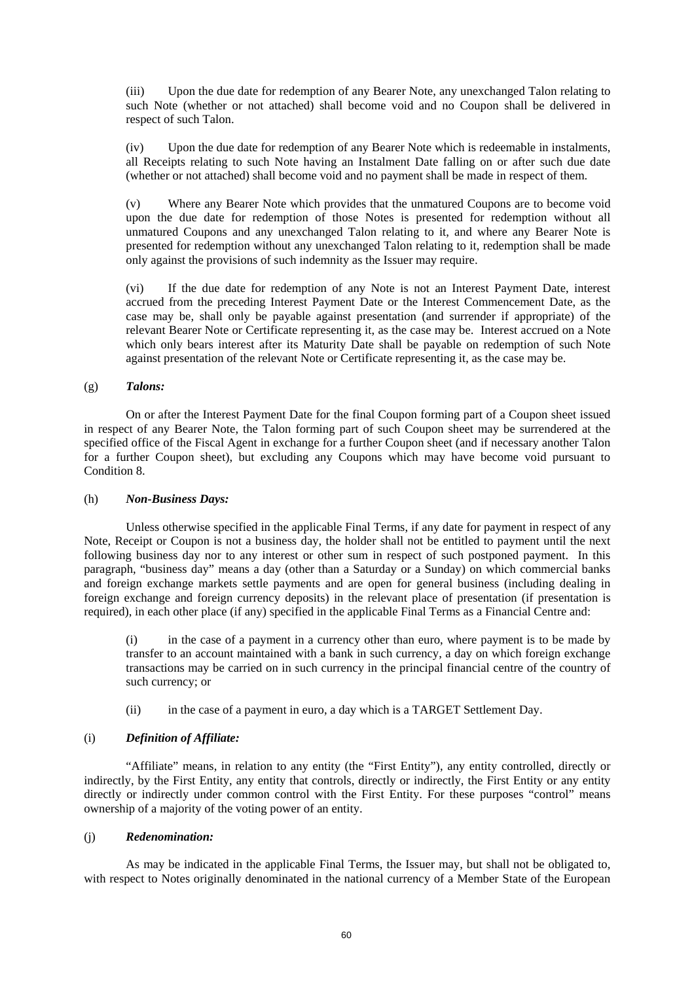(iii) Upon the due date for redemption of any Bearer Note, any unexchanged Talon relating to such Note (whether or not attached) shall become void and no Coupon shall be delivered in respect of such Talon.

(iv) Upon the due date for redemption of any Bearer Note which is redeemable in instalments, all Receipts relating to such Note having an Instalment Date falling on or after such due date (whether or not attached) shall become void and no payment shall be made in respect of them.

(v) Where any Bearer Note which provides that the unmatured Coupons are to become void upon the due date for redemption of those Notes is presented for redemption without all unmatured Coupons and any unexchanged Talon relating to it, and where any Bearer Note is presented for redemption without any unexchanged Talon relating to it, redemption shall be made only against the provisions of such indemnity as the Issuer may require.

(vi) If the due date for redemption of any Note is not an Interest Payment Date, interest accrued from the preceding Interest Payment Date or the Interest Commencement Date, as the case may be, shall only be payable against presentation (and surrender if appropriate) of the relevant Bearer Note or Certificate representing it, as the case may be. Interest accrued on a Note which only bears interest after its Maturity Date shall be payable on redemption of such Note against presentation of the relevant Note or Certificate representing it, as the case may be.

## (g) *Talons:*

On or after the Interest Payment Date for the final Coupon forming part of a Coupon sheet issued in respect of any Bearer Note, the Talon forming part of such Coupon sheet may be surrendered at the specified office of the Fiscal Agent in exchange for a further Coupon sheet (and if necessary another Talon for a further Coupon sheet), but excluding any Coupons which may have become void pursuant to Condition 8.

## (h) *Non-Business Days:*

Unless otherwise specified in the applicable Final Terms, if any date for payment in respect of any Note, Receipt or Coupon is not a business day, the holder shall not be entitled to payment until the next following business day nor to any interest or other sum in respect of such postponed payment. In this paragraph, "business day" means a day (other than a Saturday or a Sunday) on which commercial banks and foreign exchange markets settle payments and are open for general business (including dealing in foreign exchange and foreign currency deposits) in the relevant place of presentation (if presentation is required), in each other place (if any) specified in the applicable Final Terms as a Financial Centre and:

(i) in the case of a payment in a currency other than euro, where payment is to be made by transfer to an account maintained with a bank in such currency, a day on which foreign exchange transactions may be carried on in such currency in the principal financial centre of the country of such currency; or

(ii) in the case of a payment in euro, a day which is a TARGET Settlement Day.

# (i) *Definition of Affiliate:*

"Affiliate" means, in relation to any entity (the "First Entity"), any entity controlled, directly or indirectly, by the First Entity, any entity that controls, directly or indirectly, the First Entity or any entity directly or indirectly under common control with the First Entity. For these purposes "control" means ownership of a majority of the voting power of an entity.

## (j) *Redenomination:*

As may be indicated in the applicable Final Terms, the Issuer may, but shall not be obligated to, with respect to Notes originally denominated in the national currency of a Member State of the European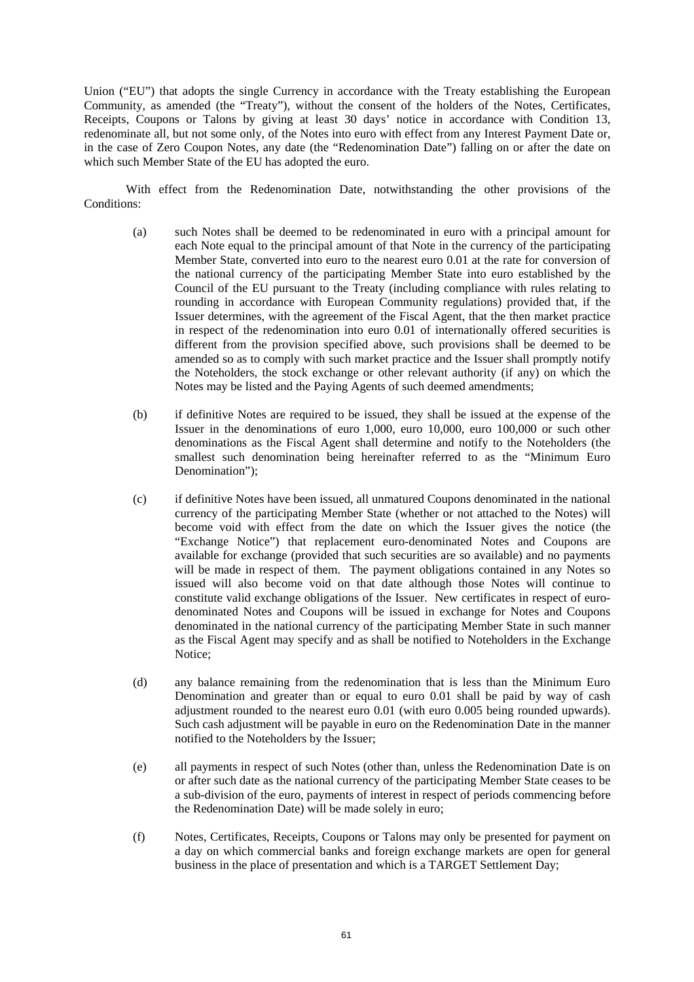Union ("EU") that adopts the single Currency in accordance with the Treaty establishing the European Community, as amended (the "Treaty"), without the consent of the holders of the Notes, Certificates, Receipts, Coupons or Talons by giving at least 30 days' notice in accordance with Condition 13, redenominate all, but not some only, of the Notes into euro with effect from any Interest Payment Date or, in the case of Zero Coupon Notes, any date (the "Redenomination Date") falling on or after the date on which such Member State of the EU has adopted the euro.

With effect from the Redenomination Date, notwithstanding the other provisions of the Conditions<sup>.</sup>

- (a) such Notes shall be deemed to be redenominated in euro with a principal amount for each Note equal to the principal amount of that Note in the currency of the participating Member State, converted into euro to the nearest euro 0.01 at the rate for conversion of the national currency of the participating Member State into euro established by the Council of the EU pursuant to the Treaty (including compliance with rules relating to rounding in accordance with European Community regulations) provided that, if the Issuer determines, with the agreement of the Fiscal Agent, that the then market practice in respect of the redenomination into euro 0.01 of internationally offered securities is different from the provision specified above, such provisions shall be deemed to be amended so as to comply with such market practice and the Issuer shall promptly notify the Noteholders, the stock exchange or other relevant authority (if any) on which the Notes may be listed and the Paying Agents of such deemed amendments;
- (b) if definitive Notes are required to be issued, they shall be issued at the expense of the Issuer in the denominations of euro 1,000, euro 10,000, euro 100,000 or such other denominations as the Fiscal Agent shall determine and notify to the Noteholders (the smallest such denomination being hereinafter referred to as the "Minimum Euro Denomination");
- (c) if definitive Notes have been issued, all unmatured Coupons denominated in the national currency of the participating Member State (whether or not attached to the Notes) will become void with effect from the date on which the Issuer gives the notice (the "Exchange Notice") that replacement euro-denominated Notes and Coupons are available for exchange (provided that such securities are so available) and no payments will be made in respect of them. The payment obligations contained in any Notes so issued will also become void on that date although those Notes will continue to constitute valid exchange obligations of the Issuer. New certificates in respect of eurodenominated Notes and Coupons will be issued in exchange for Notes and Coupons denominated in the national currency of the participating Member State in such manner as the Fiscal Agent may specify and as shall be notified to Noteholders in the Exchange Notice;
- (d) any balance remaining from the redenomination that is less than the Minimum Euro Denomination and greater than or equal to euro 0.01 shall be paid by way of cash adjustment rounded to the nearest euro 0.01 (with euro 0.005 being rounded upwards). Such cash adjustment will be payable in euro on the Redenomination Date in the manner notified to the Noteholders by the Issuer;
- (e) all payments in respect of such Notes (other than, unless the Redenomination Date is on or after such date as the national currency of the participating Member State ceases to be a sub-division of the euro, payments of interest in respect of periods commencing before the Redenomination Date) will be made solely in euro;
- (f) Notes, Certificates, Receipts, Coupons or Talons may only be presented for payment on a day on which commercial banks and foreign exchange markets are open for general business in the place of presentation and which is a TARGET Settlement Day;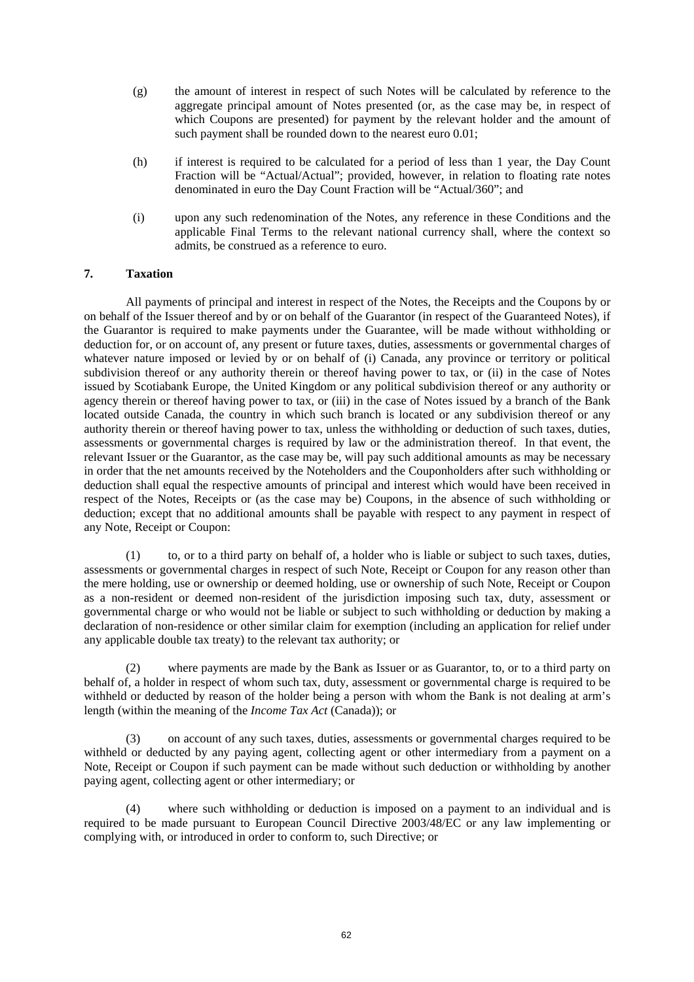- (g) the amount of interest in respect of such Notes will be calculated by reference to the aggregate principal amount of Notes presented (or, as the case may be, in respect of which Coupons are presented) for payment by the relevant holder and the amount of such payment shall be rounded down to the nearest euro 0.01;
- (h) if interest is required to be calculated for a period of less than 1 year, the Day Count Fraction will be "Actual/Actual"; provided, however, in relation to floating rate notes denominated in euro the Day Count Fraction will be "Actual/360"; and
- (i) upon any such redenomination of the Notes, any reference in these Conditions and the applicable Final Terms to the relevant national currency shall, where the context so admits, be construed as a reference to euro.

# **7. Taxation**

All payments of principal and interest in respect of the Notes, the Receipts and the Coupons by or on behalf of the Issuer thereof and by or on behalf of the Guarantor (in respect of the Guaranteed Notes), if the Guarantor is required to make payments under the Guarantee, will be made without withholding or deduction for, or on account of, any present or future taxes, duties, assessments or governmental charges of whatever nature imposed or levied by or on behalf of (i) Canada, any province or territory or political subdivision thereof or any authority therein or thereof having power to tax, or (ii) in the case of Notes issued by Scotiabank Europe, the United Kingdom or any political subdivision thereof or any authority or agency therein or thereof having power to tax, or (iii) in the case of Notes issued by a branch of the Bank located outside Canada, the country in which such branch is located or any subdivision thereof or any authority therein or thereof having power to tax, unless the withholding or deduction of such taxes, duties, assessments or governmental charges is required by law or the administration thereof. In that event, the relevant Issuer or the Guarantor, as the case may be, will pay such additional amounts as may be necessary in order that the net amounts received by the Noteholders and the Couponholders after such withholding or deduction shall equal the respective amounts of principal and interest which would have been received in respect of the Notes, Receipts or (as the case may be) Coupons, in the absence of such withholding or deduction; except that no additional amounts shall be payable with respect to any payment in respect of any Note, Receipt or Coupon:

(1) to, or to a third party on behalf of, a holder who is liable or subject to such taxes, duties, assessments or governmental charges in respect of such Note, Receipt or Coupon for any reason other than the mere holding, use or ownership or deemed holding, use or ownership of such Note, Receipt or Coupon as a non-resident or deemed non-resident of the jurisdiction imposing such tax, duty, assessment or governmental charge or who would not be liable or subject to such withholding or deduction by making a declaration of non-residence or other similar claim for exemption (including an application for relief under any applicable double tax treaty) to the relevant tax authority; or

(2) where payments are made by the Bank as Issuer or as Guarantor, to, or to a third party on behalf of, a holder in respect of whom such tax, duty, assessment or governmental charge is required to be withheld or deducted by reason of the holder being a person with whom the Bank is not dealing at arm's length (within the meaning of the *Income Tax Act* (Canada)); or

(3) on account of any such taxes, duties, assessments or governmental charges required to be withheld or deducted by any paying agent, collecting agent or other intermediary from a payment on a Note, Receipt or Coupon if such payment can be made without such deduction or withholding by another paying agent, collecting agent or other intermediary; or

(4) where such withholding or deduction is imposed on a payment to an individual and is required to be made pursuant to European Council Directive 2003/48/EC or any law implementing or complying with, or introduced in order to conform to, such Directive; or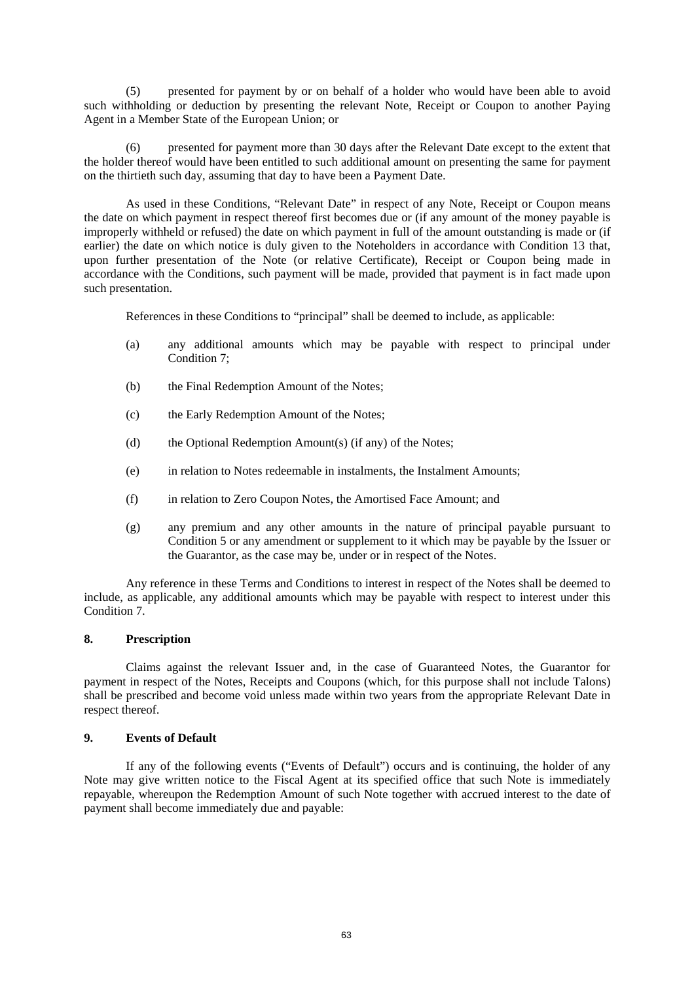(5) presented for payment by or on behalf of a holder who would have been able to avoid such withholding or deduction by presenting the relevant Note, Receipt or Coupon to another Paying Agent in a Member State of the European Union; or

(6) presented for payment more than 30 days after the Relevant Date except to the extent that the holder thereof would have been entitled to such additional amount on presenting the same for payment on the thirtieth such day, assuming that day to have been a Payment Date.

As used in these Conditions, "Relevant Date" in respect of any Note, Receipt or Coupon means the date on which payment in respect thereof first becomes due or (if any amount of the money payable is improperly withheld or refused) the date on which payment in full of the amount outstanding is made or (if earlier) the date on which notice is duly given to the Noteholders in accordance with Condition 13 that, upon further presentation of the Note (or relative Certificate), Receipt or Coupon being made in accordance with the Conditions, such payment will be made, provided that payment is in fact made upon such presentation.

References in these Conditions to "principal" shall be deemed to include, as applicable:

- (a) any additional amounts which may be payable with respect to principal under Condition 7;
- (b) the Final Redemption Amount of the Notes;
- (c) the Early Redemption Amount of the Notes;
- (d) the Optional Redemption Amount(s) (if any) of the Notes;
- (e) in relation to Notes redeemable in instalments, the Instalment Amounts;
- (f) in relation to Zero Coupon Notes, the Amortised Face Amount; and
- (g) any premium and any other amounts in the nature of principal payable pursuant to Condition 5 or any amendment or supplement to it which may be payable by the Issuer or the Guarantor, as the case may be, under or in respect of the Notes.

Any reference in these Terms and Conditions to interest in respect of the Notes shall be deemed to include, as applicable, any additional amounts which may be payable with respect to interest under this Condition 7.

## **8. Prescription**

Claims against the relevant Issuer and, in the case of Guaranteed Notes, the Guarantor for payment in respect of the Notes, Receipts and Coupons (which, for this purpose shall not include Talons) shall be prescribed and become void unless made within two years from the appropriate Relevant Date in respect thereof.

# **9. Events of Default**

If any of the following events ("Events of Default") occurs and is continuing, the holder of any Note may give written notice to the Fiscal Agent at its specified office that such Note is immediately repayable, whereupon the Redemption Amount of such Note together with accrued interest to the date of payment shall become immediately due and payable: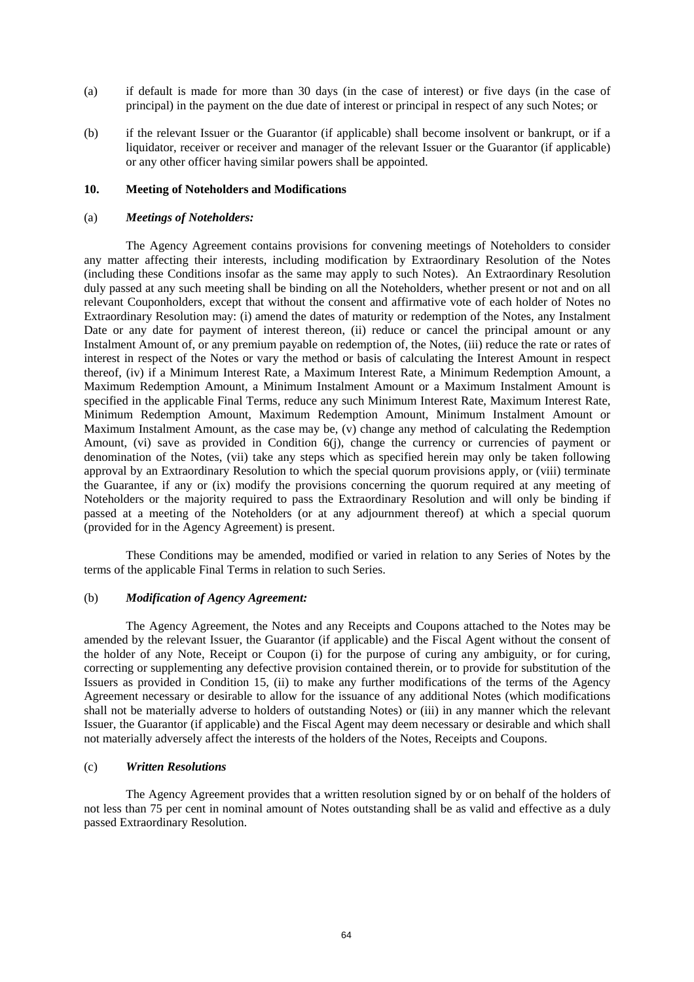- (a) if default is made for more than 30 days (in the case of interest) or five days (in the case of principal) in the payment on the due date of interest or principal in respect of any such Notes; or
- (b) if the relevant Issuer or the Guarantor (if applicable) shall become insolvent or bankrupt, or if a liquidator, receiver or receiver and manager of the relevant Issuer or the Guarantor (if applicable) or any other officer having similar powers shall be appointed.

### **10. Meeting of Noteholders and Modifications**

### (a) *Meetings of Noteholders:*

The Agency Agreement contains provisions for convening meetings of Noteholders to consider any matter affecting their interests, including modification by Extraordinary Resolution of the Notes (including these Conditions insofar as the same may apply to such Notes). An Extraordinary Resolution duly passed at any such meeting shall be binding on all the Noteholders, whether present or not and on all relevant Couponholders, except that without the consent and affirmative vote of each holder of Notes no Extraordinary Resolution may: (i) amend the dates of maturity or redemption of the Notes, any Instalment Date or any date for payment of interest thereon, (ii) reduce or cancel the principal amount or any Instalment Amount of, or any premium payable on redemption of, the Notes, (iii) reduce the rate or rates of interest in respect of the Notes or vary the method or basis of calculating the Interest Amount in respect thereof, (iv) if a Minimum Interest Rate, a Maximum Interest Rate, a Minimum Redemption Amount, a Maximum Redemption Amount, a Minimum Instalment Amount or a Maximum Instalment Amount is specified in the applicable Final Terms, reduce any such Minimum Interest Rate, Maximum Interest Rate, Minimum Redemption Amount, Maximum Redemption Amount, Minimum Instalment Amount or Maximum Instalment Amount, as the case may be, (v) change any method of calculating the Redemption Amount, (vi) save as provided in Condition 6(j), change the currency or currencies of payment or denomination of the Notes, (vii) take any steps which as specified herein may only be taken following approval by an Extraordinary Resolution to which the special quorum provisions apply, or (viii) terminate the Guarantee, if any or (ix) modify the provisions concerning the quorum required at any meeting of Noteholders or the majority required to pass the Extraordinary Resolution and will only be binding if passed at a meeting of the Noteholders (or at any adjournment thereof) at which a special quorum (provided for in the Agency Agreement) is present.

These Conditions may be amended, modified or varied in relation to any Series of Notes by the terms of the applicable Final Terms in relation to such Series.

### (b) *Modification of Agency Agreement:*

The Agency Agreement, the Notes and any Receipts and Coupons attached to the Notes may be amended by the relevant Issuer, the Guarantor (if applicable) and the Fiscal Agent without the consent of the holder of any Note, Receipt or Coupon (i) for the purpose of curing any ambiguity, or for curing, correcting or supplementing any defective provision contained therein, or to provide for substitution of the Issuers as provided in Condition 15, (ii) to make any further modifications of the terms of the Agency Agreement necessary or desirable to allow for the issuance of any additional Notes (which modifications shall not be materially adverse to holders of outstanding Notes) or (iii) in any manner which the relevant Issuer, the Guarantor (if applicable) and the Fiscal Agent may deem necessary or desirable and which shall not materially adversely affect the interests of the holders of the Notes, Receipts and Coupons.

### (c) *Written Resolutions*

The Agency Agreement provides that a written resolution signed by or on behalf of the holders of not less than 75 per cent in nominal amount of Notes outstanding shall be as valid and effective as a duly passed Extraordinary Resolution.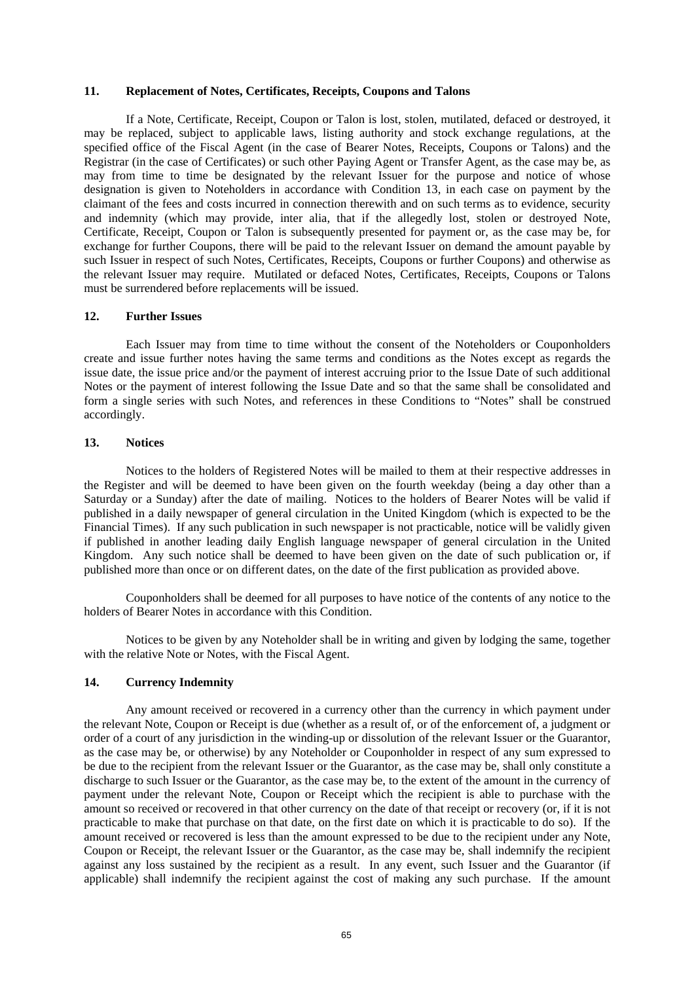### **11. Replacement of Notes, Certificates, Receipts, Coupons and Talons**

If a Note, Certificate, Receipt, Coupon or Talon is lost, stolen, mutilated, defaced or destroyed, it may be replaced, subject to applicable laws, listing authority and stock exchange regulations, at the specified office of the Fiscal Agent (in the case of Bearer Notes, Receipts, Coupons or Talons) and the Registrar (in the case of Certificates) or such other Paying Agent or Transfer Agent, as the case may be, as may from time to time be designated by the relevant Issuer for the purpose and notice of whose designation is given to Noteholders in accordance with Condition 13, in each case on payment by the claimant of the fees and costs incurred in connection therewith and on such terms as to evidence, security and indemnity (which may provide, inter alia, that if the allegedly lost, stolen or destroyed Note, Certificate, Receipt, Coupon or Talon is subsequently presented for payment or, as the case may be, for exchange for further Coupons, there will be paid to the relevant Issuer on demand the amount payable by such Issuer in respect of such Notes, Certificates, Receipts, Coupons or further Coupons) and otherwise as the relevant Issuer may require. Mutilated or defaced Notes, Certificates, Receipts, Coupons or Talons must be surrendered before replacements will be issued.

### **12. Further Issues**

Each Issuer may from time to time without the consent of the Noteholders or Couponholders create and issue further notes having the same terms and conditions as the Notes except as regards the issue date, the issue price and/or the payment of interest accruing prior to the Issue Date of such additional Notes or the payment of interest following the Issue Date and so that the same shall be consolidated and form a single series with such Notes, and references in these Conditions to "Notes" shall be construed accordingly.

## **13. Notices**

Notices to the holders of Registered Notes will be mailed to them at their respective addresses in the Register and will be deemed to have been given on the fourth weekday (being a day other than a Saturday or a Sunday) after the date of mailing. Notices to the holders of Bearer Notes will be valid if published in a daily newspaper of general circulation in the United Kingdom (which is expected to be the Financial Times). If any such publication in such newspaper is not practicable, notice will be validly given if published in another leading daily English language newspaper of general circulation in the United Kingdom. Any such notice shall be deemed to have been given on the date of such publication or, if published more than once or on different dates, on the date of the first publication as provided above.

Couponholders shall be deemed for all purposes to have notice of the contents of any notice to the holders of Bearer Notes in accordance with this Condition.

Notices to be given by any Noteholder shall be in writing and given by lodging the same, together with the relative Note or Notes, with the Fiscal Agent.

# **14. Currency Indemnity**

Any amount received or recovered in a currency other than the currency in which payment under the relevant Note, Coupon or Receipt is due (whether as a result of, or of the enforcement of, a judgment or order of a court of any jurisdiction in the winding-up or dissolution of the relevant Issuer or the Guarantor, as the case may be, or otherwise) by any Noteholder or Couponholder in respect of any sum expressed to be due to the recipient from the relevant Issuer or the Guarantor, as the case may be, shall only constitute a discharge to such Issuer or the Guarantor, as the case may be, to the extent of the amount in the currency of payment under the relevant Note, Coupon or Receipt which the recipient is able to purchase with the amount so received or recovered in that other currency on the date of that receipt or recovery (or, if it is not practicable to make that purchase on that date, on the first date on which it is practicable to do so). If the amount received or recovered is less than the amount expressed to be due to the recipient under any Note, Coupon or Receipt, the relevant Issuer or the Guarantor, as the case may be, shall indemnify the recipient against any loss sustained by the recipient as a result. In any event, such Issuer and the Guarantor (if applicable) shall indemnify the recipient against the cost of making any such purchase. If the amount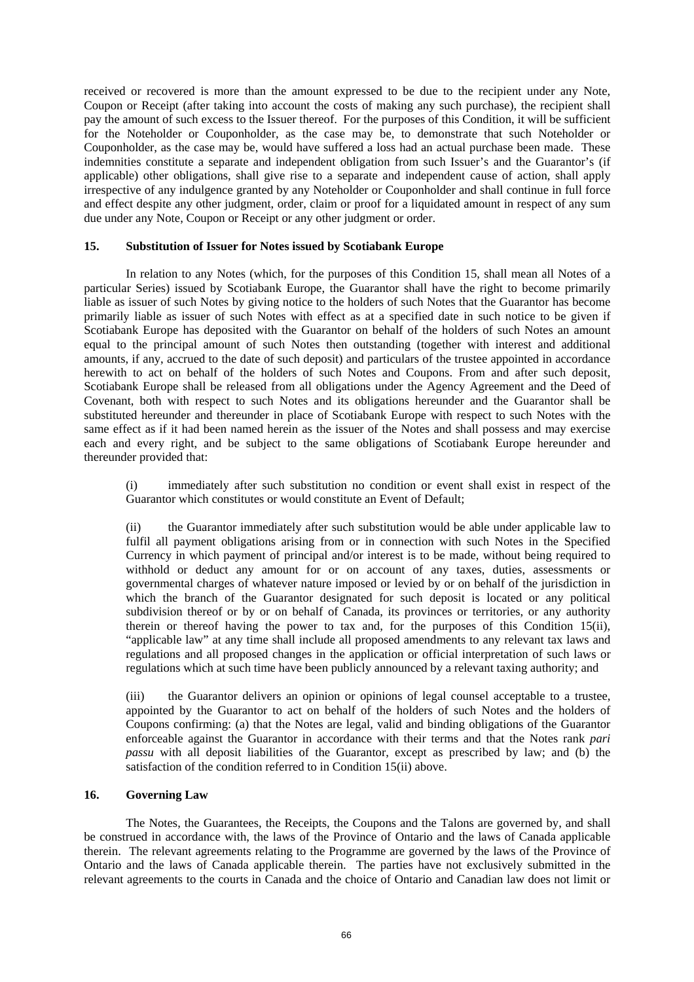received or recovered is more than the amount expressed to be due to the recipient under any Note, Coupon or Receipt (after taking into account the costs of making any such purchase), the recipient shall pay the amount of such excess to the Issuer thereof. For the purposes of this Condition, it will be sufficient for the Noteholder or Couponholder, as the case may be, to demonstrate that such Noteholder or Couponholder, as the case may be, would have suffered a loss had an actual purchase been made. These indemnities constitute a separate and independent obligation from such Issuer's and the Guarantor's (if applicable) other obligations, shall give rise to a separate and independent cause of action, shall apply irrespective of any indulgence granted by any Noteholder or Couponholder and shall continue in full force and effect despite any other judgment, order, claim or proof for a liquidated amount in respect of any sum due under any Note, Coupon or Receipt or any other judgment or order.

## **15. Substitution of Issuer for Notes issued by Scotiabank Europe**

In relation to any Notes (which, for the purposes of this Condition 15, shall mean all Notes of a particular Series) issued by Scotiabank Europe, the Guarantor shall have the right to become primarily liable as issuer of such Notes by giving notice to the holders of such Notes that the Guarantor has become primarily liable as issuer of such Notes with effect as at a specified date in such notice to be given if Scotiabank Europe has deposited with the Guarantor on behalf of the holders of such Notes an amount equal to the principal amount of such Notes then outstanding (together with interest and additional amounts, if any, accrued to the date of such deposit) and particulars of the trustee appointed in accordance herewith to act on behalf of the holders of such Notes and Coupons. From and after such deposit, Scotiabank Europe shall be released from all obligations under the Agency Agreement and the Deed of Covenant, both with respect to such Notes and its obligations hereunder and the Guarantor shall be substituted hereunder and thereunder in place of Scotiabank Europe with respect to such Notes with the same effect as if it had been named herein as the issuer of the Notes and shall possess and may exercise each and every right, and be subject to the same obligations of Scotiabank Europe hereunder and thereunder provided that:

(i) immediately after such substitution no condition or event shall exist in respect of the Guarantor which constitutes or would constitute an Event of Default;

(ii) the Guarantor immediately after such substitution would be able under applicable law to fulfil all payment obligations arising from or in connection with such Notes in the Specified Currency in which payment of principal and/or interest is to be made, without being required to withhold or deduct any amount for or on account of any taxes, duties, assessments or governmental charges of whatever nature imposed or levied by or on behalf of the jurisdiction in which the branch of the Guarantor designated for such deposit is located or any political subdivision thereof or by or on behalf of Canada, its provinces or territories, or any authority therein or thereof having the power to tax and, for the purposes of this Condition 15(ii), "applicable law" at any time shall include all proposed amendments to any relevant tax laws and regulations and all proposed changes in the application or official interpretation of such laws or regulations which at such time have been publicly announced by a relevant taxing authority; and

(iii) the Guarantor delivers an opinion or opinions of legal counsel acceptable to a trustee, appointed by the Guarantor to act on behalf of the holders of such Notes and the holders of Coupons confirming: (a) that the Notes are legal, valid and binding obligations of the Guarantor enforceable against the Guarantor in accordance with their terms and that the Notes rank *pari passu* with all deposit liabilities of the Guarantor, except as prescribed by law; and (b) the satisfaction of the condition referred to in Condition 15(ii) above.

# **16. Governing Law**

The Notes, the Guarantees, the Receipts, the Coupons and the Talons are governed by, and shall be construed in accordance with, the laws of the Province of Ontario and the laws of Canada applicable therein. The relevant agreements relating to the Programme are governed by the laws of the Province of Ontario and the laws of Canada applicable therein. The parties have not exclusively submitted in the relevant agreements to the courts in Canada and the choice of Ontario and Canadian law does not limit or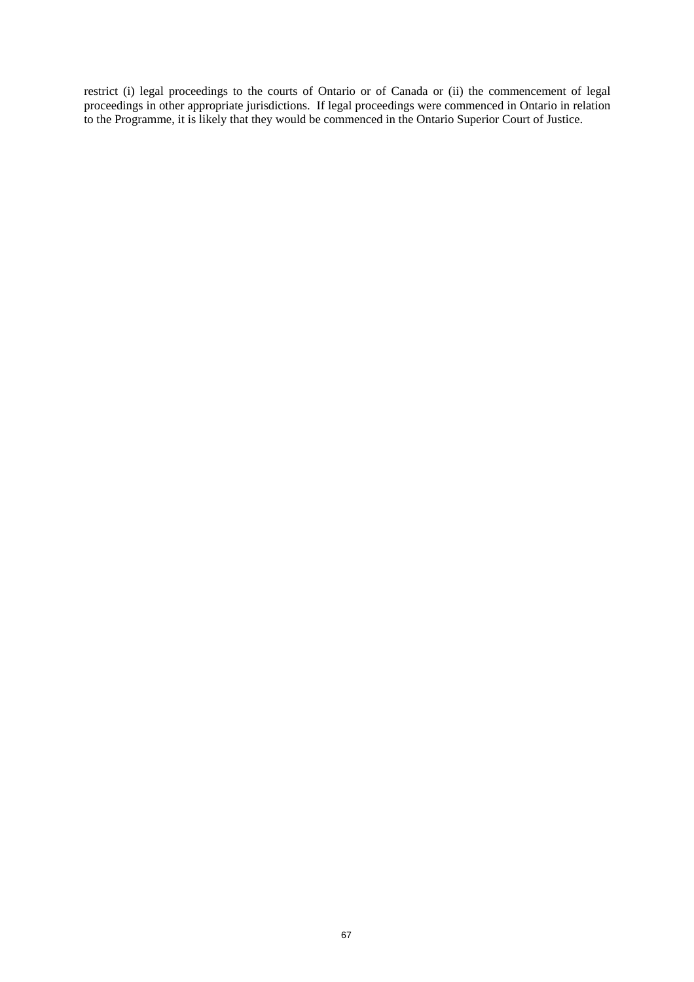restrict (i) legal proceedings to the courts of Ontario or of Canada or (ii) the commencement of legal proceedings in other appropriate jurisdictions. If legal proceedings were commenced in Ontario in relation to the Programme, it is likely that they would be commenced in the Ontario Superior Court of Justice.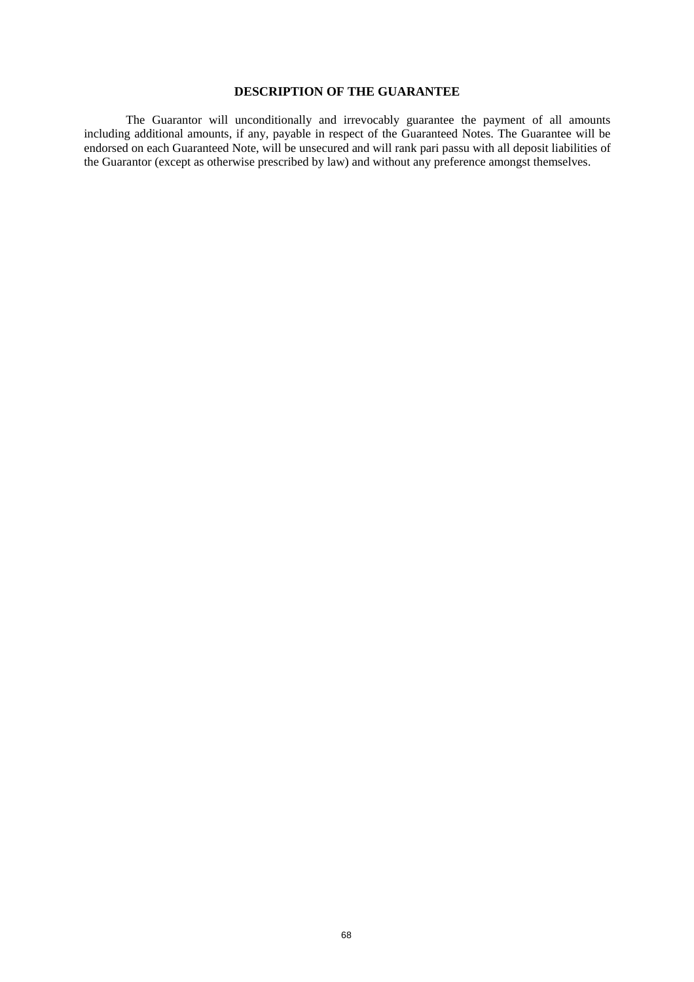# **DESCRIPTION OF THE GUARANTEE**

The Guarantor will unconditionally and irrevocably guarantee the payment of all amounts including additional amounts, if any, payable in respect of the Guaranteed Notes. The Guarantee will be endorsed on each Guaranteed Note, will be unsecured and will rank pari passu with all deposit liabilities of the Guarantor (except as otherwise prescribed by law) and without any preference amongst themselves.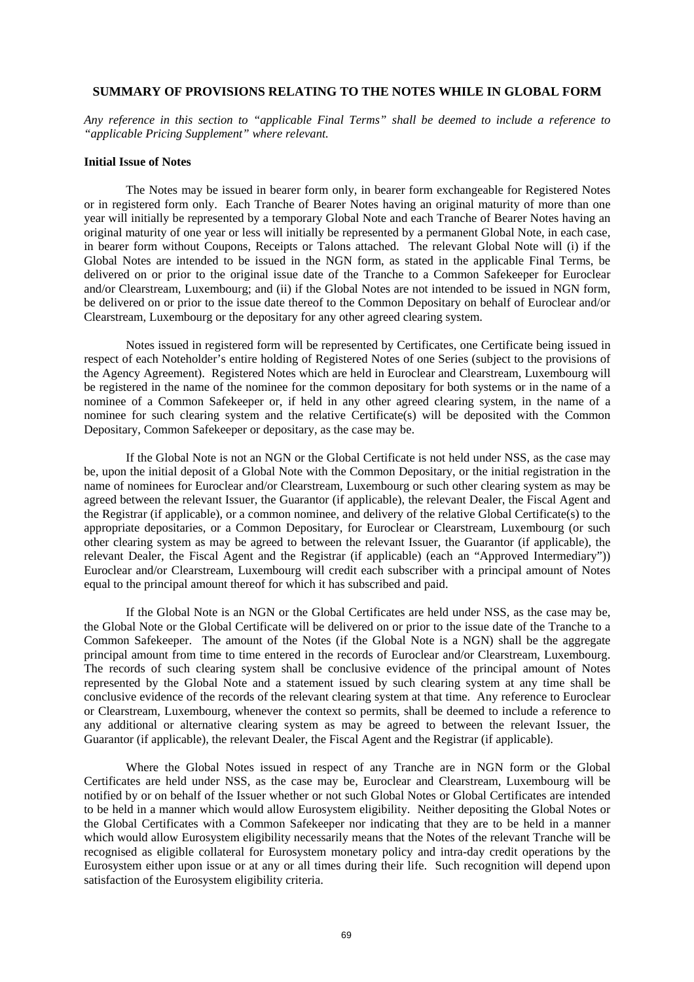### **SUMMARY OF PROVISIONS RELATING TO THE NOTES WHILE IN GLOBAL FORM**

*Any reference in this section to "applicable Final Terms" shall be deemed to include a reference to "applicable Pricing Supplement" where relevant.* 

### **Initial Issue of Notes**

The Notes may be issued in bearer form only, in bearer form exchangeable for Registered Notes or in registered form only. Each Tranche of Bearer Notes having an original maturity of more than one year will initially be represented by a temporary Global Note and each Tranche of Bearer Notes having an original maturity of one year or less will initially be represented by a permanent Global Note, in each case, in bearer form without Coupons, Receipts or Talons attached. The relevant Global Note will (i) if the Global Notes are intended to be issued in the NGN form, as stated in the applicable Final Terms, be delivered on or prior to the original issue date of the Tranche to a Common Safekeeper for Euroclear and/or Clearstream, Luxembourg; and (ii) if the Global Notes are not intended to be issued in NGN form, be delivered on or prior to the issue date thereof to the Common Depositary on behalf of Euroclear and/or Clearstream, Luxembourg or the depositary for any other agreed clearing system.

Notes issued in registered form will be represented by Certificates, one Certificate being issued in respect of each Noteholder's entire holding of Registered Notes of one Series (subject to the provisions of the Agency Agreement). Registered Notes which are held in Euroclear and Clearstream, Luxembourg will be registered in the name of the nominee for the common depositary for both systems or in the name of a nominee of a Common Safekeeper or, if held in any other agreed clearing system, in the name of a nominee for such clearing system and the relative Certificate(s) will be deposited with the Common Depositary, Common Safekeeper or depositary, as the case may be.

If the Global Note is not an NGN or the Global Certificate is not held under NSS, as the case may be, upon the initial deposit of a Global Note with the Common Depositary, or the initial registration in the name of nominees for Euroclear and/or Clearstream, Luxembourg or such other clearing system as may be agreed between the relevant Issuer, the Guarantor (if applicable), the relevant Dealer, the Fiscal Agent and the Registrar (if applicable), or a common nominee, and delivery of the relative Global Certificate(s) to the appropriate depositaries, or a Common Depositary, for Euroclear or Clearstream, Luxembourg (or such other clearing system as may be agreed to between the relevant Issuer, the Guarantor (if applicable), the relevant Dealer, the Fiscal Agent and the Registrar (if applicable) (each an "Approved Intermediary")) Euroclear and/or Clearstream, Luxembourg will credit each subscriber with a principal amount of Notes equal to the principal amount thereof for which it has subscribed and paid.

If the Global Note is an NGN or the Global Certificates are held under NSS, as the case may be, the Global Note or the Global Certificate will be delivered on or prior to the issue date of the Tranche to a Common Safekeeper. The amount of the Notes (if the Global Note is a NGN) shall be the aggregate principal amount from time to time entered in the records of Euroclear and/or Clearstream, Luxembourg. The records of such clearing system shall be conclusive evidence of the principal amount of Notes represented by the Global Note and a statement issued by such clearing system at any time shall be conclusive evidence of the records of the relevant clearing system at that time. Any reference to Euroclear or Clearstream, Luxembourg, whenever the context so permits, shall be deemed to include a reference to any additional or alternative clearing system as may be agreed to between the relevant Issuer, the Guarantor (if applicable), the relevant Dealer, the Fiscal Agent and the Registrar (if applicable).

Where the Global Notes issued in respect of any Tranche are in NGN form or the Global Certificates are held under NSS, as the case may be, Euroclear and Clearstream, Luxembourg will be notified by or on behalf of the Issuer whether or not such Global Notes or Global Certificates are intended to be held in a manner which would allow Eurosystem eligibility. Neither depositing the Global Notes or the Global Certificates with a Common Safekeeper nor indicating that they are to be held in a manner which would allow Eurosystem eligibility necessarily means that the Notes of the relevant Tranche will be recognised as eligible collateral for Eurosystem monetary policy and intra-day credit operations by the Eurosystem either upon issue or at any or all times during their life. Such recognition will depend upon satisfaction of the Eurosystem eligibility criteria.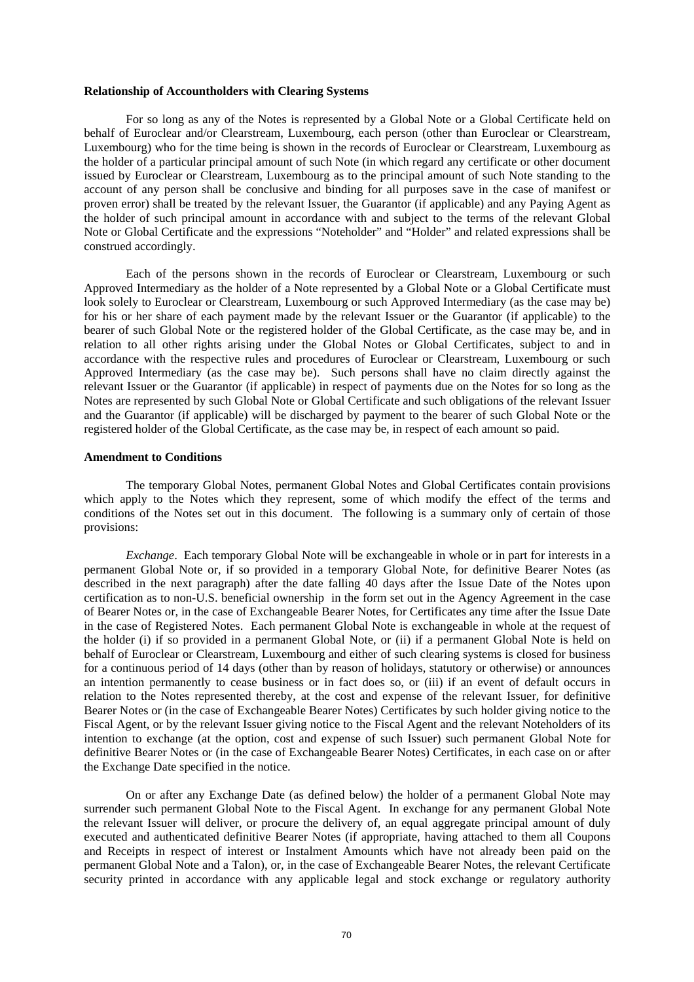#### **Relationship of Accountholders with Clearing Systems**

For so long as any of the Notes is represented by a Global Note or a Global Certificate held on behalf of Euroclear and/or Clearstream, Luxembourg, each person (other than Euroclear or Clearstream, Luxembourg) who for the time being is shown in the records of Euroclear or Clearstream, Luxembourg as the holder of a particular principal amount of such Note (in which regard any certificate or other document issued by Euroclear or Clearstream, Luxembourg as to the principal amount of such Note standing to the account of any person shall be conclusive and binding for all purposes save in the case of manifest or proven error) shall be treated by the relevant Issuer, the Guarantor (if applicable) and any Paying Agent as the holder of such principal amount in accordance with and subject to the terms of the relevant Global Note or Global Certificate and the expressions "Noteholder" and "Holder" and related expressions shall be construed accordingly.

Each of the persons shown in the records of Euroclear or Clearstream, Luxembourg or such Approved Intermediary as the holder of a Note represented by a Global Note or a Global Certificate must look solely to Euroclear or Clearstream, Luxembourg or such Approved Intermediary (as the case may be) for his or her share of each payment made by the relevant Issuer or the Guarantor (if applicable) to the bearer of such Global Note or the registered holder of the Global Certificate, as the case may be, and in relation to all other rights arising under the Global Notes or Global Certificates, subject to and in accordance with the respective rules and procedures of Euroclear or Clearstream, Luxembourg or such Approved Intermediary (as the case may be). Such persons shall have no claim directly against the relevant Issuer or the Guarantor (if applicable) in respect of payments due on the Notes for so long as the Notes are represented by such Global Note or Global Certificate and such obligations of the relevant Issuer and the Guarantor (if applicable) will be discharged by payment to the bearer of such Global Note or the registered holder of the Global Certificate, as the case may be, in respect of each amount so paid.

#### **Amendment to Conditions**

The temporary Global Notes, permanent Global Notes and Global Certificates contain provisions which apply to the Notes which they represent, some of which modify the effect of the terms and conditions of the Notes set out in this document. The following is a summary only of certain of those provisions:

*Exchange*. Each temporary Global Note will be exchangeable in whole or in part for interests in a permanent Global Note or, if so provided in a temporary Global Note, for definitive Bearer Notes (as described in the next paragraph) after the date falling 40 days after the Issue Date of the Notes upon certification as to non-U.S. beneficial ownership in the form set out in the Agency Agreement in the case of Bearer Notes or, in the case of Exchangeable Bearer Notes, for Certificates any time after the Issue Date in the case of Registered Notes. Each permanent Global Note is exchangeable in whole at the request of the holder (i) if so provided in a permanent Global Note, or (ii) if a permanent Global Note is held on behalf of Euroclear or Clearstream, Luxembourg and either of such clearing systems is closed for business for a continuous period of 14 days (other than by reason of holidays, statutory or otherwise) or announces an intention permanently to cease business or in fact does so, or (iii) if an event of default occurs in relation to the Notes represented thereby, at the cost and expense of the relevant Issuer, for definitive Bearer Notes or (in the case of Exchangeable Bearer Notes) Certificates by such holder giving notice to the Fiscal Agent, or by the relevant Issuer giving notice to the Fiscal Agent and the relevant Noteholders of its intention to exchange (at the option, cost and expense of such Issuer) such permanent Global Note for definitive Bearer Notes or (in the case of Exchangeable Bearer Notes) Certificates, in each case on or after the Exchange Date specified in the notice.

On or after any Exchange Date (as defined below) the holder of a permanent Global Note may surrender such permanent Global Note to the Fiscal Agent. In exchange for any permanent Global Note the relevant Issuer will deliver, or procure the delivery of, an equal aggregate principal amount of duly executed and authenticated definitive Bearer Notes (if appropriate, having attached to them all Coupons and Receipts in respect of interest or Instalment Amounts which have not already been paid on the permanent Global Note and a Talon), or, in the case of Exchangeable Bearer Notes, the relevant Certificate security printed in accordance with any applicable legal and stock exchange or regulatory authority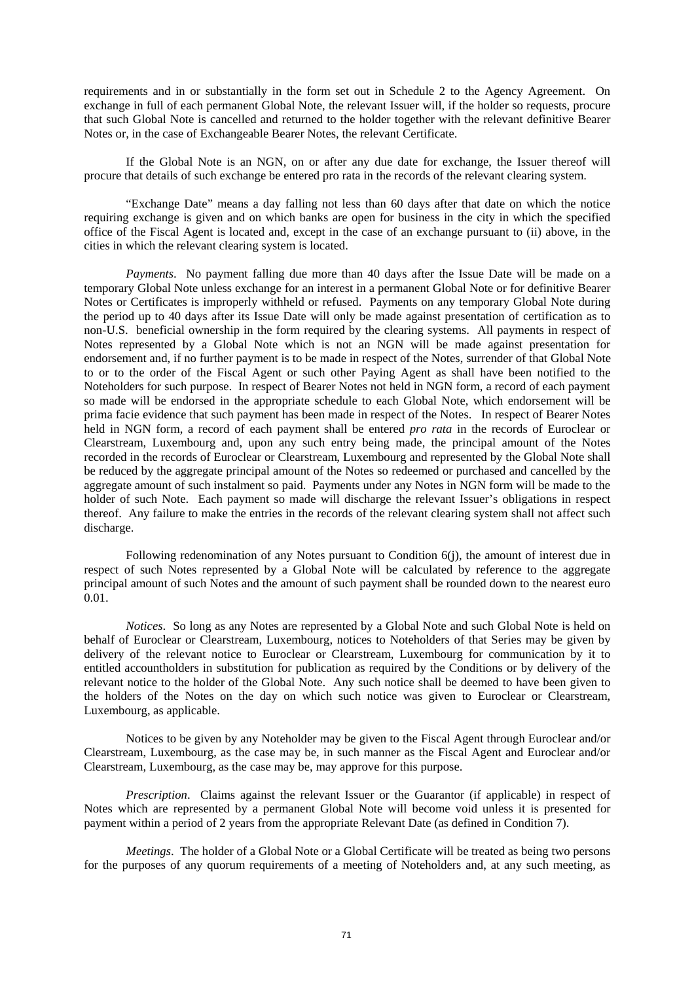requirements and in or substantially in the form set out in Schedule 2 to the Agency Agreement. On exchange in full of each permanent Global Note, the relevant Issuer will, if the holder so requests, procure that such Global Note is cancelled and returned to the holder together with the relevant definitive Bearer Notes or, in the case of Exchangeable Bearer Notes, the relevant Certificate.

If the Global Note is an NGN, on or after any due date for exchange, the Issuer thereof will procure that details of such exchange be entered pro rata in the records of the relevant clearing system.

"Exchange Date" means a day falling not less than 60 days after that date on which the notice requiring exchange is given and on which banks are open for business in the city in which the specified office of the Fiscal Agent is located and, except in the case of an exchange pursuant to (ii) above, in the cities in which the relevant clearing system is located.

*Payments*. No payment falling due more than 40 days after the Issue Date will be made on a temporary Global Note unless exchange for an interest in a permanent Global Note or for definitive Bearer Notes or Certificates is improperly withheld or refused. Payments on any temporary Global Note during the period up to 40 days after its Issue Date will only be made against presentation of certification as to non-U.S. beneficial ownership in the form required by the clearing systems. All payments in respect of Notes represented by a Global Note which is not an NGN will be made against presentation for endorsement and, if no further payment is to be made in respect of the Notes, surrender of that Global Note to or to the order of the Fiscal Agent or such other Paying Agent as shall have been notified to the Noteholders for such purpose. In respect of Bearer Notes not held in NGN form, a record of each payment so made will be endorsed in the appropriate schedule to each Global Note, which endorsement will be prima facie evidence that such payment has been made in respect of the Notes. In respect of Bearer Notes held in NGN form, a record of each payment shall be entered *pro rata* in the records of Euroclear or Clearstream, Luxembourg and, upon any such entry being made, the principal amount of the Notes recorded in the records of Euroclear or Clearstream, Luxembourg and represented by the Global Note shall be reduced by the aggregate principal amount of the Notes so redeemed or purchased and cancelled by the aggregate amount of such instalment so paid. Payments under any Notes in NGN form will be made to the holder of such Note. Each payment so made will discharge the relevant Issuer's obligations in respect thereof. Any failure to make the entries in the records of the relevant clearing system shall not affect such discharge.

Following redenomination of any Notes pursuant to Condition 6(j), the amount of interest due in respect of such Notes represented by a Global Note will be calculated by reference to the aggregate principal amount of such Notes and the amount of such payment shall be rounded down to the nearest euro 0.01.

*Notices*. So long as any Notes are represented by a Global Note and such Global Note is held on behalf of Euroclear or Clearstream, Luxembourg, notices to Noteholders of that Series may be given by delivery of the relevant notice to Euroclear or Clearstream, Luxembourg for communication by it to entitled accountholders in substitution for publication as required by the Conditions or by delivery of the relevant notice to the holder of the Global Note. Any such notice shall be deemed to have been given to the holders of the Notes on the day on which such notice was given to Euroclear or Clearstream, Luxembourg, as applicable.

Notices to be given by any Noteholder may be given to the Fiscal Agent through Euroclear and/or Clearstream, Luxembourg, as the case may be, in such manner as the Fiscal Agent and Euroclear and/or Clearstream, Luxembourg, as the case may be, may approve for this purpose.

*Prescription*. Claims against the relevant Issuer or the Guarantor (if applicable) in respect of Notes which are represented by a permanent Global Note will become void unless it is presented for payment within a period of 2 years from the appropriate Relevant Date (as defined in Condition 7).

*Meetings*. The holder of a Global Note or a Global Certificate will be treated as being two persons for the purposes of any quorum requirements of a meeting of Noteholders and, at any such meeting, as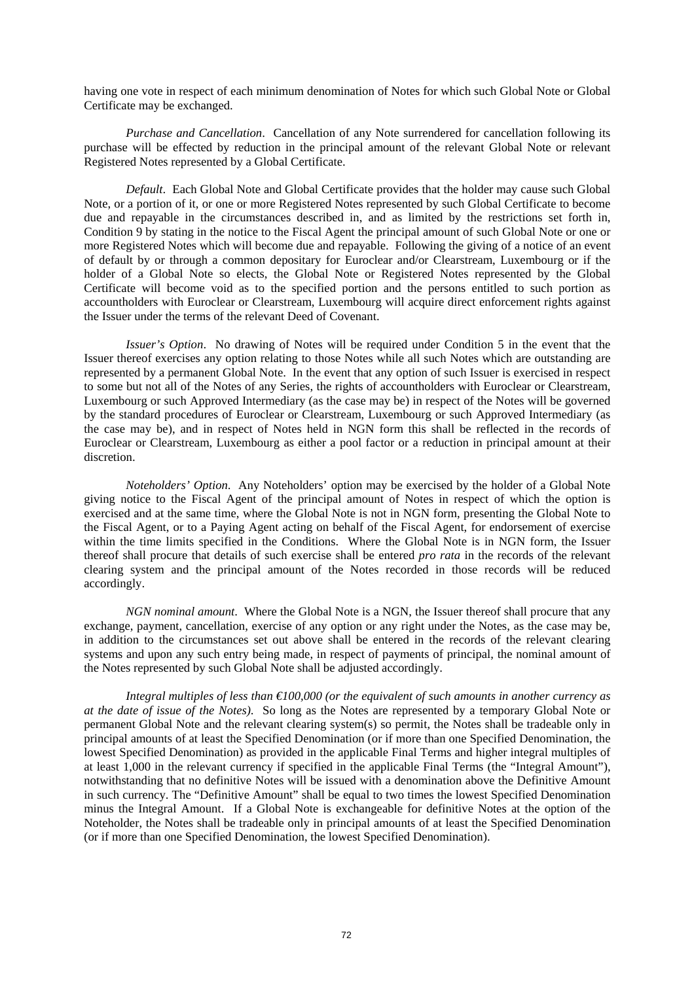having one vote in respect of each minimum denomination of Notes for which such Global Note or Global Certificate may be exchanged.

*Purchase and Cancellation*. Cancellation of any Note surrendered for cancellation following its purchase will be effected by reduction in the principal amount of the relevant Global Note or relevant Registered Notes represented by a Global Certificate.

*Default*. Each Global Note and Global Certificate provides that the holder may cause such Global Note, or a portion of it, or one or more Registered Notes represented by such Global Certificate to become due and repayable in the circumstances described in, and as limited by the restrictions set forth in, Condition 9 by stating in the notice to the Fiscal Agent the principal amount of such Global Note or one or more Registered Notes which will become due and repayable. Following the giving of a notice of an event of default by or through a common depositary for Euroclear and/or Clearstream, Luxembourg or if the holder of a Global Note so elects, the Global Note or Registered Notes represented by the Global Certificate will become void as to the specified portion and the persons entitled to such portion as accountholders with Euroclear or Clearstream, Luxembourg will acquire direct enforcement rights against the Issuer under the terms of the relevant Deed of Covenant.

*Issuer's Option*. No drawing of Notes will be required under Condition 5 in the event that the Issuer thereof exercises any option relating to those Notes while all such Notes which are outstanding are represented by a permanent Global Note. In the event that any option of such Issuer is exercised in respect to some but not all of the Notes of any Series, the rights of accountholders with Euroclear or Clearstream, Luxembourg or such Approved Intermediary (as the case may be) in respect of the Notes will be governed by the standard procedures of Euroclear or Clearstream, Luxembourg or such Approved Intermediary (as the case may be), and in respect of Notes held in NGN form this shall be reflected in the records of Euroclear or Clearstream, Luxembourg as either a pool factor or a reduction in principal amount at their discretion.

*Noteholders' Option*. Any Noteholders' option may be exercised by the holder of a Global Note giving notice to the Fiscal Agent of the principal amount of Notes in respect of which the option is exercised and at the same time, where the Global Note is not in NGN form, presenting the Global Note to the Fiscal Agent, or to a Paying Agent acting on behalf of the Fiscal Agent, for endorsement of exercise within the time limits specified in the Conditions. Where the Global Note is in NGN form, the Issuer thereof shall procure that details of such exercise shall be entered *pro rata* in the records of the relevant clearing system and the principal amount of the Notes recorded in those records will be reduced accordingly.

*NGN nominal amount*. Where the Global Note is a NGN, the Issuer thereof shall procure that any exchange, payment, cancellation, exercise of any option or any right under the Notes, as the case may be, in addition to the circumstances set out above shall be entered in the records of the relevant clearing systems and upon any such entry being made, in respect of payments of principal, the nominal amount of the Notes represented by such Global Note shall be adjusted accordingly.

*Integral multiples of less than €100,000 (or the equivalent of such amounts in another currency as at the date of issue of the Notes)*. So long as the Notes are represented by a temporary Global Note or permanent Global Note and the relevant clearing system(s) so permit, the Notes shall be tradeable only in principal amounts of at least the Specified Denomination (or if more than one Specified Denomination, the lowest Specified Denomination) as provided in the applicable Final Terms and higher integral multiples of at least 1,000 in the relevant currency if specified in the applicable Final Terms (the "Integral Amount"), notwithstanding that no definitive Notes will be issued with a denomination above the Definitive Amount in such currency. The "Definitive Amount" shall be equal to two times the lowest Specified Denomination minus the Integral Amount. If a Global Note is exchangeable for definitive Notes at the option of the Noteholder, the Notes shall be tradeable only in principal amounts of at least the Specified Denomination (or if more than one Specified Denomination, the lowest Specified Denomination).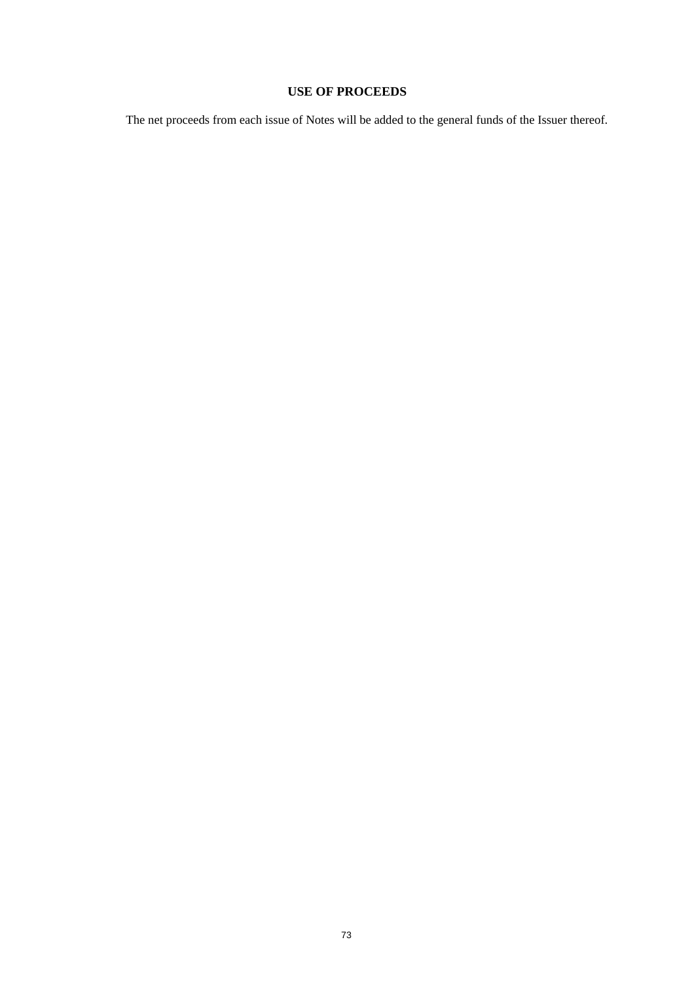# **USE OF PROCEEDS**

The net proceeds from each issue of Notes will be added to the general funds of the Issuer thereof.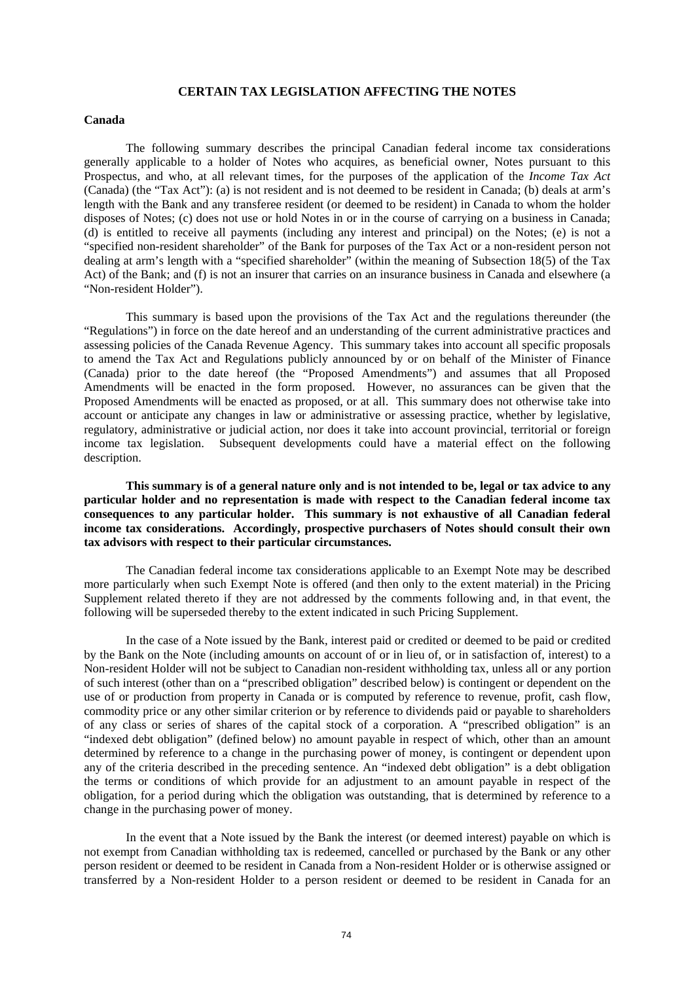#### **CERTAIN TAX LEGISLATION AFFECTING THE NOTES**

#### **Canada**

The following summary describes the principal Canadian federal income tax considerations generally applicable to a holder of Notes who acquires, as beneficial owner, Notes pursuant to this Prospectus, and who, at all relevant times, for the purposes of the application of the *Income Tax Act* (Canada) (the "Tax Act"): (a) is not resident and is not deemed to be resident in Canada; (b) deals at arm's length with the Bank and any transferee resident (or deemed to be resident) in Canada to whom the holder disposes of Notes; (c) does not use or hold Notes in or in the course of carrying on a business in Canada; (d) is entitled to receive all payments (including any interest and principal) on the Notes; (e) is not a "specified non-resident shareholder" of the Bank for purposes of the Tax Act or a non-resident person not dealing at arm's length with a "specified shareholder" (within the meaning of Subsection 18(5) of the Tax Act) of the Bank; and (f) is not an insurer that carries on an insurance business in Canada and elsewhere (a "Non-resident Holder").

This summary is based upon the provisions of the Tax Act and the regulations thereunder (the "Regulations") in force on the date hereof and an understanding of the current administrative practices and assessing policies of the Canada Revenue Agency. This summary takes into account all specific proposals to amend the Tax Act and Regulations publicly announced by or on behalf of the Minister of Finance (Canada) prior to the date hereof (the "Proposed Amendments") and assumes that all Proposed Amendments will be enacted in the form proposed. However, no assurances can be given that the Proposed Amendments will be enacted as proposed, or at all. This summary does not otherwise take into account or anticipate any changes in law or administrative or assessing practice, whether by legislative, regulatory, administrative or judicial action, nor does it take into account provincial, territorial or foreign income tax legislation. Subsequent developments could have a material effect on the following description.

**This summary is of a general nature only and is not intended to be, legal or tax advice to any particular holder and no representation is made with respect to the Canadian federal income tax consequences to any particular holder. This summary is not exhaustive of all Canadian federal income tax considerations. Accordingly, prospective purchasers of Notes should consult their own tax advisors with respect to their particular circumstances.** 

The Canadian federal income tax considerations applicable to an Exempt Note may be described more particularly when such Exempt Note is offered (and then only to the extent material) in the Pricing Supplement related thereto if they are not addressed by the comments following and, in that event, the following will be superseded thereby to the extent indicated in such Pricing Supplement.

In the case of a Note issued by the Bank, interest paid or credited or deemed to be paid or credited by the Bank on the Note (including amounts on account of or in lieu of, or in satisfaction of, interest) to a Non-resident Holder will not be subject to Canadian non-resident withholding tax, unless all or any portion of such interest (other than on a "prescribed obligation" described below) is contingent or dependent on the use of or production from property in Canada or is computed by reference to revenue, profit, cash flow, commodity price or any other similar criterion or by reference to dividends paid or payable to shareholders of any class or series of shares of the capital stock of a corporation. A "prescribed obligation" is an "indexed debt obligation" (defined below) no amount payable in respect of which, other than an amount determined by reference to a change in the purchasing power of money, is contingent or dependent upon any of the criteria described in the preceding sentence. An "indexed debt obligation" is a debt obligation the terms or conditions of which provide for an adjustment to an amount payable in respect of the obligation, for a period during which the obligation was outstanding, that is determined by reference to a change in the purchasing power of money.

In the event that a Note issued by the Bank the interest (or deemed interest) payable on which is not exempt from Canadian withholding tax is redeemed, cancelled or purchased by the Bank or any other person resident or deemed to be resident in Canada from a Non-resident Holder or is otherwise assigned or transferred by a Non-resident Holder to a person resident or deemed to be resident in Canada for an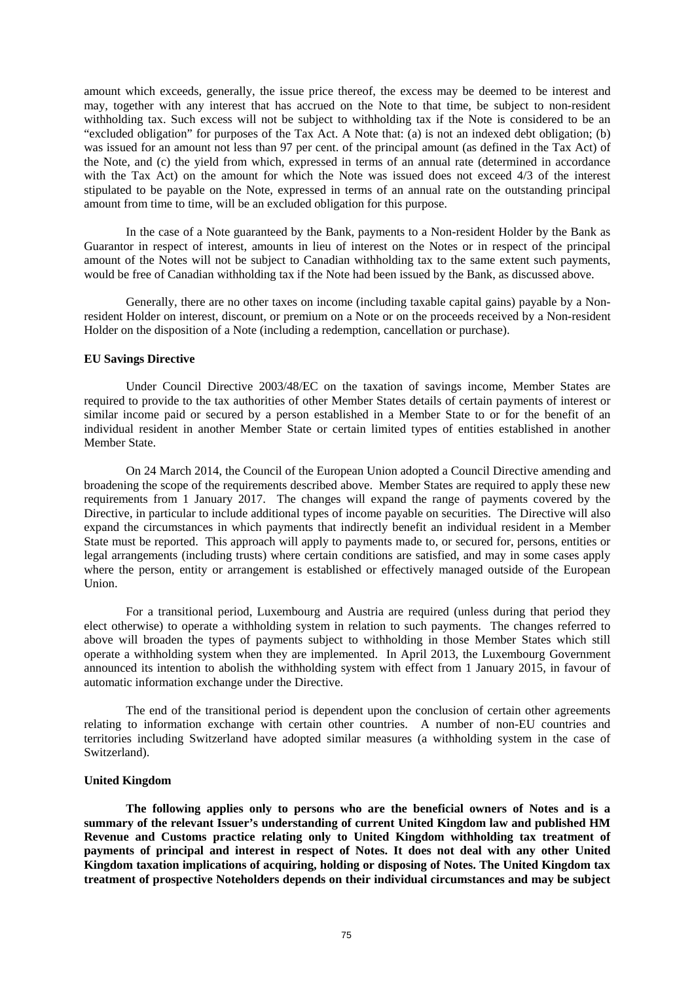amount which exceeds, generally, the issue price thereof, the excess may be deemed to be interest and may, together with any interest that has accrued on the Note to that time, be subject to non-resident withholding tax. Such excess will not be subject to withholding tax if the Note is considered to be an "excluded obligation" for purposes of the Tax Act. A Note that: (a) is not an indexed debt obligation; (b) was issued for an amount not less than 97 per cent. of the principal amount (as defined in the Tax Act) of the Note, and (c) the yield from which, expressed in terms of an annual rate (determined in accordance with the Tax Act) on the amount for which the Note was issued does not exceed 4/3 of the interest stipulated to be payable on the Note, expressed in terms of an annual rate on the outstanding principal amount from time to time, will be an excluded obligation for this purpose.

In the case of a Note guaranteed by the Bank, payments to a Non-resident Holder by the Bank as Guarantor in respect of interest, amounts in lieu of interest on the Notes or in respect of the principal amount of the Notes will not be subject to Canadian withholding tax to the same extent such payments, would be free of Canadian withholding tax if the Note had been issued by the Bank, as discussed above.

Generally, there are no other taxes on income (including taxable capital gains) payable by a Nonresident Holder on interest, discount, or premium on a Note or on the proceeds received by a Non-resident Holder on the disposition of a Note (including a redemption, cancellation or purchase).

#### **EU Savings Directive**

Under Council Directive 2003/48/EC on the taxation of savings income, Member States are required to provide to the tax authorities of other Member States details of certain payments of interest or similar income paid or secured by a person established in a Member State to or for the benefit of an individual resident in another Member State or certain limited types of entities established in another Member State.

On 24 March 2014, the Council of the European Union adopted a Council Directive amending and broadening the scope of the requirements described above. Member States are required to apply these new requirements from 1 January 2017. The changes will expand the range of payments covered by the Directive, in particular to include additional types of income payable on securities. The Directive will also expand the circumstances in which payments that indirectly benefit an individual resident in a Member State must be reported. This approach will apply to payments made to, or secured for, persons, entities or legal arrangements (including trusts) where certain conditions are satisfied, and may in some cases apply where the person, entity or arrangement is established or effectively managed outside of the European Union.

For a transitional period, Luxembourg and Austria are required (unless during that period they elect otherwise) to operate a withholding system in relation to such payments. The changes referred to above will broaden the types of payments subject to withholding in those Member States which still operate a withholding system when they are implemented. In April 2013, the Luxembourg Government announced its intention to abolish the withholding system with effect from 1 January 2015, in favour of automatic information exchange under the Directive.

The end of the transitional period is dependent upon the conclusion of certain other agreements relating to information exchange with certain other countries. A number of non-EU countries and territories including Switzerland have adopted similar measures (a withholding system in the case of Switzerland).

#### **United Kingdom**

**The following applies only to persons who are the beneficial owners of Notes and is a summary of the relevant Issuer's understanding of current United Kingdom law and published HM Revenue and Customs practice relating only to United Kingdom withholding tax treatment of payments of principal and interest in respect of Notes. It does not deal with any other United Kingdom taxation implications of acquiring, holding or disposing of Notes. The United Kingdom tax treatment of prospective Noteholders depends on their individual circumstances and may be subject**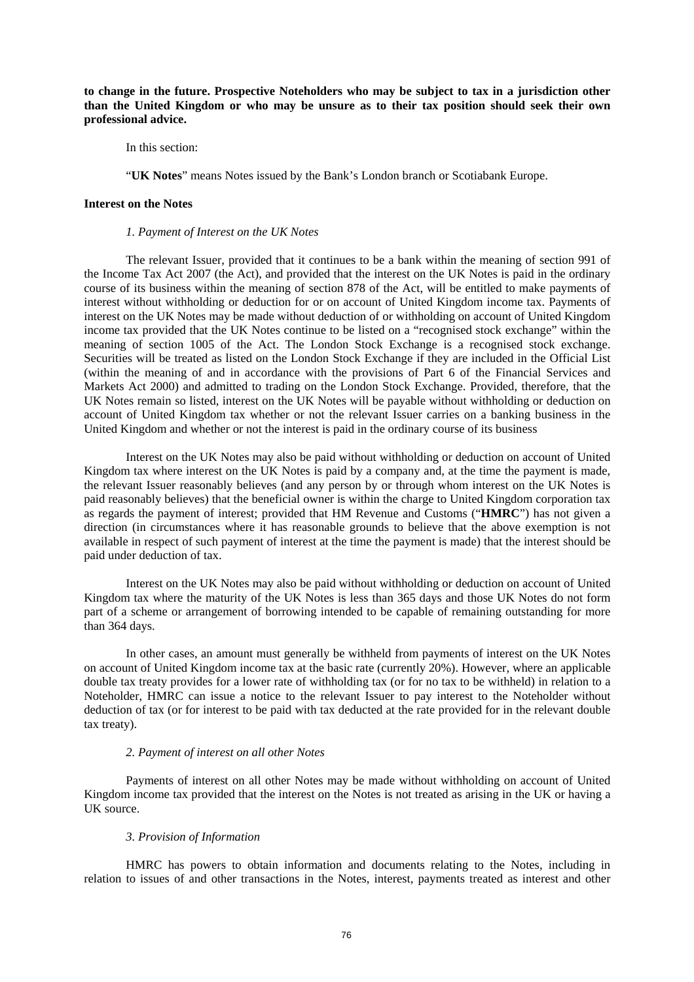**to change in the future. Prospective Noteholders who may be subject to tax in a jurisdiction other than the United Kingdom or who may be unsure as to their tax position should seek their own professional advice.** 

In this section:

"**UK Notes**" means Notes issued by the Bank's London branch or Scotiabank Europe.

#### **Interest on the Notes**

#### *1. Payment of Interest on the UK Notes*

The relevant Issuer, provided that it continues to be a bank within the meaning of section 991 of the Income Tax Act 2007 (the Act), and provided that the interest on the UK Notes is paid in the ordinary course of its business within the meaning of section 878 of the Act, will be entitled to make payments of interest without withholding or deduction for or on account of United Kingdom income tax. Payments of interest on the UK Notes may be made without deduction of or withholding on account of United Kingdom income tax provided that the UK Notes continue to be listed on a "recognised stock exchange" within the meaning of section 1005 of the Act. The London Stock Exchange is a recognised stock exchange. Securities will be treated as listed on the London Stock Exchange if they are included in the Official List (within the meaning of and in accordance with the provisions of Part 6 of the Financial Services and Markets Act 2000) and admitted to trading on the London Stock Exchange. Provided, therefore, that the UK Notes remain so listed, interest on the UK Notes will be payable without withholding or deduction on account of United Kingdom tax whether or not the relevant Issuer carries on a banking business in the United Kingdom and whether or not the interest is paid in the ordinary course of its business

Interest on the UK Notes may also be paid without withholding or deduction on account of United Kingdom tax where interest on the UK Notes is paid by a company and, at the time the payment is made, the relevant Issuer reasonably believes (and any person by or through whom interest on the UK Notes is paid reasonably believes) that the beneficial owner is within the charge to United Kingdom corporation tax as regards the payment of interest; provided that HM Revenue and Customs ("**HMRC**") has not given a direction (in circumstances where it has reasonable grounds to believe that the above exemption is not available in respect of such payment of interest at the time the payment is made) that the interest should be paid under deduction of tax.

Interest on the UK Notes may also be paid without withholding or deduction on account of United Kingdom tax where the maturity of the UK Notes is less than 365 days and those UK Notes do not form part of a scheme or arrangement of borrowing intended to be capable of remaining outstanding for more than 364 days.

In other cases, an amount must generally be withheld from payments of interest on the UK Notes on account of United Kingdom income tax at the basic rate (currently 20%). However, where an applicable double tax treaty provides for a lower rate of withholding tax (or for no tax to be withheld) in relation to a Noteholder, HMRC can issue a notice to the relevant Issuer to pay interest to the Noteholder without deduction of tax (or for interest to be paid with tax deducted at the rate provided for in the relevant double tax treaty).

## *2. Payment of interest on all other Notes*

Payments of interest on all other Notes may be made without withholding on account of United Kingdom income tax provided that the interest on the Notes is not treated as arising in the UK or having a UK source.

### *3. Provision of Information*

HMRC has powers to obtain information and documents relating to the Notes, including in relation to issues of and other transactions in the Notes, interest, payments treated as interest and other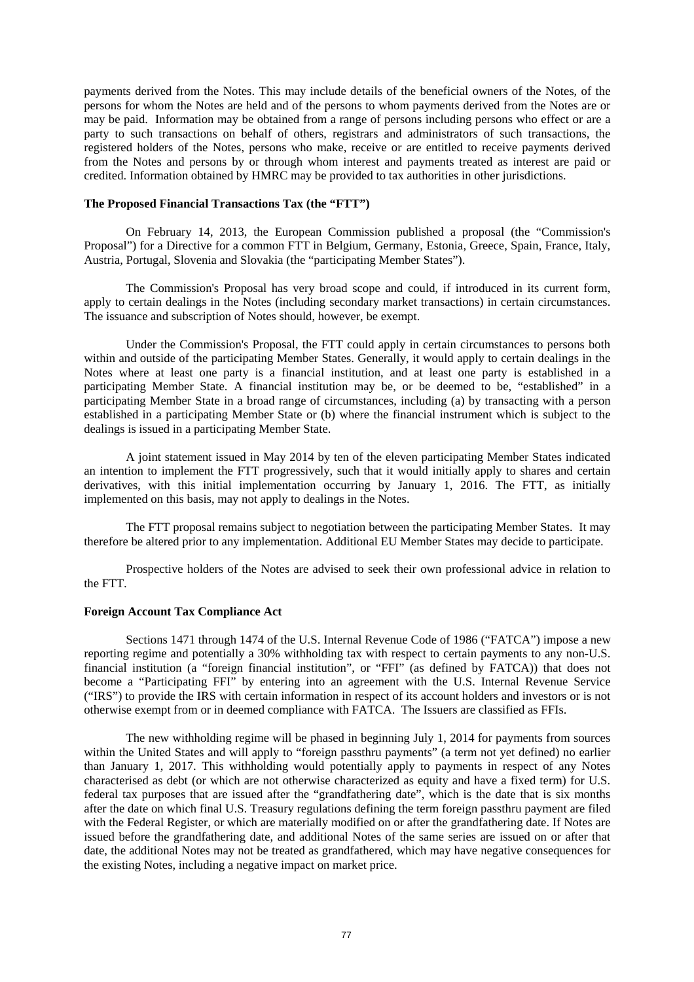payments derived from the Notes. This may include details of the beneficial owners of the Notes, of the persons for whom the Notes are held and of the persons to whom payments derived from the Notes are or may be paid. Information may be obtained from a range of persons including persons who effect or are a party to such transactions on behalf of others, registrars and administrators of such transactions, the registered holders of the Notes, persons who make, receive or are entitled to receive payments derived from the Notes and persons by or through whom interest and payments treated as interest are paid or credited. Information obtained by HMRC may be provided to tax authorities in other jurisdictions.

#### **The Proposed Financial Transactions Tax (the "FTT")**

On February 14, 2013, the European Commission published a proposal (the "Commission's Proposal") for a Directive for a common FTT in Belgium, Germany, Estonia, Greece, Spain, France, Italy, Austria, Portugal, Slovenia and Slovakia (the "participating Member States").

The Commission's Proposal has very broad scope and could, if introduced in its current form, apply to certain dealings in the Notes (including secondary market transactions) in certain circumstances. The issuance and subscription of Notes should, however, be exempt.

Under the Commission's Proposal, the FTT could apply in certain circumstances to persons both within and outside of the participating Member States. Generally, it would apply to certain dealings in the Notes where at least one party is a financial institution, and at least one party is established in a participating Member State. A financial institution may be, or be deemed to be, "established" in a participating Member State in a broad range of circumstances, including (a) by transacting with a person established in a participating Member State or (b) where the financial instrument which is subject to the dealings is issued in a participating Member State.

A joint statement issued in May 2014 by ten of the eleven participating Member States indicated an intention to implement the FTT progressively, such that it would initially apply to shares and certain derivatives, with this initial implementation occurring by January 1, 2016. The FTT, as initially implemented on this basis, may not apply to dealings in the Notes.

The FTT proposal remains subject to negotiation between the participating Member States. It may therefore be altered prior to any implementation. Additional EU Member States may decide to participate.

Prospective holders of the Notes are advised to seek their own professional advice in relation to the FTT.

### **Foreign Account Tax Compliance Act**

Sections 1471 through 1474 of the U.S. Internal Revenue Code of 1986 ("FATCA") impose a new reporting regime and potentially a 30% withholding tax with respect to certain payments to any non-U.S. financial institution (a "foreign financial institution", or "FFI" (as defined by FATCA)) that does not become a "Participating FFI" by entering into an agreement with the U.S. Internal Revenue Service ("IRS") to provide the IRS with certain information in respect of its account holders and investors or is not otherwise exempt from or in deemed compliance with FATCA. The Issuers are classified as FFIs.

The new withholding regime will be phased in beginning July 1, 2014 for payments from sources within the United States and will apply to "foreign passthru payments" (a term not yet defined) no earlier than January 1, 2017. This withholding would potentially apply to payments in respect of any Notes characterised as debt (or which are not otherwise characterized as equity and have a fixed term) for U.S. federal tax purposes that are issued after the "grandfathering date", which is the date that is six months after the date on which final U.S. Treasury regulations defining the term foreign passthru payment are filed with the Federal Register, or which are materially modified on or after the grandfathering date. If Notes are issued before the grandfathering date, and additional Notes of the same series are issued on or after that date, the additional Notes may not be treated as grandfathered, which may have negative consequences for the existing Notes, including a negative impact on market price.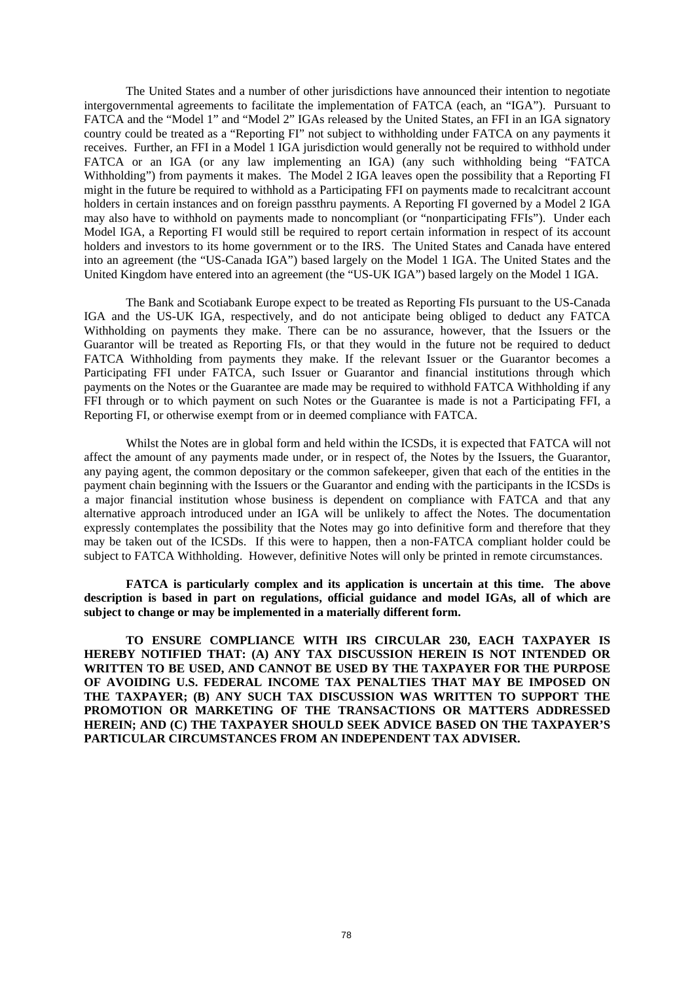The United States and a number of other jurisdictions have announced their intention to negotiate intergovernmental agreements to facilitate the implementation of FATCA (each, an "IGA"). Pursuant to FATCA and the "Model 1" and "Model 2" IGAs released by the United States, an FFI in an IGA signatory country could be treated as a "Reporting FI" not subject to withholding under FATCA on any payments it receives. Further, an FFI in a Model 1 IGA jurisdiction would generally not be required to withhold under FATCA or an IGA (or any law implementing an IGA) (any such withholding being "FATCA Withholding") from payments it makes. The Model 2 IGA leaves open the possibility that a Reporting FI might in the future be required to withhold as a Participating FFI on payments made to recalcitrant account holders in certain instances and on foreign passthru payments. A Reporting FI governed by a Model 2 IGA may also have to withhold on payments made to noncompliant (or "nonparticipating FFIs"). Under each Model IGA, a Reporting FI would still be required to report certain information in respect of its account holders and investors to its home government or to the IRS. The United States and Canada have entered into an agreement (the "US-Canada IGA") based largely on the Model 1 IGA. The United States and the United Kingdom have entered into an agreement (the "US-UK IGA") based largely on the Model 1 IGA.

The Bank and Scotiabank Europe expect to be treated as Reporting FIs pursuant to the US-Canada IGA and the US-UK IGA, respectively, and do not anticipate being obliged to deduct any FATCA Withholding on payments they make. There can be no assurance, however, that the Issuers or the Guarantor will be treated as Reporting FIs, or that they would in the future not be required to deduct FATCA Withholding from payments they make. If the relevant Issuer or the Guarantor becomes a Participating FFI under FATCA, such Issuer or Guarantor and financial institutions through which payments on the Notes or the Guarantee are made may be required to withhold FATCA Withholding if any FFI through or to which payment on such Notes or the Guarantee is made is not a Participating FFI, a Reporting FI, or otherwise exempt from or in deemed compliance with FATCA.

Whilst the Notes are in global form and held within the ICSDs, it is expected that FATCA will not affect the amount of any payments made under, or in respect of, the Notes by the Issuers, the Guarantor, any paying agent, the common depositary or the common safekeeper, given that each of the entities in the payment chain beginning with the Issuers or the Guarantor and ending with the participants in the ICSDs is a major financial institution whose business is dependent on compliance with FATCA and that any alternative approach introduced under an IGA will be unlikely to affect the Notes. The documentation expressly contemplates the possibility that the Notes may go into definitive form and therefore that they may be taken out of the ICSDs. If this were to happen, then a non-FATCA compliant holder could be subject to FATCA Withholding. However, definitive Notes will only be printed in remote circumstances.

**FATCA is particularly complex and its application is uncertain at this time. The above description is based in part on regulations, official guidance and model IGAs, all of which are subject to change or may be implemented in a materially different form.** 

**TO ENSURE COMPLIANCE WITH IRS CIRCULAR 230, EACH TAXPAYER IS HEREBY NOTIFIED THAT: (A) ANY TAX DISCUSSION HEREIN IS NOT INTENDED OR WRITTEN TO BE USED, AND CANNOT BE USED BY THE TAXPAYER FOR THE PURPOSE OF AVOIDING U.S. FEDERAL INCOME TAX PENALTIES THAT MAY BE IMPOSED ON THE TAXPAYER; (B) ANY SUCH TAX DISCUSSION WAS WRITTEN TO SUPPORT THE PROMOTION OR MARKETING OF THE TRANSACTIONS OR MATTERS ADDRESSED HEREIN; AND (C) THE TAXPAYER SHOULD SEEK ADVICE BASED ON THE TAXPAYER'S PARTICULAR CIRCUMSTANCES FROM AN INDEPENDENT TAX ADVISER.**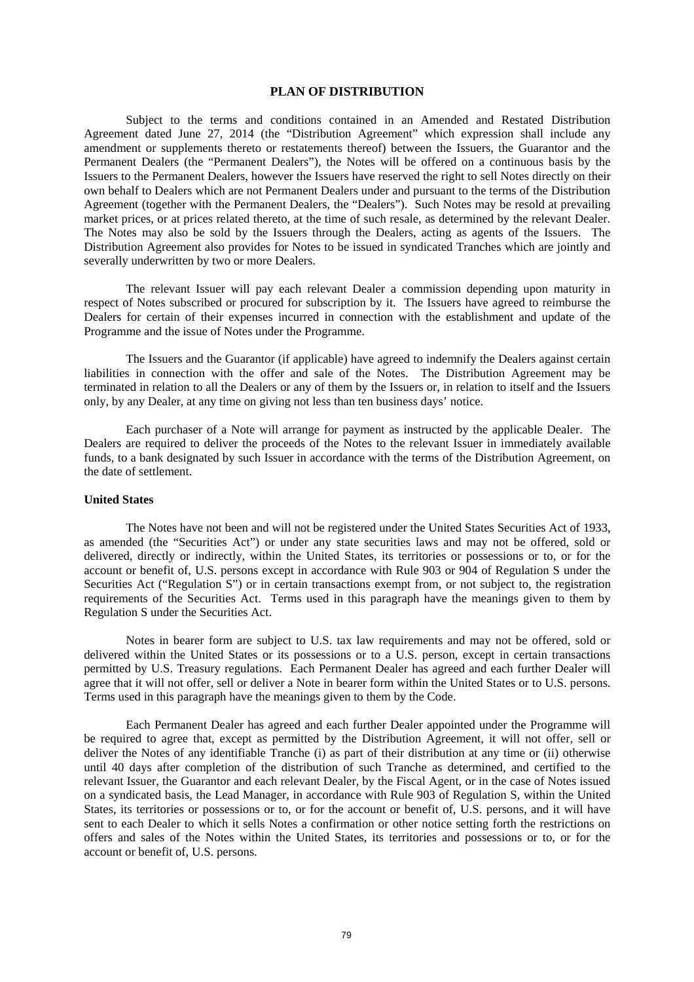#### **PLAN OF DISTRIBUTION**

Subject to the terms and conditions contained in an Amended and Restated Distribution Agreement dated June 27, 2014 (the "Distribution Agreement" which expression shall include any amendment or supplements thereto or restatements thereof) between the Issuers, the Guarantor and the Permanent Dealers (the "Permanent Dealers"), the Notes will be offered on a continuous basis by the Issuers to the Permanent Dealers, however the Issuers have reserved the right to sell Notes directly on their own behalf to Dealers which are not Permanent Dealers under and pursuant to the terms of the Distribution Agreement (together with the Permanent Dealers, the "Dealers"). Such Notes may be resold at prevailing market prices, or at prices related thereto, at the time of such resale, as determined by the relevant Dealer. The Notes may also be sold by the Issuers through the Dealers, acting as agents of the Issuers. The Distribution Agreement also provides for Notes to be issued in syndicated Tranches which are jointly and severally underwritten by two or more Dealers.

The relevant Issuer will pay each relevant Dealer a commission depending upon maturity in respect of Notes subscribed or procured for subscription by it. The Issuers have agreed to reimburse the Dealers for certain of their expenses incurred in connection with the establishment and update of the Programme and the issue of Notes under the Programme.

The Issuers and the Guarantor (if applicable) have agreed to indemnify the Dealers against certain liabilities in connection with the offer and sale of the Notes. The Distribution Agreement may be terminated in relation to all the Dealers or any of them by the Issuers or, in relation to itself and the Issuers only, by any Dealer, at any time on giving not less than ten business days' notice.

Each purchaser of a Note will arrange for payment as instructed by the applicable Dealer. The Dealers are required to deliver the proceeds of the Notes to the relevant Issuer in immediately available funds, to a bank designated by such Issuer in accordance with the terms of the Distribution Agreement, on the date of settlement.

#### **United States**

The Notes have not been and will not be registered under the United States Securities Act of 1933, as amended (the "Securities Act") or under any state securities laws and may not be offered, sold or delivered, directly or indirectly, within the United States, its territories or possessions or to, or for the account or benefit of, U.S. persons except in accordance with Rule 903 or 904 of Regulation S under the Securities Act ("Regulation S") or in certain transactions exempt from, or not subject to, the registration requirements of the Securities Act. Terms used in this paragraph have the meanings given to them by Regulation S under the Securities Act.

Notes in bearer form are subject to U.S. tax law requirements and may not be offered, sold or delivered within the United States or its possessions or to a U.S. person, except in certain transactions permitted by U.S. Treasury regulations. Each Permanent Dealer has agreed and each further Dealer will agree that it will not offer, sell or deliver a Note in bearer form within the United States or to U.S. persons. Terms used in this paragraph have the meanings given to them by the Code.

Each Permanent Dealer has agreed and each further Dealer appointed under the Programme will be required to agree that, except as permitted by the Distribution Agreement, it will not offer, sell or deliver the Notes of any identifiable Tranche (i) as part of their distribution at any time or (ii) otherwise until 40 days after completion of the distribution of such Tranche as determined, and certified to the relevant Issuer, the Guarantor and each relevant Dealer, by the Fiscal Agent, or in the case of Notes issued on a syndicated basis, the Lead Manager, in accordance with Rule 903 of Regulation S, within the United States, its territories or possessions or to, or for the account or benefit of, U.S. persons, and it will have sent to each Dealer to which it sells Notes a confirmation or other notice setting forth the restrictions on offers and sales of the Notes within the United States, its territories and possessions or to, or for the account or benefit of, U.S. persons.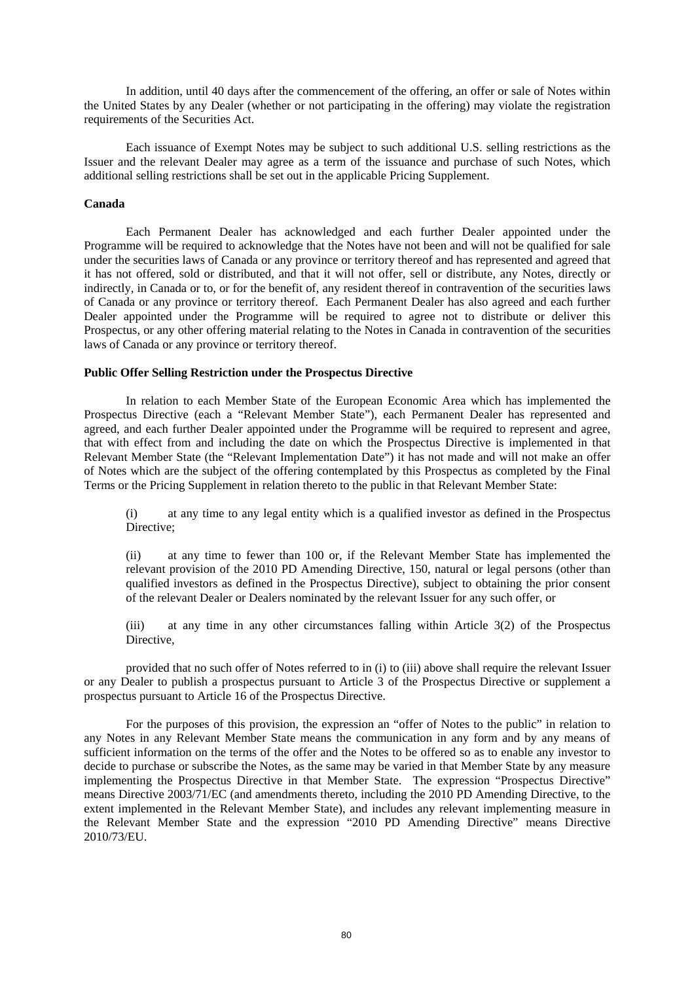In addition, until 40 days after the commencement of the offering, an offer or sale of Notes within the United States by any Dealer (whether or not participating in the offering) may violate the registration requirements of the Securities Act.

Each issuance of Exempt Notes may be subject to such additional U.S. selling restrictions as the Issuer and the relevant Dealer may agree as a term of the issuance and purchase of such Notes, which additional selling restrictions shall be set out in the applicable Pricing Supplement.

#### **Canada**

Each Permanent Dealer has acknowledged and each further Dealer appointed under the Programme will be required to acknowledge that the Notes have not been and will not be qualified for sale under the securities laws of Canada or any province or territory thereof and has represented and agreed that it has not offered, sold or distributed, and that it will not offer, sell or distribute, any Notes, directly or indirectly, in Canada or to, or for the benefit of, any resident thereof in contravention of the securities laws of Canada or any province or territory thereof. Each Permanent Dealer has also agreed and each further Dealer appointed under the Programme will be required to agree not to distribute or deliver this Prospectus, or any other offering material relating to the Notes in Canada in contravention of the securities laws of Canada or any province or territory thereof.

#### **Public Offer Selling Restriction under the Prospectus Directive**

In relation to each Member State of the European Economic Area which has implemented the Prospectus Directive (each a "Relevant Member State"), each Permanent Dealer has represented and agreed, and each further Dealer appointed under the Programme will be required to represent and agree, that with effect from and including the date on which the Prospectus Directive is implemented in that Relevant Member State (the "Relevant Implementation Date") it has not made and will not make an offer of Notes which are the subject of the offering contemplated by this Prospectus as completed by the Final Terms or the Pricing Supplement in relation thereto to the public in that Relevant Member State:

(i) at any time to any legal entity which is a qualified investor as defined in the Prospectus Directive:

(ii) at any time to fewer than 100 or, if the Relevant Member State has implemented the relevant provision of the 2010 PD Amending Directive, 150, natural or legal persons (other than qualified investors as defined in the Prospectus Directive), subject to obtaining the prior consent of the relevant Dealer or Dealers nominated by the relevant Issuer for any such offer, or

(iii) at any time in any other circumstances falling within Article 3(2) of the Prospectus Directive,

provided that no such offer of Notes referred to in (i) to (iii) above shall require the relevant Issuer or any Dealer to publish a prospectus pursuant to Article 3 of the Prospectus Directive or supplement a prospectus pursuant to Article 16 of the Prospectus Directive.

For the purposes of this provision, the expression an "offer of Notes to the public" in relation to any Notes in any Relevant Member State means the communication in any form and by any means of sufficient information on the terms of the offer and the Notes to be offered so as to enable any investor to decide to purchase or subscribe the Notes, as the same may be varied in that Member State by any measure implementing the Prospectus Directive in that Member State. The expression "Prospectus Directive" means Directive 2003/71/EC (and amendments thereto, including the 2010 PD Amending Directive, to the extent implemented in the Relevant Member State), and includes any relevant implementing measure in the Relevant Member State and the expression "2010 PD Amending Directive" means Directive 2010/73/EU.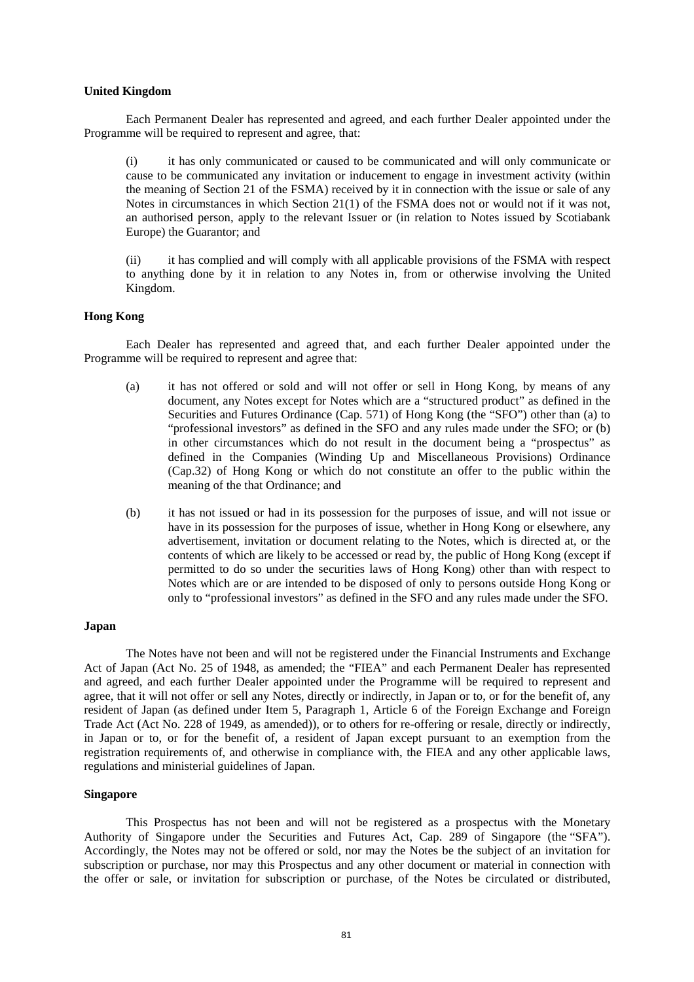#### **United Kingdom**

Each Permanent Dealer has represented and agreed, and each further Dealer appointed under the Programme will be required to represent and agree, that:

(i) it has only communicated or caused to be communicated and will only communicate or cause to be communicated any invitation or inducement to engage in investment activity (within the meaning of Section 21 of the FSMA) received by it in connection with the issue or sale of any Notes in circumstances in which Section 21(1) of the FSMA does not or would not if it was not, an authorised person, apply to the relevant Issuer or (in relation to Notes issued by Scotiabank Europe) the Guarantor; and

(ii) it has complied and will comply with all applicable provisions of the FSMA with respect to anything done by it in relation to any Notes in, from or otherwise involving the United Kingdom.

### **Hong Kong**

Each Dealer has represented and agreed that, and each further Dealer appointed under the Programme will be required to represent and agree that:

- (a) it has not offered or sold and will not offer or sell in Hong Kong, by means of any document, any Notes except for Notes which are a "structured product" as defined in the Securities and Futures Ordinance (Cap. 571) of Hong Kong (the "SFO") other than (a) to "professional investors" as defined in the SFO and any rules made under the SFO; or (b) in other circumstances which do not result in the document being a "prospectus" as defined in the Companies (Winding Up and Miscellaneous Provisions) Ordinance (Cap.32) of Hong Kong or which do not constitute an offer to the public within the meaning of the that Ordinance; and
- (b) it has not issued or had in its possession for the purposes of issue, and will not issue or have in its possession for the purposes of issue, whether in Hong Kong or elsewhere, any advertisement, invitation or document relating to the Notes, which is directed at, or the contents of which are likely to be accessed or read by, the public of Hong Kong (except if permitted to do so under the securities laws of Hong Kong) other than with respect to Notes which are or are intended to be disposed of only to persons outside Hong Kong or only to "professional investors" as defined in the SFO and any rules made under the SFO.

#### **Japan**

The Notes have not been and will not be registered under the Financial Instruments and Exchange Act of Japan (Act No. 25 of 1948, as amended; the "FIEA" and each Permanent Dealer has represented and agreed, and each further Dealer appointed under the Programme will be required to represent and agree, that it will not offer or sell any Notes, directly or indirectly, in Japan or to, or for the benefit of, any resident of Japan (as defined under Item 5, Paragraph 1, Article 6 of the Foreign Exchange and Foreign Trade Act (Act No. 228 of 1949, as amended)), or to others for re-offering or resale, directly or indirectly, in Japan or to, or for the benefit of, a resident of Japan except pursuant to an exemption from the registration requirements of, and otherwise in compliance with, the FIEA and any other applicable laws, regulations and ministerial guidelines of Japan.

#### **Singapore**

This Prospectus has not been and will not be registered as a prospectus with the Monetary Authority of Singapore under the Securities and Futures Act, Cap. 289 of Singapore (the "SFA"). Accordingly, the Notes may not be offered or sold, nor may the Notes be the subject of an invitation for subscription or purchase, nor may this Prospectus and any other document or material in connection with the offer or sale, or invitation for subscription or purchase, of the Notes be circulated or distributed,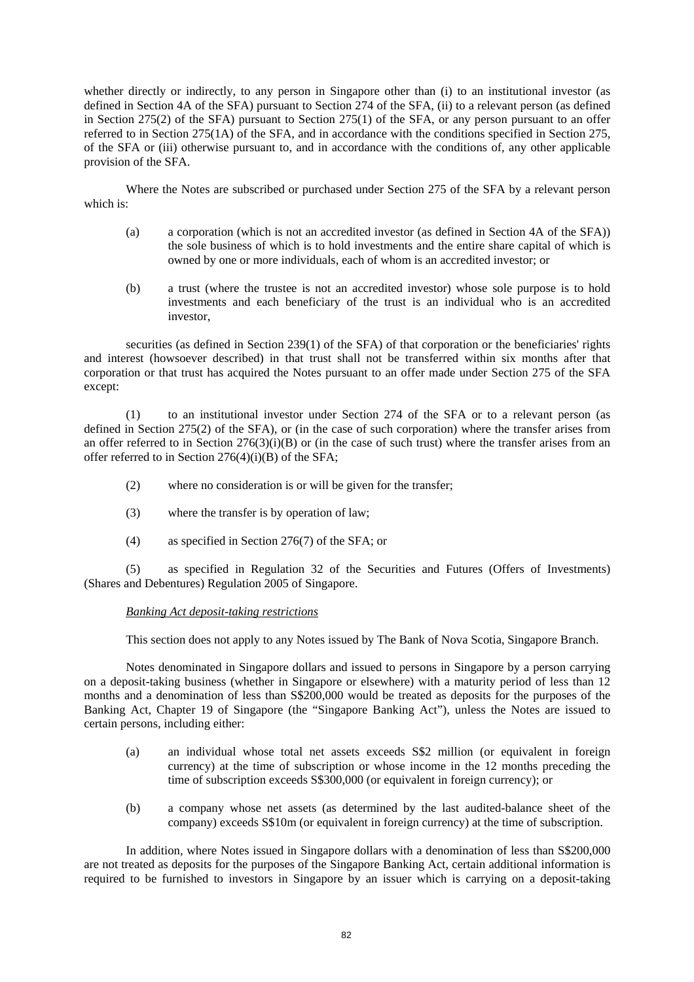whether directly or indirectly, to any person in Singapore other than (i) to an institutional investor (as defined in Section 4A of the SFA) pursuant to Section 274 of the SFA, (ii) to a relevant person (as defined in Section 275(2) of the SFA) pursuant to Section 275(1) of the SFA, or any person pursuant to an offer referred to in Section 275(1A) of the SFA, and in accordance with the conditions specified in Section 275, of the SFA or (iii) otherwise pursuant to, and in accordance with the conditions of, any other applicable provision of the SFA.

Where the Notes are subscribed or purchased under Section 275 of the SFA by a relevant person which is:

- (a) a corporation (which is not an accredited investor (as defined in Section 4A of the SFA)) the sole business of which is to hold investments and the entire share capital of which is owned by one or more individuals, each of whom is an accredited investor; or
- (b) a trust (where the trustee is not an accredited investor) whose sole purpose is to hold investments and each beneficiary of the trust is an individual who is an accredited investor,

securities (as defined in Section 239(1) of the SFA) of that corporation or the beneficiaries' rights and interest (howsoever described) in that trust shall not be transferred within six months after that corporation or that trust has acquired the Notes pursuant to an offer made under Section 275 of the SFA except:

(1) to an institutional investor under Section 274 of the SFA or to a relevant person (as defined in Section 275(2) of the SFA), or (in the case of such corporation) where the transfer arises from an offer referred to in Section  $276(3)(i)(B)$  or (in the case of such trust) where the transfer arises from an offer referred to in Section  $276(4)(i)(B)$  of the SFA;

- (2) where no consideration is or will be given for the transfer;
- (3) where the transfer is by operation of law;
- (4) as specified in Section 276(7) of the SFA; or

(5) as specified in Regulation 32 of the Securities and Futures (Offers of Investments) (Shares and Debentures) Regulation 2005 of Singapore.

### *Banking Act deposit-taking restrictions*

This section does not apply to any Notes issued by The Bank of Nova Scotia, Singapore Branch.

Notes denominated in Singapore dollars and issued to persons in Singapore by a person carrying on a deposit-taking business (whether in Singapore or elsewhere) with a maturity period of less than 12 months and a denomination of less than S\$200,000 would be treated as deposits for the purposes of the Banking Act, Chapter 19 of Singapore (the "Singapore Banking Act"), unless the Notes are issued to certain persons, including either:

- (a) an individual whose total net assets exceeds S\$2 million (or equivalent in foreign currency) at the time of subscription or whose income in the 12 months preceding the time of subscription exceeds S\$300,000 (or equivalent in foreign currency); or
- (b) a company whose net assets (as determined by the last audited-balance sheet of the company) exceeds S\$10m (or equivalent in foreign currency) at the time of subscription.

In addition, where Notes issued in Singapore dollars with a denomination of less than S\$200,000 are not treated as deposits for the purposes of the Singapore Banking Act, certain additional information is required to be furnished to investors in Singapore by an issuer which is carrying on a deposit-taking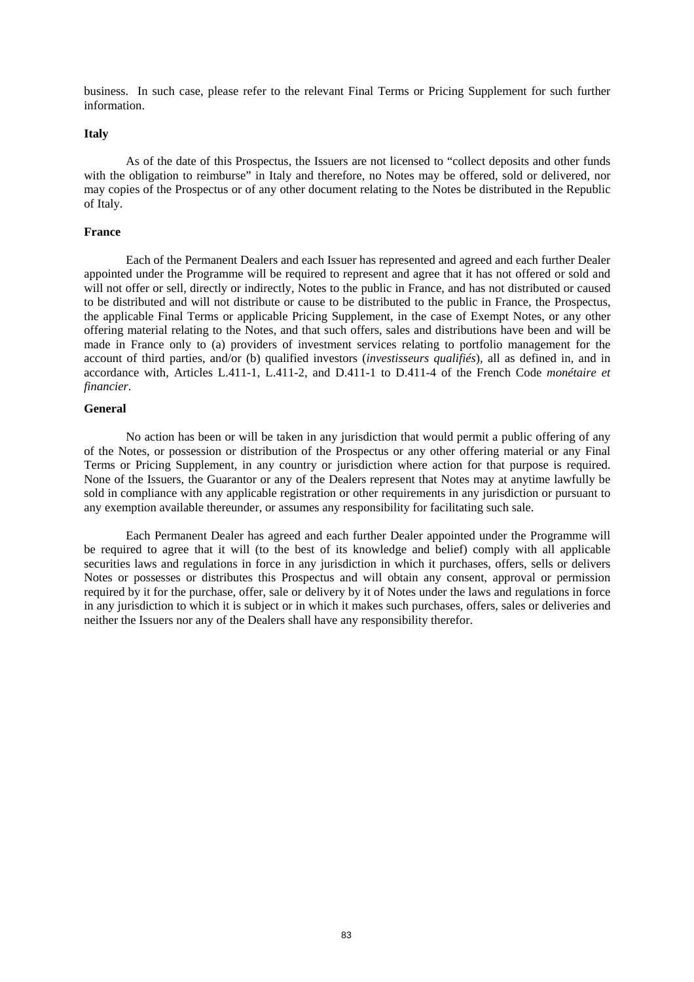business. In such case, please refer to the relevant Final Terms or Pricing Supplement for such further information.

#### **Italy**

As of the date of this Prospectus, the Issuers are not licensed to "collect deposits and other funds with the obligation to reimburse" in Italy and therefore, no Notes may be offered, sold or delivered, nor may copies of the Prospectus or of any other document relating to the Notes be distributed in the Republic of Italy.

#### **France**

Each of the Permanent Dealers and each Issuer has represented and agreed and each further Dealer appointed under the Programme will be required to represent and agree that it has not offered or sold and will not offer or sell, directly or indirectly, Notes to the public in France, and has not distributed or caused to be distributed and will not distribute or cause to be distributed to the public in France, the Prospectus, the applicable Final Terms or applicable Pricing Supplement, in the case of Exempt Notes, or any other offering material relating to the Notes, and that such offers, sales and distributions have been and will be made in France only to (a) providers of investment services relating to portfolio management for the account of third parties, and/or (b) qualified investors (*investisseurs qualifiés*), all as defined in, and in accordance with, Articles L.411-1, L.411-2, and D.411-1 to D.411-4 of the French Code *monétaire et financier*.

#### **General**

No action has been or will be taken in any jurisdiction that would permit a public offering of any of the Notes, or possession or distribution of the Prospectus or any other offering material or any Final Terms or Pricing Supplement, in any country or jurisdiction where action for that purpose is required. None of the Issuers, the Guarantor or any of the Dealers represent that Notes may at anytime lawfully be sold in compliance with any applicable registration or other requirements in any jurisdiction or pursuant to any exemption available thereunder, or assumes any responsibility for facilitating such sale.

Each Permanent Dealer has agreed and each further Dealer appointed under the Programme will be required to agree that it will (to the best of its knowledge and belief) comply with all applicable securities laws and regulations in force in any jurisdiction in which it purchases, offers, sells or delivers Notes or possesses or distributes this Prospectus and will obtain any consent, approval or permission required by it for the purchase, offer, sale or delivery by it of Notes under the laws and regulations in force in any jurisdiction to which it is subject or in which it makes such purchases, offers, sales or deliveries and neither the Issuers nor any of the Dealers shall have any responsibility therefor.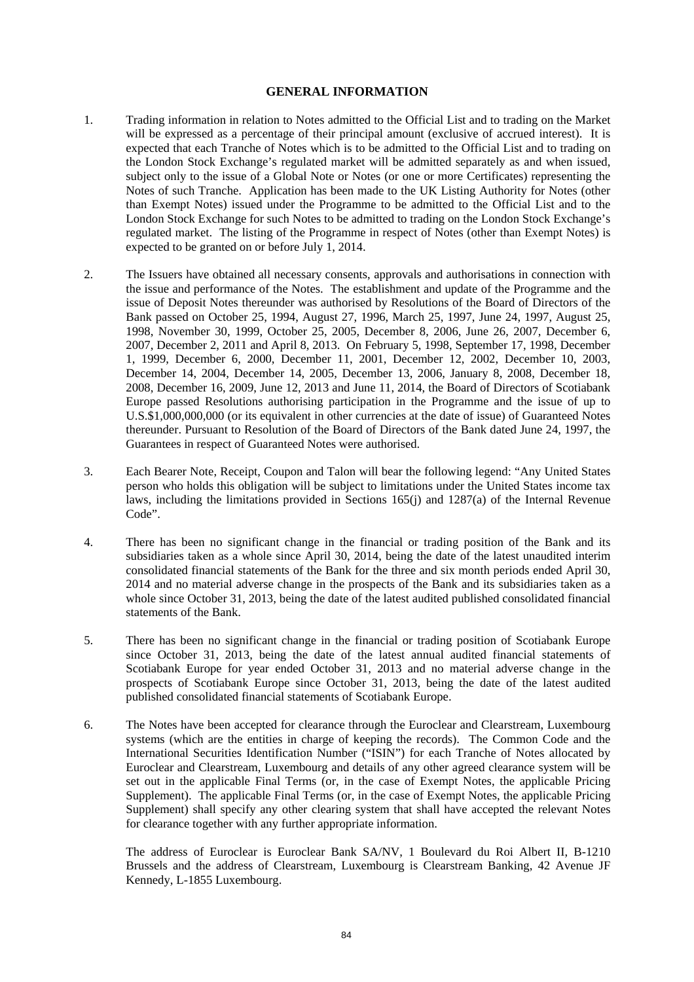### **GENERAL INFORMATION**

- 1. Trading information in relation to Notes admitted to the Official List and to trading on the Market will be expressed as a percentage of their principal amount (exclusive of accrued interest). It is expected that each Tranche of Notes which is to be admitted to the Official List and to trading on the London Stock Exchange's regulated market will be admitted separately as and when issued, subject only to the issue of a Global Note or Notes (or one or more Certificates) representing the Notes of such Tranche. Application has been made to the UK Listing Authority for Notes (other than Exempt Notes) issued under the Programme to be admitted to the Official List and to the London Stock Exchange for such Notes to be admitted to trading on the London Stock Exchange's regulated market. The listing of the Programme in respect of Notes (other than Exempt Notes) is expected to be granted on or before July 1, 2014.
- 2. The Issuers have obtained all necessary consents, approvals and authorisations in connection with the issue and performance of the Notes. The establishment and update of the Programme and the issue of Deposit Notes thereunder was authorised by Resolutions of the Board of Directors of the Bank passed on October 25, 1994, August 27, 1996, March 25, 1997, June 24, 1997, August 25, 1998, November 30, 1999, October 25, 2005, December 8, 2006, June 26, 2007, December 6, 2007, December 2, 2011 and April 8, 2013. On February 5, 1998, September 17, 1998, December 1, 1999, December 6, 2000, December 11, 2001, December 12, 2002, December 10, 2003, December 14, 2004, December 14, 2005, December 13, 2006, January 8, 2008, December 18, 2008, December 16, 2009, June 12, 2013 and June 11, 2014, the Board of Directors of Scotiabank Europe passed Resolutions authorising participation in the Programme and the issue of up to U.S.\$1,000,000,000 (or its equivalent in other currencies at the date of issue) of Guaranteed Notes thereunder. Pursuant to Resolution of the Board of Directors of the Bank dated June 24, 1997, the Guarantees in respect of Guaranteed Notes were authorised.
- 3. Each Bearer Note, Receipt, Coupon and Talon will bear the following legend: "Any United States person who holds this obligation will be subject to limitations under the United States income tax laws, including the limitations provided in Sections 165(j) and 1287(a) of the Internal Revenue Code".
- 4. There has been no significant change in the financial or trading position of the Bank and its subsidiaries taken as a whole since April 30, 2014, being the date of the latest unaudited interim consolidated financial statements of the Bank for the three and six month periods ended April 30, 2014 and no material adverse change in the prospects of the Bank and its subsidiaries taken as a whole since October 31, 2013, being the date of the latest audited published consolidated financial statements of the Bank.
- 5. There has been no significant change in the financial or trading position of Scotiabank Europe since October 31, 2013, being the date of the latest annual audited financial statements of Scotiabank Europe for year ended October 31, 2013 and no material adverse change in the prospects of Scotiabank Europe since October 31, 2013, being the date of the latest audited published consolidated financial statements of Scotiabank Europe.
- 6. The Notes have been accepted for clearance through the Euroclear and Clearstream, Luxembourg systems (which are the entities in charge of keeping the records). The Common Code and the International Securities Identification Number ("ISIN") for each Tranche of Notes allocated by Euroclear and Clearstream, Luxembourg and details of any other agreed clearance system will be set out in the applicable Final Terms (or, in the case of Exempt Notes, the applicable Pricing Supplement). The applicable Final Terms (or, in the case of Exempt Notes, the applicable Pricing Supplement) shall specify any other clearing system that shall have accepted the relevant Notes for clearance together with any further appropriate information.

The address of Euroclear is Euroclear Bank SA/NV, 1 Boulevard du Roi Albert II, B-1210 Brussels and the address of Clearstream, Luxembourg is Clearstream Banking, 42 Avenue JF Kennedy, L-1855 Luxembourg.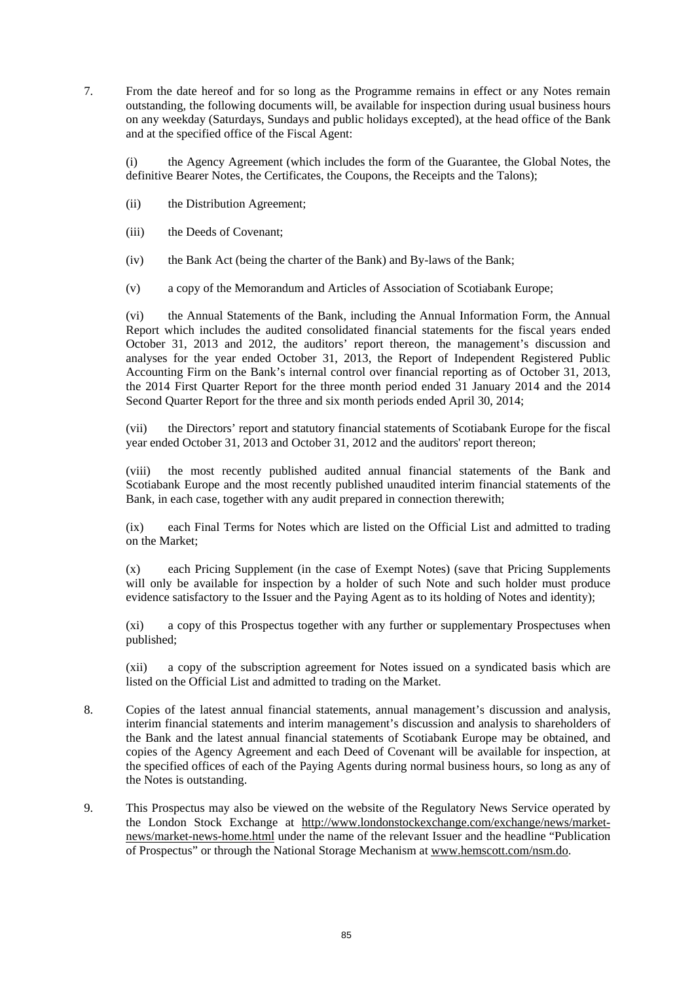7. From the date hereof and for so long as the Programme remains in effect or any Notes remain outstanding, the following documents will, be available for inspection during usual business hours on any weekday (Saturdays, Sundays and public holidays excepted), at the head office of the Bank and at the specified office of the Fiscal Agent:

(i) the Agency Agreement (which includes the form of the Guarantee, the Global Notes, the definitive Bearer Notes, the Certificates, the Coupons, the Receipts and the Talons);

- (ii) the Distribution Agreement;
- (iii) the Deeds of Covenant;
- (iv) the Bank Act (being the charter of the Bank) and By-laws of the Bank;
- (v) a copy of the Memorandum and Articles of Association of Scotiabank Europe;

(vi) the Annual Statements of the Bank, including the Annual Information Form, the Annual Report which includes the audited consolidated financial statements for the fiscal years ended October 31, 2013 and 2012, the auditors' report thereon, the management's discussion and analyses for the year ended October 31, 2013, the Report of Independent Registered Public Accounting Firm on the Bank's internal control over financial reporting as of October 31, 2013, the 2014 First Quarter Report for the three month period ended 31 January 2014 and the 2014 Second Quarter Report for the three and six month periods ended April 30, 2014;

(vii) the Directors' report and statutory financial statements of Scotiabank Europe for the fiscal year ended October 31, 2013 and October 31, 2012 and the auditors' report thereon;

the most recently published audited annual financial statements of the Bank and Scotiabank Europe and the most recently published unaudited interim financial statements of the Bank, in each case, together with any audit prepared in connection therewith;

(ix) each Final Terms for Notes which are listed on the Official List and admitted to trading on the Market;

(x) each Pricing Supplement (in the case of Exempt Notes) (save that Pricing Supplements will only be available for inspection by a holder of such Note and such holder must produce evidence satisfactory to the Issuer and the Paying Agent as to its holding of Notes and identity);

(xi) a copy of this Prospectus together with any further or supplementary Prospectuses when published;

(xii) a copy of the subscription agreement for Notes issued on a syndicated basis which are listed on the Official List and admitted to trading on the Market.

- 8. Copies of the latest annual financial statements, annual management's discussion and analysis, interim financial statements and interim management's discussion and analysis to shareholders of the Bank and the latest annual financial statements of Scotiabank Europe may be obtained, and copies of the Agency Agreement and each Deed of Covenant will be available for inspection, at the specified offices of each of the Paying Agents during normal business hours, so long as any of the Notes is outstanding.
- 9. This Prospectus may also be viewed on the website of the Regulatory News Service operated by the London Stock Exchange at http://www.londonstockexchange.com/exchange/news/marketnews/market-news-home.html under the name of the relevant Issuer and the headline "Publication of Prospectus" or through the National Storage Mechanism at www.hemscott.com/nsm.do.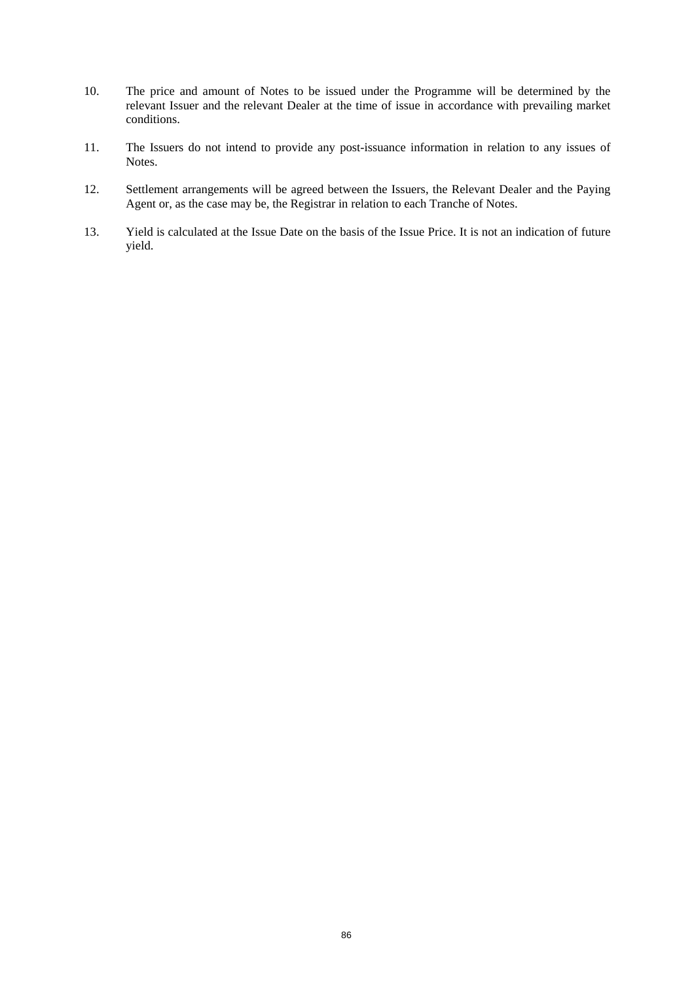- 10. The price and amount of Notes to be issued under the Programme will be determined by the relevant Issuer and the relevant Dealer at the time of issue in accordance with prevailing market conditions.
- 11. The Issuers do not intend to provide any post-issuance information in relation to any issues of Notes.
- 12. Settlement arrangements will be agreed between the Issuers, the Relevant Dealer and the Paying Agent or, as the case may be, the Registrar in relation to each Tranche of Notes.
- 13. Yield is calculated at the Issue Date on the basis of the Issue Price. It is not an indication of future yield.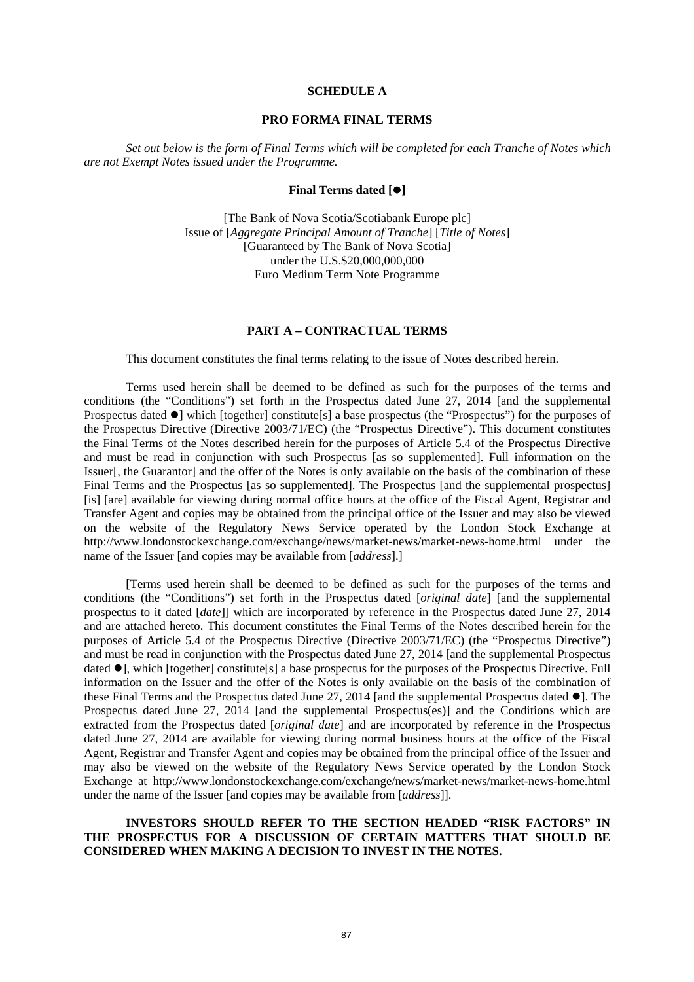#### **SCHEDULE A**

#### **PRO FORMA FINAL TERMS**

*Set out below is the form of Final Terms which will be completed for each Tranche of Notes which are not Exempt Notes issued under the Programme.* 

#### **Final Terms dated []**

[The Bank of Nova Scotia/Scotiabank Europe plc] Issue of [*Aggregate Principal Amount of Tranche*] [*Title of Notes*] [Guaranteed by The Bank of Nova Scotia] under the U.S.\$20,000,000,000 Euro Medium Term Note Programme

#### **PART A – CONTRACTUAL TERMS**

This document constitutes the final terms relating to the issue of Notes described herein.

Terms used herein shall be deemed to be defined as such for the purposes of the terms and conditions (the "Conditions") set forth in the Prospectus dated June 27, 2014 [and the supplemental Prospectus dated  $\bullet$ ] which [together] constitute[s] a base prospectus (the "Prospectus") for the purposes of the Prospectus Directive (Directive 2003/71/EC) (the "Prospectus Directive"). This document constitutes the Final Terms of the Notes described herein for the purposes of Article 5.4 of the Prospectus Directive and must be read in conjunction with such Prospectus [as so supplemented]. Full information on the Issuer[, the Guarantor] and the offer of the Notes is only available on the basis of the combination of these Final Terms and the Prospectus [as so supplemented]. The Prospectus [and the supplemental prospectus] [is] [are] available for viewing during normal office hours at the office of the Fiscal Agent, Registrar and Transfer Agent and copies may be obtained from the principal office of the Issuer and may also be viewed on the website of the Regulatory News Service operated by the London Stock Exchange at http://www.londonstockexchange.com/exchange/news/market-news/market-news-home.html under the name of the Issuer [and copies may be available from [*address*].]

[Terms used herein shall be deemed to be defined as such for the purposes of the terms and conditions (the "Conditions") set forth in the Prospectus dated [*original date*] [and the supplemental prospectus to it dated [*date*]] which are incorporated by reference in the Prospectus dated June 27, 2014 and are attached hereto. This document constitutes the Final Terms of the Notes described herein for the purposes of Article 5.4 of the Prospectus Directive (Directive 2003/71/EC) (the "Prospectus Directive") and must be read in conjunction with the Prospectus dated June 27, 2014 [and the supplemental Prospectus dated  $\bullet$ ], which [together] constitute[s] a base prospectus for the purposes of the Prospectus Directive. Full information on the Issuer and the offer of the Notes is only available on the basis of the combination of these Final Terms and the Prospectus dated June 27, 2014 [and the supplemental Prospectus dated  $\bullet$ ]. The Prospectus dated June 27, 2014 [and the supplemental Prospectus(es)] and the Conditions which are extracted from the Prospectus dated [*original date*] and are incorporated by reference in the Prospectus dated June 27, 2014 are available for viewing during normal business hours at the office of the Fiscal Agent, Registrar and Transfer Agent and copies may be obtained from the principal office of the Issuer and may also be viewed on the website of the Regulatory News Service operated by the London Stock Exchange at http://www.londonstockexchange.com/exchange/news/market-news/market-news-home.html under the name of the Issuer [and copies may be available from [*address*]].

## **INVESTORS SHOULD REFER TO THE SECTION HEADED "RISK FACTORS" IN THE PROSPECTUS FOR A DISCUSSION OF CERTAIN MATTERS THAT SHOULD BE CONSIDERED WHEN MAKING A DECISION TO INVEST IN THE NOTES.**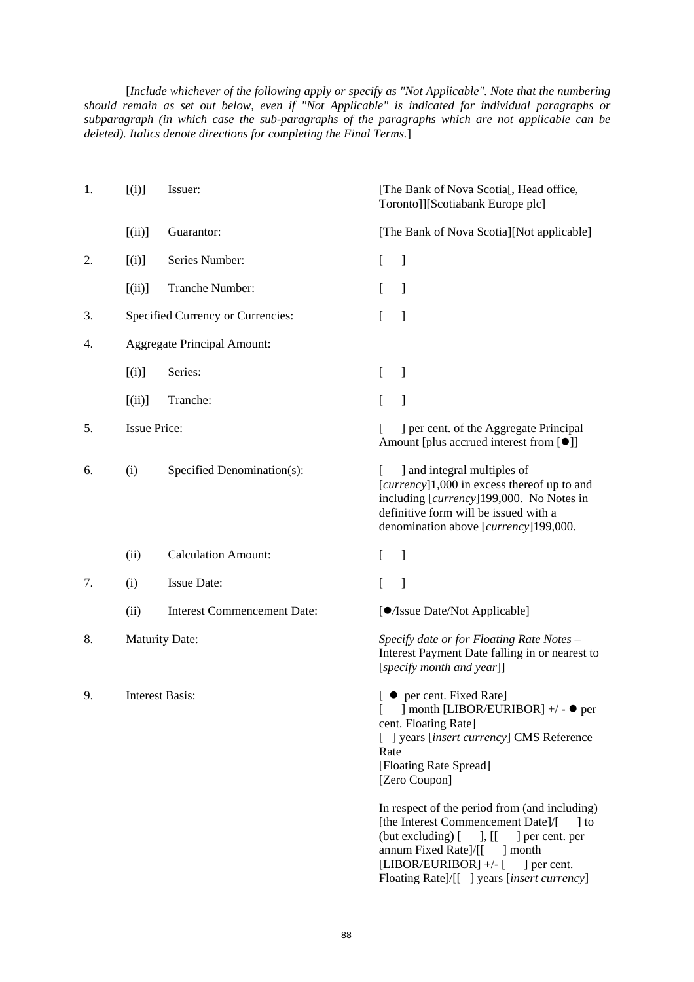[*Include whichever of the following apply or specify as "Not Applicable". Note that the numbering should remain as set out below, even if "Not Applicable" is indicated for individual paragraphs or subparagraph (in which case the sub-paragraphs of the paragraphs which are not applicable can be deleted). Italics denote directions for completing the Final Terms.*]

| 1. | [(i)]               | Issuer:                            | [The Bank of Nova Scotia], Head office,<br>Toronto]][Scotiabank Europe plc]                                                                                                                                                                                                                       |
|----|---------------------|------------------------------------|---------------------------------------------------------------------------------------------------------------------------------------------------------------------------------------------------------------------------------------------------------------------------------------------------|
|    | [(ii)]              | Guarantor:                         | [The Bank of Nova Scotia][Not applicable]                                                                                                                                                                                                                                                         |
| 2. | [(i)]               | Series Number:                     | ]<br>L                                                                                                                                                                                                                                                                                            |
|    | [(ii)]              | Tranche Number:                    | ]                                                                                                                                                                                                                                                                                                 |
| 3. |                     | Specified Currency or Currencies:  | ]                                                                                                                                                                                                                                                                                                 |
| 4. |                     | <b>Aggregate Principal Amount:</b> |                                                                                                                                                                                                                                                                                                   |
|    | [(i)]               | Series:                            | ]<br>L                                                                                                                                                                                                                                                                                            |
|    | [(ii)]              | Tranche:                           | 1<br>L                                                                                                                                                                                                                                                                                            |
| 5. | <b>Issue Price:</b> |                                    | ] per cent. of the Aggregate Principal<br>Amount [plus accrued interest from [ <sup>●</sup> ]]                                                                                                                                                                                                    |
| 6. | (i)                 | Specified Denomination(s):         | ] and integral multiples of<br>[currency]1,000 in excess thereof up to and<br>including [currency]199,000. No Notes in<br>definitive form will be issued with a<br>denomination above [currency]199,000.                                                                                          |
|    | (ii)                | <b>Calculation Amount:</b>         | 1<br>L                                                                                                                                                                                                                                                                                            |
| 7. | (i)                 | <b>Issue Date:</b>                 | 1<br>L                                                                                                                                                                                                                                                                                            |
|    | (ii)                | <b>Interest Commencement Date:</b> | [O/Issue Date/Not Applicable]                                                                                                                                                                                                                                                                     |
| 8. |                     | <b>Maturity Date:</b>              | Specify date or for Floating Rate Notes -<br>Interest Payment Date falling in or nearest to<br>[specify month and year]]                                                                                                                                                                          |
| 9. |                     | <b>Interest Basis:</b>             | [ ● per cent. Fixed Rate]<br>] month [LIBOR/EURIBOR] +/ - ● per<br>cent. Floating Rate]<br>[ ] years [insert currency] CMS Reference<br>Rate<br>[Floating Rate Spread]<br>[Zero Coupon]                                                                                                           |
|    |                     |                                    | In respect of the period from (and including)<br>[the Interest Commencement Date]/[<br>$\vert$ to<br>$(\text{but excluding})$ $\lceil$<br>$\vert$ , [[<br>] per cent. per<br>annum Fixed Rate]/[[<br>month<br>[LIBOR/EURIBOR] +/- [<br>] per cent.<br>Floating Rate]/[[ ] years [insert currency] |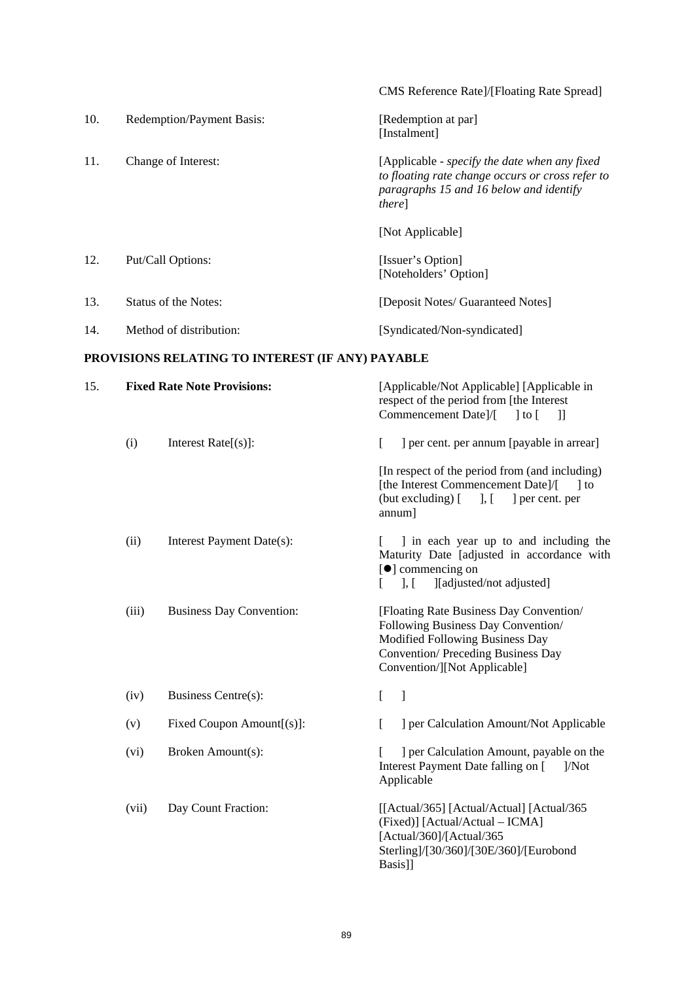|     |       |                                                  | CMS Reference Rate]/[Floating Rate Spread]                                                                                                                                                   |
|-----|-------|--------------------------------------------------|----------------------------------------------------------------------------------------------------------------------------------------------------------------------------------------------|
| 10. |       | Redemption/Payment Basis:                        | [Redemption at par]<br>[Instalment]                                                                                                                                                          |
| 11. |       | Change of Interest:                              | [Applicable - specify the date when any fixed<br>to floating rate change occurs or cross refer to<br>paragraphs 15 and 16 below and identify<br>there]                                       |
|     |       |                                                  | [Not Applicable]                                                                                                                                                                             |
| 12. |       | Put/Call Options:                                | [Issuer's Option]<br>[Noteholders' Option]                                                                                                                                                   |
| 13. |       | <b>Status of the Notes:</b>                      | [Deposit Notes/ Guaranteed Notes]                                                                                                                                                            |
| 14. |       | Method of distribution:                          | [Syndicated/Non-syndicated]                                                                                                                                                                  |
|     |       | PROVISIONS RELATING TO INTEREST (IF ANY) PAYABLE |                                                                                                                                                                                              |
| 15. |       | <b>Fixed Rate Note Provisions:</b>               | [Applicable/Not Applicable] [Applicable in<br>respect of the period from [the Interest<br>Commencement Date]/[<br>$\overline{\phantom{a}}$<br>$\vert$ to $\vert$                             |
|     | (i)   | Interest $Rate[s]$ :                             | L<br>] per cent. per annum [payable in arrear]                                                                                                                                               |
|     |       |                                                  | [In respect of the period from (and including)<br>[the Interest Commencement Date]/[<br>$\vert$ to<br>(but excluding) [ ], [ ] per cent. per<br>annum]                                       |
|     | (ii)  | Interest Payment Date(s):                        | I in each year up to and including the<br>Maturity Date [adjusted in accordance with<br>[ <sup>•</sup> ] commencing on<br>][adjusted/not adjusted]<br>$\mathcal{L}$ , $\mathcal{L}$          |
|     | (iii) | <b>Business Day Convention:</b>                  | [Floating Rate Business Day Convention/<br>Following Business Day Convention/<br>Modified Following Business Day<br><b>Convention/Preceding Business Day</b><br>Convention/][Not Applicable] |
|     | (iv)  | Business Centre(s):                              | L<br>]                                                                                                                                                                                       |
|     | (v)   | Fixed Coupon Amount[(s)]:                        | ] per Calculation Amount/Not Applicable<br>L                                                                                                                                                 |
|     | (vi)  | Broken Amount(s):                                | ] per Calculation Amount, payable on the<br>Interest Payment Date falling on [<br>1/Not<br>Applicable                                                                                        |

(vii) Day Count Fraction: [[Actual/365] [Actual/Actual] [Actual/365 (Fixed)] [Actual/Actual – ICMA] [Actual/360]/[Actual/365 Sterling]/[30/360]/[30E/360]/[Eurobond Basis]]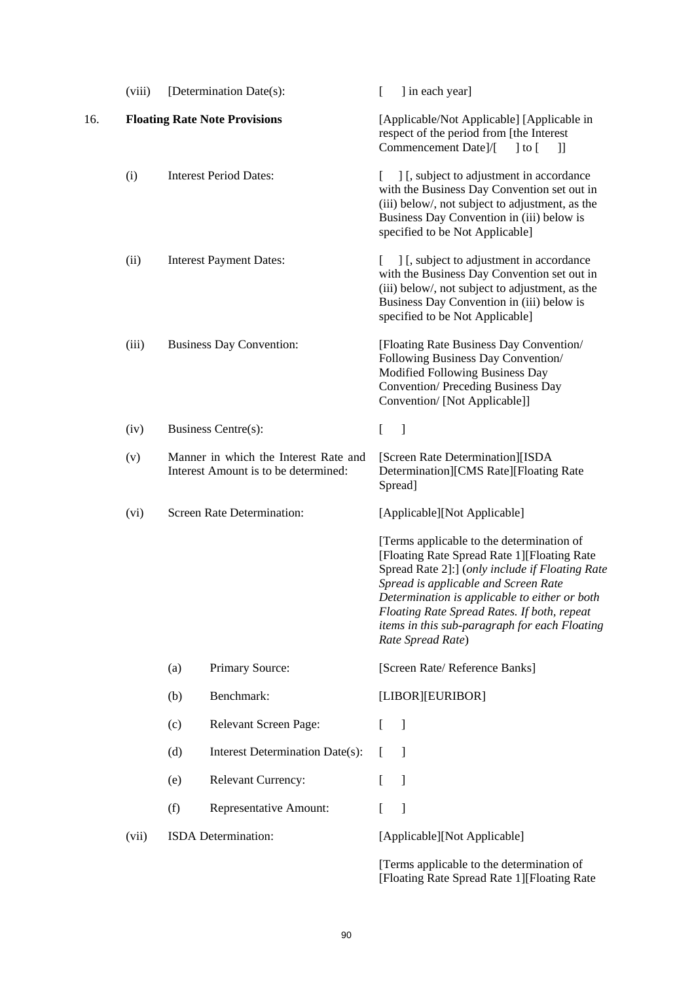|     | (viii) | [Determination Date(s):                                                       | ] in each year]<br>L                                                                                                                                                                                                                                                                                                                                      |
|-----|--------|-------------------------------------------------------------------------------|-----------------------------------------------------------------------------------------------------------------------------------------------------------------------------------------------------------------------------------------------------------------------------------------------------------------------------------------------------------|
| 16. |        | <b>Floating Rate Note Provisions</b>                                          | [Applicable/Not Applicable] [Applicable in<br>respect of the period from [the Interest<br>Commencement Date]/[<br>$\vert$ to $\vert$<br>$\mathcal{L}$                                                                                                                                                                                                     |
|     | (i)    | <b>Interest Period Dates:</b>                                                 | ] [, subject to adjustment in accordance<br>L<br>with the Business Day Convention set out in<br>(iii) below/, not subject to adjustment, as the<br>Business Day Convention in (iii) below is<br>specified to be Not Applicable]                                                                                                                           |
|     | (ii)   | <b>Interest Payment Dates:</b>                                                | ] [, subject to adjustment in accordance<br>with the Business Day Convention set out in<br>(iii) below/, not subject to adjustment, as the<br>Business Day Convention in (iii) below is<br>specified to be Not Applicable]                                                                                                                                |
|     | (iii)  | <b>Business Day Convention:</b>                                               | [Floating Rate Business Day Convention/<br>Following Business Day Convention/<br>Modified Following Business Day<br><b>Convention/Preceding Business Day</b><br>Convention/ [Not Applicable]]                                                                                                                                                             |
|     | (iv)   | Business Centre(s):                                                           | $\overline{a}$<br>$\left.\vphantom{\raisebox{1.5cm}{.}}\right]$                                                                                                                                                                                                                                                                                           |
|     | (v)    | Manner in which the Interest Rate and<br>Interest Amount is to be determined: | [Screen Rate Determination][ISDA<br>Determination][CMS Rate][Floating Rate<br>Spread]                                                                                                                                                                                                                                                                     |
|     | (vi)   | <b>Screen Rate Determination:</b>                                             | [Applicable][Not Applicable]                                                                                                                                                                                                                                                                                                                              |
|     |        |                                                                               | [Terms applicable to the determination of<br>[Floating Rate Spread Rate 1][Floating Rate<br>Spread Rate 2]:] (only include if Floating Rate<br>Spread is applicable and Screen Rate<br>Determination is applicable to either or both<br>Floating Rate Spread Rates. If both, repeat<br>items in this sub-paragraph for each Floating<br>Rate Spread Rate) |
|     |        | Primary Source:<br>(a)                                                        | [Screen Rate/ Reference Banks]                                                                                                                                                                                                                                                                                                                            |
|     |        | Benchmark:<br>(b)                                                             | [LIBOR][EURIBOR]                                                                                                                                                                                                                                                                                                                                          |
|     |        | Relevant Screen Page:<br>(c)                                                  | -1<br>L                                                                                                                                                                                                                                                                                                                                                   |
|     |        | (d)<br>Interest Determination Date(s):                                        | -1                                                                                                                                                                                                                                                                                                                                                        |
|     |        | Relevant Currency:<br>(e)                                                     | $\mathbf{I}$                                                                                                                                                                                                                                                                                                                                              |
|     |        | (f)<br>Representative Amount:                                                 | 1                                                                                                                                                                                                                                                                                                                                                         |
|     | (vii)  | ISDA Determination:                                                           | [Applicable][Not Applicable]                                                                                                                                                                                                                                                                                                                              |
|     |        |                                                                               | [Terms applicable to the determination of                                                                                                                                                                                                                                                                                                                 |

[Floating Rate Spread Rate 1][Floating Rate

90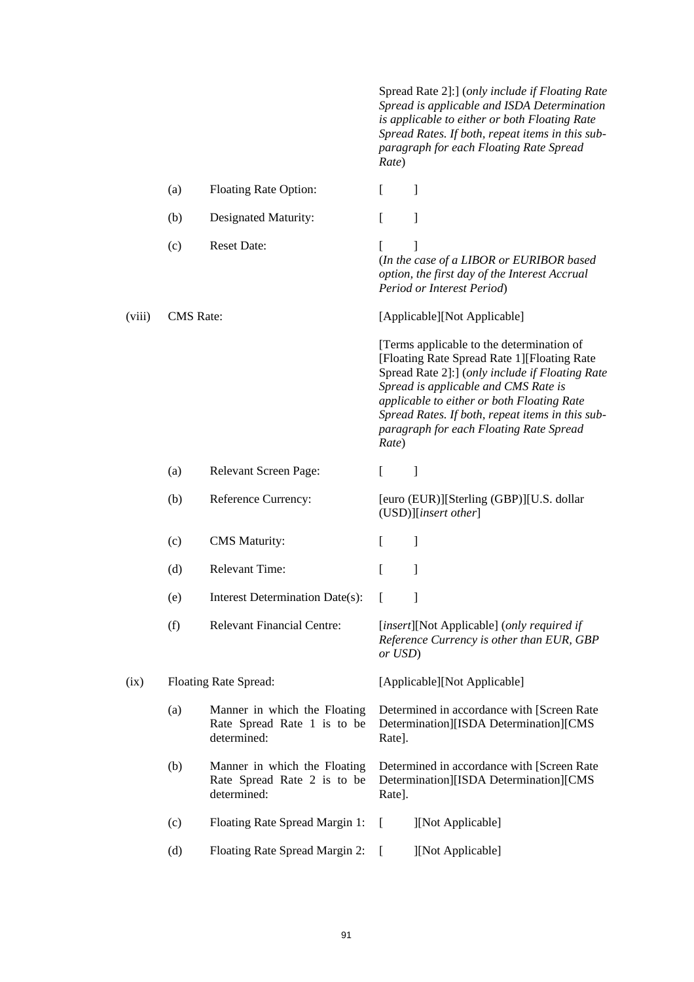Spread Rate 2]:] (*only include if Floating Rate Spread is applicable and ISDA Determination is applicable to either or both Floating Rate Spread Rates. If both, repeat items in this subparagraph for each Floating Rate Spread Rate*)

|        | (a)              | <b>Floating Rate Option:</b>                                               | ſ       | 1                                                                                                                                                                                                                                                                                                                                |
|--------|------------------|----------------------------------------------------------------------------|---------|----------------------------------------------------------------------------------------------------------------------------------------------------------------------------------------------------------------------------------------------------------------------------------------------------------------------------------|
|        | (b)              | Designated Maturity:                                                       | ſ       | 1                                                                                                                                                                                                                                                                                                                                |
|        | (c)              | <b>Reset Date:</b>                                                         |         | 1<br>(In the case of a LIBOR or EURIBOR based<br>option, the first day of the Interest Accrual<br>Period or Interest Period)                                                                                                                                                                                                     |
| (viii) | <b>CMS</b> Rate: |                                                                            |         | [Applicable][Not Applicable]                                                                                                                                                                                                                                                                                                     |
|        |                  |                                                                            | Rate)   | [Terms applicable to the determination of<br>[Floating Rate Spread Rate 1][Floating Rate<br>Spread Rate 2]:] (only include if Floating Rate<br>Spread is applicable and CMS Rate is<br>applicable to either or both Floating Rate<br>Spread Rates. If both, repeat items in this sub-<br>paragraph for each Floating Rate Spread |
|        | (a)              | Relevant Screen Page:                                                      | L       | 1                                                                                                                                                                                                                                                                                                                                |
|        | (b)              | Reference Currency:                                                        |         | [euro (EUR)][Sterling (GBP)][U.S. dollar<br>(USD)][insert other]                                                                                                                                                                                                                                                                 |
|        | (c)              | <b>CMS</b> Maturity:                                                       | L       | 1                                                                                                                                                                                                                                                                                                                                |
|        | (d)              | <b>Relevant Time:</b>                                                      | ſ       | 1                                                                                                                                                                                                                                                                                                                                |
|        | (e)              | Interest Determination Date(s):                                            | L       | 1                                                                                                                                                                                                                                                                                                                                |
|        | (f)              | <b>Relevant Financial Centre:</b>                                          | or USD) | [insert][Not Applicable] (only required if<br>Reference Currency is other than EUR, GBP                                                                                                                                                                                                                                          |
| (ix)   |                  | Floating Rate Spread:                                                      |         | [Applicable][Not Applicable]                                                                                                                                                                                                                                                                                                     |
|        | (a)              | Manner in which the Floating<br>Rate Spread Rate 1 is to be<br>determined: | Rate].  | Determined in accordance with [Screen Rate<br>Determination][ISDA Determination][CMS                                                                                                                                                                                                                                             |
|        | (b)              | Manner in which the Floating<br>Rate Spread Rate 2 is to be<br>determined: | Rate].  | Determined in accordance with [Screen Rate<br>Determination][ISDA Determination][CMS                                                                                                                                                                                                                                             |
|        | (c)              | Floating Rate Spread Margin 1:                                             | L       | ][Not Applicable]                                                                                                                                                                                                                                                                                                                |
|        | (d)              | Floating Rate Spread Margin 2:                                             |         | ][Not Applicable]                                                                                                                                                                                                                                                                                                                |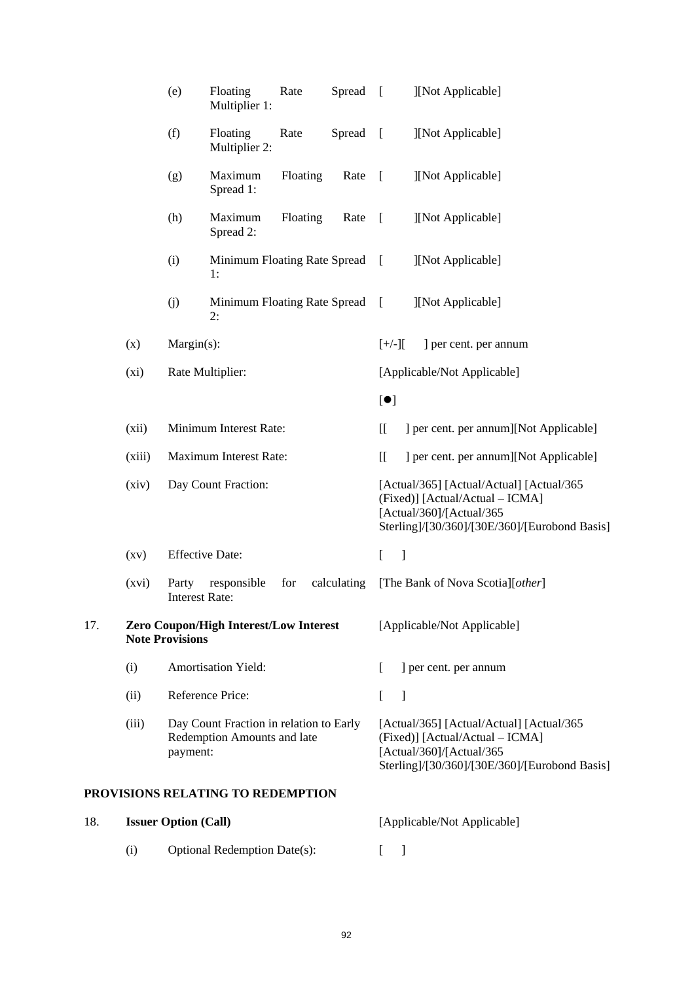|     |                    | (e)                            | Floating<br>Multiplier 1:                                              | Rate     | Spread      | $\Box$                                            | ][Not Applicable]                                                                                                                                         |
|-----|--------------------|--------------------------------|------------------------------------------------------------------------|----------|-------------|---------------------------------------------------|-----------------------------------------------------------------------------------------------------------------------------------------------------------|
|     |                    | (f)                            | Floating<br>Multiplier 2:                                              | Rate     | Spread      | $\sqrt{ }$                                        | ][Not Applicable]                                                                                                                                         |
|     |                    | (g)                            | Maximum<br>Spread 1:                                                   | Floating | Rate        | $\sqrt{ }$                                        | ][Not Applicable]                                                                                                                                         |
|     |                    | (h)                            | Maximum<br>Spread 2:                                                   | Floating | Rate        | $\sqrt{ }$                                        | ][Not Applicable]                                                                                                                                         |
|     |                    | (i)                            | Minimum Floating Rate Spread<br>1:                                     |          |             | $\sqrt{ }$                                        | ][Not Applicable]                                                                                                                                         |
|     |                    | (j)                            | Minimum Floating Rate Spread<br>2:                                     |          |             | $\sqrt{ }$                                        | ][Not Applicable]                                                                                                                                         |
|     | (x)                | Margin(s):                     |                                                                        |          |             | $[+/$ ][                                          | ] per cent. per annum                                                                                                                                     |
|     | (xi)               |                                | Rate Multiplier:                                                       |          |             |                                                   | [Applicable/Not Applicable]                                                                                                                               |
|     |                    |                                |                                                                        |          |             | [•]                                               |                                                                                                                                                           |
|     | (xii)              |                                | Minimum Interest Rate:                                                 |          |             | $\left[ \right]$                                  | ] per cent. per annum][Not Applicable]                                                                                                                    |
|     | (xiii)             |                                | Maximum Interest Rate:                                                 |          |             | $\overline{\Pi}$                                  | ] per cent. per annum][Not Applicable]                                                                                                                    |
|     | (xiv)              |                                | Day Count Fraction:                                                    |          |             |                                                   | [Actual/365] [Actual/Actual] [Actual/365<br>(Fixed)] [Actual/Actual – ICMA]<br>[Actual/360]/[Actual/365<br>Sterling]/[30/360]/[30E/360]/[Eurobond Basis]  |
|     | $\left( xy\right)$ |                                | <b>Effective Date:</b>                                                 |          |             | $\begin{array}{c} \hline \end{array}$<br>$\Gamma$ |                                                                                                                                                           |
|     | (xvi)              | Party<br><b>Interest Rate:</b> | responsible                                                            | for      | calculating |                                                   | [The Bank of Nova Scotia][other]                                                                                                                          |
| 17. |                    | <b>Note Provisions</b>         | Zero Coupon/High Interest/Low Interest                                 |          |             |                                                   | [Applicable/Not Applicable]                                                                                                                               |
|     | (i)                |                                | <b>Amortisation Yield:</b>                                             |          |             |                                                   | ] per cent. per annum                                                                                                                                     |
|     | (ii)               |                                | Reference Price:                                                       |          |             | L<br>1                                            |                                                                                                                                                           |
|     | (iii)              | payment:                       | Day Count Fraction in relation to Early<br>Redemption Amounts and late |          |             |                                                   | [Actual/365] [Actual/Actual] [Actual/365]<br>(Fixed)] [Actual/Actual - ICMA]<br>[Actual/360]/[Actual/365<br>Sterling]/[30/360]/[30E/360]/[Eurobond Basis] |
|     |                    |                                | PROVISIONS RELATING TO REDEMPTION                                      |          |             |                                                   |                                                                                                                                                           |
| 18. |                    | <b>Issuer Option (Call)</b>    |                                                                        |          |             |                                                   | [Applicable/Not Applicable]                                                                                                                               |

| (i) | <b>Optional Redemption Date(s):</b> |  |
|-----|-------------------------------------|--|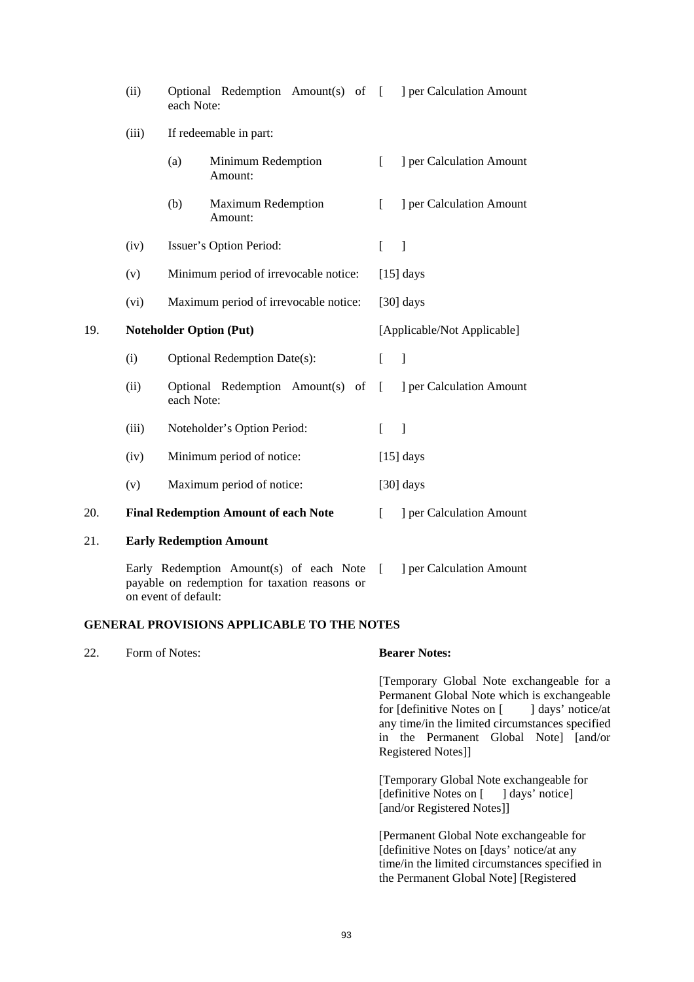|     | (ii)  | Optional Redemption Amount(s) of<br>each Note:                                                                   | ] per Calculation Amount<br>$\sqrt{ }$   |
|-----|-------|------------------------------------------------------------------------------------------------------------------|------------------------------------------|
|     | (iii) | If redeemable in part:                                                                                           |                                          |
|     |       | (a)<br>Minimum Redemption<br>Amount:                                                                             | ] per Calculation Amount<br>L            |
|     |       | (b)<br><b>Maximum Redemption</b><br>Amount:                                                                      | ] per Calculation Amount<br>L            |
|     | (iv)  | Issuer's Option Period:                                                                                          | $\Box$<br>L                              |
|     | (v)   | Minimum period of irrevocable notice:                                                                            | $[15]$ days                              |
|     | (vi)  | Maximum period of irrevocable notice:                                                                            | $[30]$ days                              |
| 19. |       | <b>Noteholder Option (Put)</b>                                                                                   | [Applicable/Not Applicable]              |
|     | (i)   | <b>Optional Redemption Date(s):</b>                                                                              | $\mathbf{I}$<br>L                        |
|     | (ii)  | Optional Redemption Amount(s) of<br>each Note:                                                                   | ] per Calculation Amount<br><sup>[</sup> |
|     | (iii) | Noteholder's Option Period:                                                                                      | $\sqrt{ }$<br>$\Box$                     |
|     | (iv)  | Minimum period of notice:                                                                                        | $[15]$ days                              |
|     | (v)   | Maximum period of notice:                                                                                        | $[30]$ days                              |
| 20. |       | <b>Final Redemption Amount of each Note</b>                                                                      | ] per Calculation Amount<br>L            |
| 21. |       | <b>Early Redemption Amount</b>                                                                                   |                                          |
|     |       | Early Redemption Amount(s) of each Note<br>payable on redemption for taxation reasons or<br>on event of default: | ] per Calculation Amount<br>L            |

## **GENERAL PROVISIONS APPLICABLE TO THE NOTES**

| 22. | Form of Notes: | <b>Bearer Notes:</b>                                                                                                                                                                                                                                      |
|-----|----------------|-----------------------------------------------------------------------------------------------------------------------------------------------------------------------------------------------------------------------------------------------------------|
|     |                | [Temporary Global Note exchangeable for a<br>Permanent Global Note which is exchangeable<br>for [definitive Notes on [ ] days' notice/at<br>any time/in the limited circumstances specified<br>in the Permanent Global Note [and/or<br>Registered Notes]] |
|     |                | [Temporary Global Note exchangeable for<br>[definitive Notes on [ ] days' notice]<br>[and/or Registered Notes]]                                                                                                                                           |
|     |                | [Permanent Global Note exchangeable for<br>[definitive Notes on [days' notice/at any<br>time/in the limited circumstances specified in<br>the Permanent Global Note] [Registered                                                                          |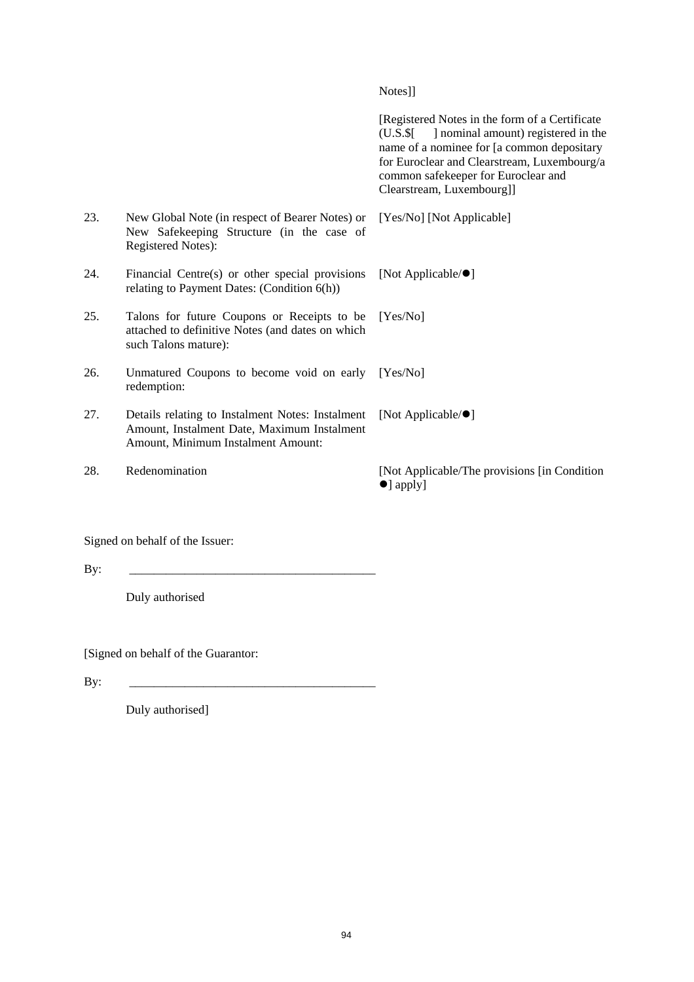Notes]]

 [Registered Notes in the form of a Certificate (U.S.\$[ ] nominal amount) registered in the name of a nominee for [a common depositary for Euroclear and Clearstream, Luxembourg/a common safekeeper for Euroclear and Clearstream, Luxembourg]] 23. New Global Note (in respect of Bearer Notes) or New Safekeeping Structure (in the case of Registered Notes): [Yes/No] [Not Applicable] 24. Financial Centre(s) or other special provisions relating to Payment Dates: (Condition 6(h)) [Not Applicable/ $\bullet$ ] 25. Talons for future Coupons or Receipts to be attached to definitive Notes (and dates on which such Talons mature): [Yes/No] 26. Unmatured Coupons to become void on early redemption: [Yes/No] 27. Details relating to Instalment Notes: Instalment Amount, Instalment Date, Maximum Instalment Amount, Minimum Instalment Amount: [Not Applicable/ $\bullet$ ] 28. Redenomination [Not Applicable/The provisions [in Condition]  $\bullet$ ] apply]

Signed on behalf of the Issuer:

By: \_\_\_\_\_\_\_\_\_\_\_\_\_\_\_\_\_\_\_\_\_\_\_\_\_\_\_\_\_\_\_\_\_\_\_\_\_\_\_\_

Duly authorised

[Signed on behalf of the Guarantor:

By: \_\_\_\_\_\_\_\_\_\_\_\_\_\_\_\_\_\_\_\_\_\_\_\_\_\_\_\_\_\_\_\_\_\_\_\_\_\_\_\_

Duly authorised]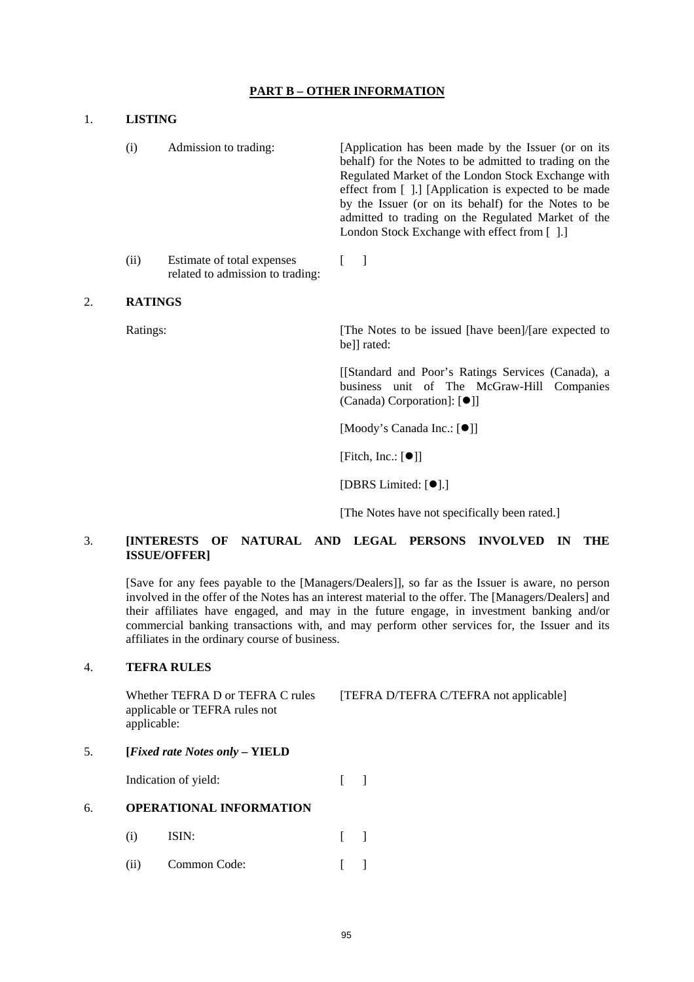## **PART B – OTHER INFORMATION**

| <b>LISTING</b> |                                                                |                                                                                                                                                                                                                                                                                                                                                                                         |  |  |  |  |  |
|----------------|----------------------------------------------------------------|-----------------------------------------------------------------------------------------------------------------------------------------------------------------------------------------------------------------------------------------------------------------------------------------------------------------------------------------------------------------------------------------|--|--|--|--|--|
| (i)            | Admission to trading:                                          | [Application has been made by the Issuer (or on its<br>behalf) for the Notes to be admitted to trading on the<br>Regulated Market of the London Stock Exchange with<br>effect from [].] [Application is expected to be made<br>by the Issuer (or on its behalf) for the Notes to be<br>admitted to trading on the Regulated Market of the<br>London Stock Exchange with effect from []. |  |  |  |  |  |
| (ii)           | Estimate of total expenses<br>related to admission to trading: |                                                                                                                                                                                                                                                                                                                                                                                         |  |  |  |  |  |

## 2. **RATINGS**

Ratings: The Notes to be issued [have been]/[are expected to bell rated:

 [[Standard and Poor's Ratings Services (Canada), a business unit of The McGraw-Hill Companies (Canada) Corporation]: [<sup>[]]</sup>]

[Moody's Canada Inc.: [ $\bullet$ ]]

[Fitch, Inc.:  $[①]$ ]

[DBRS Limited:  $[①]$ .]

[The Notes have not specifically been rated.]

## 3. **[INTERESTS OF NATURAL AND LEGAL PERSONS INVOLVED IN THE ISSUE/OFFER]**

[Save for any fees payable to the [Managers/Dealers]], so far as the Issuer is aware, no person involved in the offer of the Notes has an interest material to the offer. The [Managers/Dealers] and their affiliates have engaged, and may in the future engage, in investment banking and/or commercial banking transactions with, and may perform other services for, the Issuer and its affiliates in the ordinary course of business.

## 4. **TEFRA RULES**

Whether TEFRA D or TEFRA C rules applicable or TEFRA rules not applicable: [TEFRA D/TEFRA C/TEFRA not applicable]

## 5. **[***Fixed rate Notes only* **– YIELD**

Indication of yield: [ ]

### 6. **OPERATIONAL INFORMATION**

- $(i)$  ISIN:  $\lceil \rceil$
- (ii) Common Code:  $\lceil \cdot \rceil$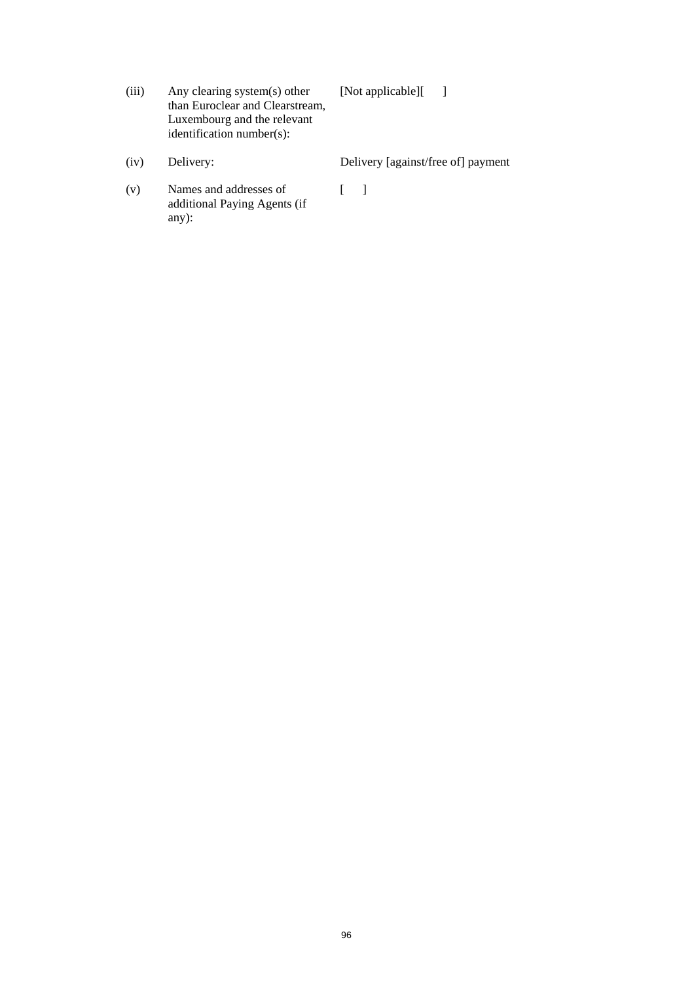| (iii) | Any clearing system(s) other    | [Not applicable][ |  |
|-------|---------------------------------|-------------------|--|
|       | than Euroclear and Clearstream, |                   |  |
|       | Luxembourg and the relevant     |                   |  |
|       | identification number(s):       |                   |  |
|       |                                 |                   |  |

- (iv) Delivery: Delivery [against/free of] payment
- (v) Names and addresses of additional Paying Agents (if any):  $\left[ \begin{array}{cc} 1 & 1 \\ 1 & 1 \end{array} \right]$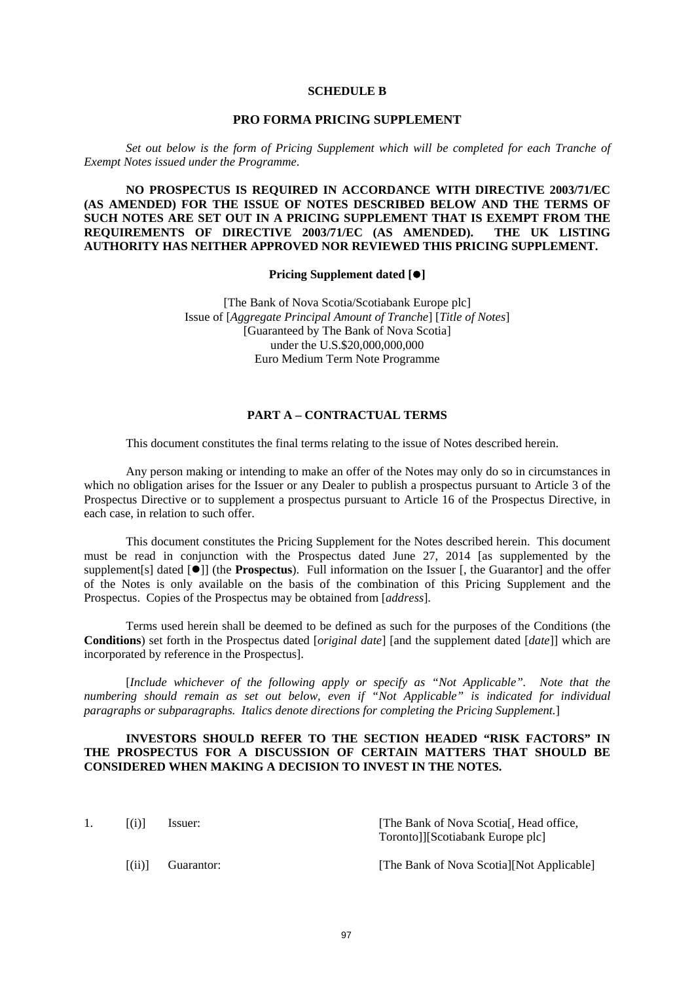#### **SCHEDULE B**

### **PRO FORMA PRICING SUPPLEMENT**

*Set out below is the form of Pricing Supplement which will be completed for each Tranche of Exempt Notes issued under the Programme*.

**NO PROSPECTUS IS REQUIRED IN ACCORDANCE WITH DIRECTIVE 2003/71/EC (AS AMENDED) FOR THE ISSUE OF NOTES DESCRIBED BELOW AND THE TERMS OF SUCH NOTES ARE SET OUT IN A PRICING SUPPLEMENT THAT IS EXEMPT FROM THE REQUIREMENTS OF DIRECTIVE 2003/71/EC (AS AMENDED). THE UK LISTING AUTHORITY HAS NEITHER APPROVED NOR REVIEWED THIS PRICING SUPPLEMENT.** 

**Pricing Supplement dated []** 

[The Bank of Nova Scotia/Scotiabank Europe plc] Issue of [*Aggregate Principal Amount of Tranche*] [*Title of Notes*] [Guaranteed by The Bank of Nova Scotia] under the U.S.\$20,000,000,000 Euro Medium Term Note Programme

#### **PART A – CONTRACTUAL TERMS**

This document constitutes the final terms relating to the issue of Notes described herein.

Any person making or intending to make an offer of the Notes may only do so in circumstances in which no obligation arises for the Issuer or any Dealer to publish a prospectus pursuant to Article 3 of the Prospectus Directive or to supplement a prospectus pursuant to Article 16 of the Prospectus Directive, in each case, in relation to such offer.

This document constitutes the Pricing Supplement for the Notes described herein. This document must be read in conjunction with the Prospectus dated June 27, 2014 [as supplemented by the supplement [s] dated  $\vec{[•]}$  (the **Prospectus**). Full information on the Issuer [, the Guarantor] and the offer of the Notes is only available on the basis of the combination of this Pricing Supplement and the Prospectus. Copies of the Prospectus may be obtained from [*address*].

Terms used herein shall be deemed to be defined as such for the purposes of the Conditions (the **Conditions**) set forth in the Prospectus dated [*original date*] [and the supplement dated [*date*]] which are incorporated by reference in the Prospectus].

[*Include whichever of the following apply or specify as "Not Applicable". Note that the numbering should remain as set out below, even if "Not Applicable" is indicated for individual paragraphs or subparagraphs. Italics denote directions for completing the Pricing Supplement.*]

## **INVESTORS SHOULD REFER TO THE SECTION HEADED "RISK FACTORS" IN THE PROSPECTUS FOR A DISCUSSION OF CERTAIN MATTERS THAT SHOULD BE CONSIDERED WHEN MAKING A DECISION TO INVEST IN THE NOTES.**

| $\left( i\right) 1$                        | Issuer:    | [The Bank of Nova Scotial], Head office,<br>Toronto]][Scotiabank Europe plc] |
|--------------------------------------------|------------|------------------------------------------------------------------------------|
| $\left  \left( \mathrm{ii}\right) \right $ | Guarantor: | [The Bank of Nova Scotia][Not Applicable]                                    |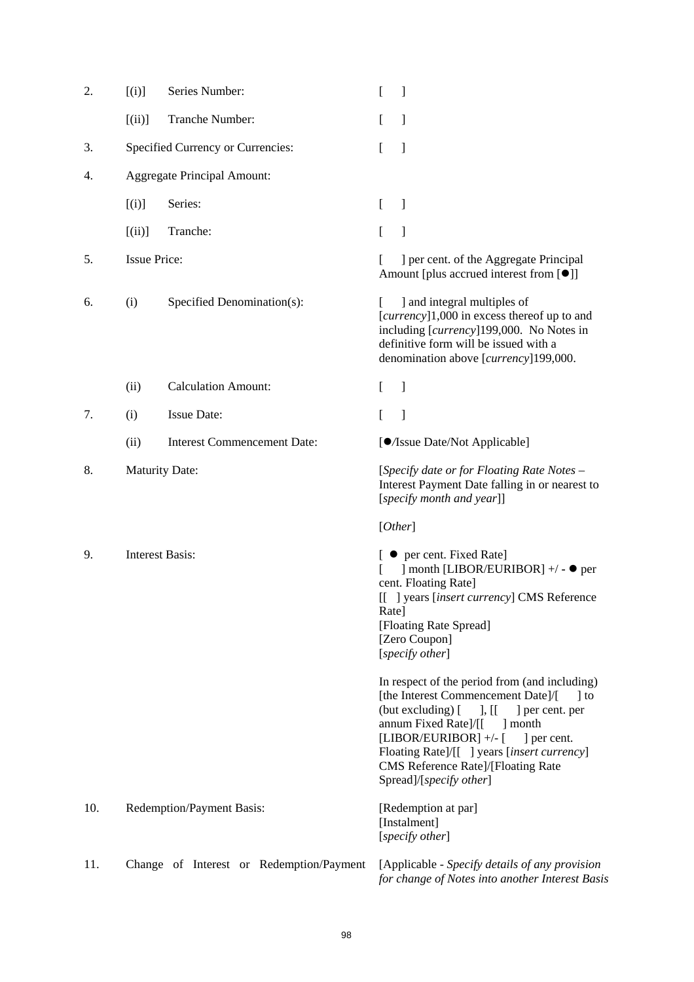| 2.  | [(i)]                  | Series Number:                           | [<br>1                                                                                                                                                                                                                                                                                                                                             |
|-----|------------------------|------------------------------------------|----------------------------------------------------------------------------------------------------------------------------------------------------------------------------------------------------------------------------------------------------------------------------------------------------------------------------------------------------|
|     | $[$ (ii)]              | Tranche Number:                          | 1<br>L                                                                                                                                                                                                                                                                                                                                             |
| 3.  |                        | Specified Currency or Currencies:        | [<br>]                                                                                                                                                                                                                                                                                                                                             |
| 4.  |                        | <b>Aggregate Principal Amount:</b>       |                                                                                                                                                                                                                                                                                                                                                    |
|     | [(i)]                  | Series:                                  | ]<br>L                                                                                                                                                                                                                                                                                                                                             |
|     | [(ii)]                 | Tranche:                                 | 1<br>L                                                                                                                                                                                                                                                                                                                                             |
| 5.  | <b>Issue Price:</b>    |                                          | ] per cent. of the Aggregate Principal<br>Amount [plus accrued interest from [●]]                                                                                                                                                                                                                                                                  |
| 6.  | (i)                    | Specified Denomination(s):               | ] and integral multiples of<br>[currency]1,000 in excess thereof up to and<br>including [currency]199,000. No Notes in<br>definitive form will be issued with a<br>denomination above [currency]199,000.                                                                                                                                           |
|     | (ii)                   | <b>Calculation Amount:</b>               | 1<br>L                                                                                                                                                                                                                                                                                                                                             |
| 7.  | (i)                    | <b>Issue Date:</b>                       | 1<br>L                                                                                                                                                                                                                                                                                                                                             |
|     | (ii)                   | <b>Interest Commencement Date:</b>       | [O/Issue Date/Not Applicable]                                                                                                                                                                                                                                                                                                                      |
| 8.  | <b>Maturity Date:</b>  |                                          | [Specify date or for Floating Rate Notes -<br>Interest Payment Date falling in or nearest to<br>[specify month and year]]                                                                                                                                                                                                                          |
|     |                        |                                          | [Other]                                                                                                                                                                                                                                                                                                                                            |
| 9.  | <b>Interest Basis:</b> |                                          | [ ● per cent. Fixed Rate]<br>] month [LIBOR/EURIBOR] +/ - ● per<br>cent. Floating Rate]<br>[[ ] years [insert currency] CMS Reference<br>Rate]<br>[Floating Rate Spread]<br>[Zero Coupon]<br>[specify other]                                                                                                                                       |
|     |                        |                                          | In respect of the period from (and including)<br>[the Interest Commencement Date]/[<br>$\vert$ to<br>(but excluding) [<br>$\vert$ , [[<br>] per cent. per<br>annum Fixed Rate]/[[<br>month<br>[LIBOR/EURIBOR] +/- [<br>] per cent.<br>Floating Rate]/[[ ] years [insert currency]<br>CMS Reference Rate]/[Floating Rate<br>Spread]/[specify other] |
| 10. |                        | Redemption/Payment Basis:                | [Redemption at par]<br>[Instalment]<br>[specify other]                                                                                                                                                                                                                                                                                             |
| 11. |                        | Change of Interest or Redemption/Payment | [Applicable - Specify details of any provision<br>for change of Notes into another Interest Basis                                                                                                                                                                                                                                                  |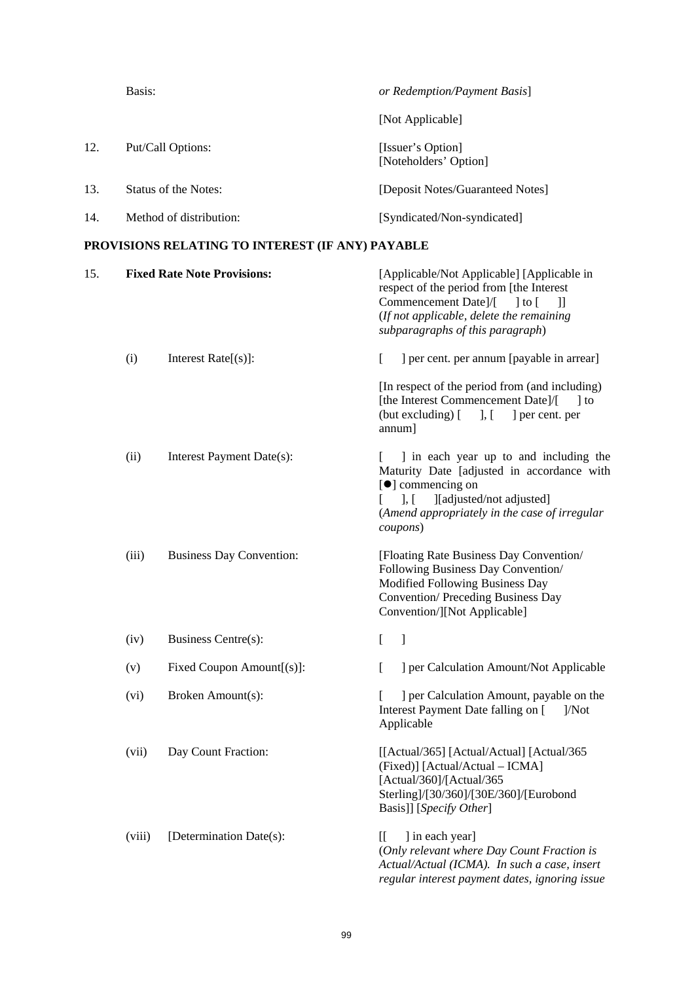|     | Basis:                  | or Redemption/Payment Basis]               |
|-----|-------------------------|--------------------------------------------|
|     |                         | [Not Applicable]                           |
| 12. | Put/Call Options:       | [Issuer's Option]<br>[Noteholders' Option] |
| 13. | Status of the Notes:    | [Deposit Notes/Guaranteed Notes]           |
| 14. | Method of distribution: | [Syndicated/Non-syndicated]                |
|     |                         |                                            |

# **PROVISIONS RELATING TO INTEREST (IF ANY) PAYABLE**

| 15. |        | <b>Fixed Rate Note Provisions:</b> | [Applicable/Not Applicable] [Applicable in<br>respect of the period from [the Interest<br>Commencement Date]/[<br>$\vert$ to $\vert$<br>$\mathbf{I}$<br>(If not applicable, delete the remaining<br>subparagraphs of this paragraph) |  |
|-----|--------|------------------------------------|--------------------------------------------------------------------------------------------------------------------------------------------------------------------------------------------------------------------------------------|--|
|     | (i)    | Interest $Rate[s]$ :               | ] per cent. per annum [payable in arrear]<br>L                                                                                                                                                                                       |  |
|     |        |                                    | [In respect of the period from (and including)<br>[the Interest Commencement Date]/[<br>$\vert$ to<br>$(\text{but excluding})$ $[$ ], $[$<br>] per cent. per<br>annum]                                                               |  |
|     | (ii)   | Interest Payment Date(s):          | I in each year up to and including the<br>Maturity Date [adjusted in accordance with<br>[ <sup>•</sup> ] commencing on<br>$\cdot$ .<br>[[adjusted/not adjusted]<br>(Amend appropriately in the case of irregular<br>coupons)         |  |
|     | (iii)  | <b>Business Day Convention:</b>    | [Floating Rate Business Day Convention/<br>Following Business Day Convention/<br>Modified Following Business Day<br><b>Convention/Preceding Business Day</b><br>Convention/][Not Applicable]                                         |  |
|     | (iv)   | Business Centre(s):                | $\mathbf{I}$<br>L                                                                                                                                                                                                                    |  |
|     | (v)    | Fixed Coupon Amount[(s)]:          | ] per Calculation Amount/Not Applicable<br>L                                                                                                                                                                                         |  |
|     | (vi)   | Broken Amount(s):                  | ] per Calculation Amount, payable on the<br>Interest Payment Date falling on [<br>$1/N$ ot<br>Applicable                                                                                                                             |  |
|     | (vii)  | Day Count Fraction:                | [[Actual/365] [Actual/Actual] [Actual/365]<br>(Fixed)] [Actual/Actual – ICMA]<br>[Actual/360]/[Actual/365<br>Sterling]/[30/360]/[30E/360]/[Eurobond<br>Basis]] [Specify Other]                                                       |  |
|     | (viii) | [Determination Date(s):            | ] in each year]<br>[[<br>(Only relevant where Day Count Fraction is<br>Actual/Actual (ICMA). In such a case, insert<br>regular interest payment dates, ignoring issue                                                                |  |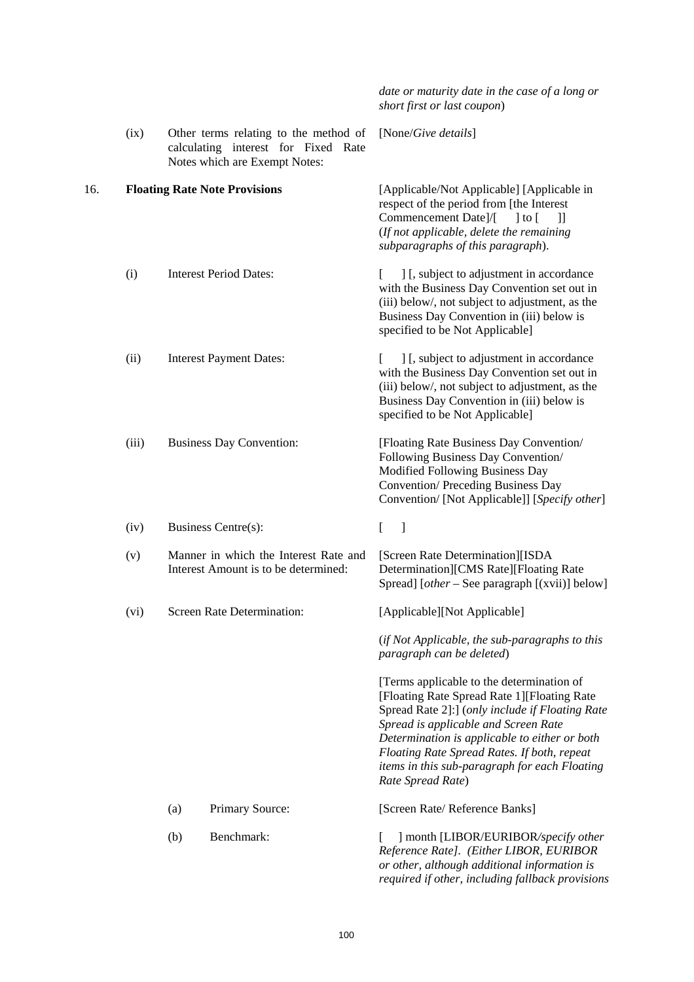|     |       |                                                                               |                                                                                                               | date or maturity date in the case of a long or<br>short first or last coupon)                                                                                                                                                                                                                                                                              |
|-----|-------|-------------------------------------------------------------------------------|---------------------------------------------------------------------------------------------------------------|------------------------------------------------------------------------------------------------------------------------------------------------------------------------------------------------------------------------------------------------------------------------------------------------------------------------------------------------------------|
|     | (ix)  |                                                                               | Other terms relating to the method of<br>calculating interest for Fixed Rate<br>Notes which are Exempt Notes: | [None/Give details]                                                                                                                                                                                                                                                                                                                                        |
| 16. |       |                                                                               | <b>Floating Rate Note Provisions</b>                                                                          | [Applicable/Not Applicable] [Applicable in<br>respect of the period from [the Interest<br>Commencement Date]/[<br>$\vert$ to $\vert$<br>$\mathbb{I}$<br>(If not applicable, delete the remaining<br>subparagraphs of this paragraph).                                                                                                                      |
|     | (i)   |                                                                               | <b>Interest Period Dates:</b>                                                                                 | ] [, subject to adjustment in accordance<br>with the Business Day Convention set out in<br>(iii) below/, not subject to adjustment, as the<br>Business Day Convention in (iii) below is<br>specified to be Not Applicable]                                                                                                                                 |
|     | (ii)  |                                                                               | <b>Interest Payment Dates:</b>                                                                                | ] [, subject to adjustment in accordance<br>with the Business Day Convention set out in<br>(iii) below/, not subject to adjustment, as the<br>Business Day Convention in (iii) below is<br>specified to be Not Applicable]                                                                                                                                 |
|     | (iii) |                                                                               | <b>Business Day Convention:</b>                                                                               | [Floating Rate Business Day Convention/<br>Following Business Day Convention/<br>Modified Following Business Day<br>Convention/ Preceding Business Day<br>Convention/ [Not Applicable]] [Specify other]                                                                                                                                                    |
|     | (iv)  |                                                                               | Business Centre(s):                                                                                           | -1<br>L                                                                                                                                                                                                                                                                                                                                                    |
|     | (v)   | Manner in which the Interest Rate and<br>Interest Amount is to be determined: |                                                                                                               | [Screen Rate Determination][ISDA<br>Determination][CMS Rate][Floating Rate<br>Spread] [ <i>other</i> – See paragraph $[(xvii)]$ below]                                                                                                                                                                                                                     |
|     | (vi)  |                                                                               | Screen Rate Determination:                                                                                    | [Applicable][Not Applicable]                                                                                                                                                                                                                                                                                                                               |
|     |       |                                                                               |                                                                                                               | (if Not Applicable, the sub-paragraphs to this<br>paragraph can be deleted)                                                                                                                                                                                                                                                                                |
|     |       |                                                                               |                                                                                                               | [Terms applicable to the determination of<br>[Floating Rate Spread Rate 1] [Floating Rate<br>Spread Rate 2]:] (only include if Floating Rate<br>Spread is applicable and Screen Rate<br>Determination is applicable to either or both<br>Floating Rate Spread Rates. If both, repeat<br>items in this sub-paragraph for each Floating<br>Rate Spread Rate) |
|     |       | (a)                                                                           | <b>Primary Source:</b>                                                                                        | [Screen Rate/ Reference Banks]                                                                                                                                                                                                                                                                                                                             |
|     |       | (b)                                                                           | Benchmark:                                                                                                    | ] month [LIBOR/EURIBOR/specify other<br>Reference Rate]. (Either LIBOR, EURIBOR<br>or other, although additional information is<br>required if other, including fallback provisions                                                                                                                                                                        |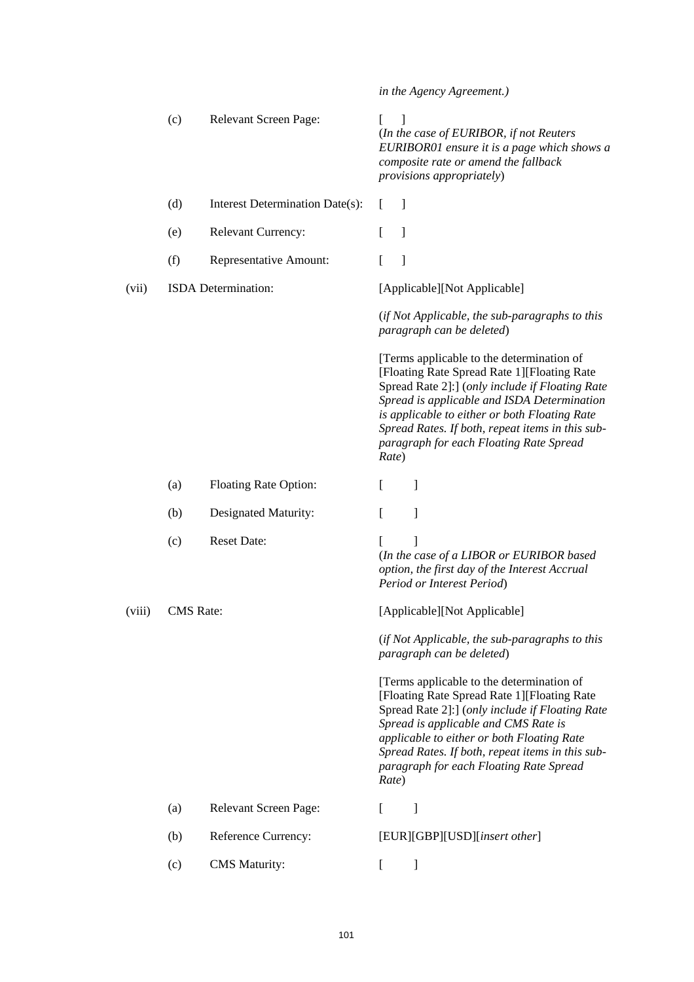|        |                  |                                 |       | in the Agency Agreement.)                                                                                                                                                                                                                                                                                                                   |
|--------|------------------|---------------------------------|-------|---------------------------------------------------------------------------------------------------------------------------------------------------------------------------------------------------------------------------------------------------------------------------------------------------------------------------------------------|
|        | (c)              | <b>Relevant Screen Page:</b>    | L     | 1<br>(In the case of EURIBOR, if not Reuters<br>EURIBOR01 ensure it is a page which shows a<br>composite rate or amend the fallback<br>provisions appropriately)                                                                                                                                                                            |
|        | (d)              | Interest Determination Date(s): | L     | $\overline{\phantom{a}}$                                                                                                                                                                                                                                                                                                                    |
|        | (e)              | <b>Relevant Currency:</b>       |       | $\mathbf{I}$                                                                                                                                                                                                                                                                                                                                |
|        | (f)              | Representative Amount:          | L     | $\mathbf{I}$                                                                                                                                                                                                                                                                                                                                |
| (vii)  |                  | ISDA Determination:             |       | [Applicable][Not Applicable]                                                                                                                                                                                                                                                                                                                |
|        |                  |                                 |       | (if Not Applicable, the sub-paragraphs to this<br>paragraph can be deleted)                                                                                                                                                                                                                                                                 |
|        |                  |                                 | Rate) | [Terms applicable to the determination of<br>[Floating Rate Spread Rate 1] [Floating Rate<br>Spread Rate 2]:] (only include if Floating Rate<br>Spread is applicable and ISDA Determination<br>is applicable to either or both Floating Rate<br>Spread Rates. If both, repeat items in this sub-<br>paragraph for each Floating Rate Spread |
|        | (a)              | <b>Floating Rate Option:</b>    | L     | 1                                                                                                                                                                                                                                                                                                                                           |
|        | (b)              | Designated Maturity:            | L     | 1                                                                                                                                                                                                                                                                                                                                           |
|        | (c)              | <b>Reset Date:</b>              |       | (In the case of a LIBOR or EURIBOR based<br>option, the first day of the Interest Accrual<br>Period or Interest Period)                                                                                                                                                                                                                     |
| (viii) | <b>CMS</b> Rate: |                                 |       | [Applicable][Not Applicable]                                                                                                                                                                                                                                                                                                                |
|        |                  |                                 |       | (if Not Applicable, the sub-paragraphs to this<br>paragraph can be deleted)                                                                                                                                                                                                                                                                 |
|        |                  |                                 | Rate) | [Terms applicable to the determination of<br>[Floating Rate Spread Rate 1] [Floating Rate<br>Spread Rate 2]:] (only include if Floating Rate<br>Spread is applicable and CMS Rate is<br>applicable to either or both Floating Rate<br>Spread Rates. If both, repeat items in this sub-<br>paragraph for each Floating Rate Spread           |
|        | (a)              | Relevant Screen Page:           | L     | 1                                                                                                                                                                                                                                                                                                                                           |
|        | (b)              | Reference Currency:             |       | [EUR][GBP][USD][insert other]                                                                                                                                                                                                                                                                                                               |
|        | (c)              | <b>CMS</b> Maturity:            | L     | ]                                                                                                                                                                                                                                                                                                                                           |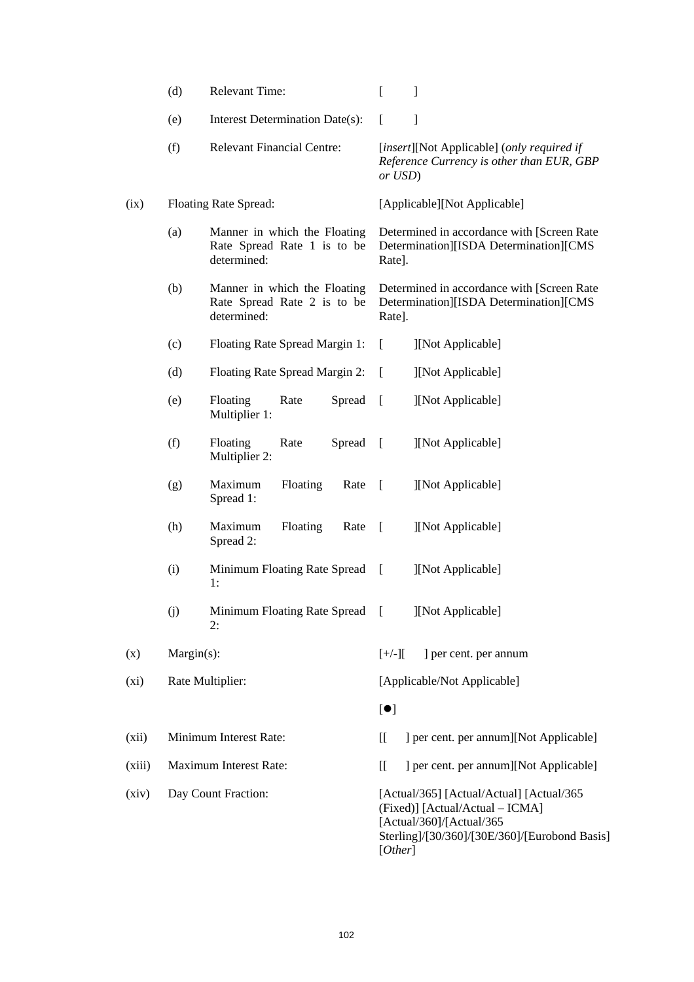|        | (d)        | <b>Relevant Time:</b>                                                      | ſ<br>1                                                                                                                                                              |
|--------|------------|----------------------------------------------------------------------------|---------------------------------------------------------------------------------------------------------------------------------------------------------------------|
|        | (e)        | Interest Determination Date(s):                                            | 1<br>t                                                                                                                                                              |
|        | (f)        | <b>Relevant Financial Centre:</b>                                          | [insert][Not Applicable] (only required if<br>Reference Currency is other than EUR, GBP<br>or USD)                                                                  |
| (ix)   |            | Floating Rate Spread:                                                      | [Applicable][Not Applicable]                                                                                                                                        |
|        | (a)        | Manner in which the Floating<br>Rate Spread Rate 1 is to be<br>determined: | Determined in accordance with [Screen Rate<br>Determination][ISDA Determination][CMS<br>Rate].                                                                      |
|        | (b)        | Manner in which the Floating<br>Rate Spread Rate 2 is to be<br>determined: | Determined in accordance with [Screen Rate<br>Determination][ISDA Determination][CMS<br>Rate].                                                                      |
|        | (c)        | Floating Rate Spread Margin 1:                                             | ][Not Applicable]<br>L                                                                                                                                              |
|        | (d)        | Floating Rate Spread Margin 2:                                             | ][Not Applicable]<br>ſ                                                                                                                                              |
|        | (e)        | Floating<br>Spread<br>Rate<br>Multiplier 1:                                | $\Gamma$<br>][Not Applicable]                                                                                                                                       |
|        | (f)        | Floating<br>Spread<br>Rate<br>Multiplier 2:                                | ][Not Applicable]<br>$\overline{1}$                                                                                                                                 |
|        | (g)        | Maximum<br>Floating<br>Rate<br>Spread 1:                                   | ][Not Applicable]<br>$\lceil$                                                                                                                                       |
|        | (h)        | Maximum<br>Floating<br>Rate<br>Spread 2:                                   | ][Not Applicable]<br>$\lceil$                                                                                                                                       |
|        | (i)        | Minimum Floating Rate Spread<br>1:                                         | ][Not Applicable]<br>$\overline{1}$                                                                                                                                 |
|        | (j)        | Minimum Floating Rate Spread<br>2:                                         | [[Not Applicable]<br>$\sqrt{ }$                                                                                                                                     |
| (x)    | Margin(s): |                                                                            | $[+/$ ] $[$<br>] per cent. per annum                                                                                                                                |
| (xi)   |            | Rate Multiplier:                                                           | [Applicable/Not Applicable]                                                                                                                                         |
|        |            |                                                                            | [•]                                                                                                                                                                 |
| (xii)  |            | Minimum Interest Rate:                                                     | [<br>] per cent. per annum][Not Applicable]                                                                                                                         |
| (xiii) |            | Maximum Interest Rate:                                                     | [<br>] per cent. per annum][Not Applicable]                                                                                                                         |
| (xiv)  |            | Day Count Fraction:                                                        | [Actual/365] [Actual/Actual] [Actual/365<br>(Fixed)] [Actual/Actual - ICMA]<br>[Actual/360]/[Actual/365<br>Sterling]/[30/360]/[30E/360]/[Eurobond Basis]<br>[Other] |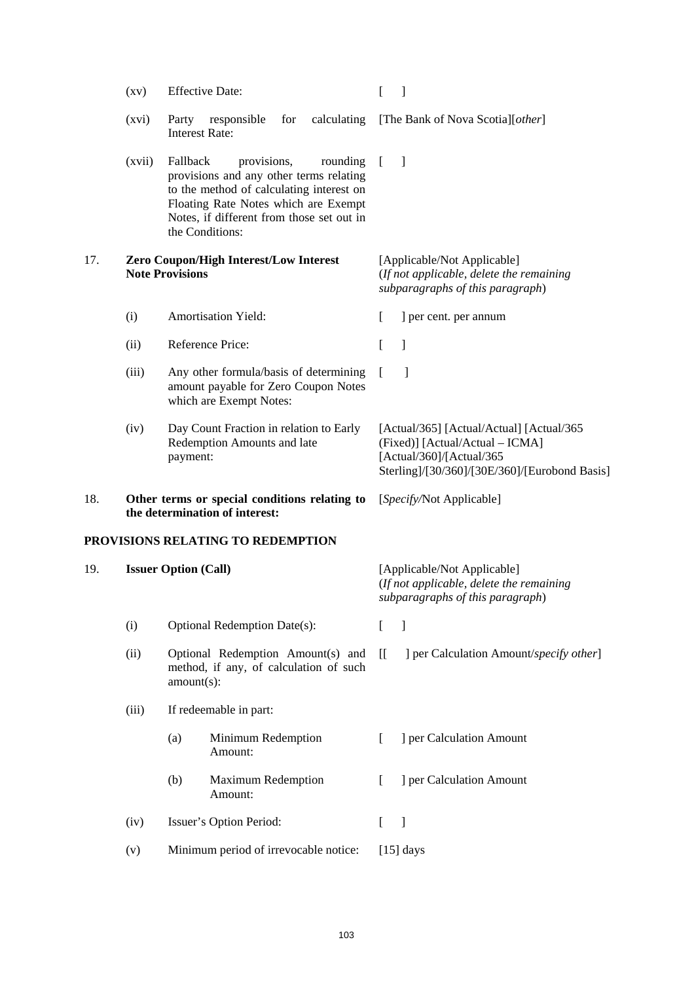|     | $\left( xy\right)$                                                              |                                                                         | <b>Effective Date:</b>                                                                                                                                                                                                 |                          |                                                                                                                                                          |
|-----|---------------------------------------------------------------------------------|-------------------------------------------------------------------------|------------------------------------------------------------------------------------------------------------------------------------------------------------------------------------------------------------------------|--------------------------|----------------------------------------------------------------------------------------------------------------------------------------------------------|
|     | (xvi)                                                                           | Party<br><b>Interest Rate:</b>                                          | responsible<br>for                                                                                                                                                                                                     |                          | calculating [The Bank of Nova Scotia][other]                                                                                                             |
|     | (xvii)                                                                          | Fallback                                                                | provisions,<br>rounding<br>provisions and any other terms relating<br>to the method of calculating interest on<br>Floating Rate Notes which are Exempt<br>Notes, if different from those set out in<br>the Conditions: |                          | -1                                                                                                                                                       |
| 17. |                                                                                 | <b>Zero Coupon/High Interest/Low Interest</b><br><b>Note Provisions</b> |                                                                                                                                                                                                                        |                          | [Applicable/Not Applicable]<br>(If not applicable, delete the remaining<br>subparagraphs of this paragraph)                                              |
|     | (i)                                                                             |                                                                         | <b>Amortisation Yield:</b>                                                                                                                                                                                             | L                        | ] per cent. per annum                                                                                                                                    |
|     | (ii)                                                                            |                                                                         | Reference Price:                                                                                                                                                                                                       | L                        | 1                                                                                                                                                        |
|     | (iii)                                                                           |                                                                         | Any other formula/basis of determining<br>amount payable for Zero Coupon Notes<br>which are Exempt Notes:                                                                                                              |                          |                                                                                                                                                          |
|     | (iv)                                                                            | payment:                                                                | Day Count Fraction in relation to Early<br>Redemption Amounts and late                                                                                                                                                 |                          | [Actual/365] [Actual/Actual] [Actual/365<br>(Fixed)] [Actual/Actual - ICMA]<br>[Actual/360]/[Actual/365<br>Sterling]/[30/360]/[30E/360]/[Eurobond Basis] |
| 18. | Other terms or special conditions relating to<br>the determination of interest: |                                                                         |                                                                                                                                                                                                                        | [Specify/Not Applicable] |                                                                                                                                                          |
|     |                                                                                 |                                                                         | PROVISIONS RELATING TO REDEMPTION                                                                                                                                                                                      |                          |                                                                                                                                                          |
| 19. | <b>Issuer Option (Call)</b>                                                     |                                                                         |                                                                                                                                                                                                                        |                          | [Applicable/Not Applicable]<br>(If not applicable, delete the remaining<br>subparagraphs of this paragraph)                                              |
|     | (i)                                                                             |                                                                         | <b>Optional Redemption Date(s):</b>                                                                                                                                                                                    | L                        | $\mathbf{I}$                                                                                                                                             |
|     | (ii)                                                                            | $amount(s)$ :                                                           | Optional Redemption Amount(s) and<br>method, if any, of calculation of such                                                                                                                                            | $\overline{\Pi}$         | ] per Calculation Amount/specify other]                                                                                                                  |
|     | (iii)                                                                           |                                                                         | If redeemable in part:                                                                                                                                                                                                 |                          |                                                                                                                                                          |
|     |                                                                                 | (a)                                                                     | Minimum Redemption<br>Amount:                                                                                                                                                                                          | L                        | ] per Calculation Amount                                                                                                                                 |
|     |                                                                                 | (b)                                                                     | <b>Maximum Redemption</b><br>Amount:                                                                                                                                                                                   | $\mathbf{I}$             | ] per Calculation Amount                                                                                                                                 |
|     | (iv)                                                                            |                                                                         | Issuer's Option Period:                                                                                                                                                                                                | $\mathbf{I}$             | -1                                                                                                                                                       |
|     | (v)                                                                             |                                                                         | Minimum period of irrevocable notice:                                                                                                                                                                                  |                          | $[15]$ days                                                                                                                                              |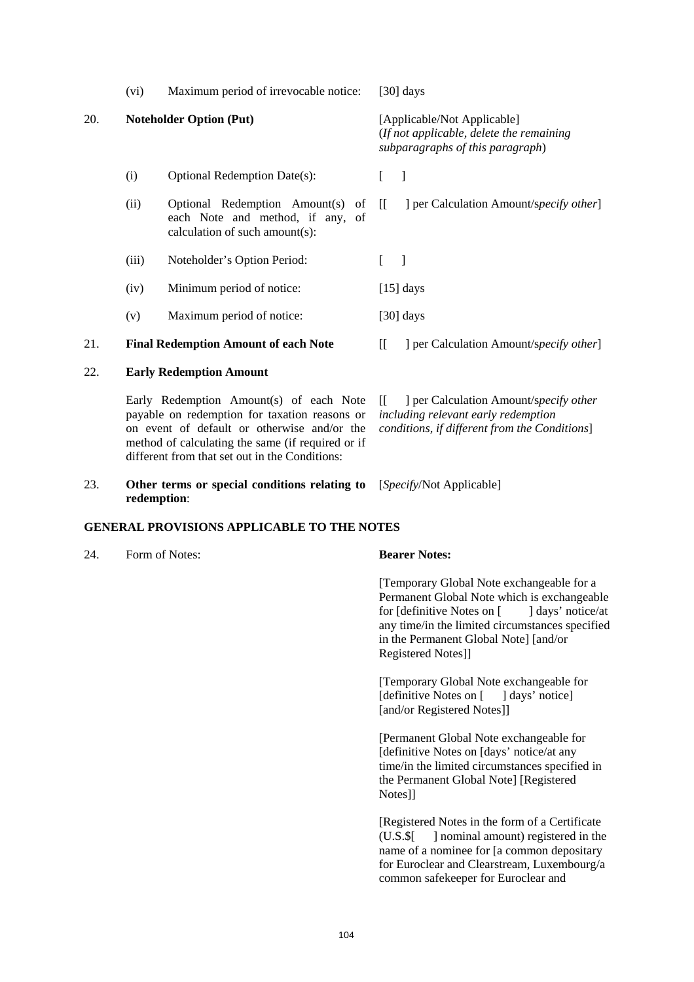|     | (vi)  | Maximum period of irrevocable notice:                                                                                                   |                                                                                                             | [30] days                                                                                                                      |  |  |  |
|-----|-------|-----------------------------------------------------------------------------------------------------------------------------------------|-------------------------------------------------------------------------------------------------------------|--------------------------------------------------------------------------------------------------------------------------------|--|--|--|
| 20. |       | <b>Noteholder Option (Put)</b>                                                                                                          | [Applicable/Not Applicable]<br>(If not applicable, delete the remaining<br>subparagraphs of this paragraph) |                                                                                                                                |  |  |  |
|     | (i)   | <b>Optional Redemption Date(s):</b>                                                                                                     |                                                                                                             | $\overline{\phantom{a}}$                                                                                                       |  |  |  |
|     | (ii)  | Optional Redemption Amount(s) of<br>each Note and method, if any, of<br>calculation of such amount(s):                                  | $\left[ \begin{array}{c} \end{array} \right]$                                                               | ] per Calculation Amount/specify other]                                                                                        |  |  |  |
|     | (iii) | Noteholder's Option Period:                                                                                                             |                                                                                                             | $\Box$                                                                                                                         |  |  |  |
|     | (iv)  | Minimum period of notice:                                                                                                               |                                                                                                             | $[15]$ days                                                                                                                    |  |  |  |
|     | (v)   | Maximum period of notice:                                                                                                               |                                                                                                             | [30] days                                                                                                                      |  |  |  |
| 21. |       | <b>Final Redemption Amount of each Note</b>                                                                                             | $\overline{\Pi}$                                                                                            | ] per Calculation Amount/specify other]                                                                                        |  |  |  |
| 22. |       | <b>Early Redemption Amount</b>                                                                                                          |                                                                                                             |                                                                                                                                |  |  |  |
|     |       | Early Redemption Amount(s) of each Note<br>payable on redemption for taxation reasons or<br>on event of default or otherwise and/or the | $\mathbb{H}^-$                                                                                              | ] per Calculation Amount/specify other<br>including relevant early redemption<br>conditions, if different from the Conditions] |  |  |  |

### 23. **Other terms or special conditions relating to**  [*Specify*/Not Applicable] **redemption**:

### **GENERAL PROVISIONS APPLICABLE TO THE NOTES**

method of calculating the same (if required or if different from that set out in the Conditions:

24. Form of Notes: **Bearer Notes:**

 [Temporary Global Note exchangeable for a Permanent Global Note which is exchangeable<br>for [definitive Notes on [definitive Notes] for Idefinitive Notes on [ any time/in the limited circumstances specified in the Permanent Global Note] [and/or Registered Notes]]

 [Temporary Global Note exchangeable for [definitive Notes on [ ] days' notice] [and/or Registered Notes]]

 [Permanent Global Note exchangeable for [definitive Notes on [days' notice/at any time/in the limited circumstances specified in the Permanent Global Note] [Registered Notes]]

 [Registered Notes in the form of a Certificate (U.S.\$[ ] nominal amount) registered in the name of a nominee for [a common depositary for Euroclear and Clearstream, Luxembourg/a common safekeeper for Euroclear and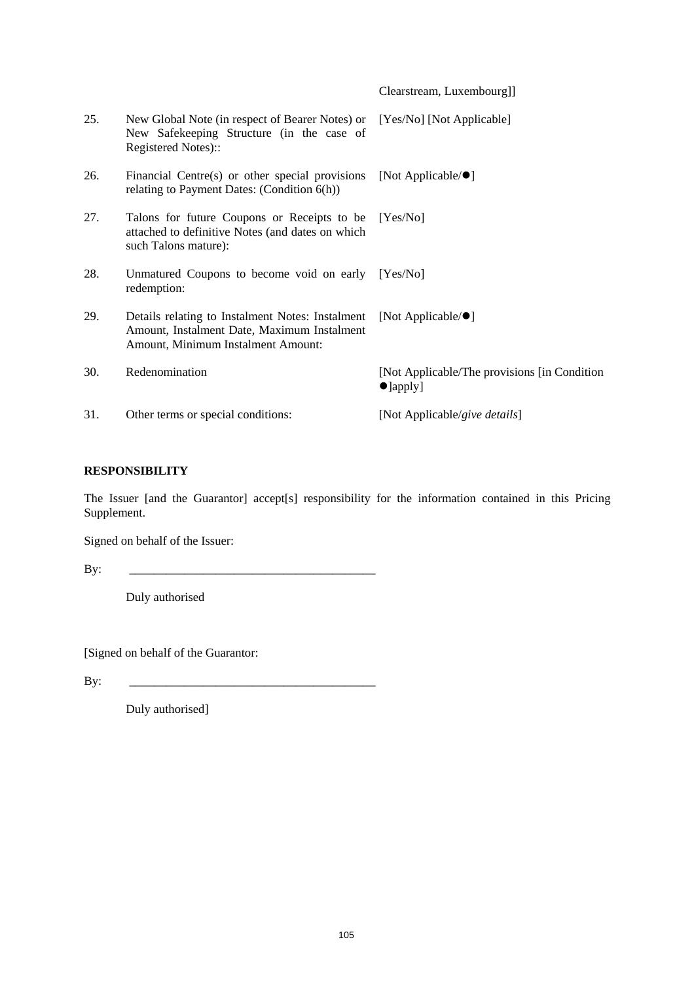|     |                                                                                                                                       | Clearstream, Luxembourg]]                                          |
|-----|---------------------------------------------------------------------------------------------------------------------------------------|--------------------------------------------------------------------|
| 25. | New Global Note (in respect of Bearer Notes) or<br>New Safekeeping Structure (in the case of<br>Registered Notes)::                   | [Yes/No] [Not Applicable]                                          |
| 26. | Financial Centre(s) or other special provisions<br>relating to Payment Dates: (Condition 6(h))                                        | [Not Applicable/ $\bullet$ ]                                       |
| 27. | Talons for future Coupons or Receipts to be<br>attached to definitive Notes (and dates on which<br>such Talons mature):               | Yes/Nol                                                            |
| 28. | Unmatured Coupons to become void on early<br>redemption:                                                                              | Yes/Nol                                                            |
| 29. | Details relating to Instalment Notes: Instalment<br>Amount, Instalment Date, Maximum Instalment<br>Amount, Minimum Instalment Amount: | [Not Applicable/ $\bullet$ ]                                       |
| 30. | Redenomination                                                                                                                        | [Not Applicable/The provisions [in Condition]<br>$\bullet$ ]apply] |
| 31. | Other terms or special conditions:                                                                                                    | [Not Applicable/give details]                                      |

# **RESPONSIBILITY**

The Issuer [and the Guarantor] accept[s] responsibility for the information contained in this Pricing Supplement.

Signed on behalf of the Issuer:

 $\mathbf{By:}$ 

Duly authorised

[Signed on behalf of the Guarantor:

By: \_\_\_\_\_\_\_\_\_\_\_\_\_\_\_\_\_\_\_\_\_\_\_\_\_\_\_\_\_\_\_\_\_\_\_\_\_\_\_\_

Duly authorised]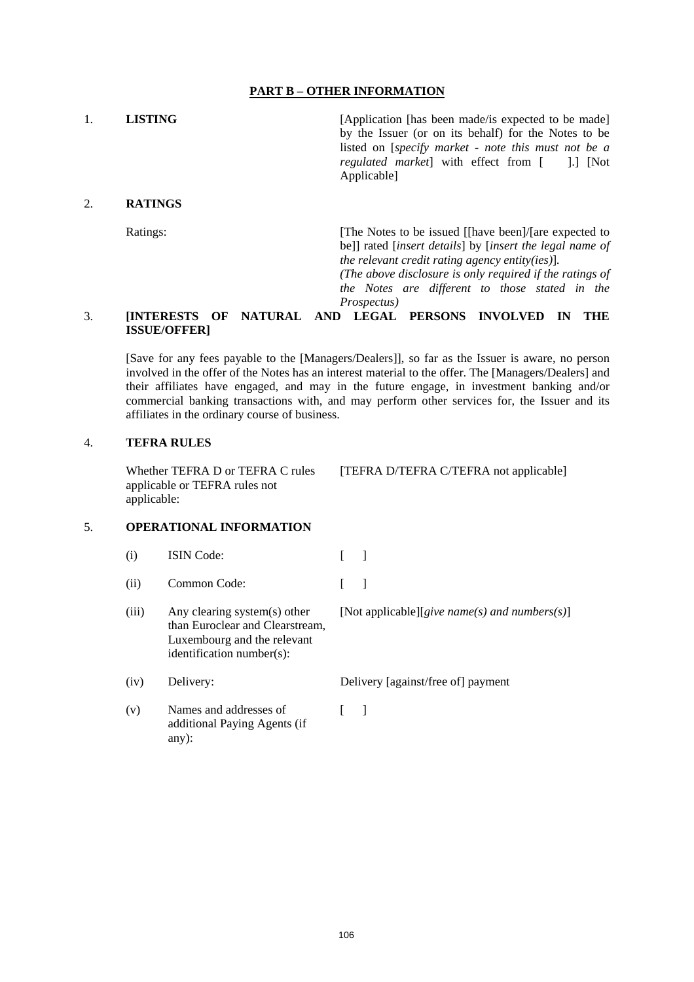## **PART B – OTHER INFORMATION**

1. **LISTING** [Application [has been made/is expected to be made] by the Issuer (or on its behalf) for the Notes to be listed on [*specify market - note this must not be a regulated market*] with effect from [ ].] [Not Applicable]

## 2. **RATINGS**

Ratings: [The Notes to be issued [[have been]/[are expected to be]] rated [*insert details*] by [*insert the legal name of the relevant credit rating agency entity(ies)*]*.*

> *(The above disclosure is only required if the ratings of the Notes are different to those stated in the Prospectus)*

## 3. **[INTERESTS OF NATURAL AND LEGAL PERSONS INVOLVED IN THE ISSUE/OFFER]**

[Save for any fees payable to the [Managers/Dealers]], so far as the Issuer is aware, no person involved in the offer of the Notes has an interest material to the offer. The [Managers/Dealers] and their affiliates have engaged, and may in the future engage, in investment banking and/or commercial banking transactions with, and may perform other services for, the Issuer and its affiliates in the ordinary course of business.

### 4. **TEFRA RULES**

Whether TEFRA D or TEFRA C rules applicable or TEFRA rules not applicable:

[TEFRA D/TEFRA C/TEFRA not applicable]

### 5. **OPERATIONAL INFORMATION**

- (i) ISIN Code: [ ]
- (ii) Common Code: [ ]
- (iii) Any clearing system(s) other than Euroclear and Clearstream, Luxembourg and the relevant identification number(s): [Not applicable][*give name(s) and numbers(s)*]
- (iv) Delivery: Delivery [against/free of] payment
- (v) Names and addresses of additional Paying Agents (if any):  $\lceil$   $\rceil$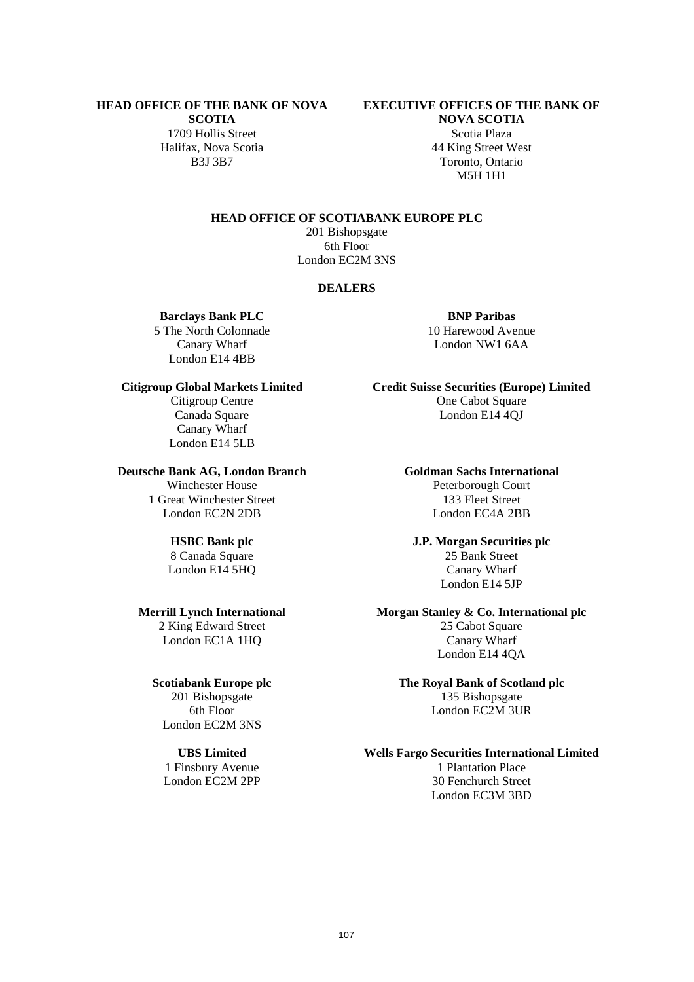# **HEAD OFFICE OF THE BANK OF NOVA**

**SCOTIA** 1709 Hollis Street Scotia Plaza Halifax, Nova Scotia 44 King Street West<br>B3J 3B7 Toronto Ontario

## **EXECUTIVE OFFICES OF THE BANK OF**

**NOVA SCOTIA** Toronto, Ontario M5H 1H1

**HEAD OFFICE OF SCOTIABANK EUROPE PLC**

201 Bishopsgate 6th Floor London EC2M 3NS

## **DEALERS**

**Barclays Bank PLC BNP Paribas** 

5 The North Colonnade 10 Harewood Avenue London E14 4BB

Canary Wharf London E14 5LB

## **Deutsche Bank AG, London Branch Goldman Sachs International**

1 Great Winchester Street 133 Fleet Street London EC2N 2DB London EC4A 2BB

8 Canada Square

2 King Edward Street 25 Cabot Square London EC1A 1HQ Canary Wharf

6th Floor London EC2M 3UR London EC2M 3NS

1 Finsbury Avenue 1 Plantation Place

Canary Wharf London NW1 6AA

**Citigroup Global Markets Limited Credit Suisse Securities (Europe) Limited** Citigroup Centre **One Cabot Square** Canada Square London E14 4QJ

Winchester House Peterborough Court

**HSBC Bank plc**<br>
8 Canada Square<br> **J.P. Morgan Securities plc**<br>
25 Bank Street London E14 5HQ Canary Wharf London E14 5JP

## **Merrill Lynch International Morgan Stanley & Co. International plc**

London E14 4QA

# **Scotiabank Europe plc The Royal Bank of Scotland plc** 201 Bishopsgate 135 Bishopsgate

## **UBS Limited Wells Fargo Securities International Limited**

London EC2M 2PP 30 Fenchurch Street London EC3M 3BD

107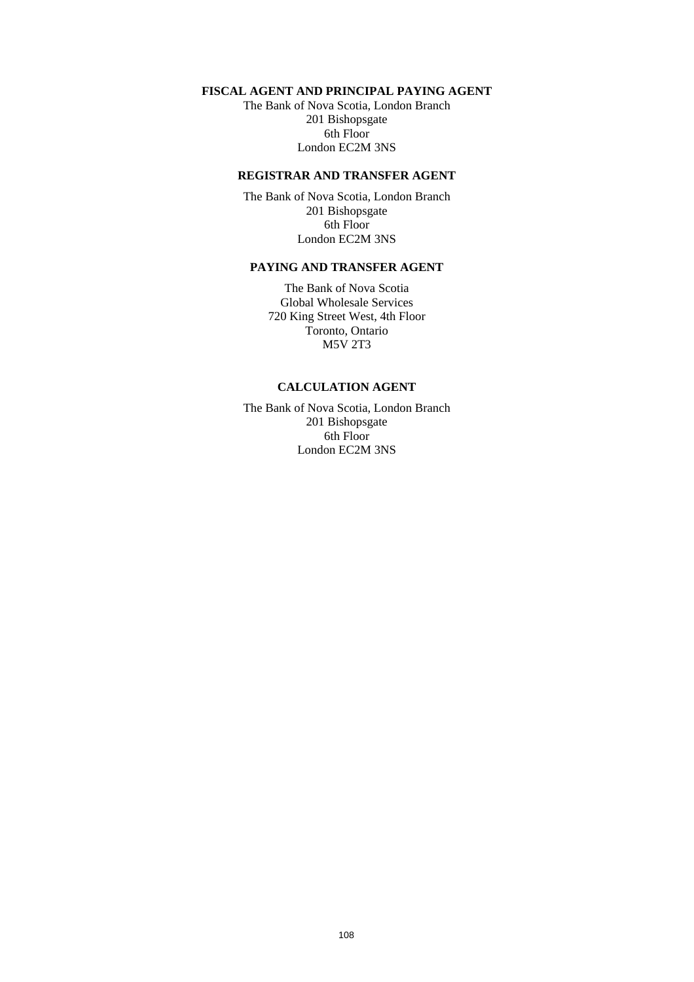## **FISCAL AGENT AND PRINCIPAL PAYING AGENT**

The Bank of Nova Scotia, London Branch 201 Bishopsgate 6th Floor London EC2M 3NS

## **REGISTRAR AND TRANSFER AGENT**

The Bank of Nova Scotia, London Branch 201 Bishopsgate 6th Floor London EC2M 3NS

## **PAYING AND TRANSFER AGENT**

The Bank of Nova Scotia Global Wholesale Services 720 King Street West, 4th Floor Toronto, Ontario M5V 2T3

## **CALCULATION AGENT**

The Bank of Nova Scotia, London Branch 201 Bishopsgate 6th Floor London EC2M 3NS